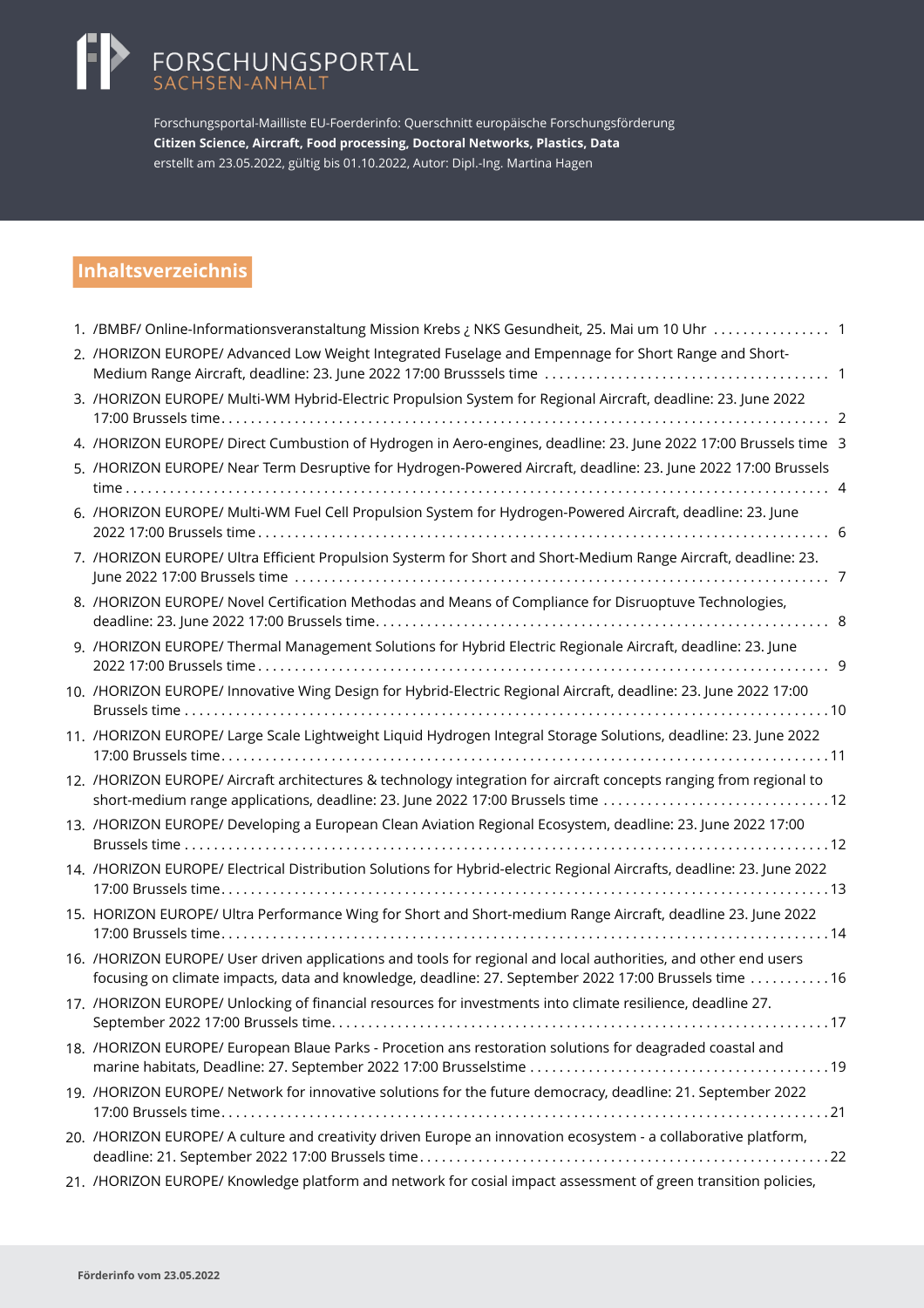# FORSCHUNGSPORTAL<br>SACHSEN-ANHALT

Forschungsportal-Mailliste EU-Foerderinfo: Querschnitt europäische Forschungsförderung **Citizen Science, Aircraft, Food processing, Doctoral Networks, Plastics, Data** erstellt am 23.05.2022, gültig bis 01.10.2022, Autor: Dipl.-Ing. Martina Hagen

# **Inhaltsverzeichnis**

| 1. /BMBF/ Online-Informationsveranstaltung Mission Krebs ¿ NKS Gesundheit, 25. Mai um 10 Uhr 1                                                                                                                          |
|-------------------------------------------------------------------------------------------------------------------------------------------------------------------------------------------------------------------------|
| 2. /HORIZON EUROPE/ Advanced Low Weight Integrated Fuselage and Empennage for Short Range and Short-                                                                                                                    |
| 3. /HORIZON EUROPE/ Multi-WM Hybrid-Electric Propulsion System for Regional Aircraft, deadline: 23. June 2022                                                                                                           |
| 4. /HORIZON EUROPE/ Direct Cumbustion of Hydrogen in Aero-engines, deadline: 23. June 2022 17:00 Brussels time 3                                                                                                        |
| 5. /HORIZON EUROPE/ Near Term Desruptive for Hydrogen-Powered Aircraft, deadline: 23. June 2022 17:00 Brussels                                                                                                          |
| 6. /HORIZON EUROPE/ Multi-WM Fuel Cell Propulsion System for Hydrogen-Powered Aircraft, deadline: 23. June                                                                                                              |
| 7. /HORIZON EUROPE/ Ultra Efficient Propulsion Systerm for Short and Short-Medium Range Aircraft, deadline: 23.                                                                                                         |
| 8. /HORIZON EUROPE/ Novel Certification Methodas and Means of Compliance for Disruoptuve Technologies,                                                                                                                  |
| 9. /HORIZON EUROPE/ Thermal Management Solutions for Hybrid Electric Regionale Aircraft, deadline: 23. June                                                                                                             |
| 10. /HORIZON EUROPE/ Innovative Wing Design for Hybrid-Electric Regional Aircraft, deadline: 23. June 2022 17:00                                                                                                        |
| 11. /HORIZON EUROPE/ Large Scale Lightweight Liquid Hydrogen Integral Storage Solutions, deadline: 23. June 2022                                                                                                        |
| 12. /HORIZON EUROPE/ Aircraft architectures & technology integration for aircraft concepts ranging from regional to<br>short-medium range applications, deadline: 23. June 2022 17:00 Brussels time 12                  |
| 13. /HORIZON EUROPE/ Developing a European Clean Aviation Regional Ecosystem, deadline: 23. June 2022 17:00                                                                                                             |
| 14. /HORIZON EUROPE/ Electrical Distribution Solutions for Hybrid-electric Regional Aircrafts, deadline: 23. June 2022                                                                                                  |
| 15. HORIZON EUROPE/ Ultra Performance Wing for Short and Short-medium Range Aircraft, deadline 23. June 2022                                                                                                            |
| 16. /HORIZON EUROPE/ User driven applications and tools for regional and local authorities, and other end users<br>focusing on climate impacts, data and knowledge, deadline: 27. September 2022 17:00 Brussels time 16 |
| 17. /HORIZON EUROPE/ Unlocking of financial resources for investments into climate resilience, deadline 27.                                                                                                             |
| 18. /HORIZON EUROPE/ European Blaue Parks - Procetion ans restoration solutions for deagraded coastal and                                                                                                               |
| 19. /HORIZON EUROPE/ Network for innovative solutions for the future democracy, deadline: 21. September 2022                                                                                                            |
| 20. /HORIZON EUROPE/ A culture and creativity driven Europe an innovation ecosystem - a collaborative platform,                                                                                                         |
| 21. /HORIZON EUROPE/ Knowledge platform and network for cosial impact assessment of green transition policies,                                                                                                          |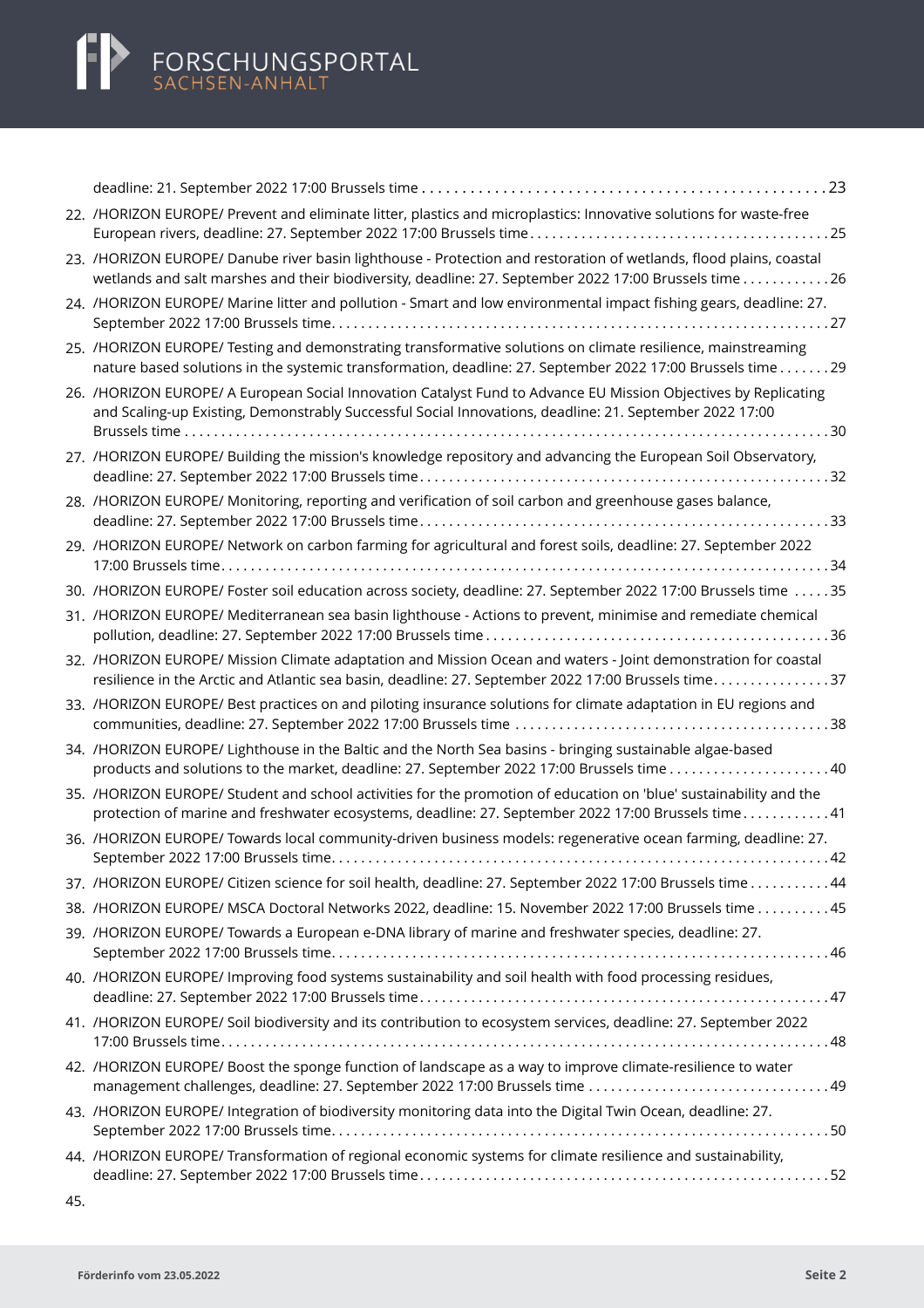| 22. /HORIZON EUROPE/ Prevent and eliminate litter, plastics and microplastics: Innovative solutions for waste-free                                                                                                          |  |
|-----------------------------------------------------------------------------------------------------------------------------------------------------------------------------------------------------------------------------|--|
| 23. /HORIZON EUROPE/ Danube river basin lighthouse - Protection and restoration of wetlands, flood plains, coastal<br>wetlands and salt marshes and their biodiversity, deadline: 27. September 2022 17:00 Brussels time 26 |  |
| 24. /HORIZON EUROPE/ Marine litter and pollution - Smart and low environmental impact fishing gears, deadline: 27.                                                                                                          |  |
| 25. /HORIZON EUROPE/ Testing and demonstrating transformative solutions on climate resilience, mainstreaming<br>nature based solutions in the systemic transformation, deadline: 27. September 2022 17:00 Brussels time29   |  |
| 26. /HORIZON EUROPE/ A European Social Innovation Catalyst Fund to Advance EU Mission Objectives by Replicating<br>and Scaling-up Existing, Demonstrably Successful Social Innovations, deadline: 21. September 2022 17:00  |  |
| 27. /HORIZON EUROPE/ Building the mission's knowledge repository and advancing the European Soil Observatory,                                                                                                               |  |
| 28. /HORIZON EUROPE/ Monitoring, reporting and verification of soil carbon and greenhouse gases balance,                                                                                                                    |  |
| 29. /HORIZON EUROPE/ Network on carbon farming for agricultural and forest soils, deadline: 27. September 2022                                                                                                              |  |
| 30. /HORIZON EUROPE/ Foster soil education across society, deadline: 27. September 2022 17:00 Brussels time 35                                                                                                              |  |
| 31. /HORIZON EUROPE/ Mediterranean sea basin lighthouse - Actions to prevent, minimise and remediate chemical                                                                                                               |  |
| 32. /HORIZON EUROPE/ Mission Climate adaptation and Mission Ocean and waters - Joint demonstration for coastal<br>resilience in the Arctic and Atlantic sea basin, deadline: 27. September 2022 17:00 Brussels time37       |  |
| 33. /HORIZON EUROPE/ Best practices on and piloting insurance solutions for climate adaptation in EU regions and                                                                                                            |  |
| 34. /HORIZON EUROPE/ Lighthouse in the Baltic and the North Sea basins - bringing sustainable algae-based                                                                                                                   |  |
| 35. /HORIZON EUROPE/ Student and school activities for the promotion of education on 'blue' sustainability and the<br>protection of marine and freshwater ecosystems, deadline: 27. September 2022 17:00 Brussels time41    |  |
| 36. /HORIZON EUROPE/ Towards local community-driven business models: regenerative ocean farming, deadline: 27.                                                                                                              |  |
| 37. /HORIZON EUROPE/ Citizen science for soil health, deadline: 27. September 2022 17:00 Brussels time44                                                                                                                    |  |
| 38. /HORIZON EUROPE/ MSCA Doctoral Networks 2022, deadline: 15. November 2022 17:00 Brussels time 45                                                                                                                        |  |
| 39. /HORIZON EUROPE/ Towards a European e-DNA library of marine and freshwater species, deadline: 27.                                                                                                                       |  |
| 40. /HORIZON EUROPE/ Improving food systems sustainability and soil health with food processing residues,                                                                                                                   |  |
| 41. /HORIZON EUROPE/ Soil biodiversity and its contribution to ecosystem services, deadline: 27. September 2022                                                                                                             |  |
| 42. /HORIZON EUROPE/ Boost the sponge function of landscape as a way to improve climate-resilience to water                                                                                                                 |  |
| 43. /HORIZON EUROPE/ Integration of biodiversity monitoring data into the Digital Twin Ocean, deadline: 27.                                                                                                                 |  |
| 44. /HORIZON EUROPE/ Transformation of regional economic systems for climate resilience and sustainability,                                                                                                                 |  |

45.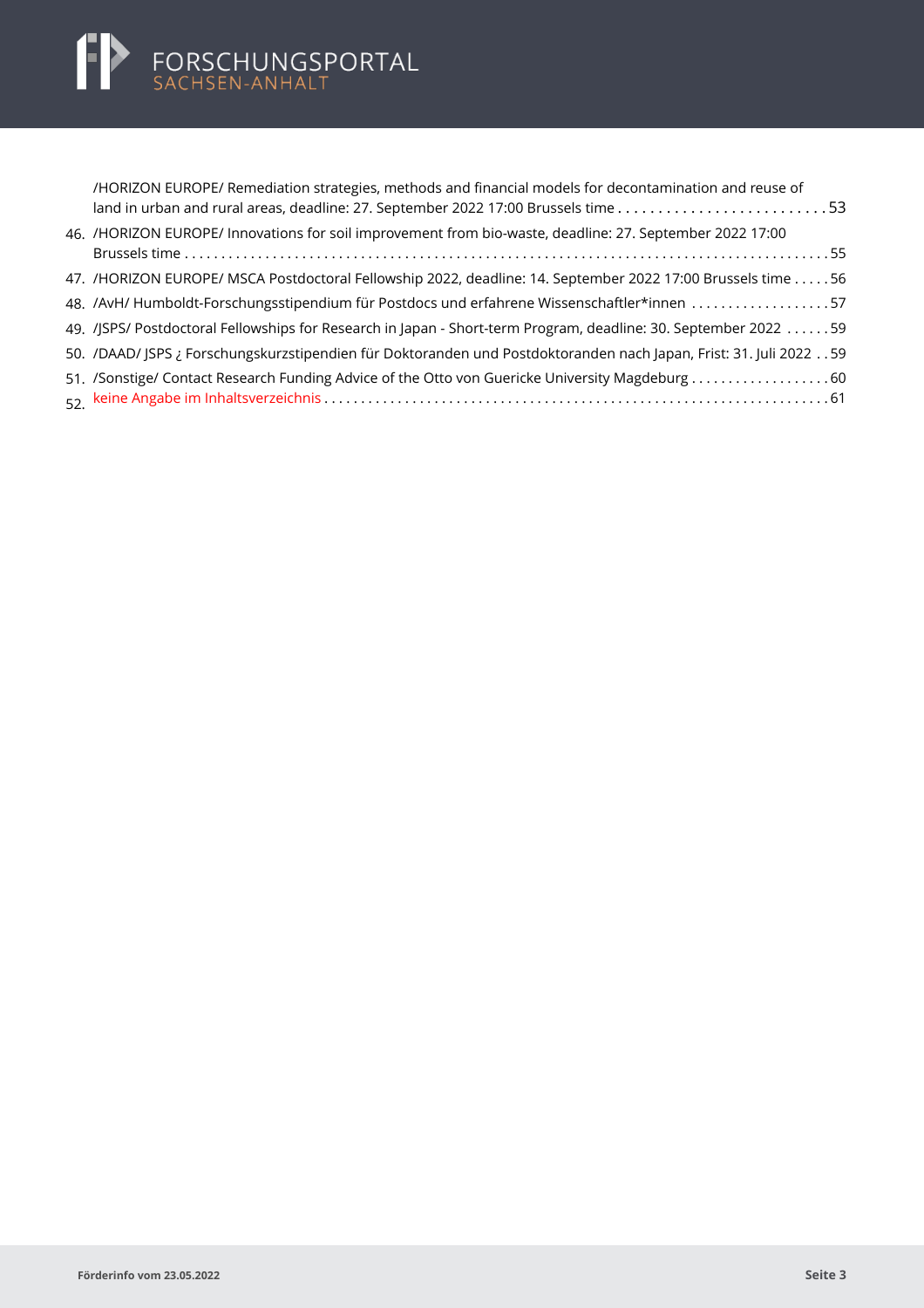| /HORIZON EUROPE/ Remediation strategies, methods and financial models for decontamination and reuse of<br>land in urban and rural areas, deadline: 27. September 2022 17:00 Brussels time53 |
|---------------------------------------------------------------------------------------------------------------------------------------------------------------------------------------------|
| 46. /HORIZON EUROPE/ Innovations for soil improvement from bio-waste, deadline: 27. September 2022 17:00                                                                                    |
|                                                                                                                                                                                             |
| 47. /HORIZON EUROPE/ MSCA Postdoctoral Fellowship 2022, deadline: 14. September 2022 17:00 Brussels time 56                                                                                 |
| 48. /AvH/ Humboldt-Forschungsstipendium für Postdocs und erfahrene Wissenschaftler*innen 57                                                                                                 |
| 49. JSPS/ Postdoctoral Fellowships for Research in Japan - Short-term Program, deadline: 30. September 2022 59                                                                              |
| 59. . DAAD/ JSPS ¿ Forschungskurzstipendien für Doktoranden und Postdoktoranden nach Japan, Frist: 31. Juli 2022                                                                            |
|                                                                                                                                                                                             |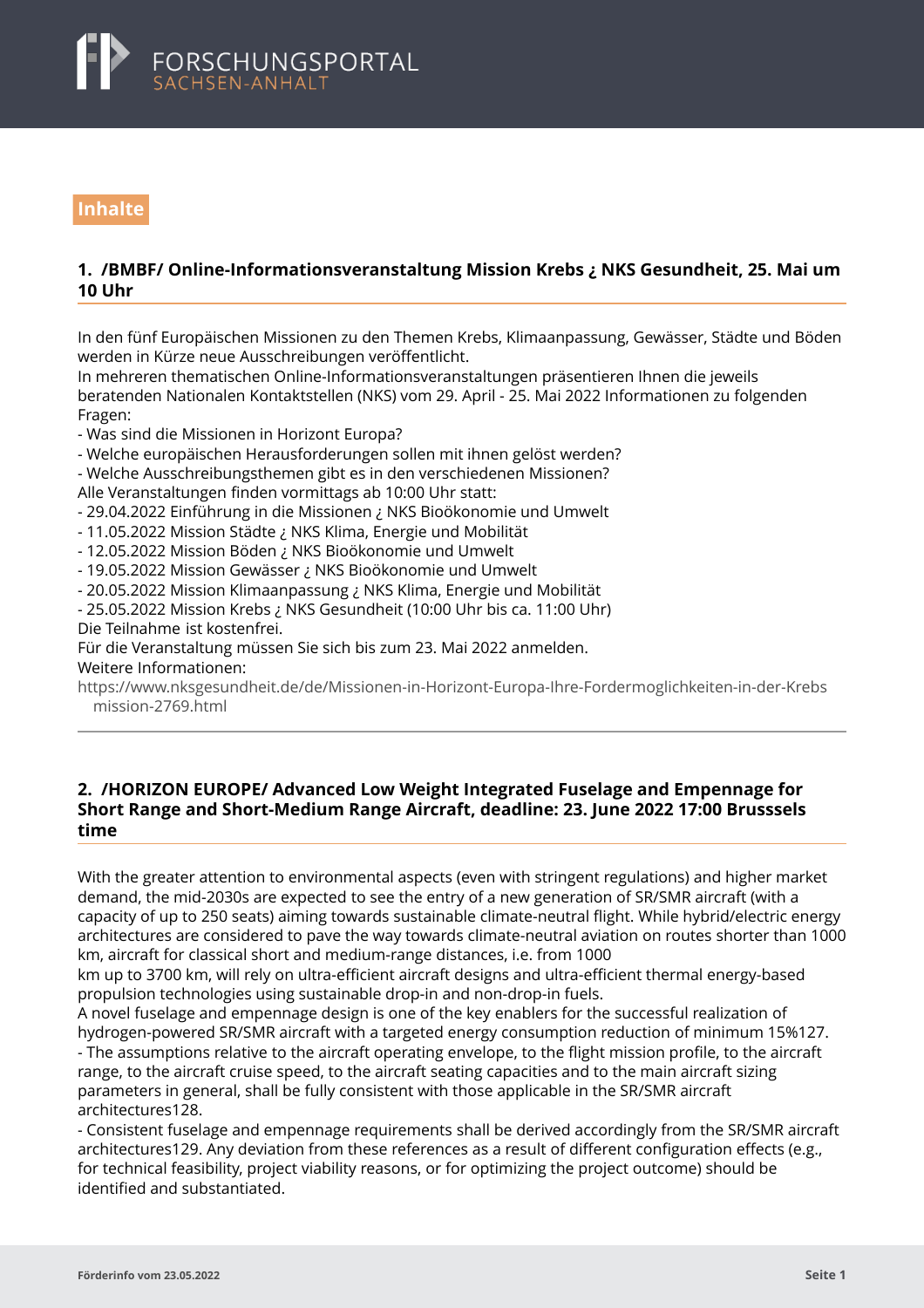<span id="page-3-0"></span>

# **Inhalte**

# **1. /BMBF/ Online-Informationsveranstaltung Mission Krebs ¿ NKS Gesundheit, 25. Mai um 10 Uhr**

In den fünf Europäischen Missionen zu den Themen Krebs, Klimaanpassung, Gewässer, Städte und Böden werden in Kürze neue Ausschreibungen veröffentlicht.

In mehreren thematischen Online-Informationsveranstaltungen präsentieren Ihnen die jeweils beratenden Nationalen Kontaktstellen (NKS) vom 29. April - 25. Mai 2022 Informationen zu folgenden Fragen:

- Was sind die Missionen in Horizont Europa?

- Welche europäischen Herausforderungen sollen mit ihnen gelöst werden?

- Welche Ausschreibungsthemen gibt es in den verschiedenen Missionen? Alle Veranstaltungen finden vormittags ab 10:00 Uhr statt:

- 29.04.2022 Einführung in die Missionen ¿ NKS Bioökonomie und Umwelt

- 11.05.2022 Mission Städte ¿ NKS Klima, Energie und Mobilität

- 12.05.2022 Mission Böden ¿ NKS Bioökonomie und Umwelt

- 19.05.2022 Mission Gewässer ¿ NKS Bioökonomie und Umwelt

- 20.05.2022 Mission Klimaanpassung ¿ NKS Klima, Energie und Mobilität

- 25.05.2022 Mission Krebs ¿ NKS Gesundheit (10:00 Uhr bis ca. 11:00 Uhr)

Die Teilnahme ist kostenfrei.

Für die Veranstaltung müssen Sie sich bis zum 23. Mai 2022 anmelden. Weitere Informationen:

[https://www.nksgesundheit.de/de/Missionen-in-Horizont-Europa-Ihre-Fordermoglichkeiten-in-der-Krebs](https://www.nksgesundheit.de/de/Missionen-in-Horizont-Europa-Ihre-Fordermoglichkeiten-in-der-Krebsmission-2769.html) mission-2769.html

### **2. /HORIZON EUROPE/ Advanced Low Weight Integrated Fuselage and Empennage for Short Range and Short-Medium Range Aircraft, deadline: 23. June 2022 17:00 Brusssels time**

With the greater attention to environmental aspects (even with stringent regulations) and higher market demand, the mid-2030s are expected to see the entry of a new generation of SR/SMR aircraft (with a capacity of up to 250 seats) aiming towards sustainable climate-neutral flight. While hybrid/electric energy architectures are considered to pave the way towards climate-neutral aviation on routes shorter than 1000 km, aircraft for classical short and medium-range distances, i.e. from 1000

km up to 3700 km, will rely on ultra-efficient aircraft designs and ultra-efficient thermal energy-based propulsion technologies using sustainable drop-in and non-drop-in fuels.

A novel fuselage and empennage design is one of the key enablers for the successful realization of hydrogen-powered SR/SMR aircraft with a targeted energy consumption reduction of minimum 15%127. - The assumptions relative to the aircraft operating envelope, to the flight mission profile, to the aircraft range, to the aircraft cruise speed, to the aircraft seating capacities and to the main aircraft sizing parameters in general, shall be fully consistent with those applicable in the SR/SMR aircraft architectures128.

- Consistent fuselage and empennage requirements shall be derived accordingly from the SR/SMR aircraft architectures129. Any deviation from these references as a result of different configuration effects (e.g., for technical feasibility, project viability reasons, or for optimizing the project outcome) should be identified and substantiated.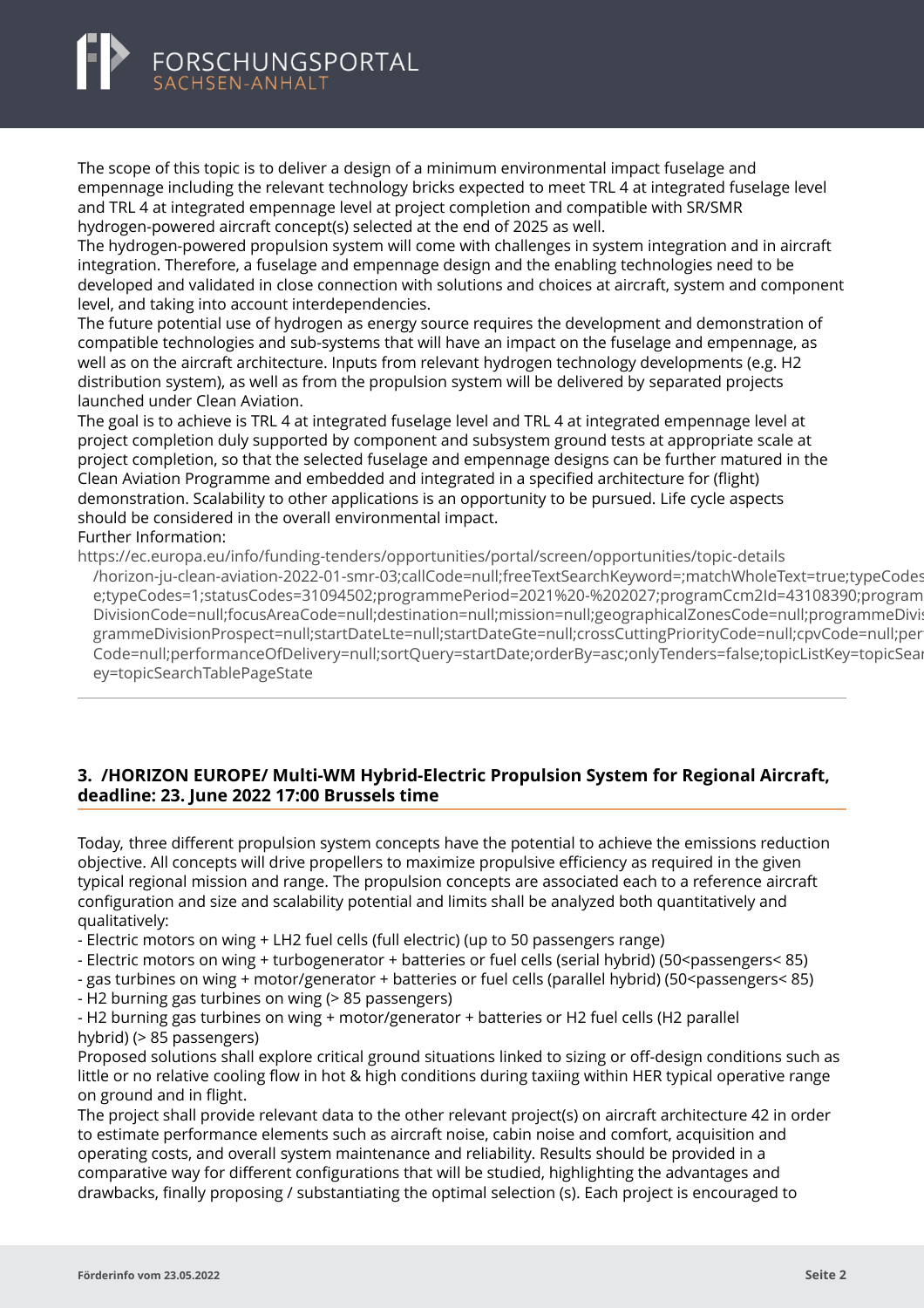<span id="page-4-0"></span>

The scope of this topic is to deliver a design of a minimum environmental impact fuselage and empennage including the relevant technology bricks expected to meet TRL 4 at integrated fuselage level and TRL 4 at integrated empennage level at project completion and compatible with SR/SMR hydrogen-powered aircraft concept(s) selected at the end of 2025 as well.

The hydrogen-powered propulsion system will come with challenges in system integration and in aircraft integration. Therefore, a fuselage and empennage design and the enabling technologies need to be developed and validated in close connection with solutions and choices at aircraft, system and component level, and taking into account interdependencies.

The future potential use of hydrogen as energy source requires the development and demonstration of compatible technologies and sub-systems that will have an impact on the fuselage and empennage, as well as on the aircraft architecture. Inputs from relevant hydrogen technology developments (e.g. H2 distribution system), as well as from the propulsion system will be delivered by separated projects launched under Clean Aviation.

The goal is to achieve is TRL 4 at integrated fuselage level and TRL 4 at integrated empennage level at project completion duly supported by component and subsystem ground tests at appropriate scale at project completion, so that the selected fuselage and empennage designs can be further matured in the Clean Aviation Programme and embedded and integrated in a specified architecture for (flight) demonstration. Scalability to other applications is an opportunity to be pursued. Life cycle aspects should be considered in the overall environmental impact.

#### Further Information:

https://ec.europa.eu/info/funding-tenders/opportunities/portal/screen/opportunities/topic-details

[/horizon-ju-clean-aviation-2022-01-smr-03;callCode=null;freeTextSearchKeyword=;matchWholeText=true;](https://ec.europa.eu/info/funding-tenders/opportunities/portal/screen/opportunities/topic-details/horizon-ju-clean-aviation-2022-01-smr-03;callCode=null;freeTextSearchKeyword=;matchWholeText=true;typeCodes=1;statusCodes=31094502;programmePeriod=2021%20-%202027;programCcm2Id=43108390;programDivisionCode=null;focusAreaCode=null;destination=null;mission=null;geographicalZonesCode=null;programmeDivisionProspect=null;startDateLte=null;startDateGte=null;crossCuttingPriorityCode=null;cpvCode=null;performanceOfDelivery=null;sortQuery=startDate;orderBy=asc;onlyTenders=false;topicListKey=topicSearchTablePageState)typeCodes e;typeCodes=1;statusCodes=31094502;programmePeriod=2021%20-%202027;programCcm2Id=43108390;program DivisionCode=null;focusAreaCode=null;destination=null;mission=null;geographicalZonesCode=null;programmeDivi: grammeDivisionProspect=null;startDateLte=null;startDateGte=null;crossCuttingPriorityCode=null;cpvCode=null;per Code=null;performanceOfDelivery=null;sortQuery=startDate;orderBy=asc;onlyTenders=false;topicListKey=topicSear ey=topicSearchTablePageState

# **3. /HORIZON EUROPE/ Multi-WM Hybrid-Electric Propulsion System for Regional Aircraft, deadline: 23. June 2022 17:00 Brussels time**

Today, three different propulsion system concepts have the potential to achieve the emissions reduction objective. All concepts will drive propellers to maximize propulsive efficiency as required in the given typical regional mission and range. The propulsion concepts are associated each to a reference aircraft configuration and size and scalability potential and limits shall be analyzed both quantitatively and qualitatively:

- Electric motors on wing + LH2 fuel cells (full electric) (up to 50 passengers range)

- Electric motors on wing + turbogenerator + batteries or fuel cells (serial hybrid) (50<passengers< 85)
- gas turbines on wing + motor/generator + batteries or fuel cells (parallel hybrid) (50<passengers< 85)
- H2 burning gas turbines on wing (> 85 passengers)

- H2 burning gas turbines on wing + motor/generator + batteries or H2 fuel cells (H2 parallel hybrid) (> 85 passengers)

Proposed solutions shall explore critical ground situations linked to sizing or off-design conditions such as little or no relative cooling flow in hot & high conditions during taxiing within HER typical operative range on ground and in flight.

The project shall provide relevant data to the other relevant project(s) on aircraft architecture 42 in order to estimate performance elements such as aircraft noise, cabin noise and comfort, acquisition and operating costs, and overall system maintenance and reliability. Results should be provided in a comparative way for different configurations that will be studied, highlighting the advantages and drawbacks, finally proposing / substantiating the optimal selection (s). Each project is encouraged to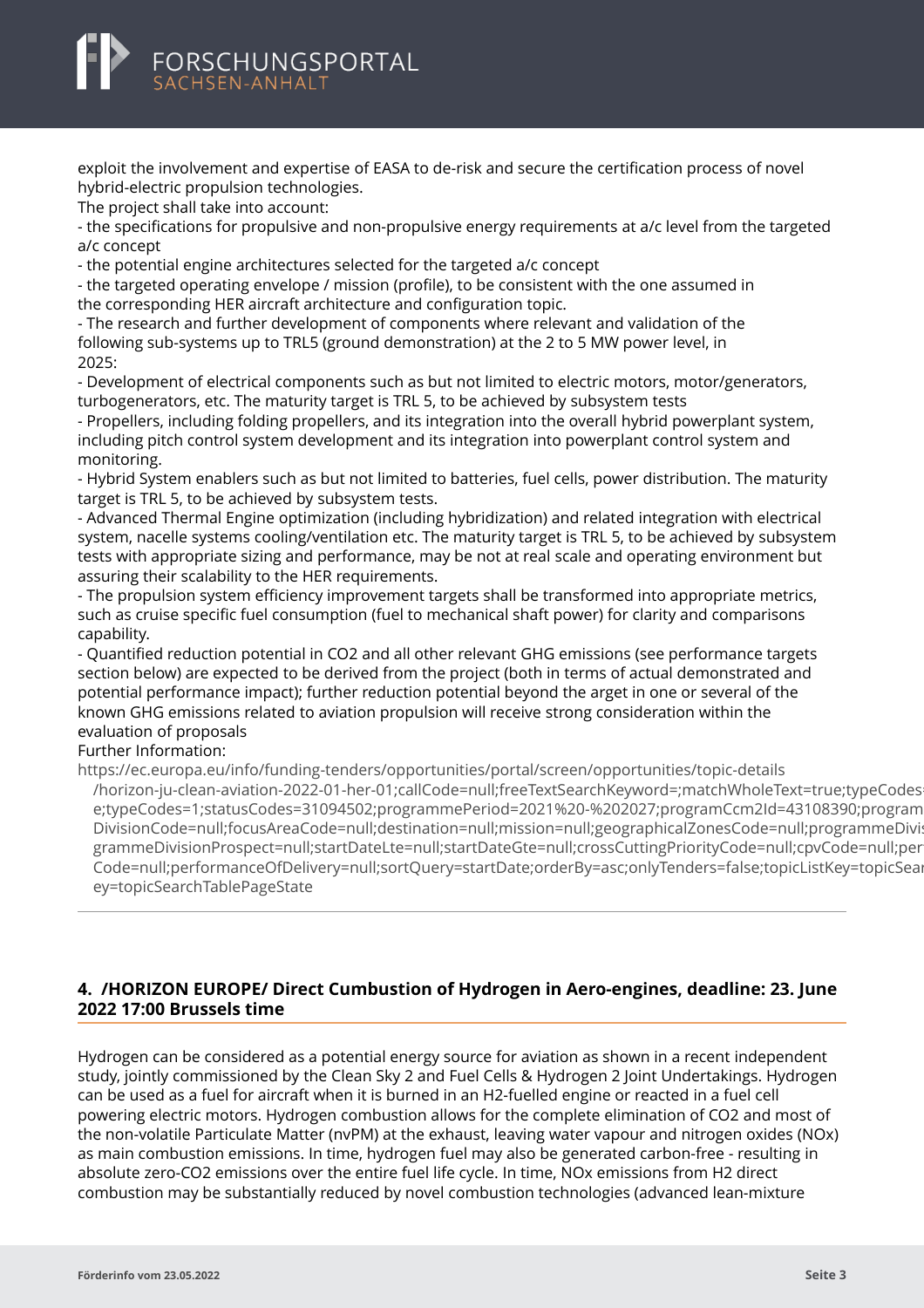<span id="page-5-0"></span>

exploit the involvement and expertise of EASA to de-risk and secure the certification process of novel hybrid-electric propulsion technologies.

The project shall take into account:

- the specifications for propulsive and non-propulsive energy requirements at a/c level from the targeted a/c concept

- the potential engine architectures selected for the targeted a/c concept

- the targeted operating envelope / mission (profile), to be consistent with the one assumed in the corresponding HER aircraft architecture and configuration topic.

- The research and further development of components where relevant and validation of the following sub-systems up to TRL5 (ground demonstration) at the 2 to 5 MW power level, in 2025:

- Development of electrical components such as but not limited to electric motors, motor/generators, turbogenerators, etc. The maturity target is TRL 5, to be achieved by subsystem tests

- Propellers, including folding propellers, and its integration into the overall hybrid powerplant system, including pitch control system development and its integration into powerplant control system and monitoring.

- Hybrid System enablers such as but not limited to batteries, fuel cells, power distribution. The maturity target is TRL 5, to be achieved by subsystem tests.

- Advanced Thermal Engine optimization (including hybridization) and related integration with electrical system, nacelle systems cooling/ventilation etc. The maturity target is TRL 5, to be achieved by subsystem tests with appropriate sizing and performance, may be not at real scale and operating environment but assuring their scalability to the HER requirements.

- The propulsion system efficiency improvement targets shall be transformed into appropriate metrics, such as cruise specific fuel consumption (fuel to mechanical shaft power) for clarity and comparisons capability.

- Quantified reduction potential in CO2 and all other relevant GHG emissions (see performance targets section below) are expected to be derived from the project (both in terms of actual demonstrated and potential performance impact); further reduction potential beyond the arget in one or several of the known GHG emissions related to aviation propulsion will receive strong consideration within the evaluation of proposals

#### Further Information:

https://ec.europa.eu/info/funding-tenders/opportunities/portal/screen/opportunities/topic-details

[/horizon-ju-clean-aviation-2022-01-her-01;callCode=null;freeTextSearchKeyword=;matchWholeText=true;t](https://ec.europa.eu/info/funding-tenders/opportunities/portal/screen/opportunities/topic-details/horizon-ju-clean-aviation-2022-01-her-01;callCode=null;freeTextSearchKeyword=;matchWholeText=true;typeCodes=1;statusCodes=31094502;programmePeriod=2021%20-%202027;programCcm2Id=43108390;programDivisionCode=null;focusAreaCode=null;destination=null;mission=null;geographicalZonesCode=null;programmeDivisionProspect=null;startDateLte=null;startDateGte=null;crossCuttingPriorityCode=null;cpvCode=null;performanceOfDelivery=null;sortQuery=startDate;orderBy=asc;onlyTenders=false;topicListKey=topicSearchTablePageState)ypeCodes e;typeCodes=1;statusCodes=31094502;programmePeriod=2021%20-%202027;programCcm2Id=43108390;program DivisionCode=null;focusAreaCode=null;destination=null;mission=null;geographicalZonesCode=null;programmeDivi: grammeDivisionProspect=null;startDateLte=null;startDateGte=null;crossCuttingPriorityCode=null;cpvCode=null;per Code=null;performanceOfDelivery=null;sortQuery=startDate;orderBy=asc;onlyTenders=false;topicListKey=topicSear ey=topicSearchTablePageState

# **4. /HORIZON EUROPE/ Direct Cumbustion of Hydrogen in Aero-engines, deadline: 23. June 2022 17:00 Brussels time**

Hydrogen can be considered as a potential energy source for aviation as shown in a recent independent study, jointly commissioned by the Clean Sky 2 and Fuel Cells & Hydrogen 2 Joint Undertakings. Hydrogen can be used as a fuel for aircraft when it is burned in an H2-fuelled engine or reacted in a fuel cell powering electric motors. Hydrogen combustion allows for the complete elimination of CO2 and most of the non-volatile Particulate Matter (nvPM) at the exhaust, leaving water vapour and nitrogen oxides (NOx) as main combustion emissions. In time, hydrogen fuel may also be generated carbon-free - resulting in absolute zero-CO2 emissions over the entire fuel life cycle. In time, NOx emissions from H2 direct combustion may be substantially reduced by novel combustion technologies (advanced lean-mixture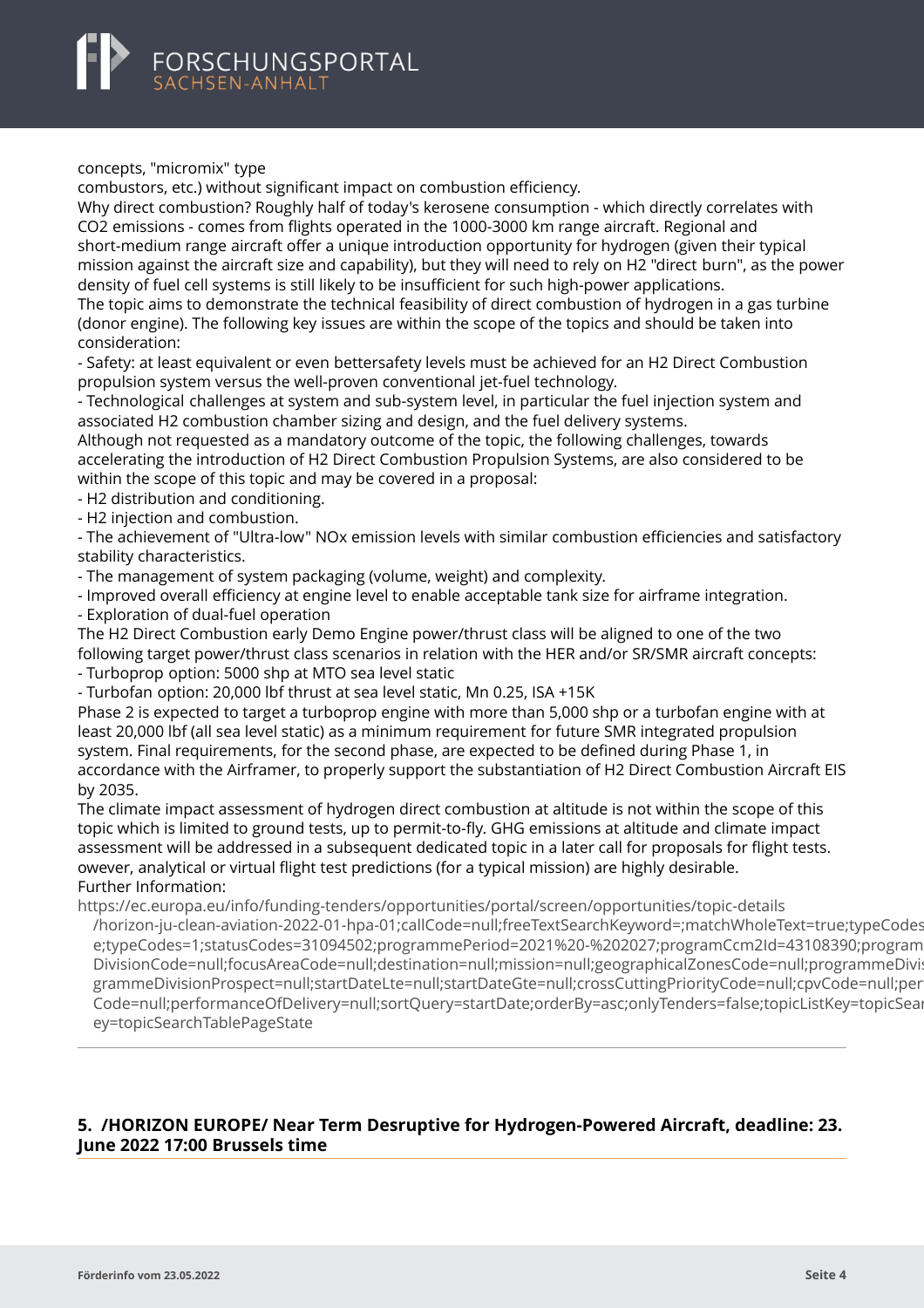#### <span id="page-6-0"></span>concepts, "micromix" type

combustors, etc.) without significant impact on combustion efficiency.

Why direct combustion? Roughly half of today's kerosene consumption - which directly correlates with CO2 emissions - comes from flights operated in the 1000-3000 km range aircraft. Regional and short-medium range aircraft offer a unique introduction opportunity for hydrogen (given their typical mission against the aircraft size and capability), but they will need to rely on H2 "direct burn", as the power density of fuel cell systems is still likely to be insufficient for such high-power applications.

The topic aims to demonstrate the technical feasibility of direct combustion of hydrogen in a gas turbine (donor engine). The following key issues are within the scope of the topics and should be taken into consideration:

- Safety: at least equivalent or even bettersafety levels must be achieved for an H2 Direct Combustion propulsion system versus the well-proven conventional jet-fuel technology.

- Technological challenges at system and sub-system level, in particular the fuel injection system and associated H2 combustion chamber sizing and design, and the fuel delivery systems.

Although not requested as a mandatory outcome of the topic, the following challenges, towards accelerating the introduction of H2 Direct Combustion Propulsion Systems, are also considered to be within the scope of this topic and may be covered in a proposal:

- H2 distribution and conditioning.

- H2 injection and combustion.

- The achievement of "Ultra-low" NOx emission levels with similar combustion efficiencies and satisfactory stability characteristics.

- The management of system packaging (volume, weight) and complexity.

- Improved overall efficiency at engine level to enable acceptable tank size for airframe integration.

- Exploration of dual-fuel operation

The H2 Direct Combustion early Demo Engine power/thrust class will be aligned to one of the two following target power/thrust class scenarios in relation with the HER and/or SR/SMR aircraft concepts: - Turboprop option: 5000 shp at MTO sea level static

- Turbofan option: 20,000 lbf thrust at sea level static, Mn 0.25, ISA +15K

Phase 2 is expected to target a turboprop engine with more than 5,000 shp or a turbofan engine with at least 20,000 lbf (all sea level static) as a minimum requirement for future SMR integrated propulsion system. Final requirements, for the second phase, are expected to be defined during Phase 1, in accordance with the Airframer, to properly support the substantiation of H2 Direct Combustion Aircraft EIS by 2035.

The climate impact assessment of hydrogen direct combustion at altitude is not within the scope of this topic which is limited to ground tests, up to permit-to-fly. GHG emissions at altitude and climate impact assessment will be addressed in a subsequent dedicated topic in a later call for proposals for flight tests. owever, analytical or virtual flight test predictions (for a typical mission) are highly desirable. Further Information:

https://ec.europa.eu/info/funding-tenders/opportunities/portal/screen/opportunities/topic-details

[/horizon-ju-clean-aviation-2022-01-hpa-01;callCode=null;freeTextSearchKeyword=;matchWholeText=true;](https://ec.europa.eu/info/funding-tenders/opportunities/portal/screen/opportunities/topic-details/horizon-ju-clean-aviation-2022-01-hpa-01;callCode=null;freeTextSearchKeyword=;matchWholeText=true;typeCodes=1;statusCodes=31094502;programmePeriod=2021%20-%202027;programCcm2Id=43108390;programDivisionCode=null;focusAreaCode=null;destination=null;mission=null;geographicalZonesCode=null;programmeDivisionProspect=null;startDateLte=null;startDateGte=null;crossCuttingPriorityCode=null;cpvCode=null;performanceOfDelivery=null;sortQuery=startDate;orderBy=asc;onlyTenders=false;topicListKey=topicSearchTablePageState)typeCodes e;typeCodes=1;statusCodes=31094502;programmePeriod=2021%20-%202027;programCcm2Id=43108390;program DivisionCode=null;focusAreaCode=null;destination=null;mission=null;geographicalZonesCode=null;programmeDivi: grammeDivisionProspect=null;startDateLte=null;startDateGte=null;crossCuttingPriorityCode=null;cpvCode=null;per Code=null;performanceOfDelivery=null;sortQuery=startDate;orderBy=asc;onlyTenders=false;topicListKey=topicSearchTablePageState ey=topicSearchTablePageState

# **5. /HORIZON EUROPE/ Near Term Desruptive for Hydrogen-Powered Aircraft, deadline: 23. June 2022 17:00 Brussels time**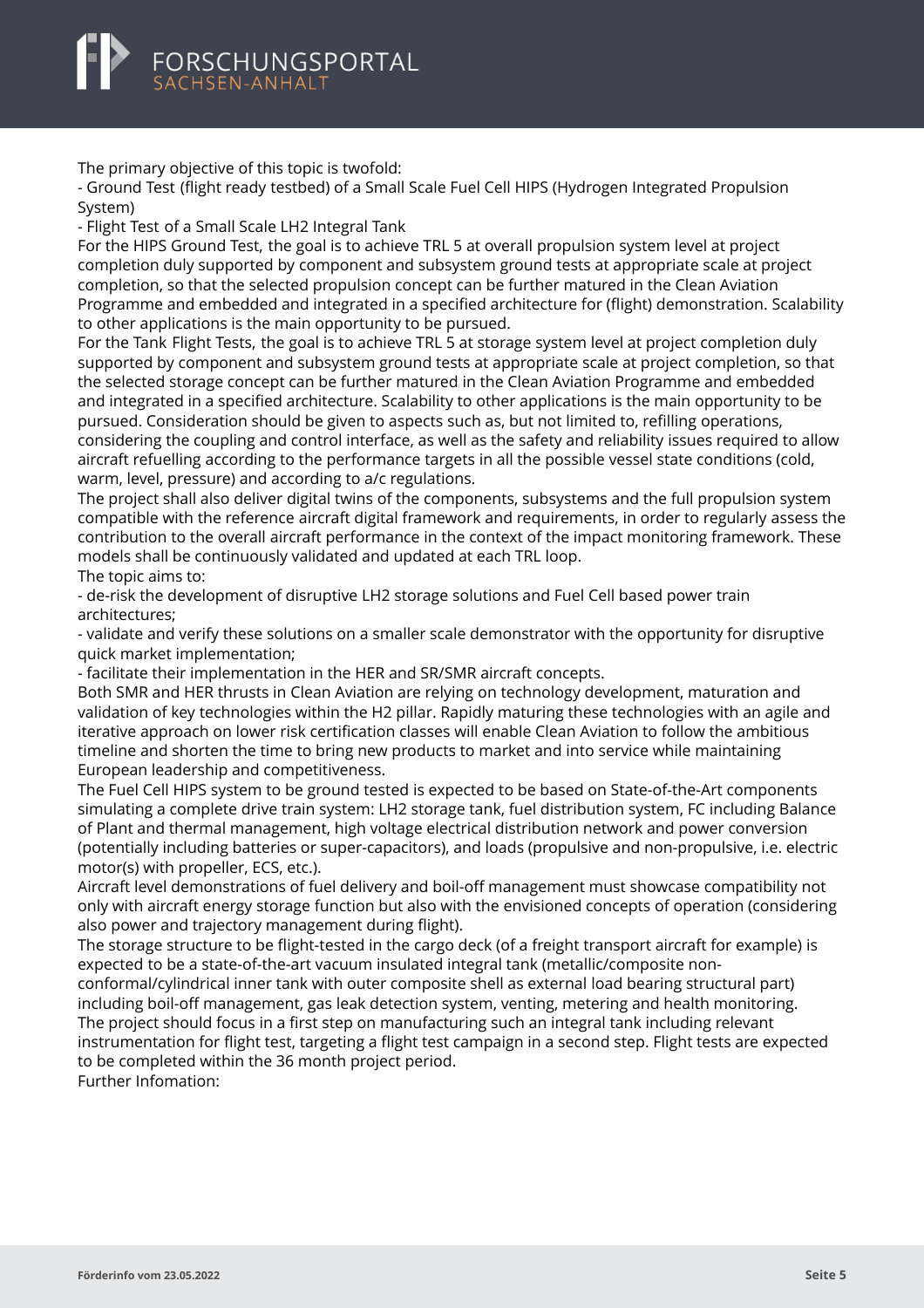

The primary objective of this topic is twofold:

- Ground Test (flight ready testbed) of a Small Scale Fuel Cell HIPS (Hydrogen Integrated Propulsion System)

- Flight Test of a Small Scale LH2 Integral Tank

For the HIPS Ground Test, the goal is to achieve TRL 5 at overall propulsion system level at project completion duly supported by component and subsystem ground tests at appropriate scale at project completion, so that the selected propulsion concept can be further matured in the Clean Aviation Programme and embedded and integrated in a specified architecture for (flight) demonstration. Scalability to other applications is the main opportunity to be pursued.

For the Tank Flight Tests, the goal is to achieve TRL 5 at storage system level at project completion duly supported by component and subsystem ground tests at appropriate scale at project completion, so that the selected storage concept can be further matured in the Clean Aviation Programme and embedded and integrated in a specified architecture. Scalability to other applications is the main opportunity to be pursued. Consideration should be given to aspects such as, but not limited to, refilling operations, considering the coupling and control interface, as well as the safety and reliability issues required to allow aircraft refuelling according to the performance targets in all the possible vessel state conditions (cold, warm, level, pressure) and according to a/c regulations.

The project shall also deliver digital twins of the components, subsystems and the full propulsion system compatible with the reference aircraft digital framework and requirements, in order to regularly assess the contribution to the overall aircraft performance in the context of the impact monitoring framework. These models shall be continuously validated and updated at each TRL loop. The topic aims to:

- de-risk the development of disruptive LH2 storage solutions and Fuel Cell based power train architectures;

- validate and verify these solutions on a smaller scale demonstrator with the opportunity for disruptive quick market implementation;

- facilitate their implementation in the HER and SR/SMR aircraft concepts.

Both SMR and HER thrusts in Clean Aviation are relying on technology development, maturation and validation of key technologies within the H2 pillar. Rapidly maturing these technologies with an agile and iterative approach on lower risk certification classes will enable Clean Aviation to follow the ambitious timeline and shorten the time to bring new products to market and into service while maintaining European leadership and competitiveness.

The Fuel Cell HIPS system to be ground tested is expected to be based on State-of-the-Art components simulating a complete drive train system: LH2 storage tank, fuel distribution system, FC including Balance of Plant and thermal management, high voltage electrical distribution network and power conversion (potentially including batteries or super-capacitors), and loads (propulsive and non-propulsive, i.e. electric motor(s) with propeller, ECS, etc.).

Aircraft level demonstrations of fuel delivery and boil-off management must showcase compatibility not only with aircraft energy storage function but also with the envisioned concepts of operation (considering also power and trajectory management during flight).

The storage structure to be flight-tested in the cargo deck (of a freight transport aircraft for example) is expected to be a state-of-the-art vacuum insulated integral tank (metallic/composite nonconformal/cylindrical inner tank with outer composite shell as external load bearing structural part) including boil-off management, gas leak detection system, venting, metering and health monitoring. The project should focus in a first step on manufacturing such an integral tank including relevant instrumentation for flight test, targeting a flight test campaign in a second step. Flight tests are expected to be completed within the 36 month project period.

Further Infomation: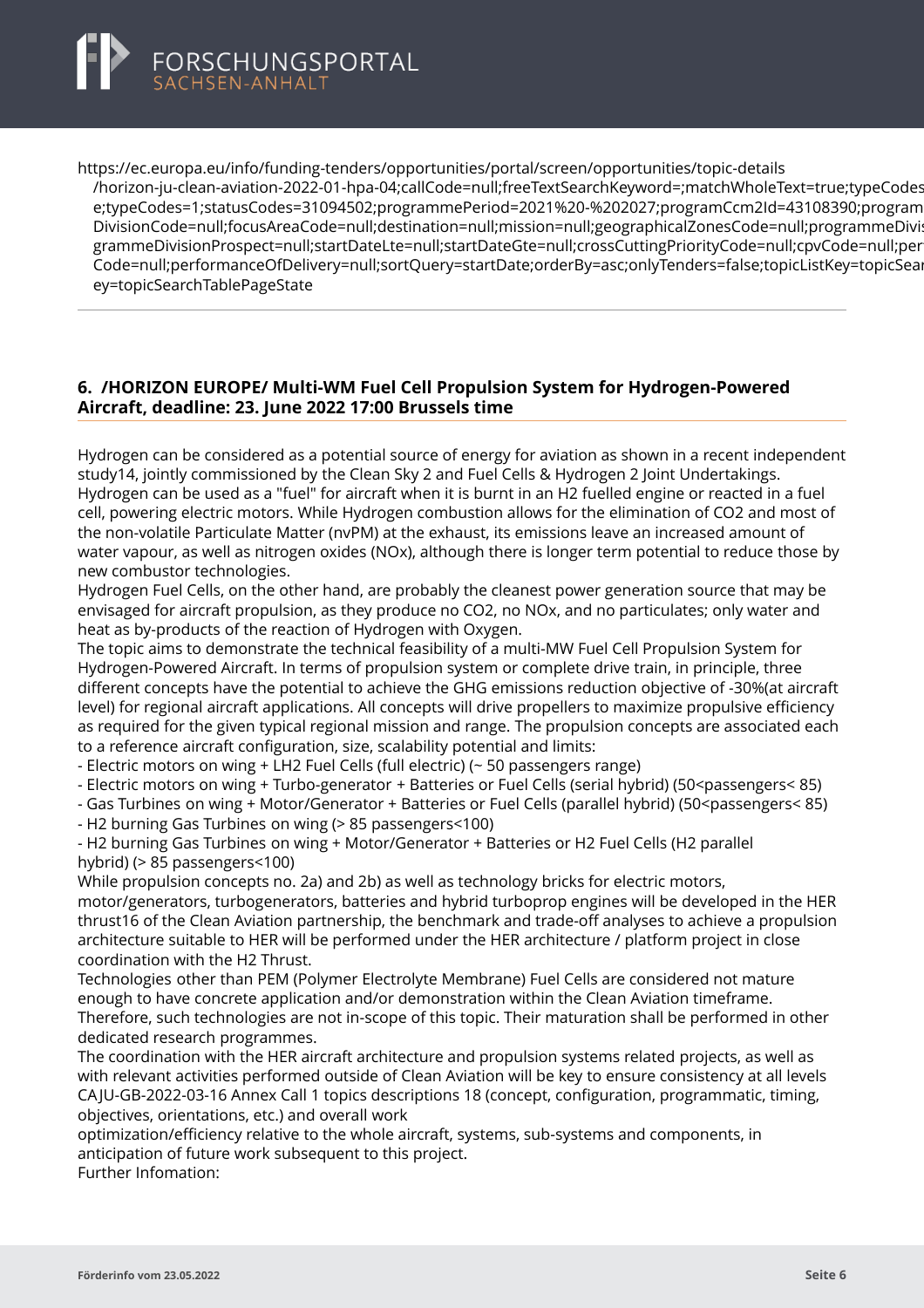<span id="page-8-0"></span>

https://ec.europa.eu/info/funding-tenders/opportunities/portal/screen/opportunities/topic-details [/horizon-ju-clean-aviation-2022-01-hpa-04;callCode=null;freeTextSearchKeyword=;matchWholeText=true;](https://ec.europa.eu/info/funding-tenders/opportunities/portal/screen/opportunities/topic-details/horizon-ju-clean-aviation-2022-01-hpa-04;callCode=null;freeTextSearchKeyword=;matchWholeText=true;typeCodes=1;statusCodes=31094502;programmePeriod=2021%20-%202027;programCcm2Id=43108390;programDivisionCode=null;focusAreaCode=null;destination=null;mission=null;geographicalZonesCode=null;programmeDivisionProspect=null;startDateLte=null;startDateGte=null;crossCuttingPriorityCode=null;cpvCode=null;performanceOfDelivery=null;sortQuery=startDate;orderBy=asc;onlyTenders=false;topicListKey=topicSearchTablePageState)typeCodes e;typeCodes=1;statusCodes=31094502;programmePeriod=2021%20-%202027;programCcm2Id=43108390;program DivisionCode=null;focusAreaCode=null;destination=null;mission=null;geographicalZonesCode=null;programmeDivi: grammeDivisionProspect=null;startDateLte=null;startDateGte=null;crossCuttingPriorityCode=null;cpvCode=null;per Code=null;performanceOfDelivery=null;sortQuery=startDate;orderBy=asc;onlyTenders=false;topicListKey=topicSear ey=topicSearchTablePageState

### **6. /HORIZON EUROPE/ Multi-WM Fuel Cell Propulsion System for Hydrogen-Powered Aircraft, deadline: 23. June 2022 17:00 Brussels time**

Hydrogen can be considered as a potential source of energy for aviation as shown in a recent independent study14, jointly commissioned by the Clean Sky 2 and Fuel Cells & Hydrogen 2 Joint Undertakings. Hydrogen can be used as a "fuel" for aircraft when it is burnt in an H2 fuelled engine or reacted in a fuel cell, powering electric motors. While Hydrogen combustion allows for the elimination of CO2 and most of the non-volatile Particulate Matter (nvPM) at the exhaust, its emissions leave an increased amount of water vapour, as well as nitrogen oxides (NOx), although there is longer term potential to reduce those by new combustor technologies.

Hydrogen Fuel Cells, on the other hand, are probably the cleanest power generation source that may be envisaged for aircraft propulsion, as they produce no CO2, no NOx, and no particulates; only water and heat as by-products of the reaction of Hydrogen with Oxygen.

The topic aims to demonstrate the technical feasibility of a multi-MW Fuel Cell Propulsion System for Hydrogen-Powered Aircraft. In terms of propulsion system or complete drive train, in principle, three different concepts have the potential to achieve the GHG emissions reduction objective of -30%(at aircraft level) for regional aircraft applications. All concepts will drive propellers to maximize propulsive efficiency as required for the given typical regional mission and range. The propulsion concepts are associated each to a reference aircraft configuration, size, scalability potential and limits:

- Electric motors on wing + LH2 Fuel Cells (full electric) (~ 50 passengers range)

- Electric motors on wing + Turbo-generator + Batteries or Fuel Cells (serial hybrid) (50<passengers< 85)

- Gas Turbines on wing + Motor/Generator + Batteries or Fuel Cells (parallel hybrid) (50<passengers< 85)

- H2 burning Gas Turbines on wing (> 85 passengers<100)

- H2 burning Gas Turbines on wing + Motor/Generator + Batteries or H2 Fuel Cells (H2 parallel hybrid) (> 85 passengers<100)

While propulsion concepts no. 2a) and 2b) as well as technology bricks for electric motors, motor/generators, turbogenerators, batteries and hybrid turboprop engines will be developed in the HER thrust16 of the Clean Aviation partnership, the benchmark and trade-off analyses to achieve a propulsion architecture suitable to HER will be performed under the HER architecture / platform project in close coordination with the H2 Thrust.

Technologies other than PEM (Polymer Electrolyte Membrane) Fuel Cells are considered not mature enough to have concrete application and/or demonstration within the Clean Aviation timeframe. Therefore, such technologies are not in-scope of this topic. Their maturation shall be performed in other dedicated research programmes.

The coordination with the HER aircraft architecture and propulsion systems related projects, as well as with relevant activities performed outside of Clean Aviation will be key to ensure consistency at all levels CA JU-GB-2022-03-16 Annex Call 1 topics descriptions 18 (concept, configuration, programmatic, timing, objectives, orientations, etc.) and overall work

optimization/efficiency relative to the whole aircraft, systems, sub-systems and components, in anticipation of future work subsequent to this project.

Further Infomation: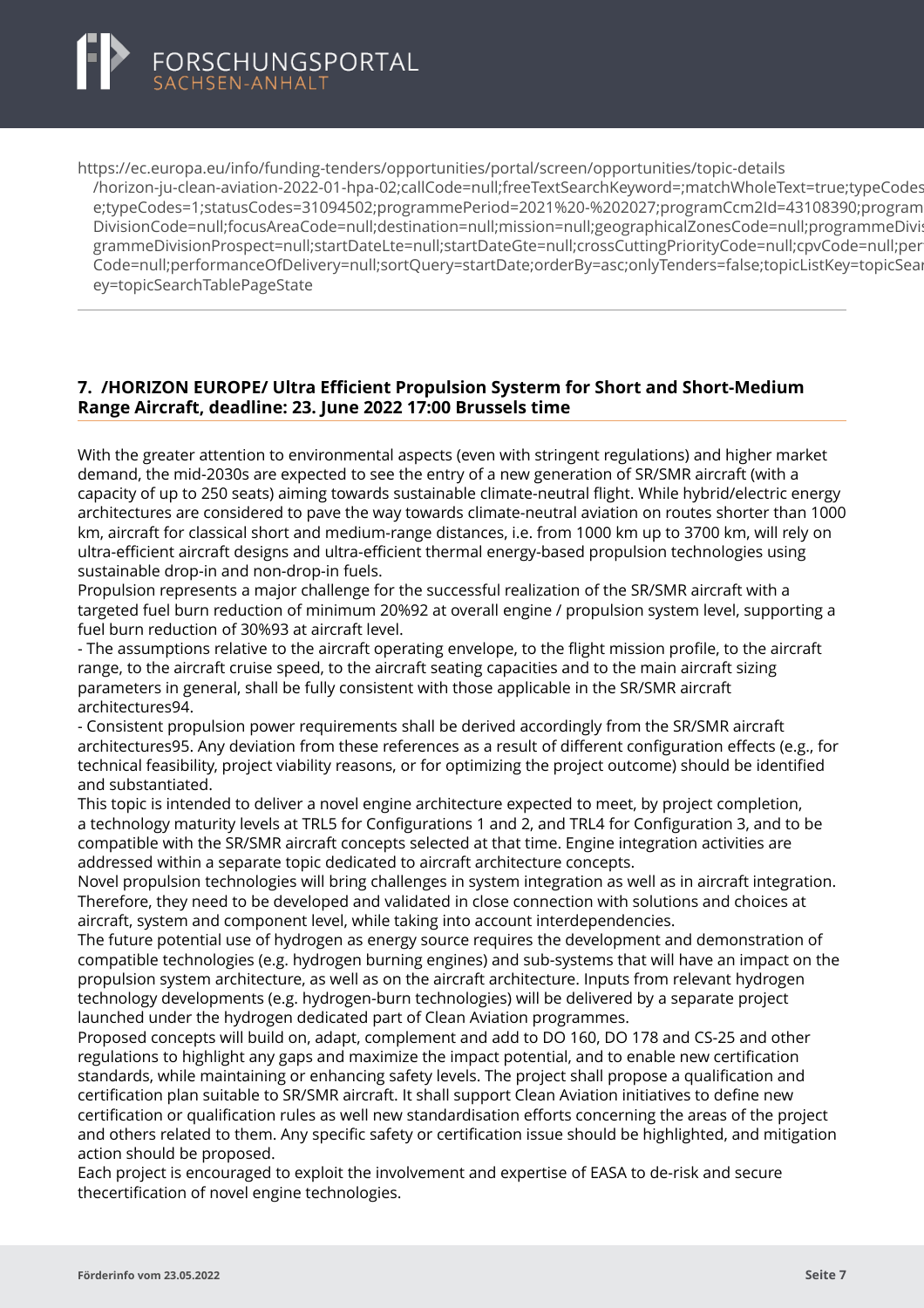<span id="page-9-0"></span>

https://ec.europa.eu/info/funding-tenders/opportunities/portal/screen/opportunities/topic-details [/horizon-ju-clean-aviation-2022-01-hpa-02;callCode=null;freeTextSearchKeyword=;matchWholeText=true;](https://ec.europa.eu/info/funding-tenders/opportunities/portal/screen/opportunities/topic-details/horizon-ju-clean-aviation-2022-01-hpa-02;callCode=null;freeTextSearchKeyword=;matchWholeText=true;typeCodes=1;statusCodes=31094502;programmePeriod=2021%20-%202027;programCcm2Id=43108390;programDivisionCode=null;focusAreaCode=null;destination=null;mission=null;geographicalZonesCode=null;programmeDivisionProspect=null;startDateLte=null;startDateGte=null;crossCuttingPriorityCode=null;cpvCode=null;performanceOfDelivery=null;sortQuery=startDate;orderBy=asc;onlyTenders=false;topicListKey=topicSearchTablePageState)typeCodes e;typeCodes=1;statusCodes=31094502;programmePeriod=2021%20-%202027;programCcm2Id=43108390;program DivisionCode=null:focusAreaCode=null:destination=null:mission=null:geographicalZonesCode=null:programmeDivi grammeDivisionProspect=null;startDateLte=null;startDateGte=null;crossCuttingPriorityCode=null;cpvCode=null;per Code=null;performanceOfDelivery=null;sortQuery=startDate;orderBy=asc;onlyTenders=false;topicListKey=topicSearchTablePageState ey=topicSearchTablePageState

# **7. /HORIZON EUROPE/ Ultra Efficient Propulsion Systerm for Short and Short-Medium Range Aircraft, deadline: 23. June 2022 17:00 Brussels time**

With the greater attention to environmental aspects (even with stringent regulations) and higher market demand, the mid-2030s are expected to see the entry of a new generation of SR/SMR aircraft (with a capacity of up to 250 seats) aiming towards sustainable climate-neutral flight. While hybrid/electric energy architectures are considered to pave the way towards climate-neutral aviation on routes shorter than 1000 km, aircraft for classical short and medium-range distances, i.e. from 1000 km up to 3700 km, will rely on ultra-efficient aircraft designs and ultra-efficient thermal energy-based propulsion technologies using sustainable drop-in and non-drop-in fuels.

Propulsion represents a major challenge for the successful realization of the SR/SMR aircraft with a targeted fuel burn reduction of minimum 20%92 at overall engine / propulsion system level, supporting a fuel burn reduction of 30%93 at aircraft level.

- The assumptions relative to the aircraft operating envelope, to the flight mission profile, to the aircraft range, to the aircraft cruise speed, to the aircraft seating capacities and to the main aircraft sizing parameters in general, shall be fully consistent with those applicable in the SR/SMR aircraft architectures94.

- Consistent propulsion power requirements shall be derived accordingly from the SR/SMR aircraft architectures95. Any deviation from these references as a result of different configuration effects (e.g., for technical feasibility, project viability reasons, or for optimizing the project outcome) should be identified and substantiated.

This topic is intended to deliver a novel engine architecture expected to meet, by project completion, a technology maturity levels at TRL5 for Configurations 1 and 2, and TRL4 for Configuration 3, and to be compatible with the SR/SMR aircraft concepts selected at that time. Engine integration activities are addressed within a separate topic dedicated to aircraft architecture concepts.

Novel propulsion technologies will bring challenges in system integration as well as in aircraft integration. Therefore, they need to be developed and validated in close connection with solutions and choices at aircraft, system and component level, while taking into account interdependencies.

The future potential use of hydrogen as energy source requires the development and demonstration of compatible technologies (e.g. hydrogen burning engines) and sub-systems that will have an impact on the propulsion system architecture, as well as on the aircraft architecture. Inputs from relevant hydrogen technology developments (e.g. hydrogen-burn technologies) will be delivered by a separate project launched under the hydrogen dedicated part of Clean Aviation programmes.

Proposed concepts will build on, adapt, complement and add to DO 160, DO 178 and CS-25 and other regulations to highlight any gaps and maximize the impact potential, and to enable new certification standards, while maintaining or enhancing safety levels. The project shall propose a qualification and certification plan suitable to SR/SMR aircraft. It shall support Clean Aviation initiatives to define new certification or qualification rules as well new standardisation efforts concerning the areas of the project and others related to them. Any specific safety or certification issue should be highlighted, and mitigation action should be proposed.

Each project is encouraged to exploit the involvement and expertise of EASA to de-risk and secure thecertification of novel engine technologies.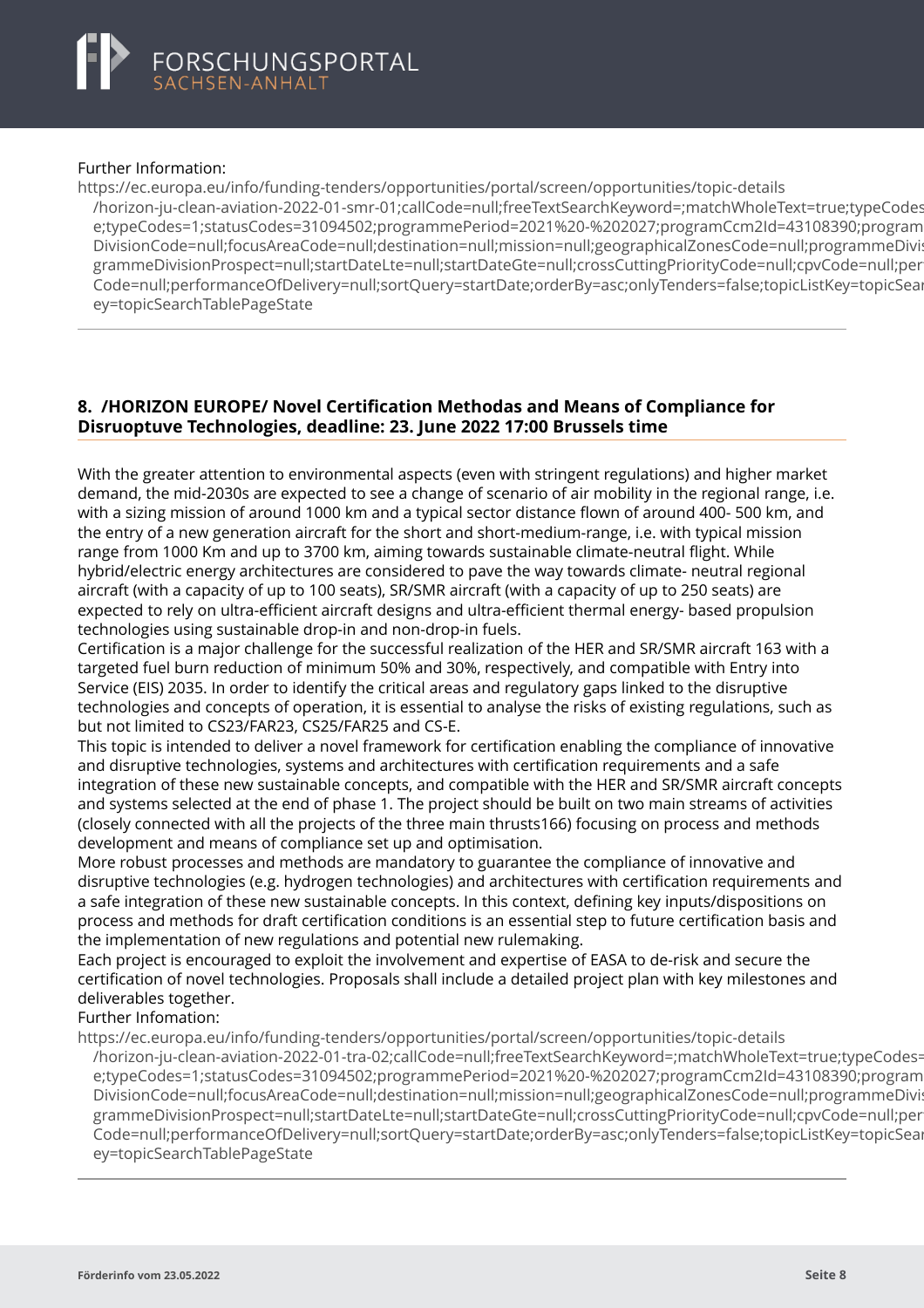# <span id="page-10-0"></span>FORSCHUNGSPORTAL<br>SACHSEN-ANHALT

#### Further Information:

https://ec.europa.eu/info/funding-tenders/opportunities/portal/screen/opportunities/topic-details [/horizon-ju-clean-aviation-2022-01-smr-01;callCode=null;freeTextSearchKeyword=;matchWholeText=true;](https://ec.europa.eu/info/funding-tenders/opportunities/portal/screen/opportunities/topic-details/horizon-ju-clean-aviation-2022-01-smr-01;callCode=null;freeTextSearchKeyword=;matchWholeText=true;typeCodes=1;statusCodes=31094502;programmePeriod=2021%20-%202027;programCcm2Id=43108390;programDivisionCode=null;focusAreaCode=null;destination=null;mission=null;geographicalZonesCode=null;programmeDivisionProspect=null;startDateLte=null;startDateGte=null;crossCuttingPriorityCode=null;cpvCode=null;performanceOfDelivery=null;sortQuery=startDate;orderBy=asc;onlyTenders=false;topicListKey=topicSearchTablePageState)typeCodes e;typeCodes=1;statusCodes=31094502;programmePeriod=2021%20-%202027;programCcm2Id=43108390;program DivisionCode=null;focusAreaCode=null;destination=null;mission=null;geographicalZonesCode=null;programmeDivi: grammeDivisionProspect=null;startDateLte=null;startDateGte=null;crossCuttingPriorityCode=null;cpyCode=null;per Code=null;performanceOfDelivery=null;sortQuery=startDate;orderBy=asc;onlyTenders=false;topicListKey=topicSear ey=topicSearchTablePageState

# **8. /HORIZON EUROPE/ Novel Certification Methodas and Means of Compliance for Disruoptuve Technologies, deadline: 23. June 2022 17:00 Brussels time**

With the greater attention to environmental aspects (even with stringent regulations) and higher market demand, the mid-2030s are expected to see a change of scenario of air mobility in the regional range, i.e. with a sizing mission of around 1000 km and a typical sector distance flown of around 400- 500 km, and the entry of a new generation aircraft for the short and short-medium-range, i.e. with typical mission range from 1000 Km and up to 3700 km, aiming towards sustainable climate-neutral flight. While hybrid/electric energy architectures are considered to pave the way towards climate- neutral regional aircraft (with a capacity of up to 100 seats), SR/SMR aircraft (with a capacity of up to 250 seats) are expected to rely on ultra-efficient aircraft designs and ultra-efficient thermal energy- based propulsion technologies using sustainable drop-in and non-drop-in fuels.

Certification is a major challenge for the successful realization of the HER and SR/SMR aircraft 163 with a targeted fuel burn reduction of minimum 50% and 30%, respectively, and compatible with Entry into Service (EIS) 2035. In order to identify the critical areas and regulatory gaps linked to the disruptive technologies and concepts of operation, it is essential to analyse the risks of existing regulations, such as but not limited to CS23/FAR23, CS25/FAR25 and CS-E.

This topic is intended to deliver a novel framework for certification enabling the compliance of innovative and disruptive technologies, systems and architectures with certification requirements and a safe integration of these new sustainable concepts, and compatible with the HER and SR/SMR aircraft concepts and systems selected at the end of phase 1. The project should be built on two main streams of activities (closely connected with all the projects of the three main thrusts166) focusing on process and methods development and means of compliance set up and optimisation.

More robust processes and methods are mandatory to guarantee the compliance of innovative and disruptive technologies (e.g. hydrogen technologies) and architectures with certification requirements and a safe integration of these new sustainable concepts. In this context, defining key inputs/dispositions on process and methods for draft certification conditions is an essential step to future certification basis and the implementation of new regulations and potential new rulemaking.

Each project is encouraged to exploit the involvement and expertise of EASA to de-risk and secure the certification of novel technologies. Proposals shall include a detailed project plan with key milestones and deliverables together.

# Further Infomation:

https://ec.europa.eu/info/funding-tenders/opportunities/portal/screen/opportunities/topic-details

/horizon-ju-clean-aviation-2022-01-tra-02;callCode=null;freeTextSearchKeyword=;matchWholeText=true;typeCodes= e;typeCodes=1;statusCodes=31094502;programmePeriod=2021%20-%202027;programCcm2Id=43108390;program DivisionCode=null;focusAreaCode=null;destination=null;mission=null;geographicalZonesCode=null;programmeDivi: [grammeDivisionProspect=null;startDateLte=null;startDateGte=null;crossCuttingPriorityCode=null;cpvCod](https://ec.europa.eu/info/funding-tenders/opportunities/portal/screen/opportunities/topic-details/horizon-ju-clean-aviation-2022-01-tra-02;callCode=null;freeTextSearchKeyword=;matchWholeText=true;typeCodes=1;statusCodes=31094502;programmePeriod=2021%20-%202027;programCcm2Id=43108390;programDivisionCode=null;focusAreaCode=null;destination=null;mission=null;geographicalZonesCode=null;programmeDivisionProspect=null;startDateLte=null;startDateGte=null;crossCuttingPriorityCode=null;cpvCode=null;performanceOfDelivery=null;sortQuery=startDate;orderBy=asc;onlyTenders=false;topicListKey=topicSearchTablePageState)e=null;per Code=null;performanceOfDelivery=null;sortOuery=startDate;orderBy=asc;onlyTenders=false;topicListKey=topicSear ey=topicSearchTablePageState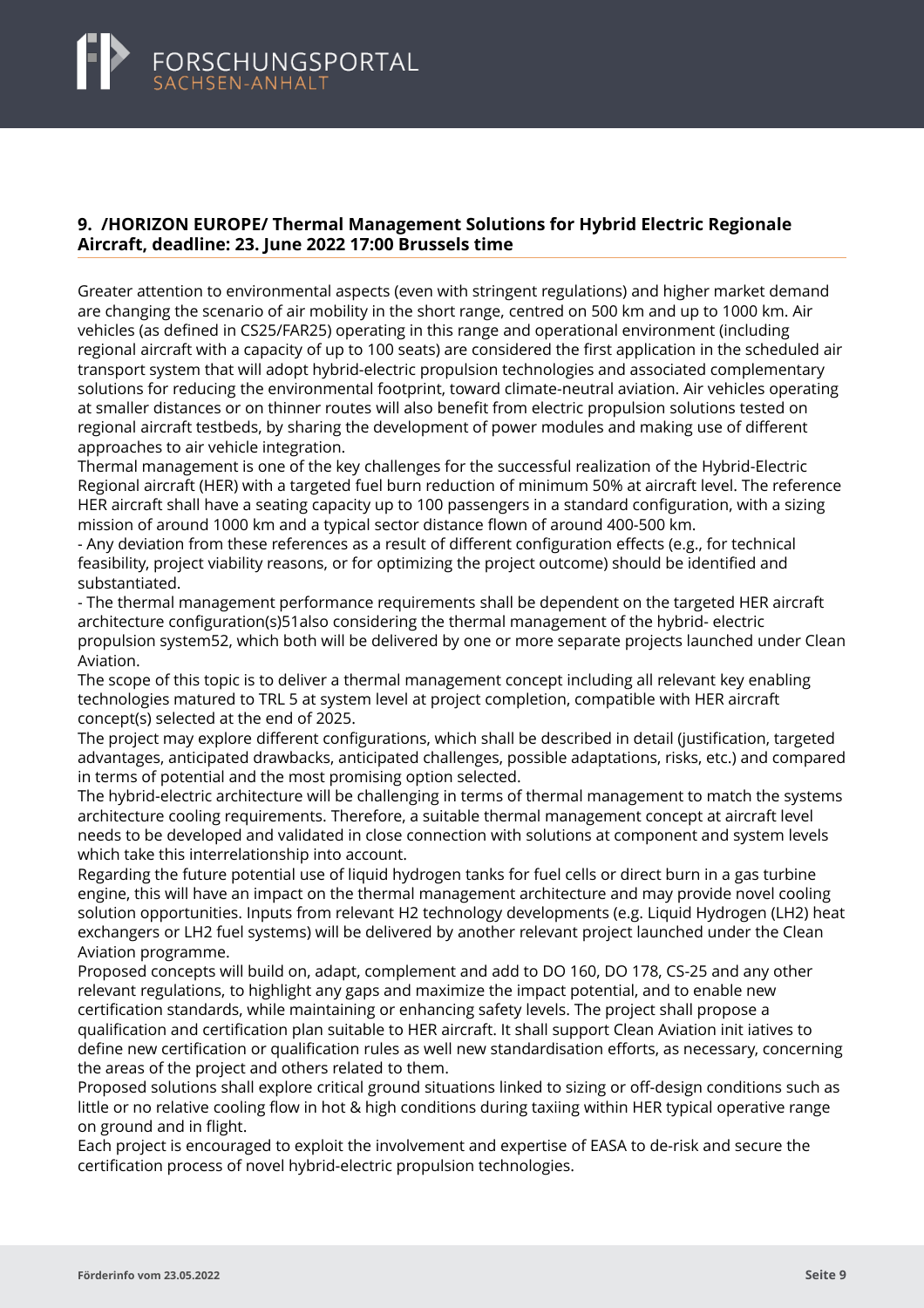# <span id="page-11-0"></span>FORSCHUNGSPORTAL<br>SACHSEN-ANHALT

### **9. /HORIZON EUROPE/ Thermal Management Solutions for Hybrid Electric Regionale Aircraft, deadline: 23. June 2022 17:00 Brussels time**

Greater attention to environmental aspects (even with stringent regulations) and higher market demand are changing the scenario of air mobility in the short range, centred on 500 km and up to 1000 km. Air vehicles (as defined in CS25/FAR25) operating in this range and operational environment (including regional aircraft with a capacity of up to 100 seats) are considered the first application in the scheduled air transport system that will adopt hybrid-electric propulsion technologies and associated complementary solutions for reducing the environmental footprint, toward climate-neutral aviation. Air vehicles operating at smaller distances or on thinner routes will also benefit from electric propulsion solutions tested on regional aircraft testbeds, by sharing the development of power modules and making use of different approaches to air vehicle integration.

Thermal management is one of the key challenges for the successful realization of the Hybrid-Electric Regional aircraft (HER) with a targeted fuel burn reduction of minimum 50% at aircraft level. The reference HER aircraft shall have a seating capacity up to 100 passengers in a standard configuration, with a sizing mission of around 1000 km and a typical sector distance flown of around 400-500 km.

- Any deviation from these references as a result of different configuration effects (e.g., for technical feasibility, project viability reasons, or for optimizing the project outcome) should be identified and substantiated.

- The thermal management performance requirements shall be dependent on the targeted HER aircraft architecture configuration(s)51also considering the thermal management of the hybrid- electric propulsion system52, which both will be delivered by one or more separate projects launched under Clean Aviation.

The scope of this topic is to deliver a thermal management concept including all relevant key enabling technologies matured to TRL 5 at system level at project completion, compatible with HER aircraft concept(s) selected at the end of 2025.

The project may explore different configurations, which shall be described in detail (justification, targeted advantages, anticipated drawbacks, anticipated challenges, possible adaptations, risks, etc.) and compared in terms of potential and the most promising option selected.

The hybrid-electric architecture will be challenging in terms of thermal management to match the systems architecture cooling requirements. Therefore, a suitable thermal management concept at aircraft level needs to be developed and validated in close connection with solutions at component and system levels which take this interrelationship into account.

Regarding the future potential use of liquid hydrogen tanks for fuel cells or direct burn in a gas turbine engine, this will have an impact on the thermal management architecture and may provide novel cooling solution opportunities. Inputs from relevant H2 technology developments (e.g. Liquid Hydrogen (LH2) heat exchangers or LH2 fuel systems) will be delivered by another relevant project launched under the Clean Aviation programme.

Proposed concepts will build on, adapt, complement and add to DO 160, DO 178, CS-25 and any other relevant regulations, to highlight any gaps and maximize the impact potential, and to enable new certification standards, while maintaining or enhancing safety levels. The project shall propose a qualification and certification plan suitable to HER aircraft. It shall support Clean Aviation init iatives to define new certification or qualification rules as well new standardisation efforts, as necessary, concerning the areas of the project and others related to them.

Proposed solutions shall explore critical ground situations linked to sizing or off-design conditions such as little or no relative cooling flow in hot & high conditions during taxiing within HER typical operative range on ground and in flight.

Each project is encouraged to exploit the involvement and expertise of EASA to de-risk and secure the certification process of novel hybrid-electric propulsion technologies.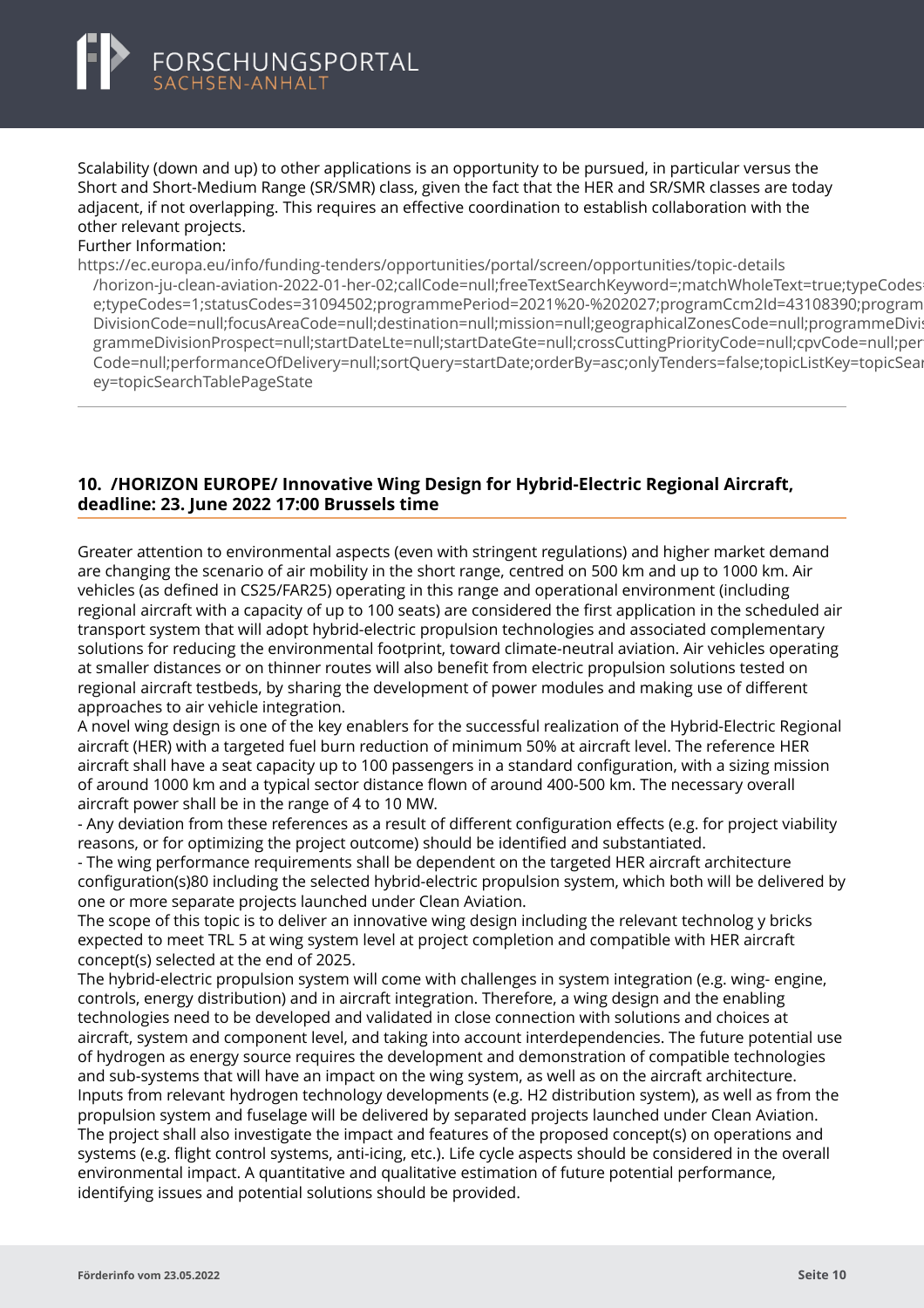<span id="page-12-0"></span>Scalability (down and up) to other applications is an opportunity to be pursued, in particular versus the Short and Short-Medium Range (SR/SMR) class, given the fact that the HER and SR/SMR classes are today adjacent, if not overlapping. This requires an effective coordination to establish collaboration with the other relevant projects.

#### Further Information:

https://ec.europa.eu/info/funding-tenders/opportunities/portal/screen/opportunities/topic-details [/horizon-ju-clean-aviation-2022-01-her-02;callCode=null;freeTextSearchKeyword=;matchWholeText=true;t](https://ec.europa.eu/info/funding-tenders/opportunities/portal/screen/opportunities/topic-details/horizon-ju-clean-aviation-2022-01-her-02;callCode=null;freeTextSearchKeyword=;matchWholeText=true;typeCodes=1;statusCodes=31094502;programmePeriod=2021%20-%202027;programCcm2Id=43108390;programDivisionCode=null;focusAreaCode=null;destination=null;mission=null;geographicalZonesCode=null;programmeDivisionProspect=null;startDateLte=null;startDateGte=null;crossCuttingPriorityCode=null;cpvCode=null;performanceOfDelivery=null;sortQuery=startDate;orderBy=asc;onlyTenders=false;topicListKey=topicSearchTablePageState)ypeCodes e;typeCodes=1;statusCodes=31094502;programmePeriod=2021%20-%202027;programCcm2Id=43108390;program DivisionCode=null;focusAreaCode=null;destination=null;mission=null;geographicalZonesCode=null;programmeDivi: grammeDivisionProspect=null;startDateLte=null;startDateGte=null;crossCuttingPriorityCode=null;cpvCode=null;per Code=null;performanceOfDelivery=null;sortQuery=startDate;orderBy=asc;onlyTenders=false;topicListKey=topicSear ey=topicSearchTablePageState

# **10. /HORIZON EUROPE/ Innovative Wing Design for Hybrid-Electric Regional Aircraft, deadline: 23. June 2022 17:00 Brussels time**

Greater attention to environmental aspects (even with stringent regulations) and higher market demand are changing the scenario of air mobility in the short range, centred on 500 km and up to 1000 km. Air vehicles (as defined in CS25/FAR25) operating in this range and operational environment (including regional aircraft with a capacity of up to 100 seats) are considered the first application in the scheduled air transport system that will adopt hybrid-electric propulsion technologies and associated complementary solutions for reducing the environmental footprint, toward climate-neutral aviation. Air vehicles operating at smaller distances or on thinner routes will also benefit from electric propulsion solutions tested on regional aircraft testbeds, by sharing the development of power modules and making use of different approaches to air vehicle integration.

A novel wing design is one of the key enablers for the successful realization of the Hybrid-Electric Regional aircraft (HER) with a targeted fuel burn reduction of minimum 50% at aircraft level. The reference HER aircraft shall have a seat capacity up to 100 passengers in a standard configuration, with a sizing mission of around 1000 km and a typical sector distance flown of around 400-500 km. The necessary overall aircraft power shall be in the range of 4 to 10 MW.

- Any deviation from these references as a result of different configuration effects (e.g. for project viability reasons, or for optimizing the project outcome) should be identified and substantiated.

- The wing performance requirements shall be dependent on the targeted HER aircraft architecture configuration(s)80 including the selected hybrid-electric propulsion system, which both will be delivered by one or more separate projects launched under Clean Aviation.

The scope of this topic is to deliver an innovative wing design including the relevant technolog y bricks expected to meet TRL 5 at wing system level at project completion and compatible with HER aircraft concept(s) selected at the end of 2025.

The hybrid-electric propulsion system will come with challenges in system integration (e.g. wing- engine, controls, energy distribution) and in aircraft integration. Therefore, a wing design and the enabling technologies need to be developed and validated in close connection with solutions and choices at aircraft, system and component level, and taking into account interdependencies. The future potential use of hydrogen as energy source requires the development and demonstration of compatible technologies and sub-systems that will have an impact on the wing system, as well as on the aircraft architecture. Inputs from relevant hydrogen technology developments (e.g. H2 distribution system), as well as from the propulsion system and fuselage will be delivered by separated projects launched under Clean Aviation. The project shall also investigate the impact and features of the proposed concept(s) on operations and systems (e.g. flight control systems, anti-icing, etc.). Life cycle aspects should be considered in the overall environmental impact. A quantitative and qualitative estimation of future potential performance, identifying issues and potential solutions should be provided.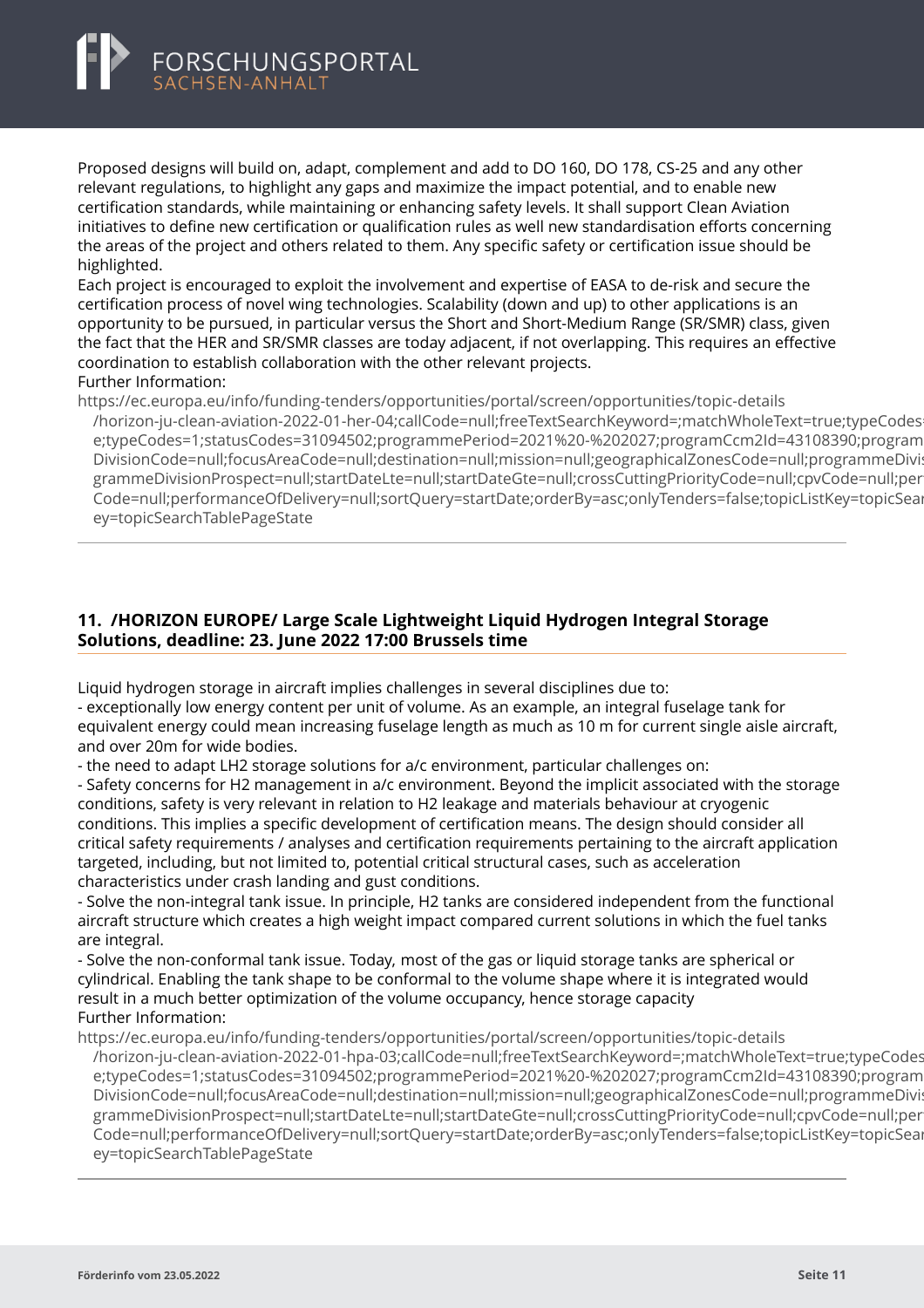<span id="page-13-0"></span>

Proposed designs will build on, adapt, complement and add to DO 160, DO 178, CS-25 and any other relevant regulations, to highlight any gaps and maximize the impact potential, and to enable new certification standards, while maintaining or enhancing safety levels. It shall support Clean Aviation initiatives to define new certification or qualification rules as well new standardisation efforts concerning the areas of the project and others related to them. Any specific safety or certification issue should be highlighted.

Each project is encouraged to exploit the involvement and expertise of EASA to de-risk and secure the certification process of novel wing technologies. Scalability (down and up) to other applications is an opportunity to be pursued, in particular versus the Short and Short-Medium Range (SR/SMR) class, given the fact that the HER and SR/SMR classes are today adjacent, if not overlapping. This requires an effective coordination to establish collaboration with the other relevant projects. Further Information:

https://ec.europa.eu/info/funding-tenders/opportunities/portal/screen/opportunities/topic-details

[/horizon-ju-clean-aviation-2022-01-her-04;callCode=null;freeTextSearchKeyword=;matchWholeText=true;t](https://ec.europa.eu/info/funding-tenders/opportunities/portal/screen/opportunities/topic-details/horizon-ju-clean-aviation-2022-01-her-04;callCode=null;freeTextSearchKeyword=;matchWholeText=true;typeCodes=1;statusCodes=31094502;programmePeriod=2021%20-%202027;programCcm2Id=43108390;programDivisionCode=null;focusAreaCode=null;destination=null;mission=null;geographicalZonesCode=null;programmeDivisionProspect=null;startDateLte=null;startDateGte=null;crossCuttingPriorityCode=null;cpvCode=null;performanceOfDelivery=null;sortQuery=startDate;orderBy=asc;onlyTenders=false;topicListKey=topicSearchTablePageState)ypeCodes e;typeCodes=1;statusCodes=31094502;programmePeriod=2021%20-%202027;programCcm2Id=43108390;program DivisionCode=null;focusAreaCode=null;destination=null;mission=null;geographicalZonesCode=null;programmeDivi: grammeDivisionProspect=null;startDateLte=null;startDateGte=null;crossCuttingPriorityCode=null;cpvCode=null;per Code=null;performanceOfDelivery=null;sortQuery=startDate;orderBy=asc;onlyTenders=false;topicListKey=topicSear ey=topicSearchTablePageState

# **11. /HORIZON EUROPE/ Large Scale Lightweight Liquid Hydrogen Integral Storage Solutions, deadline: 23. June 2022 17:00 Brussels time**

Liquid hydrogen storage in aircraft implies challenges in several disciplines due to:

- exceptionally low energy content per unit of volume. As an example, an integral fuselage tank for equivalent energy could mean increasing fuselage length as much as 10 m for current single aisle aircraft, and over 20m for wide bodies.

- the need to adapt LH2 storage solutions for a/c environment, particular challenges on:

- Safety concerns for H2 management in a/c environment. Beyond the implicit associated with the storage conditions, safety is very relevant in relation to H2 leakage and materials behaviour at cryogenic conditions. This implies a specific development of certification means. The design should consider all critical safety requirements / analyses and certification requirements pertaining to the aircraft application targeted, including, but not limited to, potential critical structural cases, such as acceleration characteristics under crash landing and gust conditions.

- Solve the non-integral tank issue. In principle, H2 tanks are considered independent from the functional aircraft structure which creates a high weight impact compared current solutions in which the fuel tanks are integral.

- Solve the non-conformal tank issue. Today, most of the gas or liquid storage tanks are spherical or cylindrical. Enabling the tank shape to be conformal to the volume shape where it is integrated would result in a much better optimization of the volume occupancy, hence storage capacity Further Information:

https://ec.europa.eu/info/funding-tenders/opportunities/portal/screen/opportunities/topic-details

/horizon-ju-clean-aviation-2022-01-hpa-03;callCode=null;freeTextSearchKeyword=;matchWholeText=true;typeCodes e;typeCodes=1;statusCodes=31094502;programmePeriod=2021%20-%202027;programCcm2Id=43108390;program DivisionCode=null;focusAreaCode=null;destination=null;mission=null;geographicalZonesCode=null;programmeDivi: [grammeDivisionProspect=null;startDateLte=null;startDateGte=null;crossCuttingPriorityCode=null;cpvCod](https://ec.europa.eu/info/funding-tenders/opportunities/portal/screen/opportunities/topic-details/horizon-ju-clean-aviation-2022-01-hpa-03;callCode=null;freeTextSearchKeyword=;matchWholeText=true;typeCodes=1;statusCodes=31094502;programmePeriod=2021%20-%202027;programCcm2Id=43108390;programDivisionCode=null;focusAreaCode=null;destination=null;mission=null;geographicalZonesCode=null;programmeDivisionProspect=null;startDateLte=null;startDateGte=null;crossCuttingPriorityCode=null;cpvCode=null;performanceOfDelivery=null;sortQuery=startDate;orderBy=asc;onlyTenders=false;topicListKey=topicSearchTablePageState)e=null;per Code=null;performanceOfDelivery=null;sortOuery=startDate;orderBy=asc;onlyTenders=false;topicListKey=topicSear ey=topicSearchTablePageState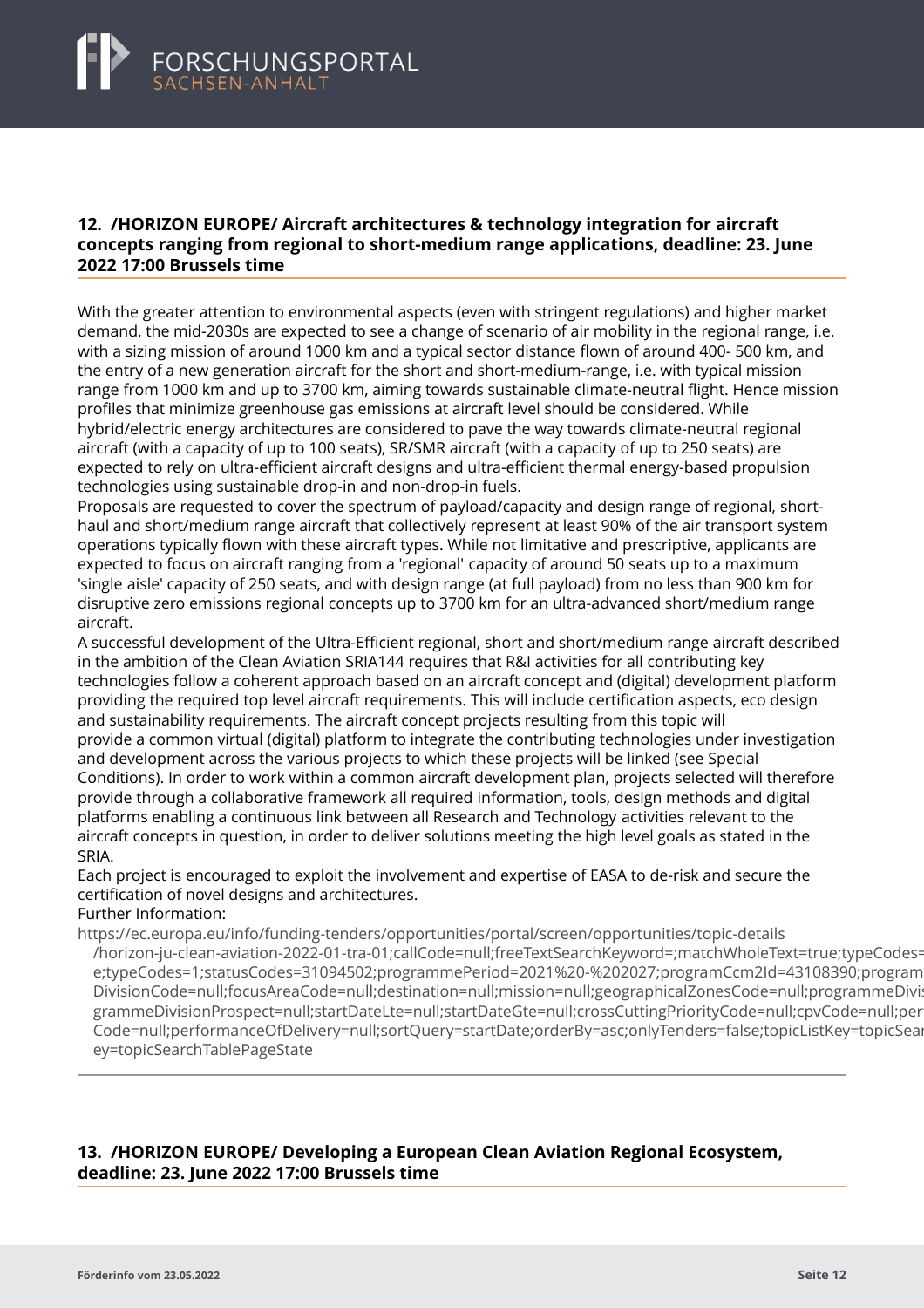### <span id="page-14-0"></span>**12. /HORIZON EUROPE/ Aircraft architectures & technology integration for aircraft concepts ranging from regional to short-medium range applications, deadline: 23. June 2022 17:00 Brussels time**

With the greater attention to environmental aspects (even with stringent regulations) and higher market demand, the mid-2030s are expected to see a change of scenario of air mobility in the regional range, i.e. with a sizing mission of around 1000 km and a typical sector distance flown of around 400- 500 km, and the entry of a new generation aircraft for the short and short-medium-range, i.e. with typical mission range from 1000 km and up to 3700 km, aiming towards sustainable climate-neutral flight. Hence mission profiles that minimize greenhouse gas emissions at aircraft level should be considered. While hybrid/electric energy architectures are considered to pave the way towards climate-neutral regional aircraft (with a capacity of up to 100 seats), SR/SMR aircraft (with a capacity of up to 250 seats) are expected to rely on ultra-efficient aircraft designs and ultra-efficient thermal energy-based propulsion technologies using sustainable drop-in and non-drop-in fuels.

Proposals are requested to cover the spectrum of payload/capacity and design range of regional, shorthaul and short/medium range aircraft that collectively represent at least 90% of the air transport system operations typically flown with these aircraft types. While not limitative and prescriptive, applicants are expected to focus on aircraft ranging from a 'regional' capacity of around 50 seats up to a maximum 'single aisle' capacity of 250 seats, and with design range (at full payload) from no less than 900 km for disruptive zero emissions regional concepts up to 3700 km for an ultra-advanced short/medium range aircraft.

A successful development of the Ultra-Efficient regional, short and short/medium range aircraft described in the ambition of the Clean Aviation SRIA144 requires that R&I activities for all contributing key technologies follow a coherent approach based on an aircraft concept and (digital) development platform providing the required top level aircraft requirements. This will include certification aspects, eco design and sustainability requirements. The aircraft concept projects resulting from this topic will provide a common virtual (digital) platform to integrate the contributing technologies under investigation and development across the various projects to which these projects will be linked (see Special Conditions). In order to work within a common aircraft development plan, projects selected will therefore provide through a collaborative framework all required information, tools, design methods and digital platforms enabling a continuous link between all Research and Technology activities relevant to the aircraft concepts in question, in order to deliver solutions meeting the high level goals as stated in the SRIA.

# Each project is encouraged to exploit the involvement and expertise of EASA to de-risk and secure the certification of novel designs and architectures.

Further Information:

https://ec.europa.eu/info/funding-tenders/opportunities/portal/screen/opportunities/topic-details [/horizon-ju-clean-aviation-2022-01-tra-01;callCode=null;freeTextSearchKeyword=;matchWholeText=true;t](https://ec.europa.eu/info/funding-tenders/opportunities/portal/screen/opportunities/topic-details/horizon-ju-clean-aviation-2022-01-tra-01;callCode=null;freeTextSearchKeyword=;matchWholeText=true;typeCodes=1;statusCodes=31094502;programmePeriod=2021%20-%202027;programCcm2Id=43108390;programDivisionCode=null;focusAreaCode=null;destination=null;mission=null;geographicalZonesCode=null;programmeDivisionProspect=null;startDateLte=null;startDateGte=null;crossCuttingPriorityCode=null;cpvCode=null;performanceOfDelivery=null;sortQuery=startDate;orderBy=asc;onlyTenders=false;topicListKey=topicSearchTablePageState)ypeCodes= e:typeCodes=1:statusCodes=31094502;programmePeriod=2021%20-%202027;programCcm2Id=43108390;program DivisionCode=null;focusAreaCode=null;destination=null;mission=null;geographicalZonesCode=null;programmeDivi: grammeDivisionProspect=null;startDateLte=null;startDateGte=null;crossCuttingPriorityCode=null;cpvCode=null;per Code=null;performanceOfDelivery=null;sortQuery=startDate;orderBy=asc;onlyTenders=false;topicListKey=topicSear ey=topicSearchTablePageState

# **13. /HORIZON EUROPE/ Developing a European Clean Aviation Regional Ecosystem, deadline: 23. June 2022 17:00 Brussels time**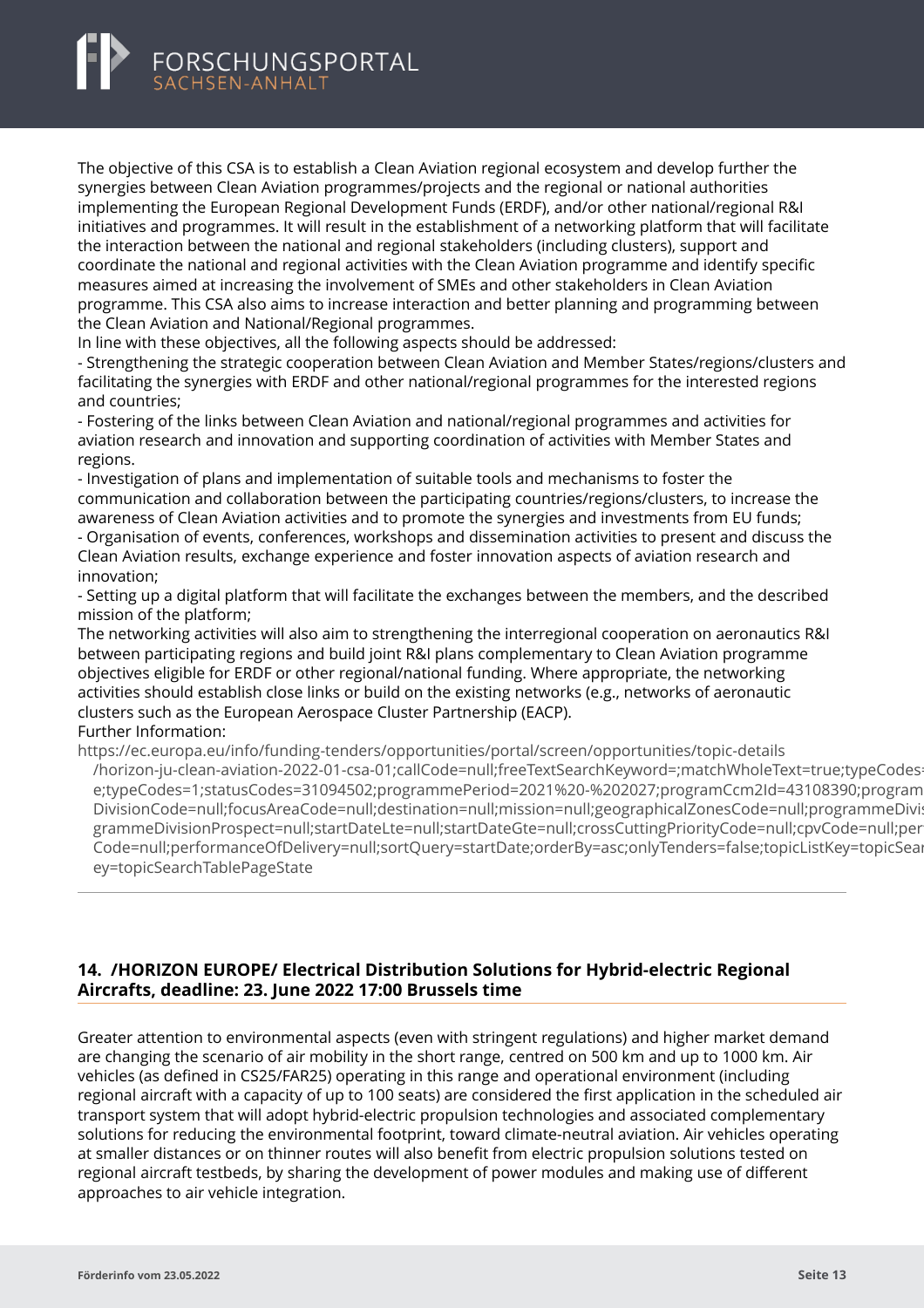<span id="page-15-0"></span>The objective of this CSA is to establish a Clean Aviation regional ecosystem and develop further the synergies between Clean Aviation programmes/projects and the regional or national authorities implementing the European Regional Development Funds (ERDF), and/or other national/regional R&I initiatives and programmes. It will result in the establishment of a networking platform that will facilitate the interaction between the national and regional stakeholders (including clusters), support and coordinate the national and regional activities with the Clean Aviation programme and identify specific measures aimed at increasing the involvement of SMEs and other stakeholders in Clean Aviation programme. This CSA also aims to increase interaction and better planning and programming between the Clean Aviation and National/Regional programmes.

In line with these objectives, all the following aspects should be addressed:

- Strengthening the strategic cooperation between Clean Aviation and Member States/regions/clusters and facilitating the synergies with ERDF and other national/regional programmes for the interested regions and countries;

- Fostering of the links between Clean Aviation and national/regional programmes and activities for aviation research and innovation and supporting coordination of activities with Member States and regions.

- Investigation of plans and implementation of suitable tools and mechanisms to foster the communication and collaboration between the participating countries/regions/clusters, to increase the awareness of Clean Aviation activities and to promote the synergies and investments from EU funds; - Organisation of events, conferences, workshops and dissemination activities to present and discuss the Clean Aviation results, exchange experience and foster innovation aspects of aviation research and innovation;

- Setting up a digital platform that will facilitate the exchanges between the members, and the described mission of the platform;

The networking activities will also aim to strengthening the interregional cooperation on aeronautics R&I between participating regions and build joint R&I plans complementary to Clean Aviation programme objectives eligible for ERDF or other regional/national funding. Where appropriate, the networking activities should establish close links or build on the existing networks (e.g., networks of aeronautic clusters such as the European Aerospace Cluster Partnership (EACP).

#### Further Information:

https://ec.europa.eu/info/funding-tenders/opportunities/portal/screen/opportunities/topic-details [/horizon-ju-clean-aviation-2022-01-csa-01;callCode=null;freeTextSearchKeyword=;matchWholeText=true;t](https://ec.europa.eu/info/funding-tenders/opportunities/portal/screen/opportunities/topic-details/horizon-ju-clean-aviation-2022-01-csa-01;callCode=null;freeTextSearchKeyword=;matchWholeText=true;typeCodes=1;statusCodes=31094502;programmePeriod=2021%20-%202027;programCcm2Id=43108390;programDivisionCode=null;focusAreaCode=null;destination=null;mission=null;geographicalZonesCode=null;programmeDivisionProspect=null;startDateLte=null;startDateGte=null;crossCuttingPriorityCode=null;cpvCode=null;performanceOfDelivery=null;sortQuery=startDate;orderBy=asc;onlyTenders=false;topicListKey=topicSearchTablePageState)ypeCodes e;typeCodes=1;statusCodes=31094502;programmePeriod=2021%20-%202027;programCcm2Id=43108390;program DivisionCode=null;focusAreaCode=null;destination=null;mission=null;geographicalZonesCode=null;programmeDivi: grammeDivisionProspect=null;startDateLte=null;startDateGte=null;crossCuttingPriorityCode=null;cpvCode=null;per Code=null;performanceOfDelivery=null;sortQuery=startDate;orderBy=asc;onlyTenders=false;topicListKey=topicSear ey=topicSearchTablePageState

# **14. /HORIZON EUROPE/ Electrical Distribution Solutions for Hybrid-electric Regional Aircrafts, deadline: 23. June 2022 17:00 Brussels time**

Greater attention to environmental aspects (even with stringent regulations) and higher market demand are changing the scenario of air mobility in the short range, centred on 500 km and up to 1000 km. Air vehicles (as defined in CS25/FAR25) operating in this range and operational environment (including regional aircraft with a capacity of up to 100 seats) are considered the first application in the scheduled air transport system that will adopt hybrid-electric propulsion technologies and associated complementary solutions for reducing the environmental footprint, toward climate-neutral aviation. Air vehicles operating at smaller distances or on thinner routes will also benefit from electric propulsion solutions tested on regional aircraft testbeds, by sharing the development of power modules and making use of different approaches to air vehicle integration.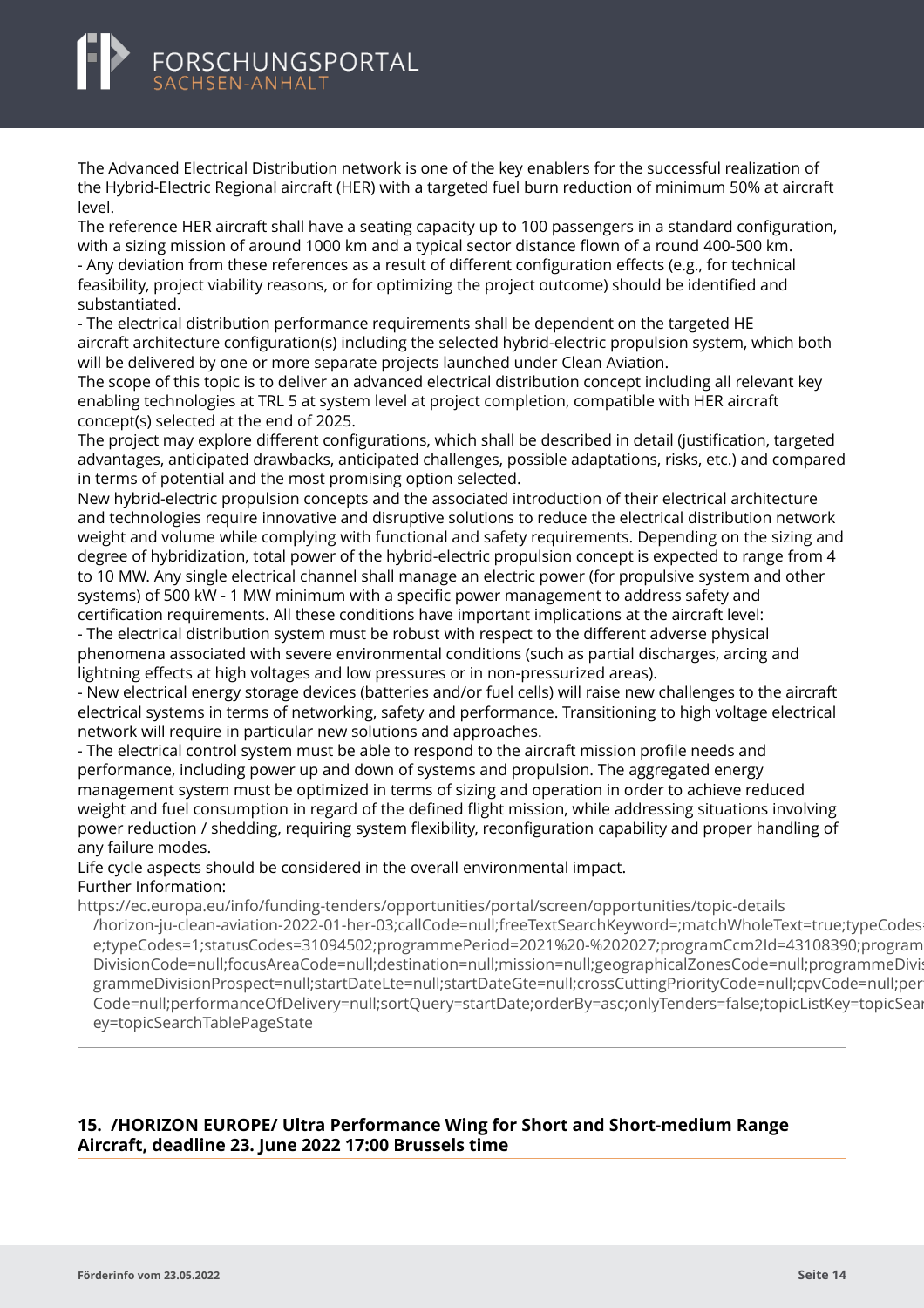<span id="page-16-0"></span>The Advanced Electrical Distribution network is one of the key enablers for the successful realization of the Hybrid-Electric Regional aircraft (HER) with a targeted fuel burn reduction of minimum 50% at aircraft level.

The reference HER aircraft shall have a seating capacity up to 100 passengers in a standard configuration, with a sizing mission of around 1000 km and a typical sector distance flown of a round 400-500 km. - Any deviation from these references as a result of different configuration effects (e.g., for technical feasibility, project viability reasons, or for optimizing the project outcome) should be identified and substantiated.

- The electrical distribution performance requirements shall be dependent on the targeted HE aircraft architecture configuration(s) including the selected hybrid-electric propulsion system, which both will be delivered by one or more separate projects launched under Clean Aviation.

The scope of this topic is to deliver an advanced electrical distribution concept including all relevant key enabling technologies at TRL 5 at system level at project completion, compatible with HER aircraft concept(s) selected at the end of 2025.

The project may explore different configurations, which shall be described in detail (justification, targeted advantages, anticipated drawbacks, anticipated challenges, possible adaptations, risks, etc.) and compared in terms of potential and the most promising option selected.

New hybrid-electric propulsion concepts and the associated introduction of their electrical architecture and technologies require innovative and disruptive solutions to reduce the electrical distribution network weight and volume while complying with functional and safety requirements. Depending on the sizing and degree of hybridization, total power of the hybrid-electric propulsion concept is expected to range from 4 to 10 MW. Any single electrical channel shall manage an electric power (for propulsive system and other systems) of 500 kW - 1 MW minimum with a specific power management to address safety and certification requirements. All these conditions have important implications at the aircraft level:

- The electrical distribution system must be robust with respect to the different adverse physical phenomena associated with severe environmental conditions (such as partial discharges, arcing and lightning effects at high voltages and low pressures or in non-pressurized areas).

- New electrical energy storage devices (batteries and/or fuel cells) will raise new challenges to the aircraft electrical systems in terms of networking, safety and performance. Transitioning to high voltage electrical network will require in particular new solutions and approaches.

- The electrical control system must be able to respond to the aircraft mission profile needs and performance, including power up and down of systems and propulsion. The aggregated energy management system must be optimized in terms of sizing and operation in order to achieve reduced weight and fuel consumption in regard of the defined flight mission, while addressing situations involving power reduction / shedding, requiring system flexibility, reconfiguration capability and proper handling of any failure modes.

Life cycle aspects should be considered in the overall environmental impact. Further Information:

https://ec.europa.eu/info/funding-tenders/opportunities/portal/screen/opportunities/topic-details [/horizon-ju-clean-aviation-2022-01-her-03;callCode=null;freeTextSearchKeyword=;matchWholeText=true;t](https://ec.europa.eu/info/funding-tenders/opportunities/portal/screen/opportunities/topic-details/horizon-ju-clean-aviation-2022-01-her-03;callCode=null;freeTextSearchKeyword=;matchWholeText=true;typeCodes=1;statusCodes=31094502;programmePeriod=2021%20-%202027;programCcm2Id=43108390;programDivisionCode=null;focusAreaCode=null;destination=null;mission=null;geographicalZonesCode=null;programmeDivisionProspect=null;startDateLte=null;startDateGte=null;crossCuttingPriorityCode=null;cpvCode=null;performanceOfDelivery=null;sortQuery=startDate;orderBy=asc;onlyTenders=false;topicListKey=topicSearchTablePageState)ypeCodes e;typeCodes=1;statusCodes=31094502;programmePeriod=2021%20-%202027;programCcm2Id=43108390;program DivisionCode=null;focusAreaCode=null;destination=null;mission=null;geographicalZonesCode=null;programmeDivi: grammeDivisionProspect=null;startDateLte=null;startDateGte=null;crossCuttingPriorityCode=null;cpvCode=null;per Code=null;performanceOfDelivery=null;sortQuery=startDate;orderBy=asc;onlyTenders=false;topicListKey=topicSearchTablePageState ey=topicSearchTablePageState

# **15. /HORIZON EUROPE/ Ultra Performance Wing for Short and Short-medium Range Aircraft, deadline 23. June 2022 17:00 Brussels time**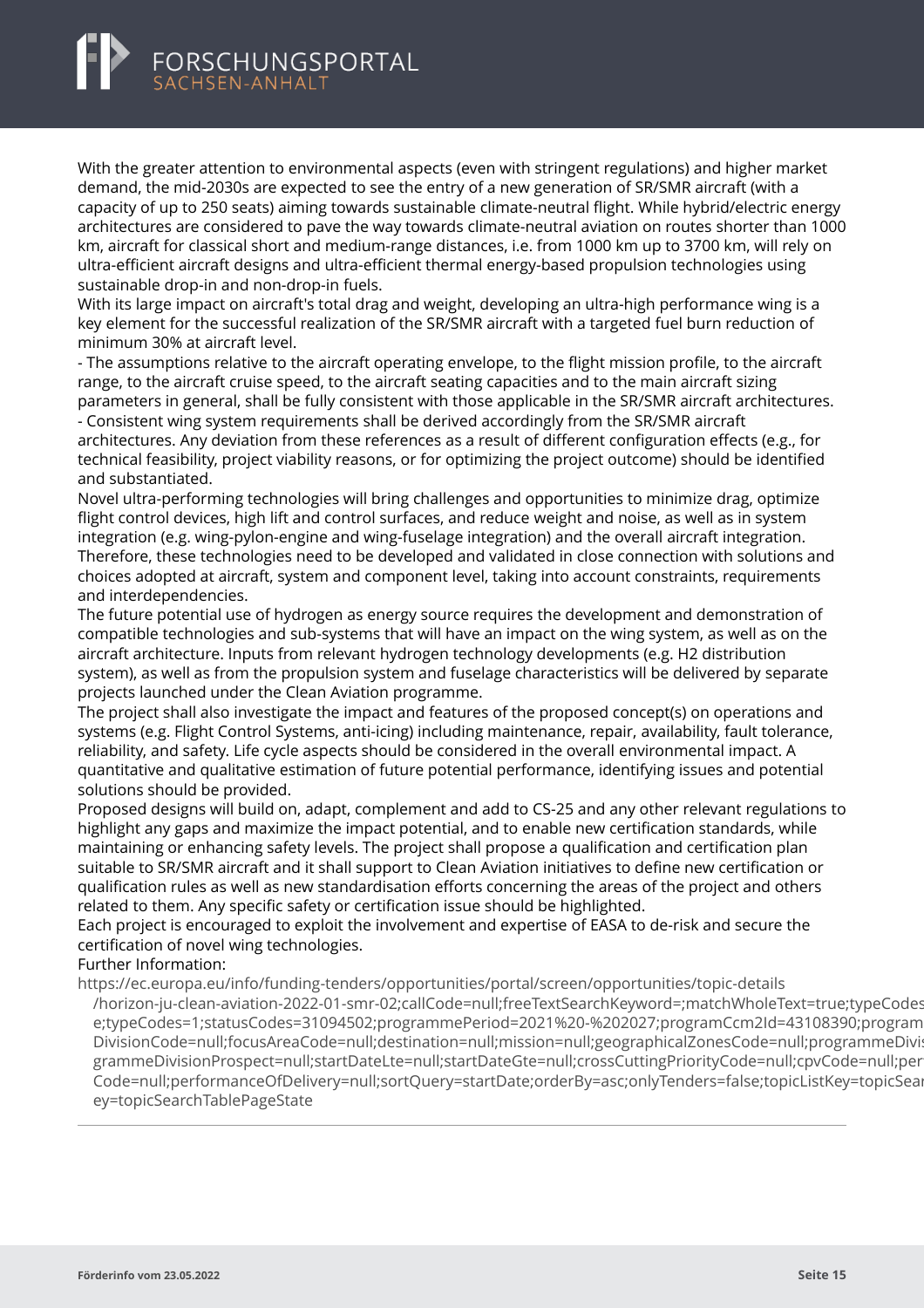With the greater attention to environmental aspects (even with stringent regulations) and higher market demand, the mid-2030s are expected to see the entry of a new generation of SR/SMR aircraft (with a capacity of up to 250 seats) aiming towards sustainable climate-neutral flight. While hybrid/electric energy architectures are considered to pave the way towards climate-neutral aviation on routes shorter than 1000 km, aircraft for classical short and medium-range distances, i.e. from 1000 km up to 3700 km, will rely on ultra-efficient aircraft designs and ultra-efficient thermal energy-based propulsion technologies using sustainable drop-in and non-drop-in fuels.

With its large impact on aircraft's total drag and weight, developing an ultra-high performance wing is a key element for the successful realization of the SR/SMR aircraft with a targeted fuel burn reduction of minimum 30% at aircraft level.

- The assumptions relative to the aircraft operating envelope, to the flight mission profile, to the aircraft range, to the aircraft cruise speed, to the aircraft seating capacities and to the main aircraft sizing parameters in general, shall be fully consistent with those applicable in the SR/SMR aircraft architectures.

- Consistent wing system requirements shall be derived accordingly from the SR/SMR aircraft architectures. Any deviation from these references as a result of different configuration effects (e.g., for technical feasibility, project viability reasons, or for optimizing the project outcome) should be identified and substantiated.

Novel ultra-performing technologies will bring challenges and opportunities to minimize drag, optimize flight control devices, high lift and control surfaces, and reduce weight and noise, as well as in system integration (e.g. wing-pylon-engine and wing-fuselage integration) and the overall aircraft integration. Therefore, these technologies need to be developed and validated in close connection with solutions and choices adopted at aircraft, system and component level, taking into account constraints, requirements and interdependencies.

The future potential use of hydrogen as energy source requires the development and demonstration of compatible technologies and sub-systems that will have an impact on the wing system, as well as on the aircraft architecture. Inputs from relevant hydrogen technology developments (e.g. H2 distribution system), as well as from the propulsion system and fuselage characteristics will be delivered by separate projects launched under the Clean Aviation programme.

The project shall also investigate the impact and features of the proposed concept(s) on operations and systems (e.g. Flight Control Systems, anti-icing) including maintenance, repair, availability, fault tolerance, reliability, and safety. Life cycle aspects should be considered in the overall environmental impact. A quantitative and qualitative estimation of future potential performance, identifying issues and potential solutions should be provided.

Proposed designs will build on, adapt, complement and add to CS-25 and any other relevant regulations to highlight any gaps and maximize the impact potential, and to enable new certification standards, while maintaining or enhancing safety levels. The project shall propose a qualification and certification plan suitable to SR/SMR aircraft and it shall support to Clean Aviation initiatives to define new certification or qualification rules as well as new standardisation efforts concerning the areas of the project and others related to them. Any specific safety or certification issue should be highlighted.

Each project is encouraged to exploit the involvement and expertise of EASA to de-risk and secure the certification of novel wing technologies.

Further Information:

https://ec.europa.eu/info/funding-tenders/opportunities/portal/screen/opportunities/topic-details

[/horizon-ju-clean-aviation-2022-01-smr-02;callCode=null;freeTextSearchKeyword=;matchWholeText=true;](https://ec.europa.eu/info/funding-tenders/opportunities/portal/screen/opportunities/topic-details/horizon-ju-clean-aviation-2022-01-smr-02;callCode=null;freeTextSearchKeyword=;matchWholeText=true;typeCodes=1;statusCodes=31094502;programmePeriod=2021%20-%202027;programCcm2Id=43108390;programDivisionCode=null;focusAreaCode=null;destination=null;mission=null;geographicalZonesCode=null;programmeDivisionProspect=null;startDateLte=null;startDateGte=null;crossCuttingPriorityCode=null;cpvCode=null;performanceOfDelivery=null;sortQuery=startDate;orderBy=asc;onlyTenders=false;topicListKey=topicSearchTablePageState)typeCodes e;typeCodes=1;statusCodes=31094502;programmePeriod=2021%20-%202027;programCcm2Id=43108390;program DivisionCode=null;focusAreaCode=null;destination=null;mission=null;geographicalZonesCode=null;programmeDivi: grammeDivisionProspect=null;startDateLte=null;startDateGte=null;crossCuttingPriorityCode=null;cpvCode=null;per Code=null;performanceOfDelivery=null;sortQuery=startDate;orderBy=asc;onlyTenders=false;topicListKey=topicSear ey=topicSearchTablePageState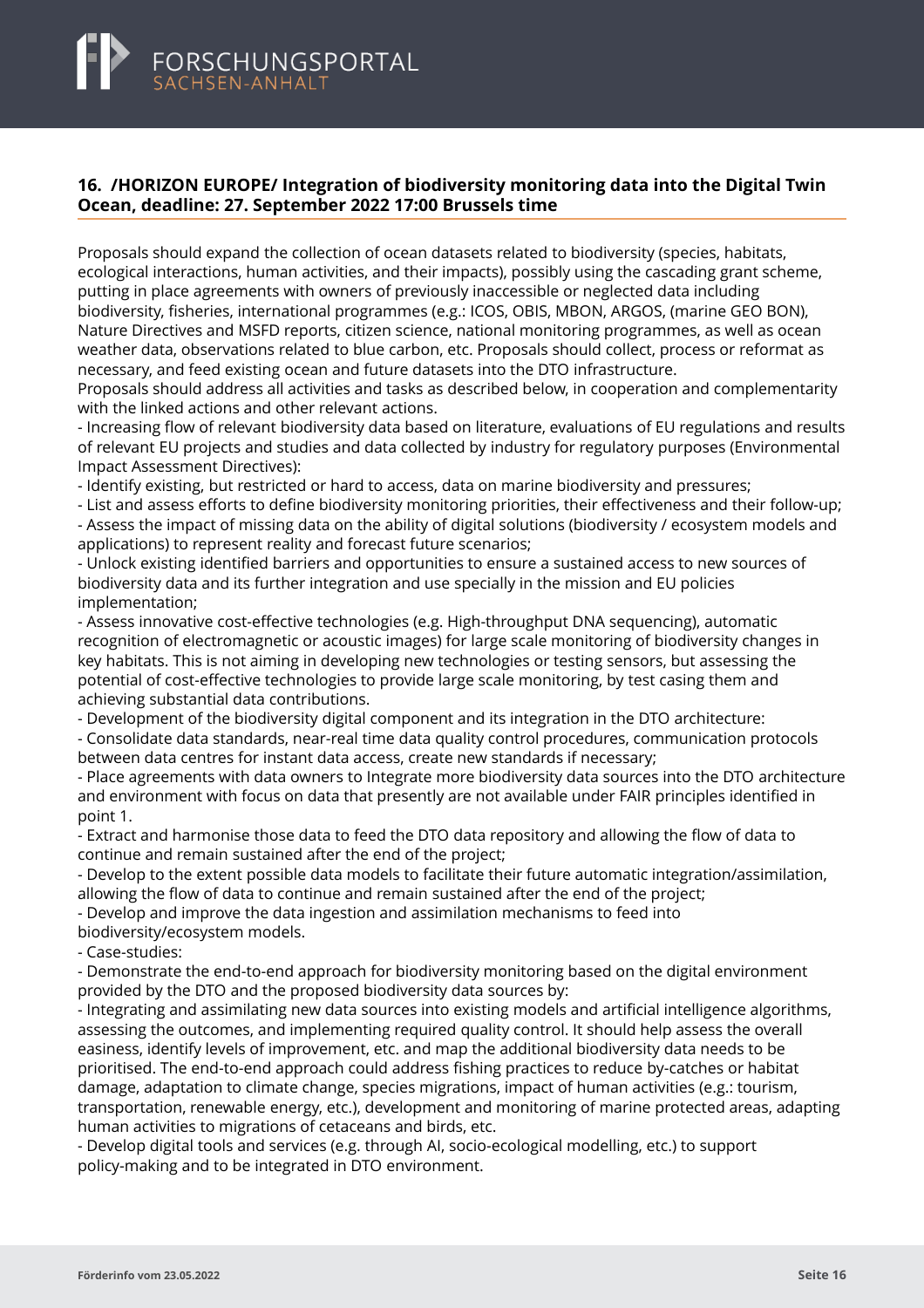# <span id="page-18-0"></span>**16. /HORIZON EUROPE/ Integration of biodiversity monitoring data into the Digital Twin Ocean, deadline: 27. September 2022 17:00 Brussels time**

Proposals should expand the collection of ocean datasets related to biodiversity (species, habitats, ecological interactions, human activities, and their impacts), possibly using the cascading grant scheme, putting in place agreements with owners of previously inaccessible or neglected data including biodiversity, fisheries, international programmes (e.g.: ICOS, OBIS, MBON, ARGOS, (marine GEO BON), Nature Directives and MSFD reports, citizen science, national monitoring programmes, as well as ocean weather data, observations related to blue carbon, etc. Proposals should collect, process or reformat as necessary, and feed existing ocean and future datasets into the DTO infrastructure.

Proposals should address all activities and tasks as described below, in cooperation and complementarity with the linked actions and other relevant actions.

- Increasing flow of relevant biodiversity data based on literature, evaluations of EU regulations and results of relevant EU projects and studies and data collected by industry for regulatory purposes (Environmental Impact Assessment Directives):

- Identify existing, but restricted or hard to access, data on marine biodiversity and pressures;

- List and assess efforts to define biodiversity monitoring priorities, their effectiveness and their follow-up; - Assess the impact of missing data on the ability of digital solutions (biodiversity / ecosystem models and applications) to represent reality and forecast future scenarios;

- Unlock existing identified barriers and opportunities to ensure a sustained access to new sources of biodiversity data and its further integration and use specially in the mission and EU policies implementation;

- Assess innovative cost-effective technologies (e.g. High-throughput DNA sequencing), automatic recognition of electromagnetic or acoustic images) for large scale monitoring of biodiversity changes in key habitats. This is not aiming in developing new technologies or testing sensors, but assessing the potential of cost-effective technologies to provide large scale monitoring, by test casing them and achieving substantial data contributions.

- Development of the biodiversity digital component and its integration in the DTO architecture:

- Consolidate data standards, near-real time data quality control procedures, communication protocols between data centres for instant data access, create new standards if necessary;

- Place agreements with data owners to Integrate more biodiversity data sources into the DTO architecture and environment with focus on data that presently are not available under FAIR principles identified in point 1.

- Extract and harmonise those data to feed the DTO data repository and allowing the flow of data to continue and remain sustained after the end of the project;

- Develop to the extent possible data models to facilitate their future automatic integration/assimilation, allowing the flow of data to continue and remain sustained after the end of the project;

- Develop and improve the data ingestion and assimilation mechanisms to feed into

biodiversity/ecosystem models.

- Case-studies:

- Demonstrate the end-to-end approach for biodiversity monitoring based on the digital environment provided by the DTO and the proposed biodiversity data sources by:

- Integrating and assimilating new data sources into existing models and artificial intelligence algorithms, assessing the outcomes, and implementing required quality control. It should help assess the overall easiness, identify levels of improvement, etc. and map the additional biodiversity data needs to be prioritised. The end-to-end approach could address fishing practices to reduce by-catches or habitat damage, adaptation to climate change, species migrations, impact of human activities (e.g.: tourism, transportation, renewable energy, etc.), development and monitoring of marine protected areas, adapting human activities to migrations of cetaceans and birds, etc.

- Develop digital tools and services (e.g. through AI, socio-ecological modelling, etc.) to support policy-making and to be integrated in DTO environment.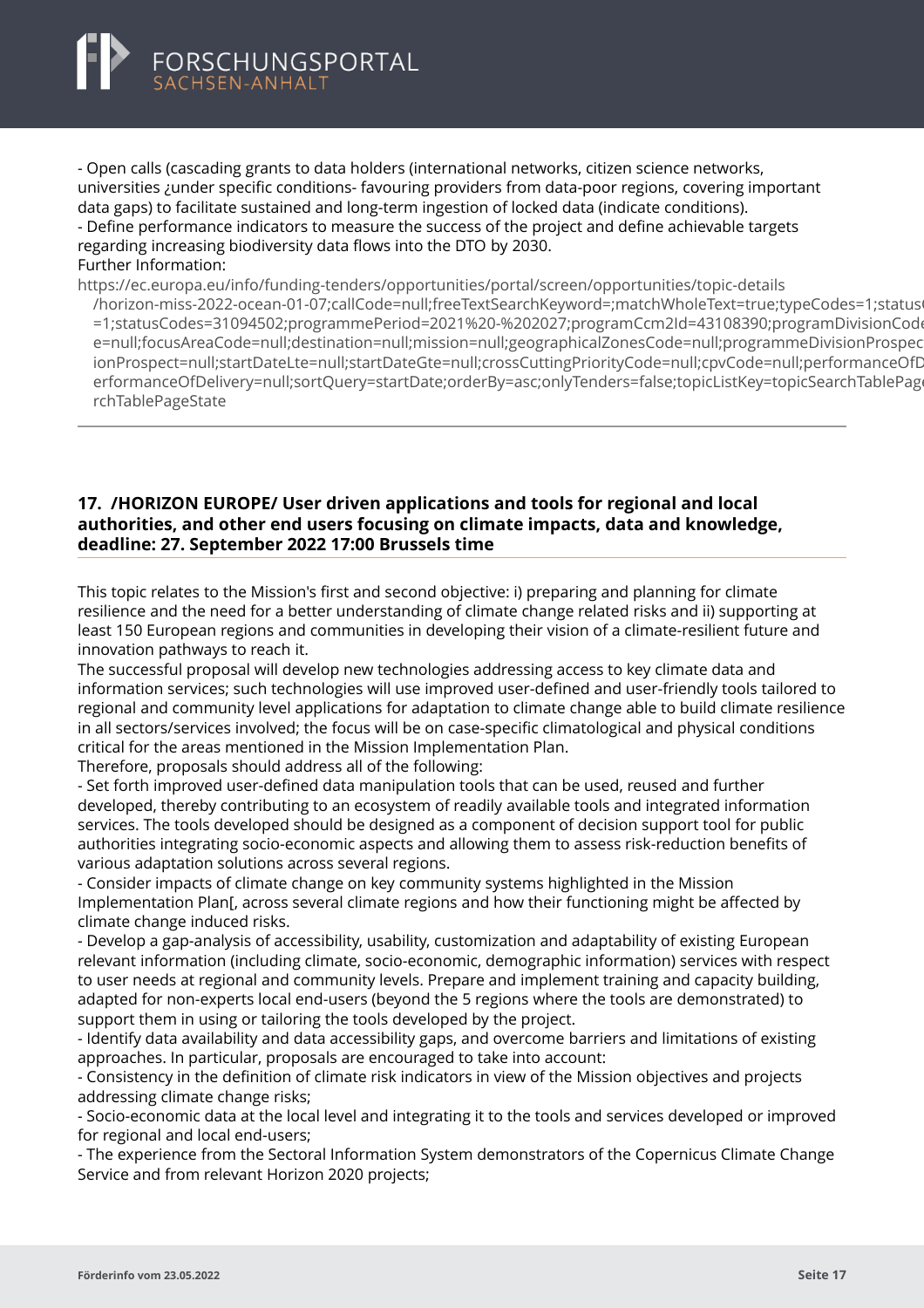<span id="page-19-0"></span>

- Open calls (cascading grants to data holders (international networks, citizen science networks, universities ¿under specific conditions- favouring providers from data-poor regions, covering important data gaps) to facilitate sustained and long-term ingestion of locked data (indicate conditions). - Define performance indicators to measure the success of the project and define achievable targets

regarding increasing biodiversity data flows into the DTO by 2030. Further Information:

https://ec.europa.eu/info/funding-tenders/opportunities/portal/screen/opportunities/topic-details

[/horizon-miss-2022-ocean-01-07;callCode=null;freeTextSearchKeyword=;matchWholeText=true;typeCode](https://ec.europa.eu/info/funding-tenders/opportunities/portal/screen/opportunities/topic-details/horizon-miss-2022-ocean-01-07;callCode=null;freeTextSearchKeyword=;matchWholeText=true;typeCodes=1;statusCodes=31094502;programmePeriod=2021%20-%202027;programCcm2Id=43108390;programDivisionCode=null;focusAreaCode=null;destination=null;mission=null;geographicalZonesCode=null;programmeDivisionProspect=null;startDateLte=null;startDateGte=null;crossCuttingPriorityCode=null;cpvCode=null;performanceOfDelivery=null;sortQuery=startDate;orderBy=asc;onlyTenders=false;topicListKey=topicSearchTablePageState)s=1;status =1;statusCodes=31094502;programmePeriod=2021%20-%202027;programCcm2Id=43108390;programDivisionCode e=null;focusAreaCode=null;destination=null;mission=null;geographicalZonesCode=null;programmeDivisionProspec ionProspect=null;startDateLte=null;startDateGte=null;crossCuttingPriorityCode=null;cpvCode=null;performanceOfD erformanceOfDelivery=null;sortQuery=startDate;orderBy=asc;onlyTenders=false;topicListKey=topicSearchTablePage rchTablePageState

### **17. /HORIZON EUROPE/ User driven applications and tools for regional and local authorities, and other end users focusing on climate impacts, data and knowledge, deadline: 27. September 2022 17:00 Brussels time**

This topic relates to the Mission's first and second objective: i) preparing and planning for climate resilience and the need for a better understanding of climate change related risks and ii) supporting at least 150 European regions and communities in developing their vision of a climate-resilient future and innovation pathways to reach it.

The successful proposal will develop new technologies addressing access to key climate data and information services; such technologies will use improved user-defined and user-friendly tools tailored to regional and community level applications for adaptation to climate change able to build climate resilience in all sectors/services involved; the focus will be on case-specific climatological and physical conditions critical for the areas mentioned in the Mission Implementation Plan.

Therefore, proposals should address all of the following:

- Set forth improved user-defined data manipulation tools that can be used, reused and further developed, thereby contributing to an ecosystem of readily available tools and integrated information services. The tools developed should be designed as a component of decision support tool for public authorities integrating socio-economic aspects and allowing them to assess risk-reduction benefits of various adaptation solutions across several regions.

- Consider impacts of climate change on key community systems highlighted in the Mission Implementation Plan[, across several climate regions and how their functioning might be affected by climate change induced risks.

- Develop a gap-analysis of accessibility, usability, customization and adaptability of existing European relevant information (including climate, socio-economic, demographic information) services with respect to user needs at regional and community levels. Prepare and implement training and capacity building, adapted for non-experts local end-users (beyond the 5 regions where the tools are demonstrated) to support them in using or tailoring the tools developed by the project.

- Identify data availability and data accessibility gaps, and overcome barriers and limitations of existing approaches. In particular, proposals are encouraged to take into account:

- Consistency in the definition of climate risk indicators in view of the Mission objectives and projects addressing climate change risks;

- Socio-economic data at the local level and integrating it to the tools and services developed or improved for regional and local end-users;

- The experience from the Sectoral Information System demonstrators of the Copernicus Climate Change Service and from relevant Horizon 2020 projects;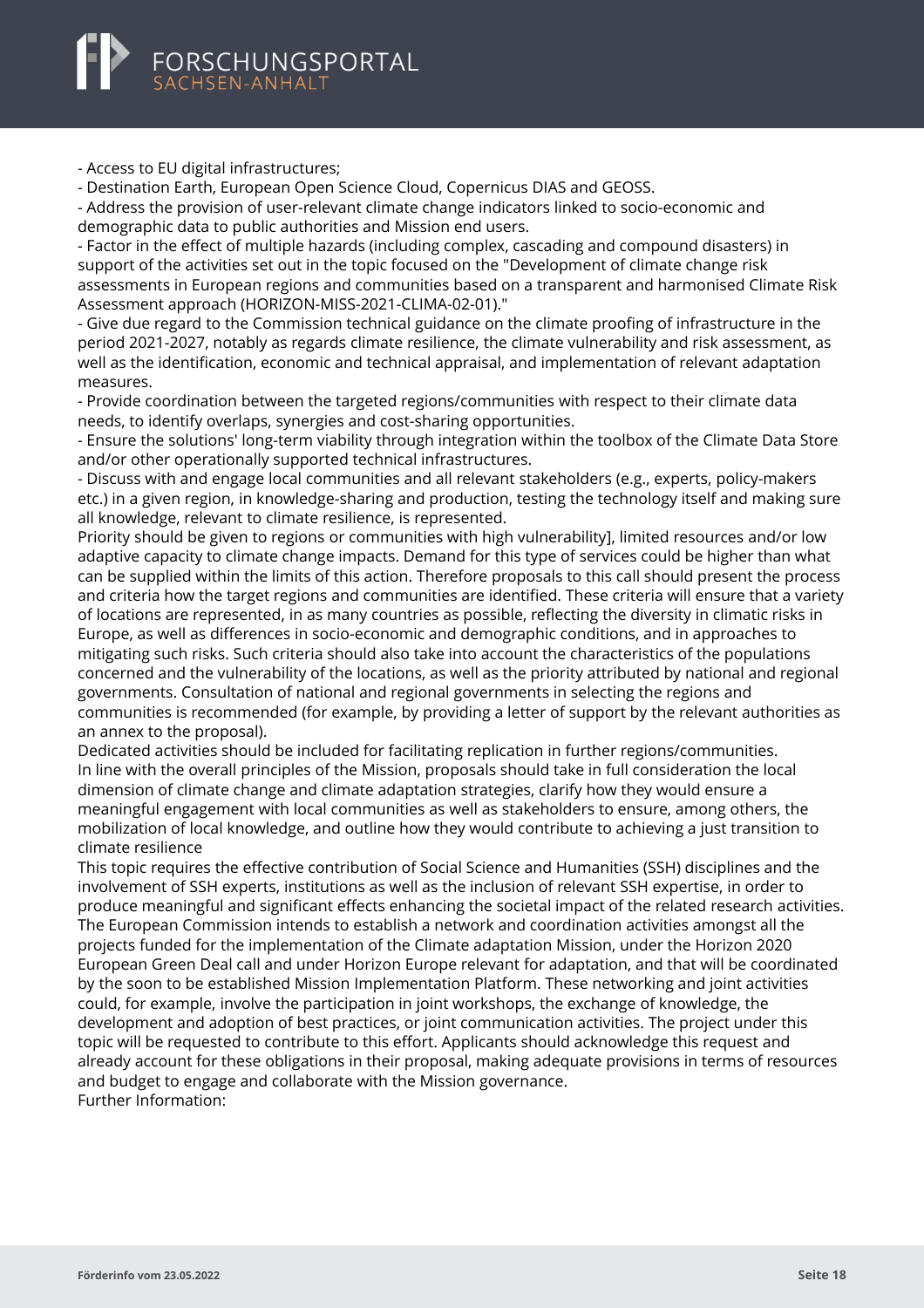

- Access to EU digital infrastructures;

- Destination Earth, European Open Science Cloud, Copernicus DIAS and GEOSS.

- Address the provision of user-relevant climate change indicators linked to socio-economic and demographic data to public authorities and Mission end users.

- Factor in the effect of multiple hazards (including complex, cascading and compound disasters) in support of the activities set out in the topic focused on the "Development of climate change risk assessments in European regions and communities based on a transparent and harmonised Climate Risk Assessment approach (HORIZON-MISS-2021-CLIMA-02-01)."

- Give due regard to the Commission technical guidance on the climate proofing of infrastructure in the period 2021-2027, notably as regards climate resilience, the climate vulnerability and risk assessment, as well as the identification, economic and technical appraisal, and implementation of relevant adaptation measures.

- Provide coordination between the targeted regions/communities with respect to their climate data needs, to identify overlaps, synergies and cost-sharing opportunities.

- Ensure the solutions' long-term viability through integration within the toolbox of the Climate Data Store and/or other operationally supported technical infrastructures.

- Discuss with and engage local communities and all relevant stakeholders (e.g., experts, policy-makers etc.) in a given region, in knowledge-sharing and production, testing the technology itself and making sure all knowledge, relevant to climate resilience, is represented.

Priority should be given to regions or communities with high vulnerability], limited resources and/or low adaptive capacity to climate change impacts. Demand for this type of services could be higher than what can be supplied within the limits of this action. Therefore proposals to this call should present the process and criteria how the target regions and communities are identified. These criteria will ensure that a variety of locations are represented, in as many countries as possible, reflecting the diversity in climatic risks in Europe, as well as differences in socio-economic and demographic conditions, and in approaches to mitigating such risks. Such criteria should also take into account the characteristics of the populations concerned and the vulnerability of the locations, as well as the priority attributed by national and regional governments. Consultation of national and regional governments in selecting the regions and communities is recommended (for example, by providing a letter of support by the relevant authorities as an annex to the proposal).

Dedicated activities should be included for facilitating replication in further regions/communities. In line with the overall principles of the Mission, proposals should take in full consideration the local dimension of climate change and climate adaptation strategies, clarify how they would ensure a meaningful engagement with local communities as well as stakeholders to ensure, among others, the mobilization of local knowledge, and outline how they would contribute to achieving a just transition to climate resilience

This topic requires the effective contribution of Social Science and Humanities (SSH) disciplines and the involvement of SSH experts, institutions as well as the inclusion of relevant SSH expertise, in order to produce meaningful and significant effects enhancing the societal impact of the related research activities. The European Commission intends to establish a network and coordination activities amongst all the projects funded for the implementation of the Climate adaptation Mission, under the Horizon 2020 European Green Deal call and under Horizon Europe relevant for adaptation, and that will be coordinated by the soon to be established Mission Implementation Platform. These networking and joint activities could, for example, involve the participation in joint workshops, the exchange of knowledge, the development and adoption of best practices, or joint communication activities. The project under this topic will be requested to contribute to this effort. Applicants should acknowledge this request and already account for these obligations in their proposal, making adequate provisions in terms of resources and budget to engage and collaborate with the Mission governance. Further Information: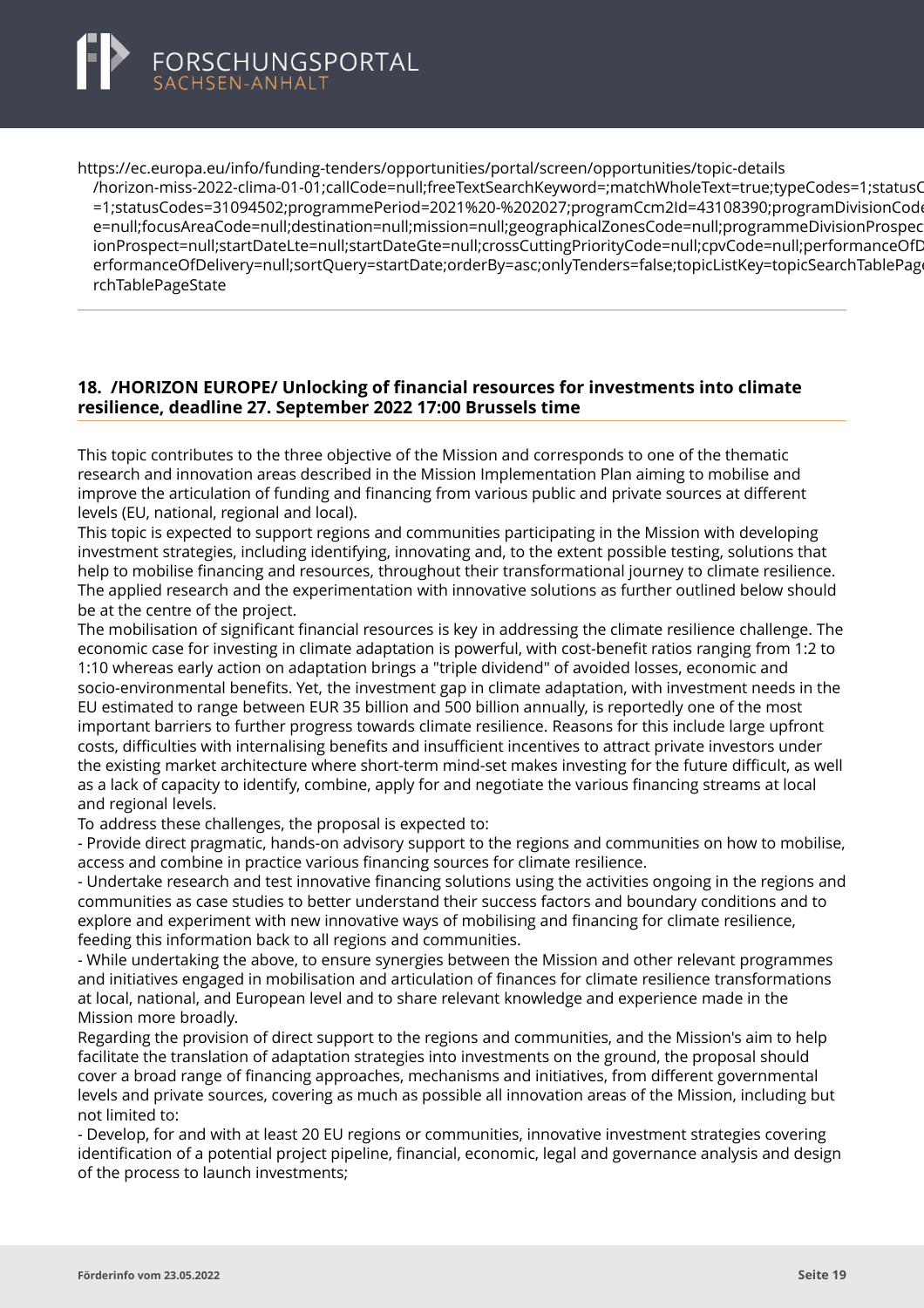<span id="page-21-0"></span>

https://ec.europa.eu/info/funding-tenders/opportunities/portal/screen/opportunities/topic-details

[/horizon-miss-2022-clima-01-01;callCode=null;freeTextSearchKeyword=;matchWholeText=true;typeCodes](https://ec.europa.eu/info/funding-tenders/opportunities/portal/screen/opportunities/topic-details/horizon-miss-2022-clima-01-01;callCode=null;freeTextSearchKeyword=;matchWholeText=true;typeCodes=1;statusCodes=31094502;programmePeriod=2021%20-%202027;programCcm2Id=43108390;programDivisionCode=null;focusAreaCode=null;destination=null;mission=null;geographicalZonesCode=null;programmeDivisionProspect=null;startDateLte=null;startDateGte=null;crossCuttingPriorityCode=null;cpvCode=null;performanceOfDelivery=null;sortQuery=startDate;orderBy=asc;onlyTenders=false;topicListKey=topicSearchTablePageState)=1;statusC =1;statusCodes=31094502;programmePeriod=2021%20-%202027;programCcm2Id=43108390;programDivisionCod e=null:focusAreaCode=null:destination=null;mission=null;geographicalZonesCode=null;programmeDivisionProspec ionProspect=null;startDateLte=null;startDateGte=null;crossCuttingPriorityCode=null;cpvCode=null;performanceOfD erformanceOfDelivery=null;sortQuery=startDate;orderBy=asc;onlyTenders=false;topicListKey=topicSearchTablePage rchTablePageState

### **18. /HORIZON EUROPE/ Unlocking of financial resources for investments into climate resilience, deadline 27. September 2022 17:00 Brussels time**

This topic contributes to the three objective of the Mission and corresponds to one of the thematic research and innovation areas described in the Mission Implementation Plan aiming to mobilise and improve the articulation of funding and financing from various public and private sources at different levels (EU, national, regional and local).

This topic is expected to support regions and communities participating in the Mission with developing investment strategies, including identifying, innovating and, to the extent possible testing, solutions that help to mobilise financing and resources, throughout their transformational journey to climate resilience. The applied research and the experimentation with innovative solutions as further outlined below should be at the centre of the project.

The mobilisation of significant financial resources is key in addressing the climate resilience challenge. The economic case for investing in climate adaptation is powerful, with cost-benefit ratios ranging from 1:2 to 1:10 whereas early action on adaptation brings a "triple dividend" of avoided losses, economic and socio-environmental benefits. Yet, the investment gap in climate adaptation, with investment needs in the EU estimated to range between EUR 35 billion and 500 billion annually, is reportedly one of the most important barriers to further progress towards climate resilience. Reasons for this include large upfront costs, difficulties with internalising benefits and insufficient incentives to attract private investors under the existing market architecture where short-term mind-set makes investing for the future difficult, as well as a lack of capacity to identify, combine, apply for and negotiate the various financing streams at local and regional levels.

To address these challenges, the proposal is expected to:

- Provide direct pragmatic, hands-on advisory support to the regions and communities on how to mobilise, access and combine in practice various financing sources for climate resilience.

- Undertake research and test innovative financing solutions using the activities ongoing in the regions and communities as case studies to better understand their success factors and boundary conditions and to explore and experiment with new innovative ways of mobilising and financing for climate resilience, feeding this information back to all regions and communities.

- While undertaking the above, to ensure synergies between the Mission and other relevant programmes and initiatives engaged in mobilisation and articulation of finances for climate resilience transformations at local, national, and European level and to share relevant knowledge and experience made in the Mission more broadly.

Regarding the provision of direct support to the regions and communities, and the Mission's aim to help facilitate the translation of adaptation strategies into investments on the ground, the proposal should cover a broad range of financing approaches, mechanisms and initiatives, from different governmental levels and private sources, covering as much as possible all innovation areas of the Mission, including but not limited to:

- Develop, for and with at least 20 EU regions or communities, innovative investment strategies covering identification of a potential project pipeline, financial, economic, legal and governance analysis and design of the process to launch investments;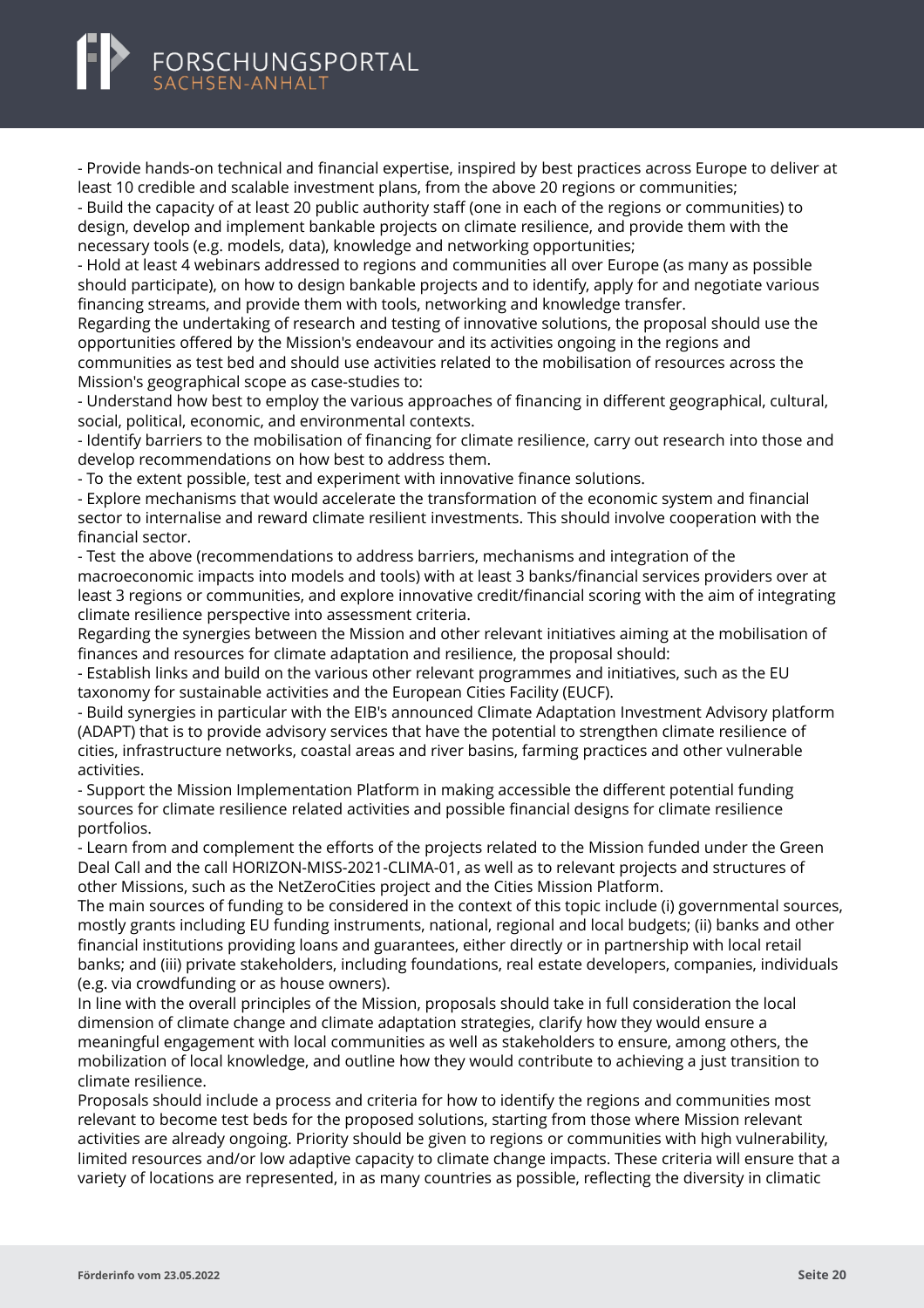- Provide hands-on technical and financial expertise, inspired by best practices across Europe to deliver at least 10 credible and scalable investment plans, from the above 20 regions or communities;

- Build the capacity of at least 20 public authority staff (one in each of the regions or communities) to design, develop and implement bankable projects on climate resilience, and provide them with the necessary tools (e.g. models, data), knowledge and networking opportunities;

- Hold at least 4 webinars addressed to regions and communities all over Europe (as many as possible should participate), on how to design bankable projects and to identify, apply for and negotiate various financing streams, and provide them with tools, networking and knowledge transfer.

Regarding the undertaking of research and testing of innovative solutions, the proposal should use the opportunities offered by the Mission's endeavour and its activities ongoing in the regions and communities as test bed and should use activities related to the mobilisation of resources across the Mission's geographical scope as case-studies to:

- Understand how best to employ the various approaches of financing in different geographical, cultural, social, political, economic, and environmental contexts.

- Identify barriers to the mobilisation of financing for climate resilience, carry out research into those and develop recommendations on how best to address them.

- To the extent possible, test and experiment with innovative finance solutions.

- Explore mechanisms that would accelerate the transformation of the economic system and financial sector to internalise and reward climate resilient investments. This should involve cooperation with the financial sector.

- Test the above (recommendations to address barriers, mechanisms and integration of the macroeconomic impacts into models and tools) with at least 3 banks/financial services providers over at least 3 regions or communities, and explore innovative credit/financial scoring with the aim of integrating climate resilience perspective into assessment criteria.

Regarding the synergies between the Mission and other relevant initiatives aiming at the mobilisation of finances and resources for climate adaptation and resilience, the proposal should:

- Establish links and build on the various other relevant programmes and initiatives, such as the EU taxonomy for sustainable activities and the European Cities Facility (EUCF).

- Build synergies in particular with the EIB's announced Climate Adaptation Investment Advisory platform (ADAPT) that is to provide advisory services that have the potential to strengthen climate resilience of cities, infrastructure networks, coastal areas and river basins, farming practices and other vulnerable activities.

- Support the Mission Implementation Platform in making accessible the different potential funding sources for climate resilience related activities and possible financial designs for climate resilience portfolios.

- Learn from and complement the efforts of the projects related to the Mission funded under the Green Deal Call and the call HORIZON-MISS-2021-CLIMA-01, as well as to relevant projects and structures of other Missions, such as the NetZeroCities project and the Cities Mission Platform.

The main sources of funding to be considered in the context of this topic include (i) governmental sources, mostly grants including EU funding instruments, national, regional and local budgets; (ii) banks and other financial institutions providing loans and guarantees, either directly or in partnership with local retail banks; and (iii) private stakeholders, including foundations, real estate developers, companies, individuals (e.g. via crowdfunding or as house owners).

In line with the overall principles of the Mission, proposals should take in full consideration the local dimension of climate change and climate adaptation strategies, clarify how they would ensure a meaningful engagement with local communities as well as stakeholders to ensure, among others, the mobilization of local knowledge, and outline how they would contribute to achieving a just transition to climate resilience.

Proposals should include a process and criteria for how to identify the regions and communities most relevant to become test beds for the proposed solutions, starting from those where Mission relevant activities are already ongoing. Priority should be given to regions or communities with high vulnerability, limited resources and/or low adaptive capacity to climate change impacts. These criteria will ensure that a variety of locations are represented, in as many countries as possible, reflecting the diversity in climatic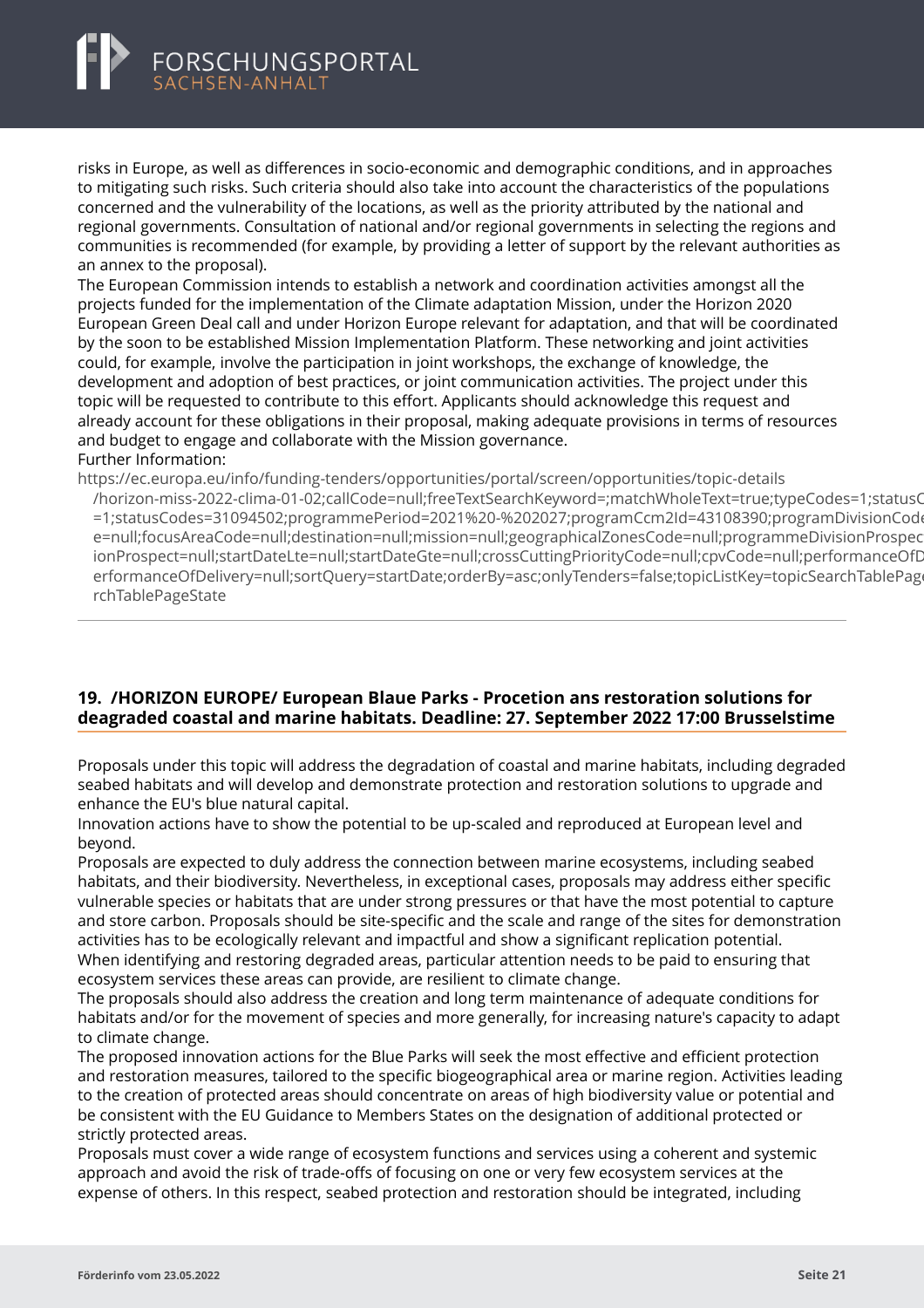<span id="page-23-0"></span>

risks in Europe, as well as differences in socio-economic and demographic conditions, and in approaches to mitigating such risks. Such criteria should also take into account the characteristics of the populations concerned and the vulnerability of the locations, as well as the priority attributed by the national and regional governments. Consultation of national and/or regional governments in selecting the regions and communities is recommended (for example, by providing a letter of support by the relevant authorities as an annex to the proposal).

The European Commission intends to establish a network and coordination activities amongst all the projects funded for the implementation of the Climate adaptation Mission, under the Horizon 2020 European Green Deal call and under Horizon Europe relevant for adaptation, and that will be coordinated by the soon to be established Mission Implementation Platform. These networking and joint activities could, for example, involve the participation in joint workshops, the exchange of knowledge, the development and adoption of best practices, or joint communication activities. The project under this topic will be requested to contribute to this effort. Applicants should acknowledge this request and already account for these obligations in their proposal, making adequate provisions in terms of resources and budget to engage and collaborate with the Mission governance.

Further Information:

https://ec.europa.eu/info/funding-tenders/opportunities/portal/screen/opportunities/topic-details

[/horizon-miss-2022-clima-01-02;callCode=null;freeTextSearchKeyword=;matchWholeText=true;typeCodes](https://ec.europa.eu/info/funding-tenders/opportunities/portal/screen/opportunities/topic-details/horizon-miss-2022-clima-01-02;callCode=null;freeTextSearchKeyword=;matchWholeText=true;typeCodes=1;statusCodes=31094502;programmePeriod=2021%20-%202027;programCcm2Id=43108390;programDivisionCode=null;focusAreaCode=null;destination=null;mission=null;geographicalZonesCode=null;programmeDivisionProspect=null;startDateLte=null;startDateGte=null;crossCuttingPriorityCode=null;cpvCode=null;performanceOfDelivery=null;sortQuery=startDate;orderBy=asc;onlyTenders=false;topicListKey=topicSearchTablePageState)=1;statusCodes=31094502;programmePeriod=2021%20-%202027;programCcm2Id=43108390;programDivisionCod =1;statusCodes=31094502;programmePeriod=2021%20-%202027;programCcm2Id=43108390;programDivisionCode e=null;focusAreaCode=null;destination=null;mission=null;geographicalZonesCode=null;programmeDivisionProspec ionProspect=null;startDateLte=null;startDateGte=null;crossCuttingPriorityCode=null;cpvCode=null;performanceOfD erformanceOfDelivery=null;sortQuery=startDate;orderBy=asc;onlyTenders=false;topicListKey=topicSearchTablePage rchTablePageState

# **19. /HORIZON EUROPE/ European Blaue Parks - Procetion ans restoration solutions for deagraded coastal and marine habitats. Deadline: 27. September 2022 17:00 Brusselstime**

Proposals under this topic will address the degradation of coastal and marine habitats, including degraded seabed habitats and will develop and demonstrate protection and restoration solutions to upgrade and enhance the EU's blue natural capital.

Innovation actions have to show the potential to be up-scaled and reproduced at European level and beyond.

Proposals are expected to duly address the connection between marine ecosystems, including seabed habitats, and their biodiversity. Nevertheless, in exceptional cases, proposals may address either specific vulnerable species or habitats that are under strong pressures or that have the most potential to capture and store carbon. Proposals should be site-specific and the scale and range of the sites for demonstration activities has to be ecologically relevant and impactful and show a significant replication potential. When identifying and restoring degraded areas, particular attention needs to be paid to ensuring that ecosystem services these areas can provide, are resilient to climate change.

The proposals should also address the creation and long term maintenance of adequate conditions for habitats and/or for the movement of species and more generally, for increasing nature's capacity to adapt to climate change.

The proposed innovation actions for the Blue Parks will seek the most effective and efficient protection and restoration measures, tailored to the specific biogeographical area or marine region. Activities leading to the creation of protected areas should concentrate on areas of high biodiversity value or potential and be consistent with the EU Guidance to Members States on the designation of additional protected or strictly protected areas.

Proposals must cover a wide range of ecosystem functions and services using a coherent and systemic approach and avoid the risk of trade-offs of focusing on one or very few ecosystem services at the expense of others. In this respect, seabed protection and restoration should be integrated, including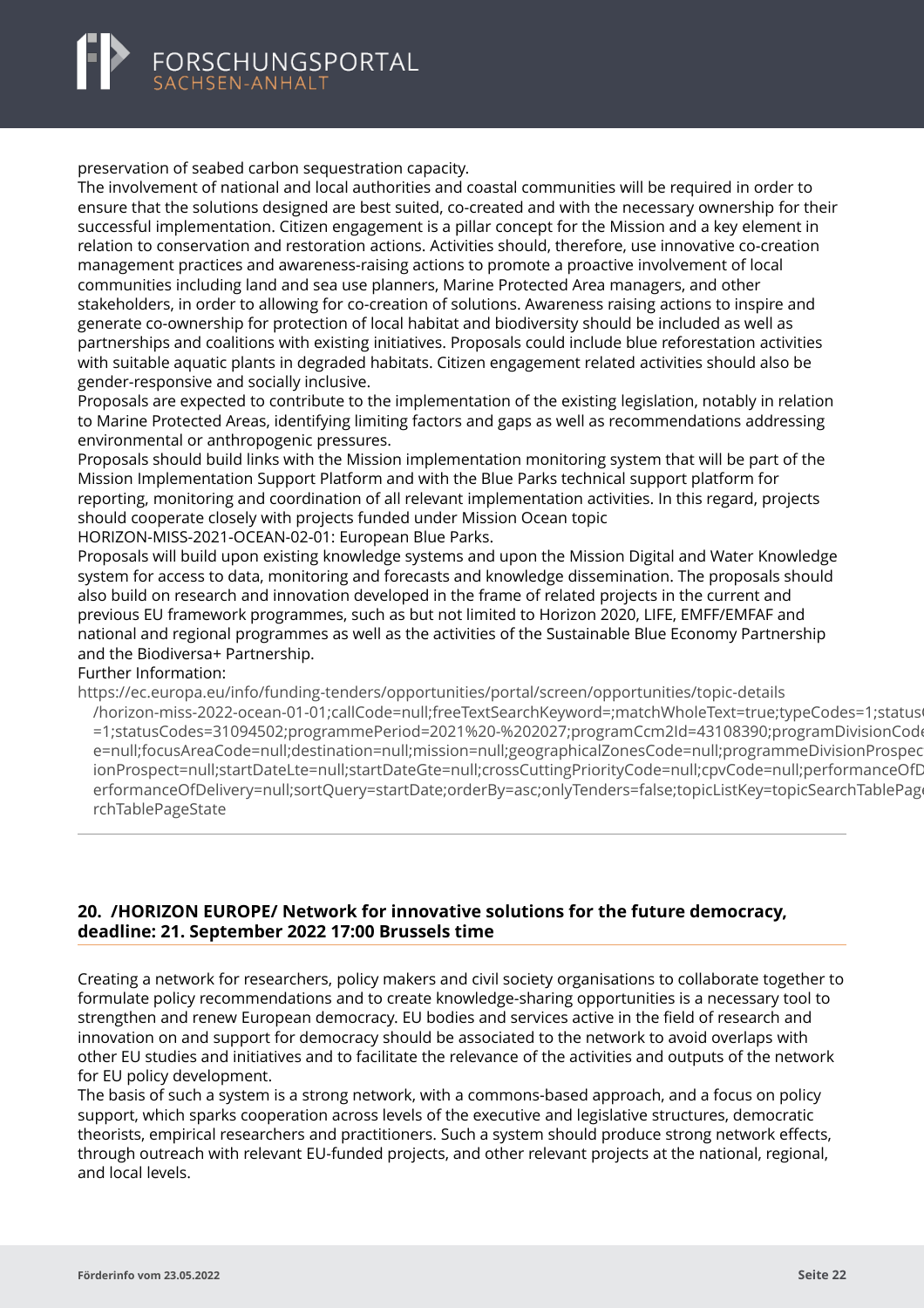#### <span id="page-24-0"></span>preservation of seabed carbon sequestration capacity.

The involvement of national and local authorities and coastal communities will be required in order to ensure that the solutions designed are best suited, co-created and with the necessary ownership for their successful implementation. Citizen engagement is a pillar concept for the Mission and a key element in relation to conservation and restoration actions. Activities should, therefore, use innovative co-creation management practices and awareness-raising actions to promote a proactive involvement of local communities including land and sea use planners, Marine Protected Area managers, and other stakeholders, in order to allowing for co-creation of solutions. Awareness raising actions to inspire and generate co-ownership for protection of local habitat and biodiversity should be included as well as partnerships and coalitions with existing initiatives. Proposals could include blue reforestation activities with suitable aquatic plants in degraded habitats. Citizen engagement related activities should also be gender-responsive and socially inclusive.

Proposals are expected to contribute to the implementation of the existing legislation, notably in relation to Marine Protected Areas, identifying limiting factors and gaps as well as recommendations addressing environmental or anthropogenic pressures.

Proposals should build links with the Mission implementation monitoring system that will be part of the Mission Implementation Support Platform and with the Blue Parks technical support platform for reporting, monitoring and coordination of all relevant implementation activities. In this regard, projects should cooperate closely with projects funded under Mission Ocean topic

HORIZON-MISS-2021-OCEAN-02-01: European Blue Parks.

Proposals will build upon existing knowledge systems and upon the Mission Digital and Water Knowledge system for access to data, monitoring and forecasts and knowledge dissemination. The proposals should also build on research and innovation developed in the frame of related projects in the current and previous EU framework programmes, such as but not limited to Horizon 2020, LIFE, EMFF/EMFAF and national and regional programmes as well as the activities of the Sustainable Blue Economy Partnership and the Biodiversa+ Partnership.

#### Further Information:

https://ec.europa.eu/info/funding-tenders/opportunities/portal/screen/opportunities/topic-details

[/horizon-miss-2022-ocean-01-01;callCode=null;freeTextSearchKeyword=;matchWholeText=true;typeCode](https://ec.europa.eu/info/funding-tenders/opportunities/portal/screen/opportunities/topic-details/horizon-miss-2022-ocean-01-01;callCode=null;freeTextSearchKeyword=;matchWholeText=true;typeCodes=1;statusCodes=31094502;programmePeriod=2021%20-%202027;programCcm2Id=43108390;programDivisionCode=null;focusAreaCode=null;destination=null;mission=null;geographicalZonesCode=null;programmeDivisionProspect=null;startDateLte=null;startDateGte=null;crossCuttingPriorityCode=null;cpvCode=null;performanceOfDelivery=null;sortQuery=startDate;orderBy=asc;onlyTenders=false;topicListKey=topicSearchTablePageState)s=1;status =1;statusCodes=31094502;programmePeriod=2021%20-%202027;programCcm2ld=43108390;programDivisionCod e=null;focusAreaCode=null;destination=null;mission=null;geographicalZonesCode=null;programmeDivisionProspec ionProspect=null;startDateLte=null;startDateGte=null;crossCuttingPriorityCode=null;cpvCode=null;performanceOfD erformanceOfDelivery=null;sortQuery=startDate;orderBy=asc;onlyTenders=false;topicListKey=topicSearchTablePage rchTablePageState

# **20. /HORIZON EUROPE/ Network for innovative solutions for the future democracy, deadline: 21. September 2022 17:00 Brussels time**

Creating a network for researchers, policy makers and civil society organisations to collaborate together to formulate policy recommendations and to create knowledge-sharing opportunities is a necessary tool to strengthen and renew European democracy. EU bodies and services active in the field of research and innovation on and support for democracy should be associated to the network to avoid overlaps with other EU studies and initiatives and to facilitate the relevance of the activities and outputs of the network for EU policy development.

The basis of such a system is a strong network, with a commons-based approach, and a focus on policy support, which sparks cooperation across levels of the executive and legislative structures, democratic theorists, empirical researchers and practitioners. Such a system should produce strong network effects, through outreach with relevant EU-funded projects, and other relevant projects at the national, regional, and local levels.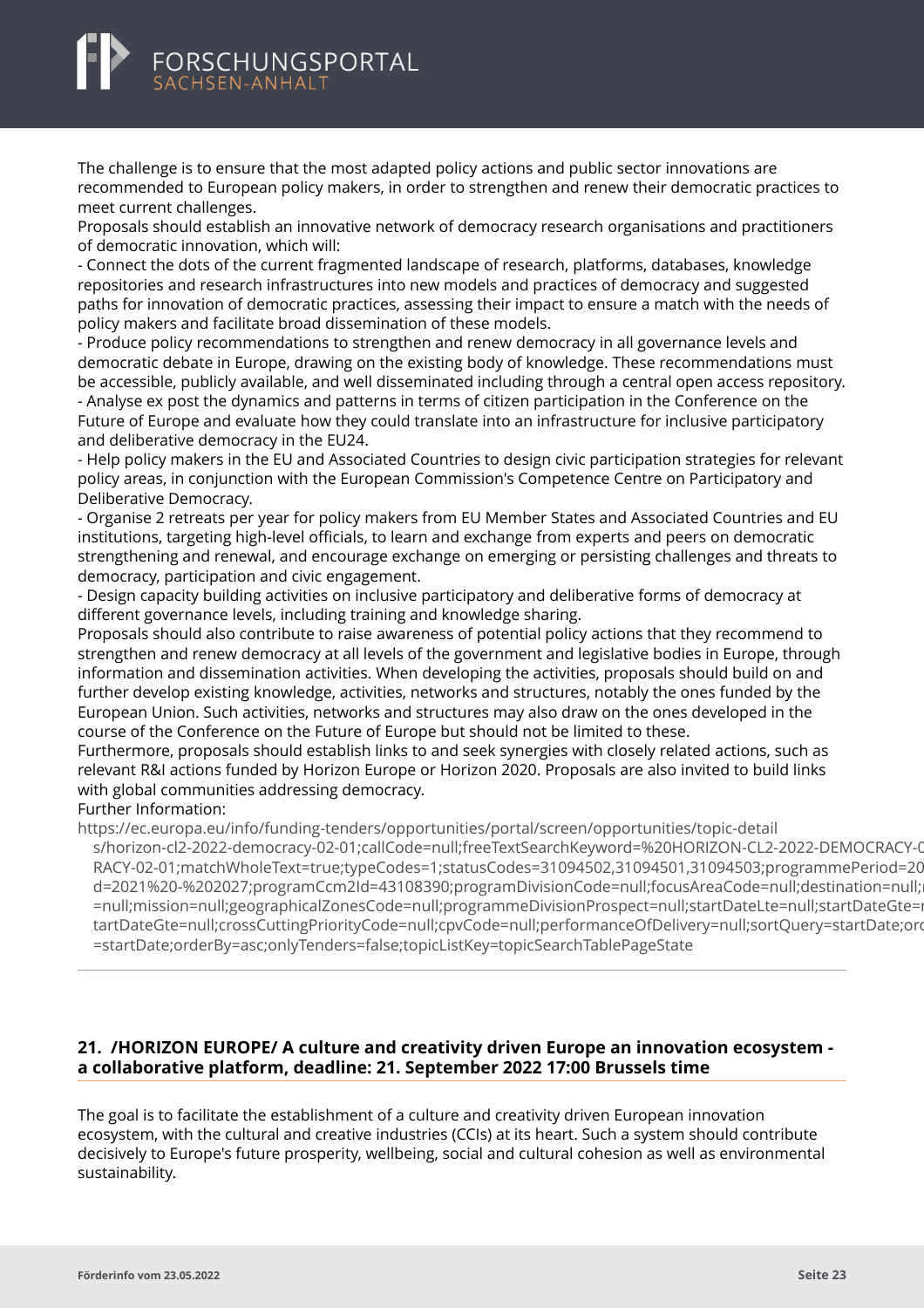

The challenge is to ensure that the most adapted policy actions and public sector innovations are recommended to European policy makers, in order to strengthen and renew their democratic practices to meet current challenges.

Proposals should establish an innovative network of democracy research organisations and practitioners of democratic innovation, which will:

- Connect the dots of the current fragmented landscape of research, platforms, databases, knowledge repositories and research infrastructures into new models and practices of democracy and suggested paths for innovation of democratic practices, assessing their impact to ensure a match with the needs of policy makers and facilitate broad dissemination of these models.

- Produce policy recommendations to strengthen and renew democracy in all governance levels and democratic debate in Europe, drawing on the existing body of knowledge. These recommendations must be accessible, publicly available, and well disseminated including through a central open access repository. - Analyse ex post the dynamics and patterns in terms of citizen participation in the Conference on the Future of Europe and evaluate how they could translate into an infrastructure for inclusive participatory and deliberative democracy in the EU24.

- Help policy makers in the EU and Associated Countries to design civic participation strategies for relevant policy areas, in conjunction with the European Commission's Competence Centre on Participatory and Deliberative Democracy.

- Organise 2 retreats per year for policy makers from EU Member States and Associated Countries and EU institutions, targeting high-level officials, to learn and exchange from experts and peers on democratic strengthening and renewal, and encourage exchange on emerging or persisting challenges and threats to democracy, participation and civic engagement.

- Design capacity building activities on inclusive participatory and deliberative forms of democracy at different governance levels, including training and knowledge sharing.

Proposals should also contribute to raise awareness of potential policy actions that they recommend to strengthen and renew democracy at all levels of the government and legislative bodies in Europe, through information and dissemination activities. When developing the activities, proposals should build on and further develop existing knowledge, activities, networks and structures, notably the ones funded by the European Union. Such activities, networks and structures may also draw on the ones developed in the course of the Conference on the Future of Europe but should not be limited to these.

Furthermore, proposals should establish links to and seek synergies with closely related actions, such as relevant R&I actions funded by Horizon Europe or Horizon 2020. Proposals are also invited to build links with global communities addressing democracy.

Further Information:

https://ec.europa.eu/info/funding-tenders/opportunities/portal/screen/opportunities/topic-detail

[s/horizon-cl2-2022-democracy-02-01;callCode=null;freeTextSearchKeyword=%20HORIZON-CL2-2022-DEM](https://ec.europa.eu/info/funding-tenders/opportunities/portal/screen/opportunities/topic-details/horizon-cl2-2022-democracy-02-01;callCode=null;freeTextSearchKeyword=%20HORIZON-CL2-2022-DEMOCRACY-02-01;matchWholeText=true;typeCodes=1;statusCodes=31094502,31094501,31094503;programmePeriod=2021%20-%202027;programCcm2Id=43108390;programDivisionCode=null;focusAreaCode=null;destination=null;mission=null;geographicalZonesCode=null;programmeDivisionProspect=null;startDateLte=null;startDateGte=null;crossCuttingPriorityCode=null;cpvCode=null;performanceOfDelivery=null;sortQuery=startDate;orderBy=asc;onlyTenders=false;topicListKey=topicSearchTablePageState)OCRACY-0 RACY-02-01:matchWholeText=true:typeCodes=1:statusCodes=31094502.31094501.31094503:programmePeriod=20 d=2021%20-%202027;programCcm2ld=43108390;programDivisionCode=null;focusAreaCode=null;destination=null; =null;mission=null;geographicalZonesCode=null;programmeDivisionProspect=null;startDateLte=null;startDateGte=i tartDateGte=null;crossCuttingPriorityCode=null;cpvCode=null;performanceOfDelivery=null;sortQuery=startDate;ord =startDate;orderBy=asc;onlyTenders=false;topicListKey=topicSearchTablePageState

# **21. /HORIZON EUROPE/ A culture and creativity driven Europe an innovation ecosystem a collaborative platform, deadline: 21. September 2022 17:00 Brussels time**

The goal is to facilitate the establishment of a culture and creativity driven European innovation ecosystem, with the cultural and creative industries (CCIs) at its heart. Such a system should contribute decisively to Europe's future prosperity, wellbeing, social and cultural cohesion as well as environmental sustainability.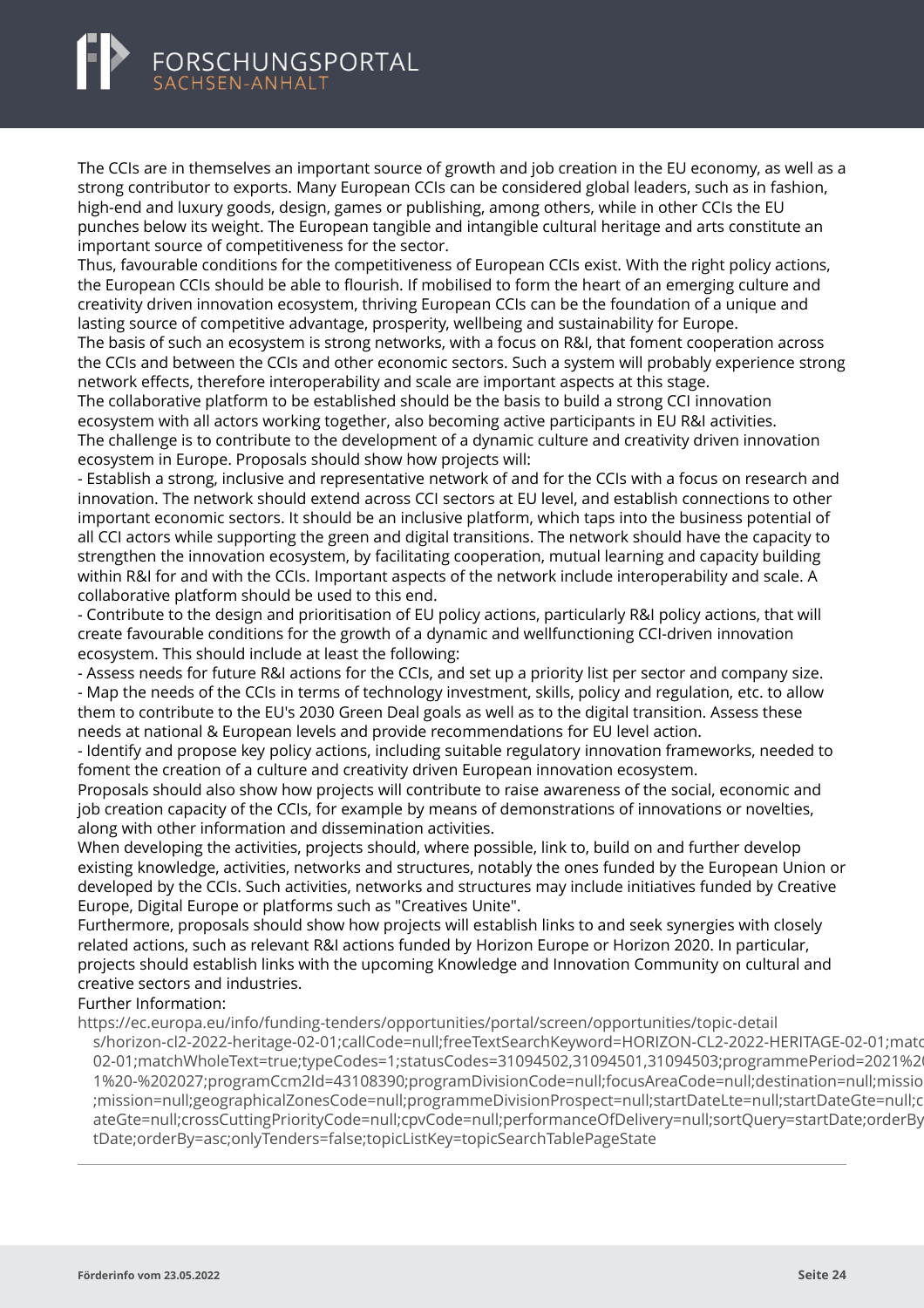<span id="page-26-0"></span>The CCIs are in themselves an important source of growth and job creation in the EU economy, as well as a strong contributor to exports. Many European CCIs can be considered global leaders, such as in fashion, high-end and luxury goods, design, games or publishing, among others, while in other CCIs the EU punches below its weight. The European tangible and intangible cultural heritage and arts constitute an important source of competitiveness for the sector.

Thus, favourable conditions for the competitiveness of European CCIs exist. With the right policy actions, the European CCIs should be able to flourish. If mobilised to form the heart of an emerging culture and creativity driven innovation ecosystem, thriving European CCIs can be the foundation of a unique and lasting source of competitive advantage, prosperity, wellbeing and sustainability for Europe.

The basis of such an ecosystem is strong networks, with a focus on R&I, that foment cooperation across the CCIs and between the CCIs and other economic sectors. Such a system will probably experience strong network effects, therefore interoperability and scale are important aspects at this stage.

The collaborative platform to be established should be the basis to build a strong CCI innovation ecosystem with all actors working together, also becoming active participants in EU R&I activities. The challenge is to contribute to the development of a dynamic culture and creativity driven innovation ecosystem in Europe. Proposals should show how projects will:

- Establish a strong, inclusive and representative network of and for the CCIs with a focus on research and innovation. The network should extend across CCI sectors at EU level, and establish connections to other important economic sectors. It should be an inclusive platform, which taps into the business potential of all CCI actors while supporting the green and digital transitions. The network should have the capacity to strengthen the innovation ecosystem, by facilitating cooperation, mutual learning and capacity building within R&I for and with the CCIs. Important aspects of the network include interoperability and scale. A collaborative platform should be used to this end.

- Contribute to the design and prioritisation of EU policy actions, particularly R&I policy actions, that will create favourable conditions for the growth of a dynamic and wellfunctioning CCI-driven innovation ecosystem. This should include at least the following:

- Assess needs for future R&I actions for the CCIs, and set up a priority list per sector and company size. - Map the needs of the CCIs in terms of technology investment, skills, policy and regulation, etc. to allow them to contribute to the EU's 2030 Green Deal goals as well as to the digital transition. Assess these needs at national & European levels and provide recommendations for EU level action.

- Identify and propose key policy actions, including suitable regulatory innovation frameworks, needed to foment the creation of a culture and creativity driven European innovation ecosystem.

Proposals should also show how projects will contribute to raise awareness of the social, economic and job creation capacity of the CCIs, for example by means of demonstrations of innovations or novelties, along with other information and dissemination activities.

When developing the activities, projects should, where possible, link to, build on and further develop existing knowledge, activities, networks and structures, notably the ones funded by the European Union or developed by the CCIs. Such activities, networks and structures may include initiatives funded by Creative Europe, Digital Europe or platforms such as "Creatives Unite".

Furthermore, proposals should show how projects will establish links to and seek synergies with closely related actions, such as relevant R&I actions funded by Horizon Europe or Horizon 2020. In particular, projects should establish links with the upcoming Knowledge and Innovation Community on cultural and creative sectors and industries.

Further Information:

https://ec.europa.eu/info/funding-tenders/opportunities/portal/screen/opportunities/topic-detail

[s/horizon-cl2-2022-heritage-02-01;callCode=null;freeTextSearchKeyword=HORIZON-CL2-2022-HERITAGE-0](https://ec.europa.eu/info/funding-tenders/opportunities/portal/screen/opportunities/topic-details/horizon-cl2-2022-heritage-02-01;callCode=null;freeTextSearchKeyword=HORIZON-CL2-2022-HERITAGE-02-01;matchWholeText=true;typeCodes=1;statusCodes=31094502,31094501,31094503;programmePeriod=2021%20-%202027;programCcm2Id=43108390;programDivisionCode=null;focusAreaCode=null;destination=null;mission=null;geographicalZonesCode=null;programmeDivisionProspect=null;startDateLte=null;startDateGte=null;crossCuttingPriorityCode=null;cpvCode=null;performanceOfDelivery=null;sortQuery=startDate;orderBy=asc;onlyTenders=false;topicListKey=topicSearchTablePageState)2-01;matc 02-01;matchWholeText=true;typeCodes=1;statusCodes=31094502,31094501,31094503;programmePeriod=2021%2 1%20-%202027:programCcm2Id=43108390:programDivisionCode=null:focusAreaCode=null:destination=null:missio ;mission=null;geographicalZonesCode=null;programmeDivisionProspect=null;startDateLte=null;startDateGte=null;c ateGte=null:crossCuttingPriorityCode=null:cpvCode=null:performanceOfDelivery=null:sortOuery=startDate:orderBy tDate;orderBy=asc;onlyTenders=false;topicListKey=topicSearchTablePageState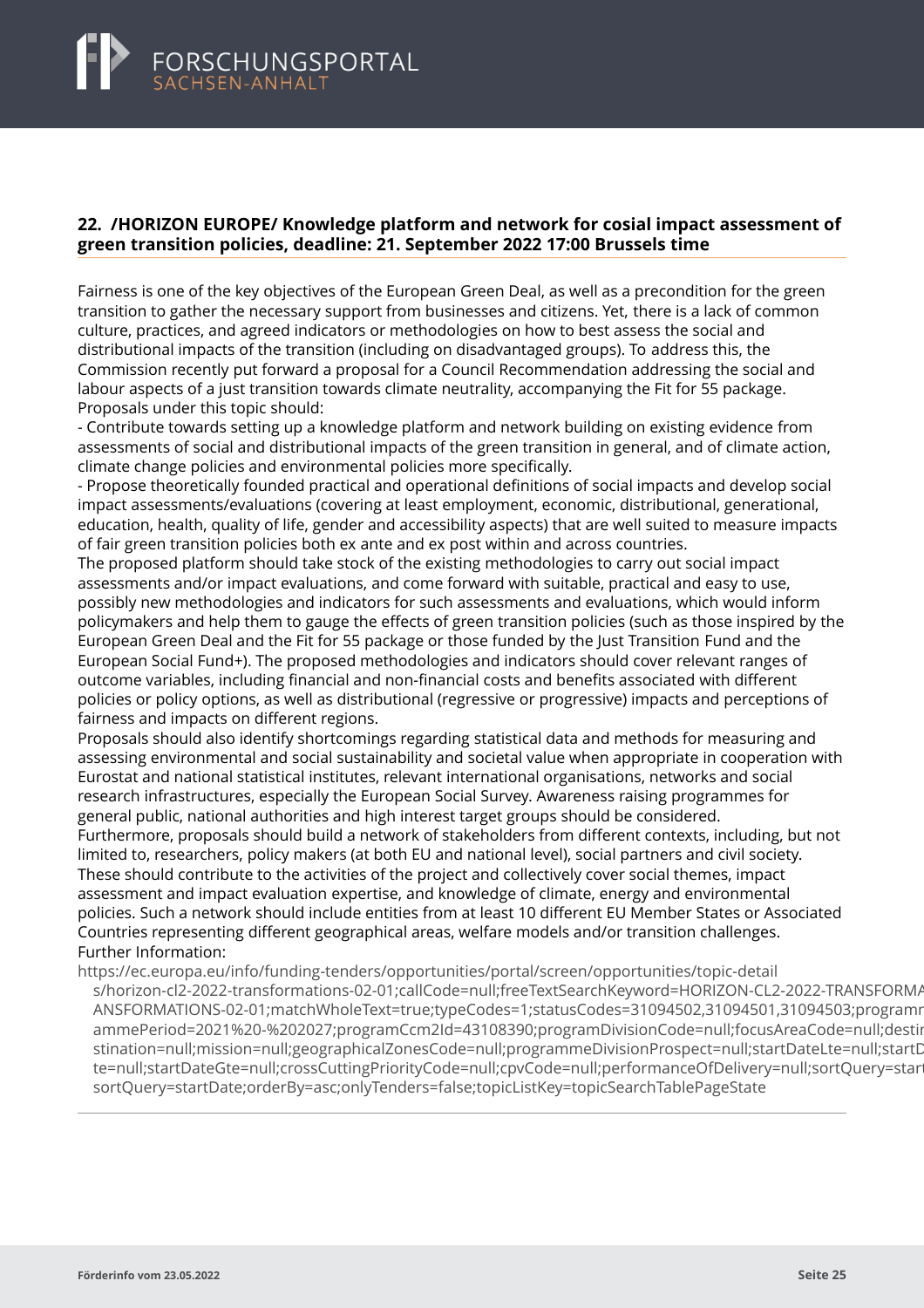### <span id="page-27-0"></span>**22. /HORIZON EUROPE/ Knowledge platform and network for cosial impact assessment of green transition policies, deadline: 21. September 2022 17:00 Brussels time**

Fairness is one of the key objectives of the European Green Deal, as well as a precondition for the green transition to gather the necessary support from businesses and citizens. Yet, there is a lack of common culture, practices, and agreed indicators or methodologies on how to best assess the social and distributional impacts of the transition (including on disadvantaged groups). To address this, the Commission recently put forward a proposal for a Council Recommendation addressing the social and labour aspects of a just transition towards climate neutrality, accompanying the Fit for 55 package. Proposals under this topic should:

- Contribute towards setting up a knowledge platform and network building on existing evidence from assessments of social and distributional impacts of the green transition in general, and of climate action, climate change policies and environmental policies more specifically.

- Propose theoretically founded practical and operational definitions of social impacts and develop social impact assessments/evaluations (covering at least employment, economic, distributional, generational, education, health, quality of life, gender and accessibility aspects) that are well suited to measure impacts of fair green transition policies both ex ante and ex post within and across countries.

The proposed platform should take stock of the existing methodologies to carry out social impact assessments and/or impact evaluations, and come forward with suitable, practical and easy to use, possibly new methodologies and indicators for such assessments and evaluations, which would inform policymakers and help them to gauge the effects of green transition policies (such as those inspired by the European Green Deal and the Fit for 55 package or those funded by the Just Transition Fund and the European Social Fund+). The proposed methodologies and indicators should cover relevant ranges of outcome variables, including financial and non-financial costs and benefits associated with different policies or policy options, as well as distributional (regressive or progressive) impacts and perceptions of fairness and impacts on different regions.

Proposals should also identify shortcomings regarding statistical data and methods for measuring and assessing environmental and social sustainability and societal value when appropriate in cooperation with Eurostat and national statistical institutes, relevant international organisations, networks and social research infrastructures, especially the European Social Survey. Awareness raising programmes for general public, national authorities and high interest target groups should be considered.

Furthermore, proposals should build a network of stakeholders from different contexts, including, but not limited to, researchers, policy makers (at both EU and national level), social partners and civil society. These should contribute to the activities of the project and collectively cover social themes, impact assessment and impact evaluation expertise, and knowledge of climate, energy and environmental policies. Such a network should include entities from at least 10 different EU Member States or Associated Countries representing different geographical areas, welfare models and/or transition challenges. Further Information:

https://ec.europa.eu/info/funding-tenders/opportunities/portal/screen/opportunities/topic-detail [s/horizon-cl2-2022-transformations-02-01;callCode=null;freeTextSearchKeyword=HORIZON-CL2-2022-TRA](https://ec.europa.eu/info/funding-tenders/opportunities/portal/screen/opportunities/topic-details/horizon-cl2-2022-transformations-02-01;callCode=null;freeTextSearchKeyword=HORIZON-CL2-2022-TRANSFORMATIONS-02-01;matchWholeText=true;typeCodes=1;statusCodes=31094502,31094501,31094503;programmePeriod=2021%20-%202027;programCcm2Id=43108390;programDivisionCode=null;focusAreaCode=null;destination=null;mission=null;geographicalZonesCode=null;programmeDivisionProspect=null;startDateLte=null;startDateGte=null;crossCuttingPriorityCode=null;cpvCode=null;performanceOfDelivery=null;sortQuery=startDate;orderBy=asc;onlyTenders=false;topicListKey=topicSearchTablePageState)NSFORMA ANSFORMATIONS-02-01;matchWholeText=true;typeCodes=1;statusCodes=31094502,31094501,31094503;programr ammePeriod=2021%20-%202027:programCcm2Id=43108390:programDivisionCode=null:focusAreaCode=null:destir stination=null;mission=null;geographicalZonesCode=null;programmeDivisionProspect=null;startDateLte=null;startD te=null;startDateGte=null;crossCuttingPriorityCode=null;cpvCode=null;performanceOfDelivery=null;sortOuery=star sortQuery=startDate;orderBy=asc;onlyTenders=false;topicListKey=topicSearchTablePageState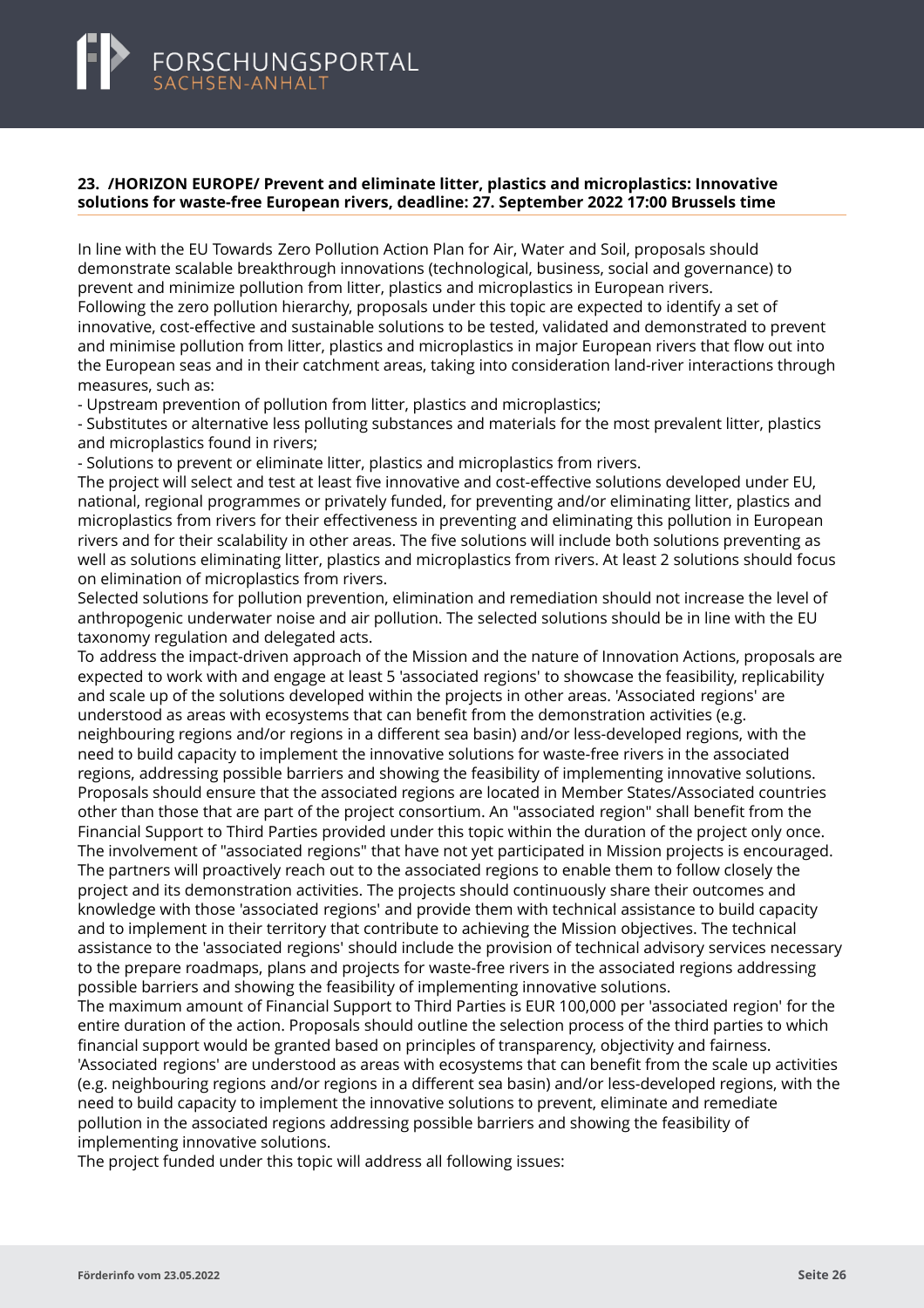#### <span id="page-28-0"></span>**23. /HORIZON EUROPE/ Prevent and eliminate litter, plastics and microplastics: Innovative solutions for waste-free European rivers, deadline: 27. September 2022 17:00 Brussels time**

In line with the EU Towards Zero Pollution Action Plan for Air, Water and Soil, proposals should demonstrate scalable breakthrough innovations (technological, business, social and governance) to prevent and minimize pollution from litter, plastics and microplastics in European rivers. Following the zero pollution hierarchy, proposals under this topic are expected to identify a set of innovative, cost-effective and sustainable solutions to be tested, validated and demonstrated to prevent and minimise pollution from litter, plastics and microplastics in major European rivers that flow out into the European seas and in their catchment areas, taking into consideration land-river interactions through measures, such as:

- Upstream prevention of pollution from litter, plastics and microplastics;

- Substitutes or alternative less polluting substances and materials for the most prevalent litter, plastics and microplastics found in rivers;

- Solutions to prevent or eliminate litter, plastics and microplastics from rivers.

The project will select and test at least five innovative and cost-effective solutions developed under EU, national, regional programmes or privately funded, for preventing and/or eliminating litter, plastics and microplastics from rivers for their effectiveness in preventing and eliminating this pollution in European rivers and for their scalability in other areas. The five solutions will include both solutions preventing as well as solutions eliminating litter, plastics and microplastics from rivers. At least 2 solutions should focus on elimination of microplastics from rivers.

Selected solutions for pollution prevention, elimination and remediation should not increase the level of anthropogenic underwater noise and air pollution. The selected solutions should be in line with the EU taxonomy regulation and delegated acts.

To address the impact-driven approach of the Mission and the nature of Innovation Actions, proposals are expected to work with and engage at least 5 'associated regions' to showcase the feasibility, replicability and scale up of the solutions developed within the projects in other areas. 'Associated regions' are understood as areas with ecosystems that can benefit from the demonstration activities (e.g. neighbouring regions and/or regions in a different sea basin) and/or less-developed regions, with the need to build capacity to implement the innovative solutions for waste-free rivers in the associated regions, addressing possible barriers and showing the feasibility of implementing innovative solutions. Proposals should ensure that the associated regions are located in Member States/Associated countries other than those that are part of the project consortium. An "associated region" shall benefit from the Financial Support to Third Parties provided under this topic within the duration of the project only once. The involvement of "associated regions" that have not yet participated in Mission projects is encouraged. The partners will proactively reach out to the associated regions to enable them to follow closely the project and its demonstration activities. The projects should continuously share their outcomes and knowledge with those 'associated regions' and provide them with technical assistance to build capacity and to implement in their territory that contribute to achieving the Mission objectives. The technical assistance to the 'associated regions' should include the provision of technical advisory services necessary to the prepare roadmaps, plans and projects for waste-free rivers in the associated regions addressing possible barriers and showing the feasibility of implementing innovative solutions.

The maximum amount of Financial Support to Third Parties is EUR 100,000 per 'associated region' for the entire duration of the action. Proposals should outline the selection process of the third parties to which financial support would be granted based on principles of transparency, objectivity and fairness. 'Associated regions' are understood as areas with ecosystems that can benefit from the scale up activities (e.g. neighbouring regions and/or regions in a different sea basin) and/or less-developed regions, with the need to build capacity to implement the innovative solutions to prevent, eliminate and remediate pollution in the associated regions addressing possible barriers and showing the feasibility of implementing innovative solutions.

The project funded under this topic will address all following issues: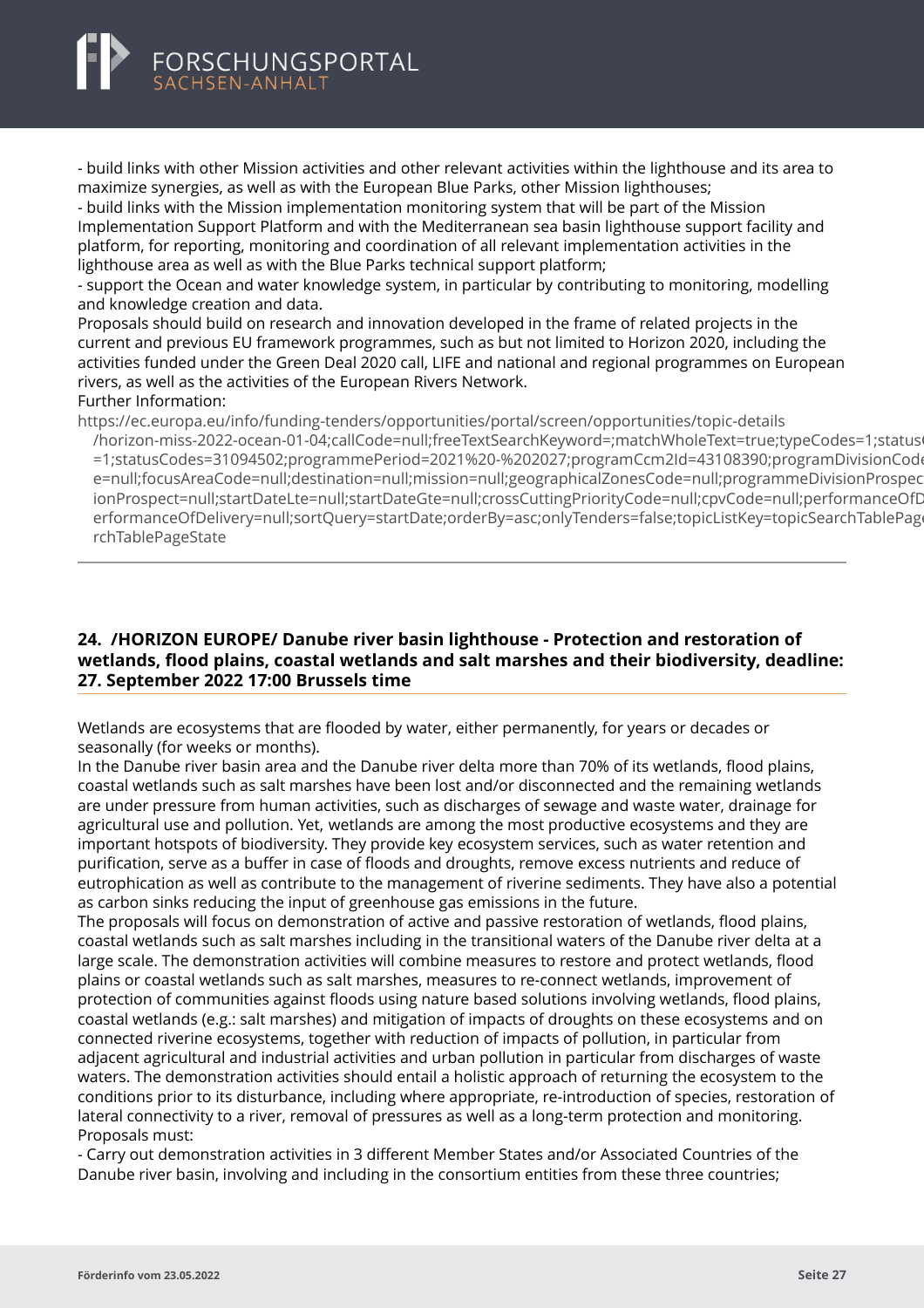

- build links with other Mission activities and other relevant activities within the lighthouse and its area to maximize synergies, as well as with the European Blue Parks, other Mission lighthouses;

- build links with the Mission implementation monitoring system that will be part of the Mission Implementation Support Platform and with the Mediterranean sea basin lighthouse support facility and platform, for reporting, monitoring and coordination of all relevant implementation activities in the lighthouse area as well as with the Blue Parks technical support platform;

- support the Ocean and water knowledge system, in particular by contributing to monitoring, modelling and knowledge creation and data.

Proposals should build on research and innovation developed in the frame of related projects in the current and previous EU framework programmes, such as but not limited to Horizon 2020, including the activities funded under the Green Deal 2020 call, LIFE and national and regional programmes on European rivers, as well as the activities of the European Rivers Network.

#### Further Information:

https://ec.europa.eu/info/funding-tenders/opportunities/portal/screen/opportunities/topic-details

[/horizon-miss-2022-ocean-01-04;callCode=null;freeTextSearchKeyword=;matchWholeText=true;typeCode](https://ec.europa.eu/info/funding-tenders/opportunities/portal/screen/opportunities/topic-details/horizon-miss-2022-ocean-01-04;callCode=null;freeTextSearchKeyword=;matchWholeText=true;typeCodes=1;statusCodes=31094502;programmePeriod=2021%20-%202027;programCcm2Id=43108390;programDivisionCode=null;focusAreaCode=null;destination=null;mission=null;geographicalZonesCode=null;programmeDivisionProspect=null;startDateLte=null;startDateGte=null;crossCuttingPriorityCode=null;cpvCode=null;performanceOfDelivery=null;sortQuery=startDate;orderBy=asc;onlyTenders=false;topicListKey=topicSearchTablePageState)s=1;statusCodes=31094502;programmePeriod=2021%20-%202027;programCcm2Id=43108390;programDivisionCod =1;statusCodes=31094502;programmePeriod=2021%20-%202027;programCcm2Id=43108390;programDivisionCode e=null;focusAreaCode=null;destination=null;mission=null;geographicalZonesCode=null;programmeDivisionProspec ionProspect=null;startDateLte=null;startDateGte=null;crossCuttingPriorityCode=null;cpvCode=null;performanceOfD erformanceOfDelivery=null;sortQuery=startDate;orderBy=asc;onlyTenders=false;topicListKey=topicSearchTablePage rchTablePageState

# **24. /HORIZON EUROPE/ Danube river basin lighthouse - Protection and restoration of wetlands, flood plains, coastal wetlands and salt marshes and their biodiversity, deadline: 27. September 2022 17:00 Brussels time**

Wetlands are ecosystems that are flooded by water, either permanently, for years or decades or seasonally (for weeks or months).

In the Danube river basin area and the Danube river delta more than 70% of its wetlands, flood plains, coastal wetlands such as salt marshes have been lost and/or disconnected and the remaining wetlands are under pressure from human activities, such as discharges of sewage and waste water, drainage for agricultural use and pollution. Yet, wetlands are among the most productive ecosystems and they are important hotspots of biodiversity. They provide key ecosystem services, such as water retention and purification, serve as a buffer in case of floods and droughts, remove excess nutrients and reduce of eutrophication as well as contribute to the management of riverine sediments. They have also a potential as carbon sinks reducing the input of greenhouse gas emissions in the future.

The proposals will focus on demonstration of active and passive restoration of wetlands, flood plains, coastal wetlands such as salt marshes including in the transitional waters of the Danube river delta at a large scale. The demonstration activities will combine measures to restore and protect wetlands, flood plains or coastal wetlands such as salt marshes, measures to re-connect wetlands, improvement of protection of communities against floods using nature based solutions involving wetlands, flood plains, coastal wetlands (e.g.: salt marshes) and mitigation of impacts of droughts on these ecosystems and on connected riverine ecosystems, together with reduction of impacts of pollution, in particular from adjacent agricultural and industrial activities and urban pollution in particular from discharges of waste waters. The demonstration activities should entail a holistic approach of returning the ecosystem to the conditions prior to its disturbance, including where appropriate, re-introduction of species, restoration of lateral connectivity to a river, removal of pressures as well as a long-term protection and monitoring. Proposals must:

- Carry out demonstration activities in 3 different Member States and/or Associated Countries of the Danube river basin, involving and including in the consortium entities from these three countries;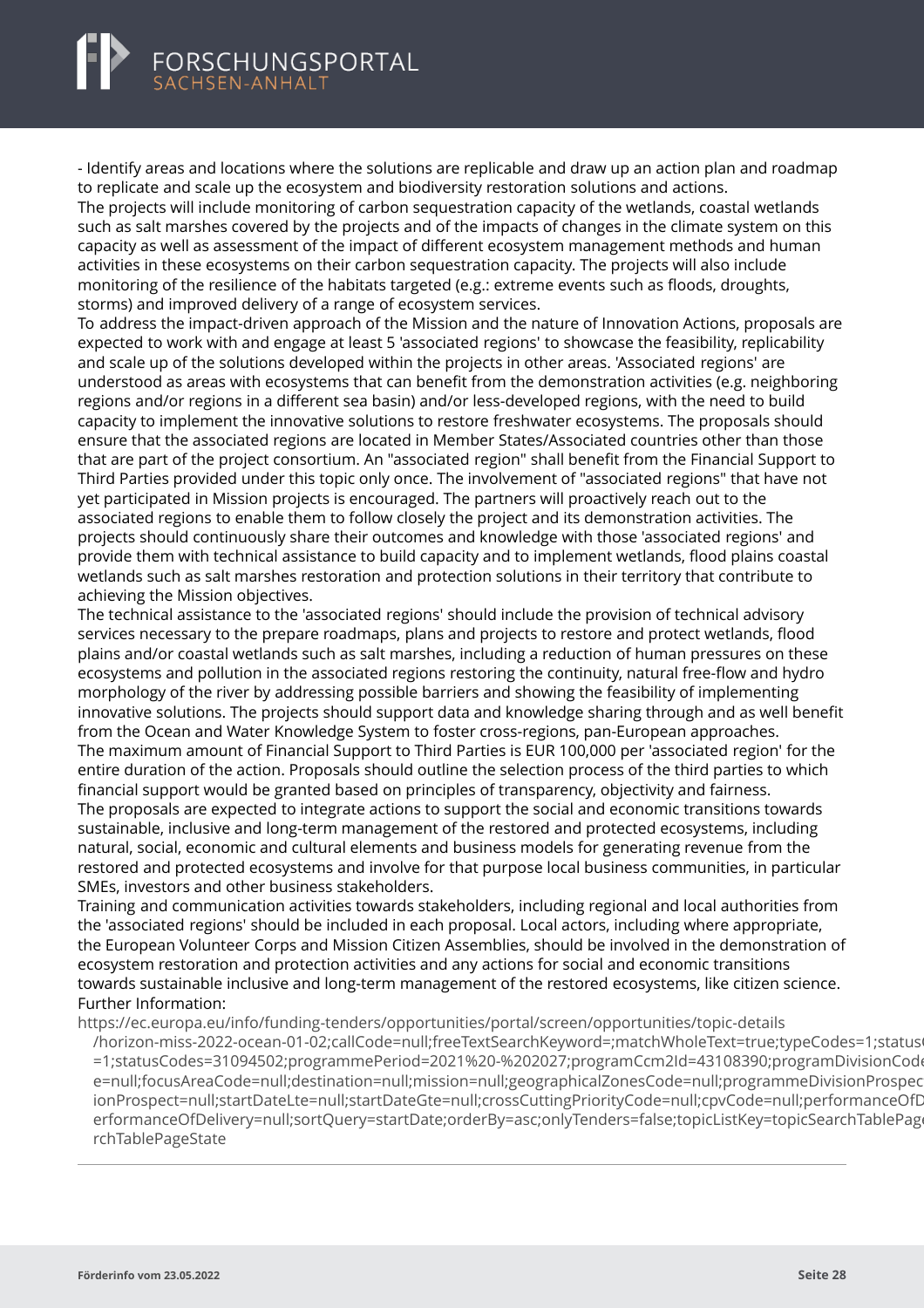<span id="page-30-0"></span>- Identify areas and locations where the solutions are replicable and draw up an action plan and roadmap to replicate and scale up the ecosystem and biodiversity restoration solutions and actions.

The projects will include monitoring of carbon sequestration capacity of the wetlands, coastal wetlands such as salt marshes covered by the projects and of the impacts of changes in the climate system on this capacity as well as assessment of the impact of different ecosystem management methods and human activities in these ecosystems on their carbon sequestration capacity. The projects will also include monitoring of the resilience of the habitats targeted (e.g.: extreme events such as floods, droughts, storms) and improved delivery of a range of ecosystem services.

To address the impact-driven approach of the Mission and the nature of Innovation Actions, proposals are expected to work with and engage at least 5 'associated regions' to showcase the feasibility, replicability and scale up of the solutions developed within the projects in other areas. 'Associated regions' are understood as areas with ecosystems that can benefit from the demonstration activities (e.g. neighboring regions and/or regions in a different sea basin) and/or less-developed regions, with the need to build capacity to implement the innovative solutions to restore freshwater ecosystems. The proposals should ensure that the associated regions are located in Member States/Associated countries other than those that are part of the project consortium. An "associated region" shall benefit from the Financial Support to Third Parties provided under this topic only once. The involvement of "associated regions" that have not yet participated in Mission projects is encouraged. The partners will proactively reach out to the associated regions to enable them to follow closely the project and its demonstration activities. The projects should continuously share their outcomes and knowledge with those 'associated regions' and provide them with technical assistance to build capacity and to implement wetlands, flood plains coastal wetlands such as salt marshes restoration and protection solutions in their territory that contribute to achieving the Mission objectives.

The technical assistance to the 'associated regions' should include the provision of technical advisory services necessary to the prepare roadmaps, plans and projects to restore and protect wetlands, flood plains and/or coastal wetlands such as salt marshes, including a reduction of human pressures on these ecosystems and pollution in the associated regions restoring the continuity, natural free-flow and hydro morphology of the river by addressing possible barriers and showing the feasibility of implementing innovative solutions. The projects should support data and knowledge sharing through and as well benefit from the Ocean and Water Knowledge System to foster cross-regions, pan-European approaches. The maximum amount of Financial Support to Third Parties is EUR 100,000 per 'associated region' for the entire duration of the action. Proposals should outline the selection process of the third parties to which financial support would be granted based on principles of transparency, objectivity and fairness. The proposals are expected to integrate actions to support the social and economic transitions towards sustainable, inclusive and long-term management of the restored and protected ecosystems, including natural, social, economic and cultural elements and business models for generating revenue from the restored and protected ecosystems and involve for that purpose local business communities, in particular SMEs, investors and other business stakeholders.

Training and communication activities towards stakeholders, including regional and local authorities from the 'associated regions' should be included in each proposal. Local actors, including where appropriate, the European Volunteer Corps and Mission Citizen Assemblies, should be involved in the demonstration of ecosystem restoration and protection activities and any actions for social and economic transitions towards sustainable inclusive and long-term management of the restored ecosystems, like citizen science. Further Information:

https://ec.europa.eu/info/funding-tenders/opportunities/portal/screen/opportunities/topic-details

[/horizon-miss-2022-ocean-01-02;callCode=null;freeTextSearchKeyword=;matchWholeText=true;typeCode](https://ec.europa.eu/info/funding-tenders/opportunities/portal/screen/opportunities/topic-details/horizon-miss-2022-ocean-01-02;callCode=null;freeTextSearchKeyword=;matchWholeText=true;typeCodes=1;statusCodes=31094502;programmePeriod=2021%20-%202027;programCcm2Id=43108390;programDivisionCode=null;focusAreaCode=null;destination=null;mission=null;geographicalZonesCode=null;programmeDivisionProspect=null;startDateLte=null;startDateGte=null;crossCuttingPriorityCode=null;cpvCode=null;performanceOfDelivery=null;sortQuery=startDate;orderBy=asc;onlyTenders=false;topicListKey=topicSearchTablePageState)s=1;status =1;statusCodes=31094502;programmePeriod=2021%20-%202027;programCcm2Id=43108390;programDivisionCode e=null:focusAreaCode=null:destination=null:mission=null:geographicalZonesCode=null:programmeDivisionProspec ionProspect=null;startDateLte=null;startDateGte=null;crossCuttingPriorityCode=null;cpvCode=null;performanceOfD erformanceOfDelivery=null;sortOuery=startDate;orderBy=asc;onlyTenders=false;topicListKey=topicSearchTablePage rchTablePageState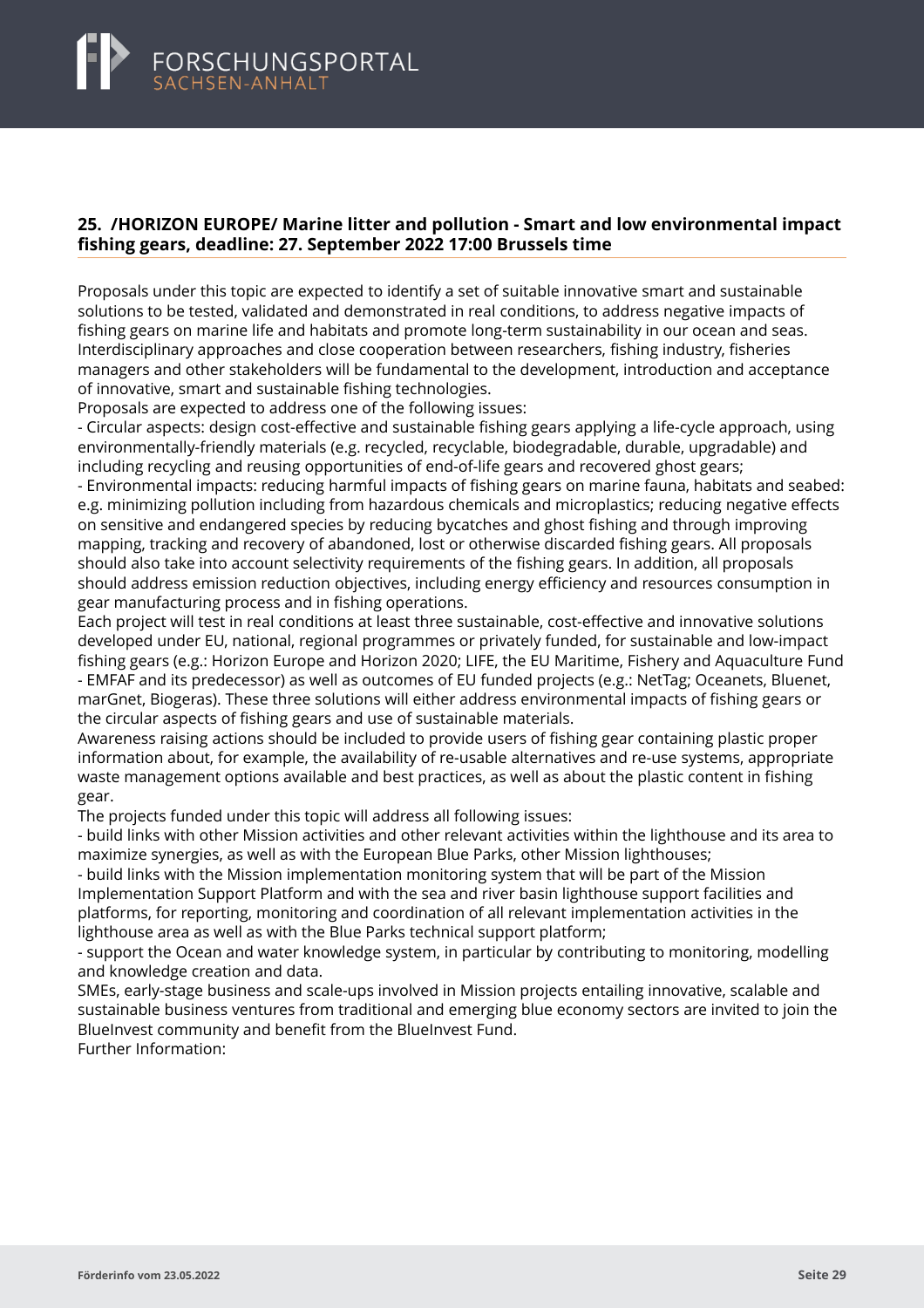### <span id="page-31-0"></span>**25. /HORIZON EUROPE/ Marine litter and pollution - Smart and low environmental impact fishing gears, deadline: 27. September 2022 17:00 Brussels time**

Proposals under this topic are expected to identify a set of suitable innovative smart and sustainable solutions to be tested, validated and demonstrated in real conditions, to address negative impacts of fishing gears on marine life and habitats and promote long-term sustainability in our ocean and seas. Interdisciplinary approaches and close cooperation between researchers, fishing industry, fisheries managers and other stakeholders will be fundamental to the development, introduction and acceptance of innovative, smart and sustainable fishing technologies.

Proposals are expected to address one of the following issues:

- Circular aspects: design cost-effective and sustainable fishing gears applying a life-cycle approach, using environmentally-friendly materials (e.g. recycled, recyclable, biodegradable, durable, upgradable) and including recycling and reusing opportunities of end-of-life gears and recovered ghost gears;

- Environmental impacts: reducing harmful impacts of fishing gears on marine fauna, habitats and seabed: e.g. minimizing pollution including from hazardous chemicals and microplastics; reducing negative effects on sensitive and endangered species by reducing bycatches and ghost fishing and through improving mapping, tracking and recovery of abandoned, lost or otherwise discarded fishing gears. All proposals should also take into account selectivity requirements of the fishing gears. In addition, all proposals should address emission reduction objectives, including energy efficiency and resources consumption in gear manufacturing process and in fishing operations.

Each project will test in real conditions at least three sustainable, cost-effective and innovative solutions developed under EU, national, regional programmes or privately funded, for sustainable and low-impact fishing gears (e.g.: Horizon Europe and Horizon 2020; LIFE, the EU Maritime, Fishery and Aquaculture Fund - EMFAF and its predecessor) as well as outcomes of EU funded projects (e.g.: NetTag; Oceanets, Bluenet, marGnet, Biogeras). These three solutions will either address environmental impacts of fishing gears or the circular aspects of fishing gears and use of sustainable materials.

Awareness raising actions should be included to provide users of fishing gear containing plastic proper information about, for example, the availability of re-usable alternatives and re-use systems, appropriate waste management options available and best practices, as well as about the plastic content in fishing gear.

The projects funded under this topic will address all following issues:

- build links with other Mission activities and other relevant activities within the lighthouse and its area to maximize synergies, as well as with the European Blue Parks, other Mission lighthouses;

- build links with the Mission implementation monitoring system that will be part of the Mission Implementation Support Platform and with the sea and river basin lighthouse support facilities and platforms, for reporting, monitoring and coordination of all relevant implementation activities in the lighthouse area as well as with the Blue Parks technical support platform;

- support the Ocean and water knowledge system, in particular by contributing to monitoring, modelling and knowledge creation and data.

SMEs, early-stage business and scale-ups involved in Mission projects entailing innovative, scalable and sustainable business ventures from traditional and emerging blue economy sectors are invited to join the BlueInvest community and benefit from the BlueInvest Fund. Further Information: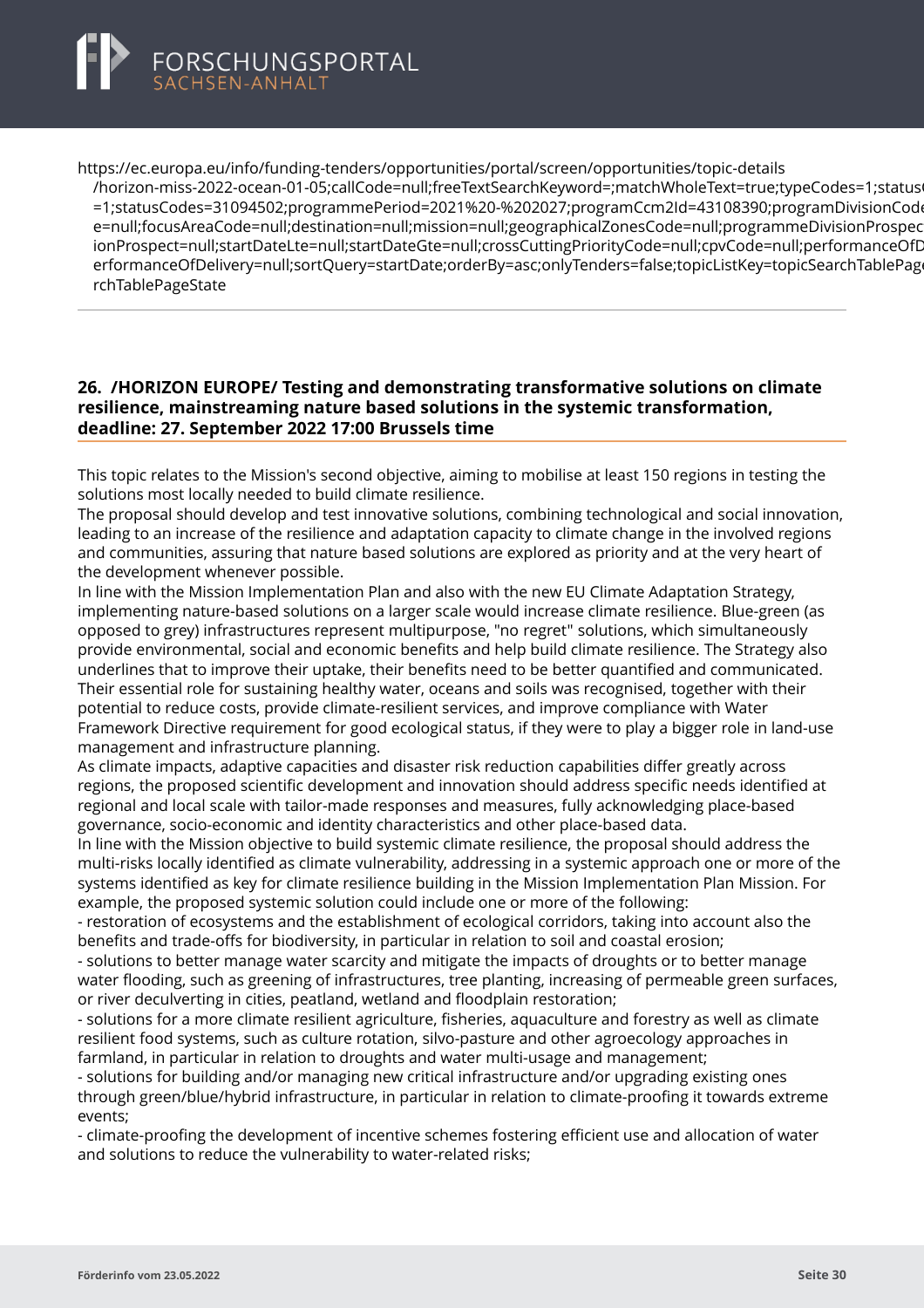

https://ec.europa.eu/info/funding-tenders/opportunities/portal/screen/opportunities/topic-details

[/horizon-miss-2022-ocean-01-05;callCode=null;freeTextSearchKeyword=;matchWholeText=true;typeCode](https://ec.europa.eu/info/funding-tenders/opportunities/portal/screen/opportunities/topic-details/horizon-miss-2022-ocean-01-05;callCode=null;freeTextSearchKeyword=;matchWholeText=true;typeCodes=1;statusCodes=31094502;programmePeriod=2021%20-%202027;programCcm2Id=43108390;programDivisionCode=null;focusAreaCode=null;destination=null;mission=null;geographicalZonesCode=null;programmeDivisionProspect=null;startDateLte=null;startDateGte=null;crossCuttingPriorityCode=null;cpvCode=null;performanceOfDelivery=null;sortQuery=startDate;orderBy=asc;onlyTenders=false;topicListKey=topicSearchTablePageState)s=1;status =1;statusCodes=31094502;programmePeriod=2021%20-%202027;programCcm2Id=43108390;programDivisionCod e=null:focusAreaCode=null:destination=null;mission=null;geographicalZonesCode=null;programmeDivisionProspec ionProspect=null;startDateLte=null;startDateGte=null;crossCuttingPriorityCode=null;cpvCode=null;performanceOfD erformanceOfDelivery=null;sortQuery=startDate;orderBy=asc;onlyTenders=false;topicListKey=topicSearchTablePage rchTablePageState

#### **26. /HORIZON EUROPE/ Testing and demonstrating transformative solutions on climate resilience, mainstreaming nature based solutions in the systemic transformation, deadline: 27. September 2022 17:00 Brussels time**

This topic relates to the Mission's second objective, aiming to mobilise at least 150 regions in testing the solutions most locally needed to build climate resilience.

The proposal should develop and test innovative solutions, combining technological and social innovation, leading to an increase of the resilience and adaptation capacity to climate change in the involved regions and communities, assuring that nature based solutions are explored as priority and at the very heart of the development whenever possible.

In line with the Mission Implementation Plan and also with the new EU Climate Adaptation Strategy, implementing nature-based solutions on a larger scale would increase climate resilience. Blue-green (as opposed to grey) infrastructures represent multipurpose, "no regret" solutions, which simultaneously provide environmental, social and economic benefits and help build climate resilience. The Strategy also underlines that to improve their uptake, their benefits need to be better quantified and communicated. Their essential role for sustaining healthy water, oceans and soils was recognised, together with their potential to reduce costs, provide climate-resilient services, and improve compliance with Water Framework Directive requirement for good ecological status, if they were to play a bigger role in land-use management and infrastructure planning.

As climate impacts, adaptive capacities and disaster risk reduction capabilities differ greatly across regions, the proposed scientific development and innovation should address specific needs identified at regional and local scale with tailor-made responses and measures, fully acknowledging place-based governance, socio-economic and identity characteristics and other place-based data.

In line with the Mission objective to build systemic climate resilience, the proposal should address the multi-risks locally identified as climate vulnerability, addressing in a systemic approach one or more of the systems identified as key for climate resilience building in the Mission Implementation Plan Mission. For example, the proposed systemic solution could include one or more of the following:

- restoration of ecosystems and the establishment of ecological corridors, taking into account also the benefits and trade-offs for biodiversity, in particular in relation to soil and coastal erosion;

- solutions to better manage water scarcity and mitigate the impacts of droughts or to better manage water flooding, such as greening of infrastructures, tree planting, increasing of permeable green surfaces, or river deculverting in cities, peatland, wetland and floodplain restoration;

- solutions for a more climate resilient agriculture, fisheries, aquaculture and forestry as well as climate resilient food systems, such as culture rotation, silvo-pasture and other agroecology approaches in farmland, in particular in relation to droughts and water multi-usage and management;

- solutions for building and/or managing new critical infrastructure and/or upgrading existing ones through green/blue/hybrid infrastructure, in particular in relation to climate-proofing it towards extreme events;

- climate-proofing the development of incentive schemes fostering efficient use and allocation of water and solutions to reduce the vulnerability to water-related risks;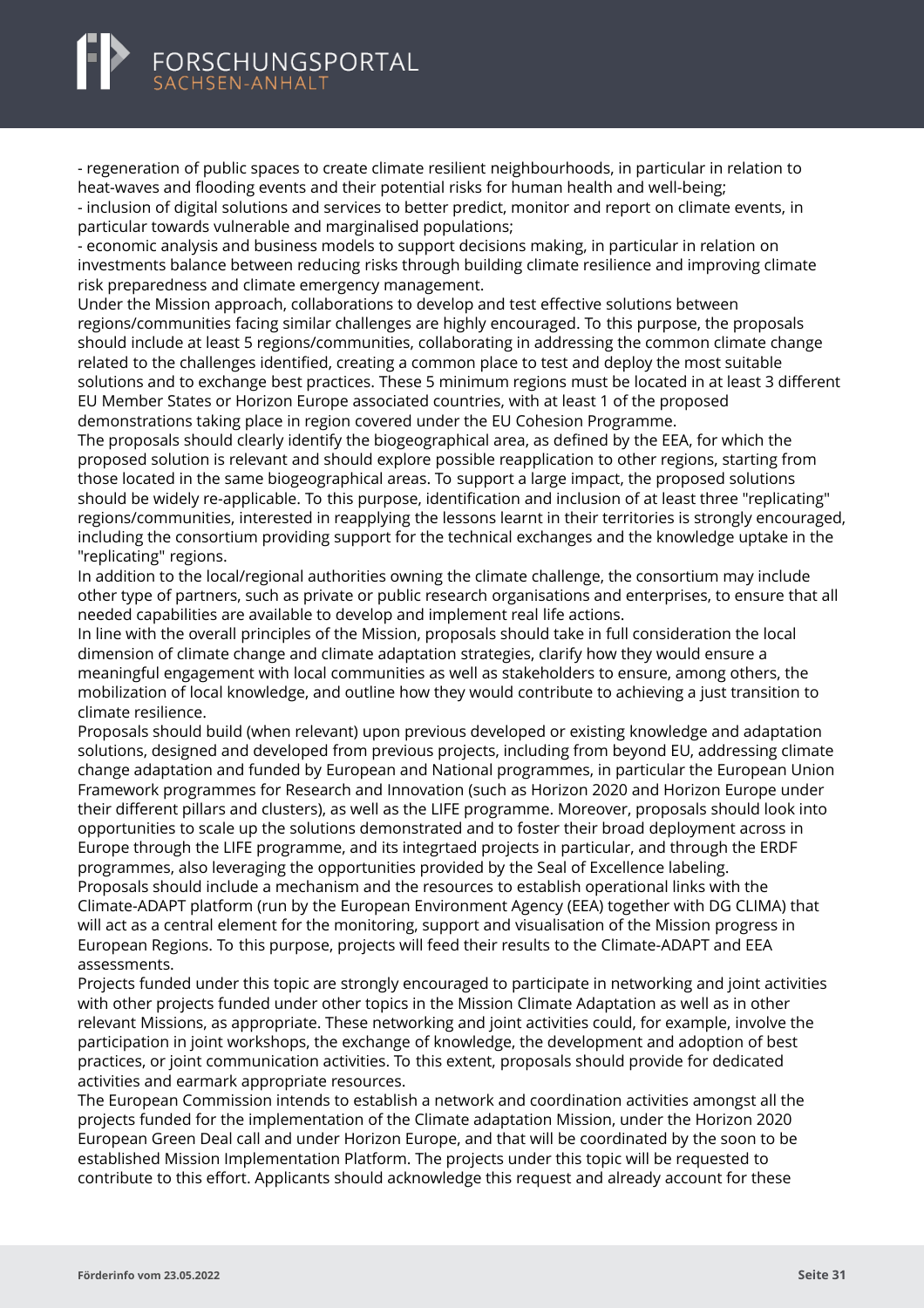<span id="page-33-0"></span>- regeneration of public spaces to create climate resilient neighbourhoods, in particular in relation to heat-waves and flooding events and their potential risks for human health and well-being;

- inclusion of digital solutions and services to better predict, monitor and report on climate events, in particular towards vulnerable and marginalised populations;

- economic analysis and business models to support decisions making, in particular in relation on investments balance between reducing risks through building climate resilience and improving climate risk preparedness and climate emergency management.

Under the Mission approach, collaborations to develop and test effective solutions between regions/communities facing similar challenges are highly encouraged. To this purpose, the proposals should include at least 5 regions/communities, collaborating in addressing the common climate change related to the challenges identified, creating a common place to test and deploy the most suitable solutions and to exchange best practices. These 5 minimum regions must be located in at least 3 different EU Member States or Horizon Europe associated countries, with at least 1 of the proposed demonstrations taking place in region covered under the EU Cohesion Programme.

The proposals should clearly identify the biogeographical area, as defined by the EEA, for which the proposed solution is relevant and should explore possible reapplication to other regions, starting from those located in the same biogeographical areas. To support a large impact, the proposed solutions should be widely re-applicable. To this purpose, identification and inclusion of at least three "replicating" regions/communities, interested in reapplying the lessons learnt in their territories is strongly encouraged, including the consortium providing support for the technical exchanges and the knowledge uptake in the "replicating" regions.

In addition to the local/regional authorities owning the climate challenge, the consortium may include other type of partners, such as private or public research organisations and enterprises, to ensure that all needed capabilities are available to develop and implement real life actions.

In line with the overall principles of the Mission, proposals should take in full consideration the local dimension of climate change and climate adaptation strategies, clarify how they would ensure a meaningful engagement with local communities as well as stakeholders to ensure, among others, the mobilization of local knowledge, and outline how they would contribute to achieving a just transition to climate resilience.

Proposals should build (when relevant) upon previous developed or existing knowledge and adaptation solutions, designed and developed from previous projects, including from beyond EU, addressing climate change adaptation and funded by European and National programmes, in particular the European Union Framework programmes for Research and Innovation (such as Horizon 2020 and Horizon Europe under their different pillars and clusters), as well as the LIFE programme. Moreover, proposals should look into opportunities to scale up the solutions demonstrated and to foster their broad deployment across in Europe through the LIFE programme, and its integrtaed projects in particular, and through the ERDF programmes, also leveraging the opportunities provided by the Seal of Excellence labeling. Proposals should include a mechanism and the resources to establish operational links with the Climate-ADAPT platform (run by the European Environment Agency (EEA) together with DG CLIMA) that will act as a central element for the monitoring, support and visualisation of the Mission progress in European Regions. To this purpose, projects will feed their results to the Climate-ADAPT and EEA assessments.

Projects funded under this topic are strongly encouraged to participate in networking and joint activities with other projects funded under other topics in the Mission Climate Adaptation as well as in other relevant Missions, as appropriate. These networking and joint activities could, for example, involve the participation in joint workshops, the exchange of knowledge, the development and adoption of best practices, or joint communication activities. To this extent, proposals should provide for dedicated activities and earmark appropriate resources.

The European Commission intends to establish a network and coordination activities amongst all the projects funded for the implementation of the Climate adaptation Mission, under the Horizon 2020 European Green Deal call and under Horizon Europe, and that will be coordinated by the soon to be established Mission Implementation Platform. The projects under this topic will be requested to contribute to this effort. Applicants should acknowledge this request and already account for these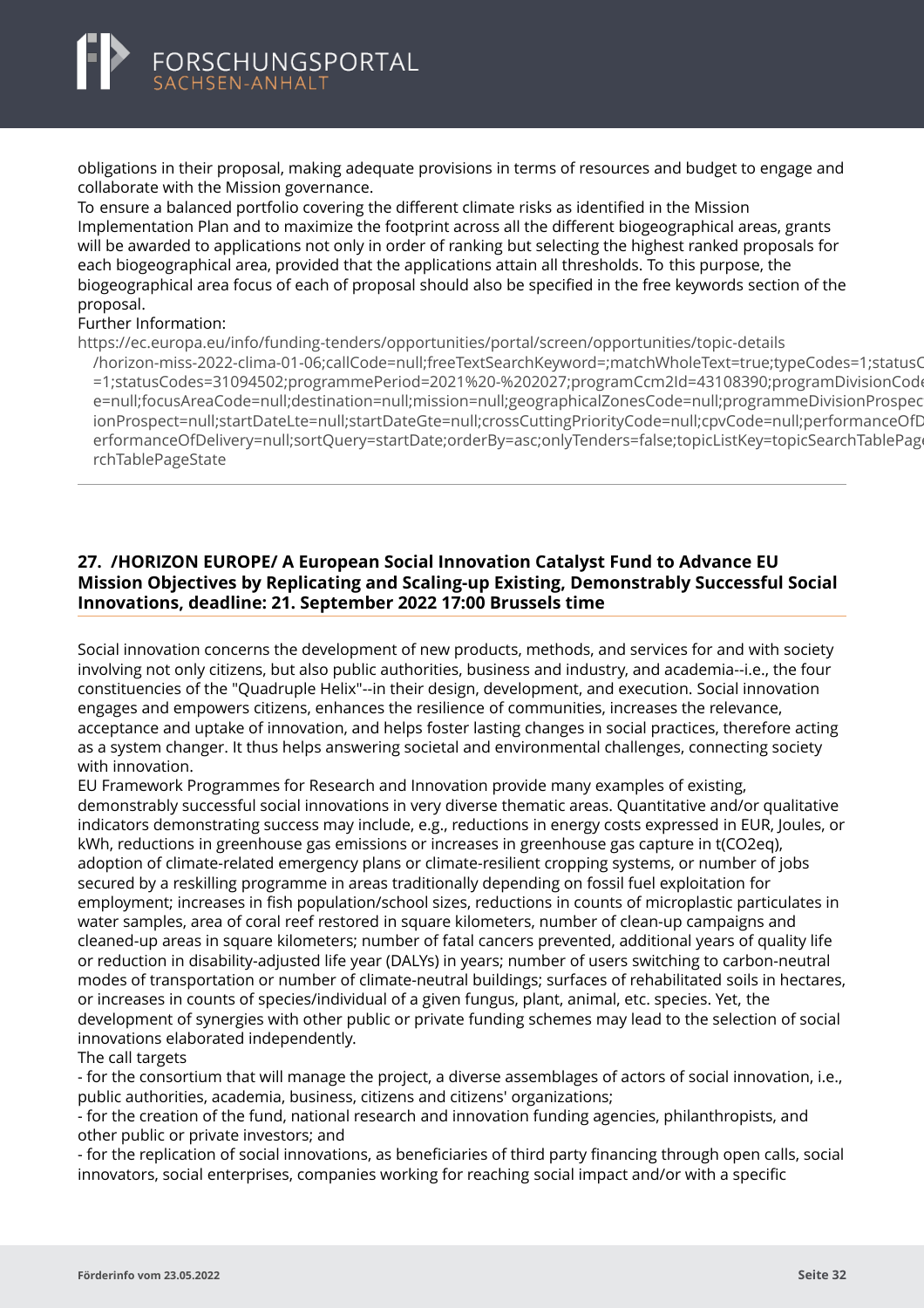<span id="page-34-0"></span>obligations in their proposal, making adequate provisions in terms of resources and budget to engage and collaborate with the Mission governance.

To ensure a balanced portfolio covering the different climate risks as identified in the Mission Implementation Plan and to maximize the footprint across all the different biogeographical areas, grants will be awarded to applications not only in order of ranking but selecting the highest ranked proposals for each biogeographical area, provided that the applications attain all thresholds. To this purpose, the biogeographical area focus of each of proposal should also be specified in the free keywords section of the proposal.

#### Further Information:

https://ec.europa.eu/info/funding-tenders/opportunities/portal/screen/opportunities/topic-details

[/horizon-miss-2022-clima-01-06;callCode=null;freeTextSearchKeyword=;matchWholeText=true;typeCodes](https://ec.europa.eu/info/funding-tenders/opportunities/portal/screen/opportunities/topic-details/horizon-miss-2022-clima-01-06;callCode=null;freeTextSearchKeyword=;matchWholeText=true;typeCodes=1;statusCodes=31094502;programmePeriod=2021%20-%202027;programCcm2Id=43108390;programDivisionCode=null;focusAreaCode=null;destination=null;mission=null;geographicalZonesCode=null;programmeDivisionProspect=null;startDateLte=null;startDateGte=null;crossCuttingPriorityCode=null;cpvCode=null;performanceOfDelivery=null;sortQuery=startDate;orderBy=asc;onlyTenders=false;topicListKey=topicSearchTablePageState)=1;statusCodes=31094502;programmePeriod=2021%20-%202027;programCcm2Id=43108390;programDivisionCod =1;statusCodes=31094502;programmePeriod=2021%20-%202027;programCcm2Id=43108390;programDivisionCode e=null:focusAreaCode=null:destination=null:mission=null:geographicalZonesCode=null:programmeDivisionProspec ionProspect=null;startDateLte=null;startDateGte=null;crossCuttingPriorityCode=null;cpvCode=null;performanceOfD erformanceOfDelivery=null;sortQuery=startDate;orderBy=asc;onlyTenders=false;topicListKey=topicSearchTablePage rchTablePageState

# **27. /HORIZON EUROPE/ A European Social Innovation Catalyst Fund to Advance EU Mission Objectives by Replicating and Scaling-up Existing, Demonstrably Successful Social Innovations, deadline: 21. September 2022 17:00 Brussels time**

Social innovation concerns the development of new products, methods, and services for and with society involving not only citizens, but also public authorities, business and industry, and academia--i.e., the four constituencies of the "Quadruple Helix"--in their design, development, and execution. Social innovation engages and empowers citizens, enhances the resilience of communities, increases the relevance, acceptance and uptake of innovation, and helps foster lasting changes in social practices, therefore acting as a system changer. It thus helps answering societal and environmental challenges, connecting society with innovation.

EU Framework Programmes for Research and Innovation provide many examples of existing, demonstrably successful social innovations in very diverse thematic areas. Quantitative and/or qualitative indicators demonstrating success may include, e.g., reductions in energy costs expressed in EUR, Joules, or kWh, reductions in greenhouse gas emissions or increases in greenhouse gas capture in t(CO2eq), adoption of climate-related emergency plans or climate-resilient cropping systems, or number of jobs secured by a reskilling programme in areas traditionally depending on fossil fuel exploitation for employment; increases in fish population/school sizes, reductions in counts of microplastic particulates in water samples, area of coral reef restored in square kilometers, number of clean-up campaigns and cleaned-up areas in square kilometers; number of fatal cancers prevented, additional years of quality life or reduction in disability-adjusted life year (DALYs) in years; number of users switching to carbon-neutral modes of transportation or number of climate-neutral buildings; surfaces of rehabilitated soils in hectares, or increases in counts of species/individual of a given fungus, plant, animal, etc. species. Yet, the development of synergies with other public or private funding schemes may lead to the selection of social innovations elaborated independently.

#### The call targets

- for the consortium that will manage the project, a diverse assemblages of actors of social innovation, i.e., public authorities, academia, business, citizens and citizens' organizations;

- for the creation of the fund, national research and innovation funding agencies, philanthropists, and other public or private investors; and

- for the replication of social innovations, as beneficiaries of third party financing through open calls, social innovators, social enterprises, companies working for reaching social impact and/or with a specific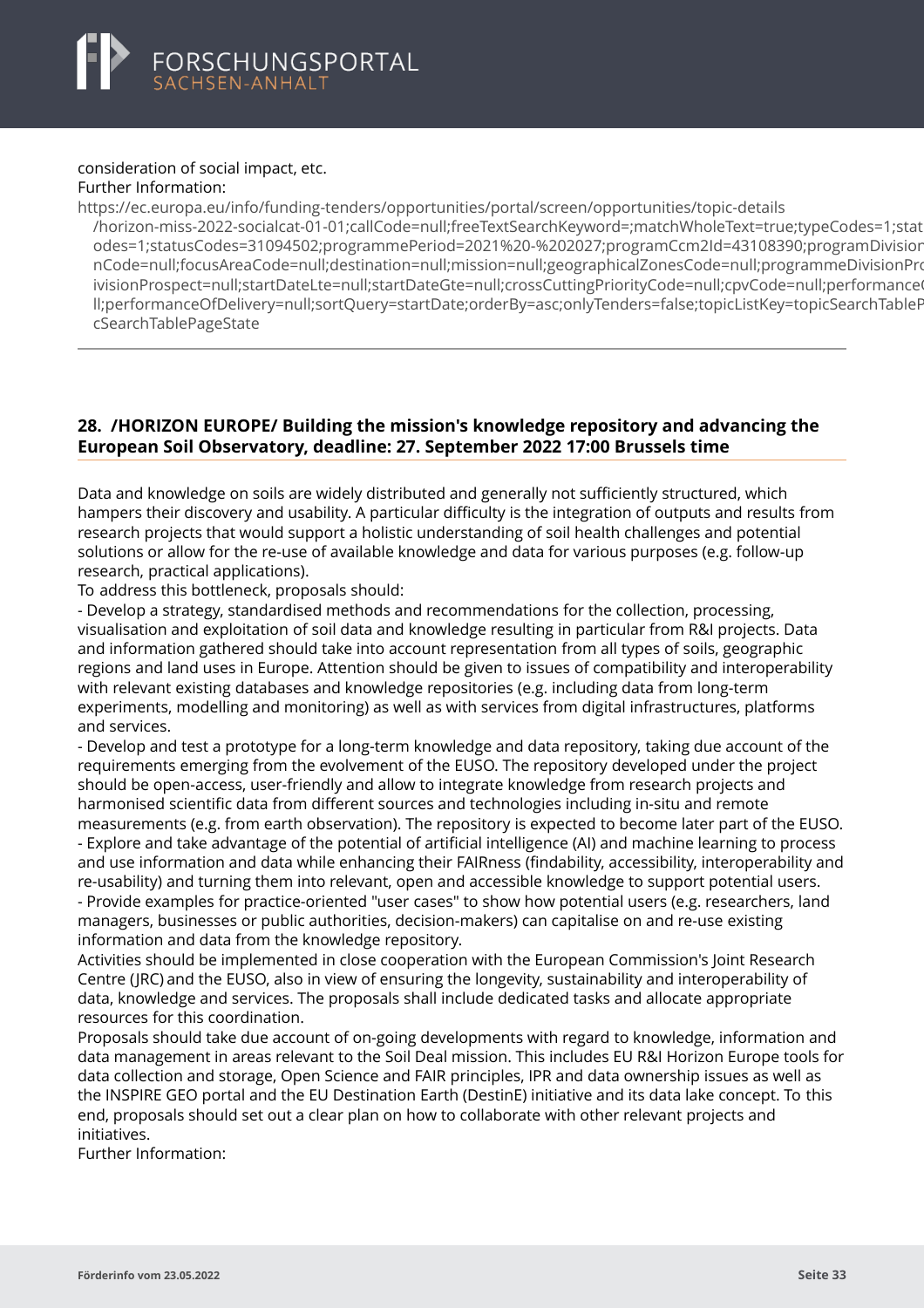#### <span id="page-35-0"></span>consideration of social impact, etc. Further Information:

https://ec.europa.eu/info/funding-tenders/opportunities/portal/screen/opportunities/topic-details [/horizon-miss-2022-socialcat-01-01;callCode=null;freeTextSearchKeyword=;matchWholeText=true;typeCo](https://ec.europa.eu/info/funding-tenders/opportunities/portal/screen/opportunities/topic-details/horizon-miss-2022-socialcat-01-01;callCode=null;freeTextSearchKeyword=;matchWholeText=true;typeCodes=1;statusCodes=31094502;programmePeriod=2021%20-%202027;programCcm2Id=43108390;programDivisionCode=null;focusAreaCode=null;destination=null;mission=null;geographicalZonesCode=null;programmeDivisionProspect=null;startDateLte=null;startDateGte=null;crossCuttingPriorityCode=null;cpvCode=null;performanceOfDelivery=null;sortQuery=startDate;orderBy=asc;onlyTenders=false;topicListKey=topicSearchTablePageState)des=1;statusCodes=31094502;programmePeriod=2021%20-%202027;programCcm2Id=43108390;programDivisio odes=1;statusCodes=31094502;programmePeriod=2021%20-%202027;programCcm2ld=43108390;programDivisior nCode=null:focusAreaCode=null:destination=null:mission=null:geographicalZonesCode=null:programmeDivisionPro ivisionProspect=null;startDateLte=null;startDateGte=null;crossCuttingPriorityCode=null;cpvCode=null;performance ll;performanceOfDelivery=null;sortQuery=startDate;orderBy=asc;onlyTenders=false;topicListKey=topicSearchTableF cSearchTablePageState

# **28. /HORIZON EUROPE/ Building the mission's knowledge repository and advancing the European Soil Observatory, deadline: 27. September 2022 17:00 Brussels time**

Data and knowledge on soils are widely distributed and generally not sufficiently structured, which hampers their discovery and usability. A particular difficulty is the integration of outputs and results from research projects that would support a holistic understanding of soil health challenges and potential solutions or allow for the re-use of available knowledge and data for various purposes (e.g. follow-up research, practical applications).

To address this bottleneck, proposals should:

- Develop a strategy, standardised methods and recommendations for the collection, processing, visualisation and exploitation of soil data and knowledge resulting in particular from R&I projects. Data and information gathered should take into account representation from all types of soils, geographic regions and land uses in Europe. Attention should be given to issues of compatibility and interoperability with relevant existing databases and knowledge repositories (e.g. including data from long-term experiments, modelling and monitoring) as well as with services from digital infrastructures, platforms and services.

- Develop and test a prototype for a long-term knowledge and data repository, taking due account of the requirements emerging from the evolvement of the EUSO. The repository developed under the project should be open-access, user-friendly and allow to integrate knowledge from research projects and harmonised scientific data from different sources and technologies including in-situ and remote measurements (e.g. from earth observation). The repository is expected to become later part of the EUSO. - Explore and take advantage of the potential of artificial intelligence (AI) and machine learning to process and use information and data while enhancing their FAIRness (findability, accessibility, interoperability and re-usability) and turning them into relevant, open and accessible knowledge to support potential users. - Provide examples for practice-oriented "user cases" to show how potential users (e.g. researchers, land managers, businesses or public authorities, decision-makers) can capitalise on and re-use existing information and data from the knowledge repository.

Activities should be implemented in close cooperation with the European Commission's Joint Research Centre (JRC) and the EUSO, also in view of ensuring the longevity, sustainability and interoperability of data, knowledge and services. The proposals shall include dedicated tasks and allocate appropriate resources for this coordination.

Proposals should take due account of on-going developments with regard to knowledge, information and data management in areas relevant to the Soil Deal mission. This includes EU R&I Horizon Europe tools for data collection and storage, Open Science and FAIR principles, IPR and data ownership issues as well as the INSPIRE GEO portal and the EU Destination Earth (DestinE) initiative and its data lake concept. To this end, proposals should set out a clear plan on how to collaborate with other relevant projects and initiatives.

Further Information: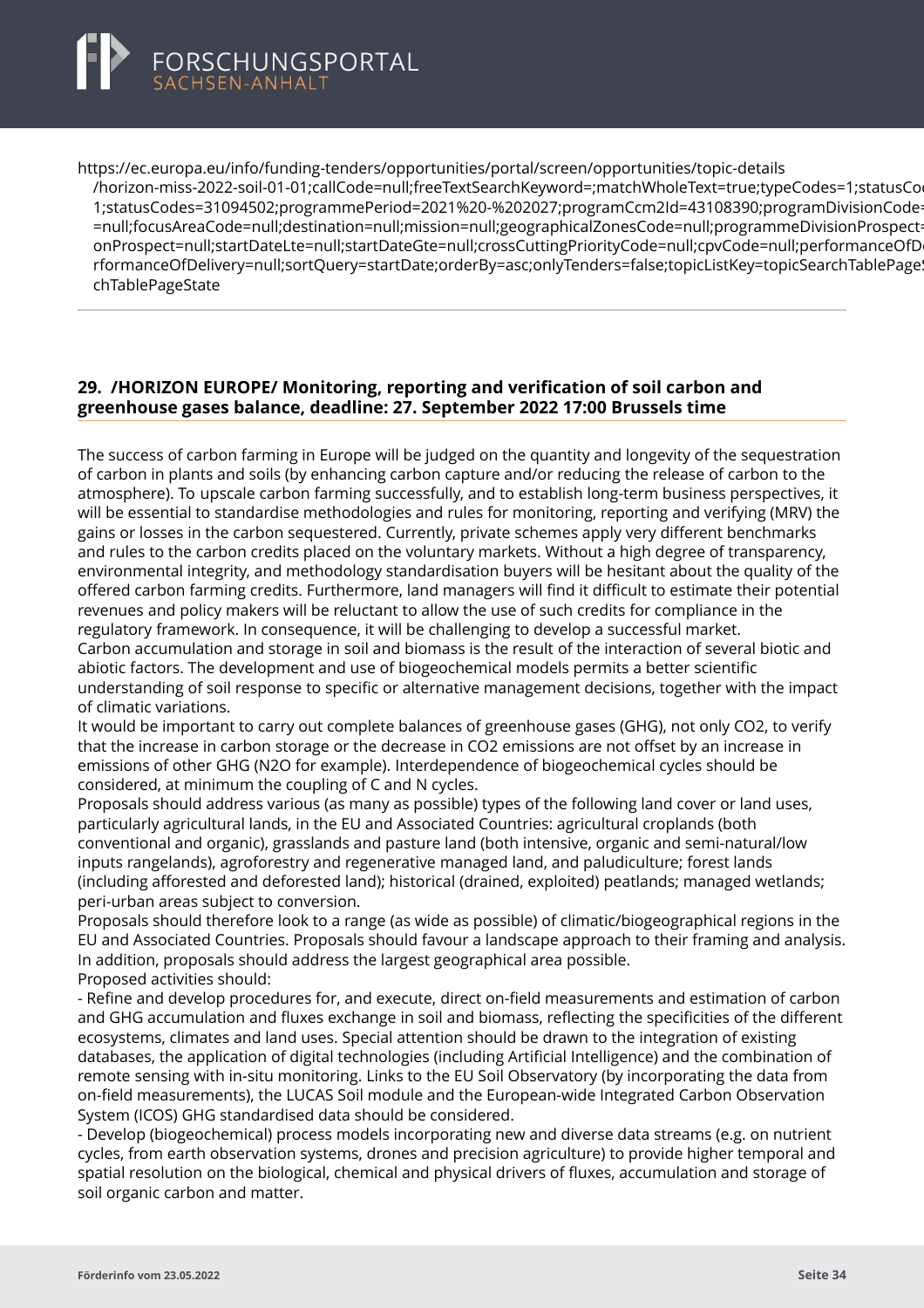<span id="page-36-0"></span>

https://ec.europa.eu/info/funding-tenders/opportunities/portal/screen/opportunities/topic-details [/horizon-miss-2022-soil-01-01;callCode=null;freeTextSearchKeyword=;matchWholeText=true;typeCodes=1](https://ec.europa.eu/info/funding-tenders/opportunities/portal/screen/opportunities/topic-details/horizon-miss-2022-soil-01-01;callCode=null;freeTextSearchKeyword=;matchWholeText=true;typeCodes=1;statusCodes=31094502;programmePeriod=2021%20-%202027;programCcm2Id=43108390;programDivisionCode=null;focusAreaCode=null;destination=null;mission=null;geographicalZonesCode=null;programmeDivisionProspect=null;startDateLte=null;startDateGte=null;crossCuttingPriorityCode=null;cpvCode=null;performanceOfDelivery=null;sortQuery=startDate;orderBy=asc;onlyTenders=false;topicListKey=topicSearchTablePageState);statusCo 1;statusCodes=31094502;programmePeriod=2021%20-%202027;programCcm2ld=43108390;programDivisionCode =null:focusAreaCode=null:destination=null:mission=null:geographicalZonesCode=null:programmeDivisionProspect onProspect=null;startDateLte=null;startDateGte=null;crossCuttingPriorityCode=null;cpvCode=null;performanceOfD rformanceOfDelivery=null;sortQuery=startDate;orderBy=asc;onlyTenders=false;topicListKey=topicSearchTablePage chTablePageState

# **29. /HORIZON EUROPE/ Monitoring, reporting and verification of soil carbon and greenhouse gases balance, deadline: 27. September 2022 17:00 Brussels time**

The success of carbon farming in Europe will be judged on the quantity and longevity of the sequestration of carbon in plants and soils (by enhancing carbon capture and/or reducing the release of carbon to the atmosphere). To upscale carbon farming successfully, and to establish long-term business perspectives, it will be essential to standardise methodologies and rules for monitoring, reporting and verifying (MRV) the gains or losses in the carbon sequestered. Currently, private schemes apply very different benchmarks and rules to the carbon credits placed on the voluntary markets. Without a high degree of transparency, environmental integrity, and methodology standardisation buyers will be hesitant about the quality of the offered carbon farming credits. Furthermore, land managers will find it difficult to estimate their potential revenues and policy makers will be reluctant to allow the use of such credits for compliance in the regulatory framework. In consequence, it will be challenging to develop a successful market. Carbon accumulation and storage in soil and biomass is the result of the interaction of several biotic and abiotic factors. The development and use of biogeochemical models permits a better scientific

understanding of soil response to specific or alternative management decisions, together with the impact of climatic variations.

It would be important to carry out complete balances of greenhouse gases (GHG), not only CO2, to verify that the increase in carbon storage or the decrease in CO2 emissions are not offset by an increase in emissions of other GHG (N2O for example). Interdependence of biogeochemical cycles should be considered, at minimum the coupling of C and N cycles.

Proposals should address various (as many as possible) types of the following land cover or land uses, particularly agricultural lands, in the EU and Associated Countries: agricultural croplands (both conventional and organic), grasslands and pasture land (both intensive, organic and semi-natural/low inputs rangelands), agroforestry and regenerative managed land, and paludiculture; forest lands (including afforested and deforested land); historical (drained, exploited) peatlands; managed wetlands; peri-urban areas subject to conversion.

Proposals should therefore look to a range (as wide as possible) of climatic/biogeographical regions in the EU and Associated Countries. Proposals should favour a landscape approach to their framing and analysis. In addition, proposals should address the largest geographical area possible. Proposed activities should:

- Refine and develop procedures for, and execute, direct on-field measurements and estimation of carbon and GHG accumulation and fluxes exchange in soil and biomass, reflecting the specificities of the different ecosystems, climates and land uses. Special attention should be drawn to the integration of existing databases, the application of digital technologies (including Artificial Intelligence) and the combination of remote sensing with in-situ monitoring. Links to the EU Soil Observatory (by incorporating the data from on-field measurements), the LUCAS Soil module and the European-wide Integrated Carbon Observation System (ICOS) GHG standardised data should be considered.

- Develop (biogeochemical) process models incorporating new and diverse data streams (e.g. on nutrient cycles, from earth observation systems, drones and precision agriculture) to provide higher temporal and spatial resolution on the biological, chemical and physical drivers of fluxes, accumulation and storage of soil organic carbon and matter.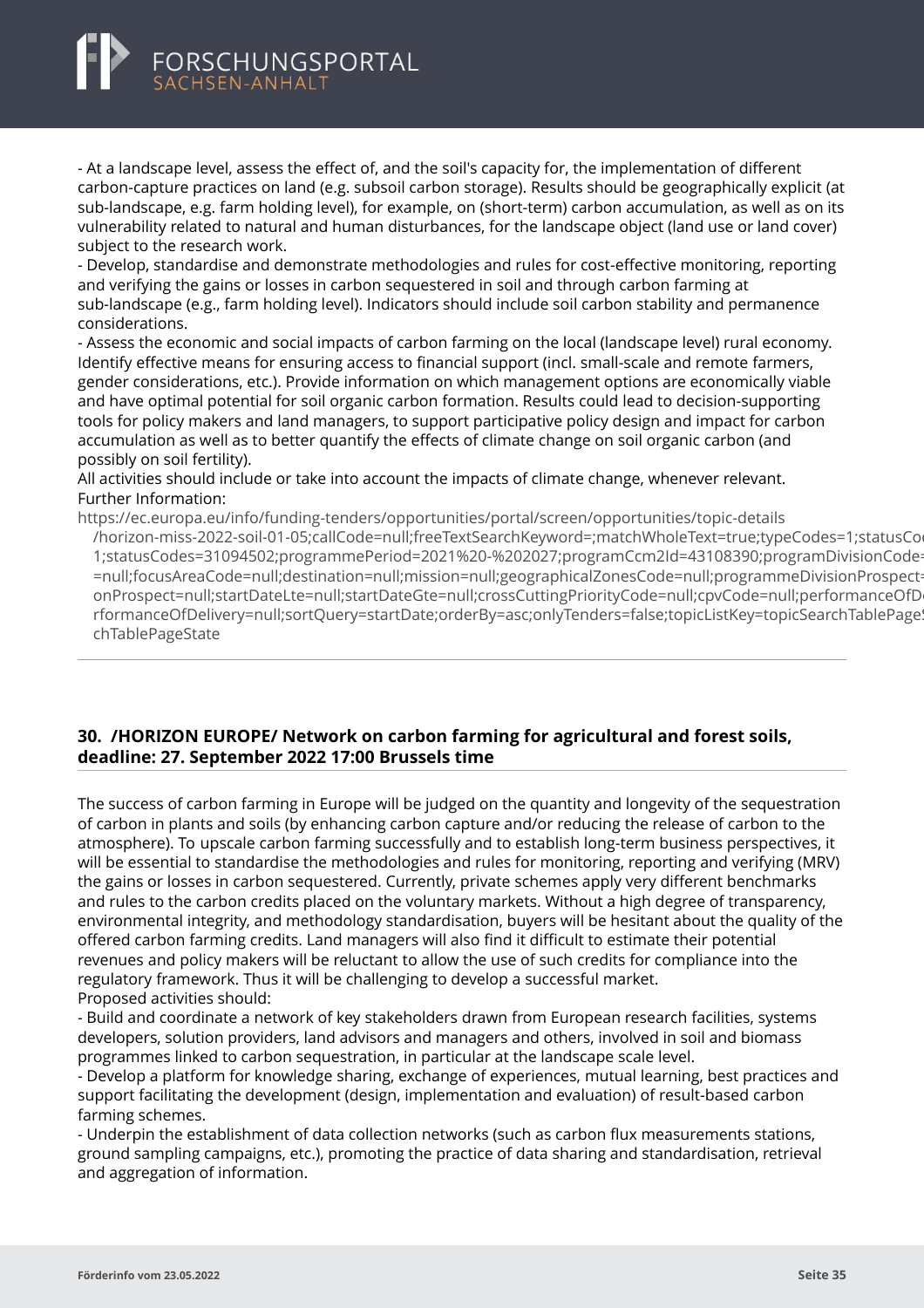<span id="page-37-0"></span>

- At a landscape level, assess the effect of, and the soil's capacity for, the implementation of different carbon-capture practices on land (e.g. subsoil carbon storage). Results should be geographically explicit (at sub-landscape, e.g. farm holding level), for example, on (short-term) carbon accumulation, as well as on its vulnerability related to natural and human disturbances, for the landscape object (land use or land cover) subject to the research work.

- Develop, standardise and demonstrate methodologies and rules for cost-effective monitoring, reporting and verifying the gains or losses in carbon sequestered in soil and through carbon farming at sub-landscape (e.g., farm holding level). Indicators should include soil carbon stability and permanence considerations.

- Assess the economic and social impacts of carbon farming on the local (landscape level) rural economy. Identify effective means for ensuring access to financial support (incl. small-scale and remote farmers, gender considerations, etc.). Provide information on which management options are economically viable and have optimal potential for soil organic carbon formation. Results could lead to decision-supporting tools for policy makers and land managers, to support participative policy design and impact for carbon accumulation as well as to better quantify the effects of climate change on soil organic carbon (and possibly on soil fertility).

All activities should include or take into account the impacts of climate change, whenever relevant. Further Information:

https://ec.europa.eu/info/funding-tenders/opportunities/portal/screen/opportunities/topic-details [/horizon-miss-2022-soil-01-05;callCode=null;freeTextSearchKeyword=;matchWholeText=true;typeCodes=1](https://ec.europa.eu/info/funding-tenders/opportunities/portal/screen/opportunities/topic-details/horizon-miss-2022-soil-01-05;callCode=null;freeTextSearchKeyword=;matchWholeText=true;typeCodes=1;statusCodes=31094502;programmePeriod=2021%20-%202027;programCcm2Id=43108390;programDivisionCode=null;focusAreaCode=null;destination=null;mission=null;geographicalZonesCode=null;programmeDivisionProspect=null;startDateLte=null;startDateGte=null;crossCuttingPriorityCode=null;cpvCode=null;performanceOfDelivery=null;sortQuery=startDate;orderBy=asc;onlyTenders=false;topicListKey=topicSearchTablePageState);statusCodes=31094502;programmePeriod=2021%20-%202027;programCcm2Id=43108390;programDivisionCode 1;statusCodes=31094502;programmePeriod=2021%20-%202027;programCcm2ld=43108390;programDivisionCode =null:focusAreaCode=null:destination=null:mission=null:geographicalZonesCode=null:programmeDivisionProspect onProspect=null;startDateLte=null;startDateGte=null;crossCuttingPriorityCode=null;cpvCode=null;performanceOfD rformanceOfDelivery=null;sortQuery=startDate;orderBy=asc;onlyTenders=false;topicListKey=topicSearchTablePage chTablePageState

### **30. /HORIZON EUROPE/ Network on carbon farming for agricultural and forest soils, deadline: 27. September 2022 17:00 Brussels time**

The success of carbon farming in Europe will be judged on the quantity and longevity of the sequestration of carbon in plants and soils (by enhancing carbon capture and/or reducing the release of carbon to the atmosphere). To upscale carbon farming successfully and to establish long-term business perspectives, it will be essential to standardise the methodologies and rules for monitoring, reporting and verifying (MRV) the gains or losses in carbon sequestered. Currently, private schemes apply very different benchmarks and rules to the carbon credits placed on the voluntary markets. Without a high degree of transparency, environmental integrity, and methodology standardisation, buyers will be hesitant about the quality of the offered carbon farming credits. Land managers will also find it difficult to estimate their potential revenues and policy makers will be reluctant to allow the use of such credits for compliance into the regulatory framework. Thus it will be challenging to develop a successful market. Proposed activities should:

- Build and coordinate a network of key stakeholders drawn from European research facilities, systems developers, solution providers, land advisors and managers and others, involved in soil and biomass programmes linked to carbon sequestration, in particular at the landscape scale level.

- Develop a platform for knowledge sharing, exchange of experiences, mutual learning, best practices and support facilitating the development (design, implementation and evaluation) of result-based carbon farming schemes.

- Underpin the establishment of data collection networks (such as carbon flux measurements stations, ground sampling campaigns, etc.), promoting the practice of data sharing and standardisation, retrieval and aggregation of information.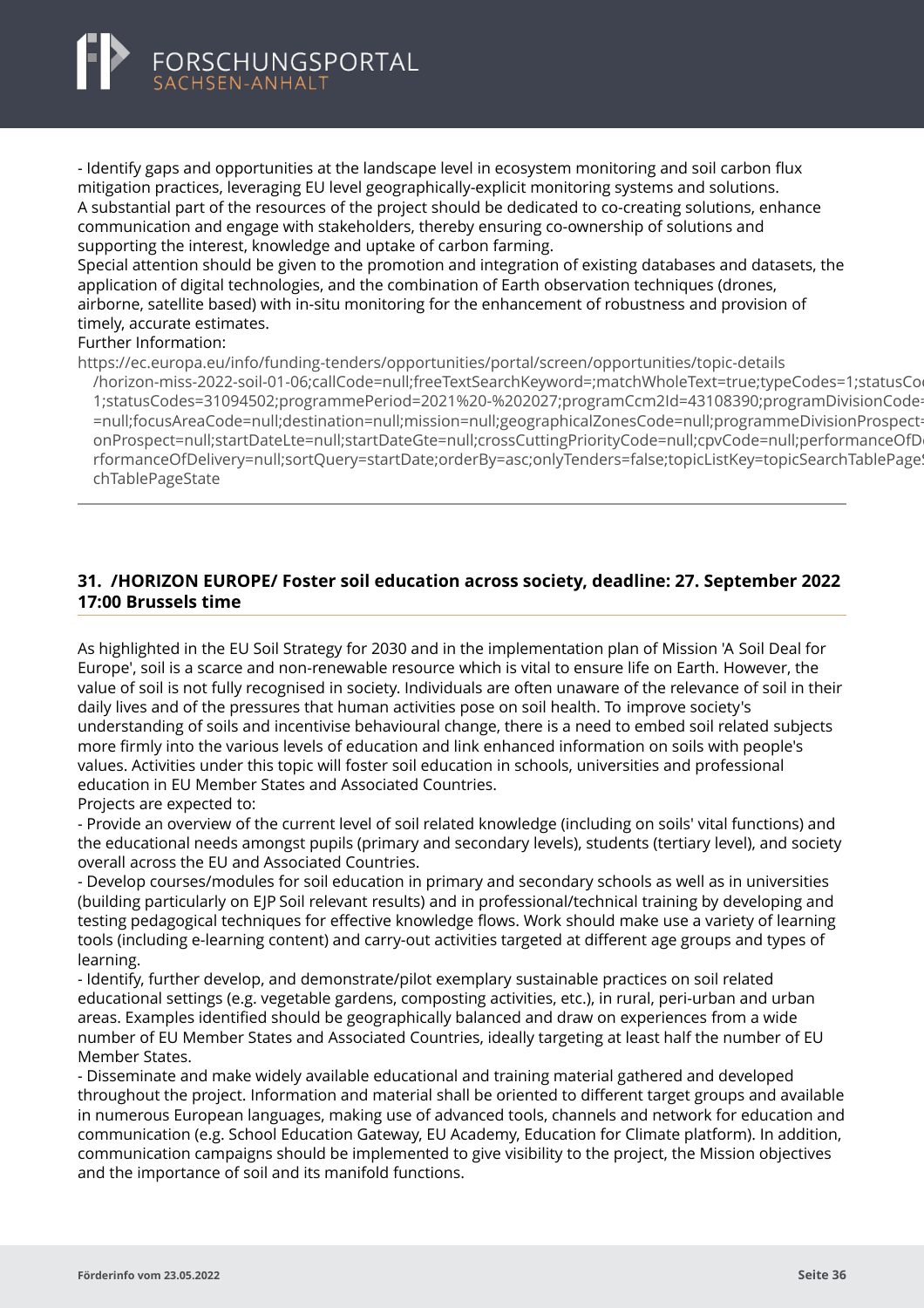<span id="page-38-0"></span>

- Identify gaps and opportunities at the landscape level in ecosystem monitoring and soil carbon flux mitigation practices, leveraging EU level geographically-explicit monitoring systems and solutions. A substantial part of the resources of the project should be dedicated to co-creating solutions, enhance communication and engage with stakeholders, thereby ensuring co-ownership of solutions and supporting the interest, knowledge and uptake of carbon farming.

Special attention should be given to the promotion and integration of existing databases and datasets, the application of digital technologies, and the combination of Earth observation techniques (drones, airborne, satellite based) with in-situ monitoring for the enhancement of robustness and provision of timely, accurate estimates.

#### Further Information:

https://ec.europa.eu/info/funding-tenders/opportunities/portal/screen/opportunities/topic-details

[/horizon-miss-2022-soil-01-06;callCode=null;freeTextSearchKeyword=;matchWholeText=true;typeCodes=1](https://ec.europa.eu/info/funding-tenders/opportunities/portal/screen/opportunities/topic-details/horizon-miss-2022-soil-01-06;callCode=null;freeTextSearchKeyword=;matchWholeText=true;typeCodes=1;statusCodes=31094502;programmePeriod=2021%20-%202027;programCcm2Id=43108390;programDivisionCode=null;focusAreaCode=null;destination=null;mission=null;geographicalZonesCode=null;programmeDivisionProspect=null;startDateLte=null;startDateGte=null;crossCuttingPriorityCode=null;cpvCode=null;performanceOfDelivery=null;sortQuery=startDate;orderBy=asc;onlyTenders=false;topicListKey=topicSearchTablePageState);statusCo 1:statusCodes=31094502:programmePeriod=2021%20-%202027:programCcm2ld=43108390:programDivisionCode =null;focusAreaCode=null;destination=null;mission=null;geographicalZonesCode=null;programmeDivisionProspect onProspect=null;startDateLte=null;startDateGte=null;crossCuttingPriorityCode=null;cpvCode=null;performanceOfD rformanceOfDelivery=null;sortQuery=startDate;orderBy=asc;onlyTenders=false;topicListKey=topicSearchTablePage! chTablePageState

# **31. /HORIZON EUROPE/ Foster soil education across society, deadline: 27. September 2022 17:00 Brussels time**

As highlighted in the EU Soil Strategy for 2030 and in the implementation plan of Mission 'A Soil Deal for Europe', soil is a scarce and non-renewable resource which is vital to ensure life on Earth. However, the value of soil is not fully recognised in society. Individuals are often unaware of the relevance of soil in their daily lives and of the pressures that human activities pose on soil health. To improve society's understanding of soils and incentivise behavioural change, there is a need to embed soil related subjects more firmly into the various levels of education and link enhanced information on soils with people's values. Activities under this topic will foster soil education in schools, universities and professional education in EU Member States and Associated Countries.

Projects are expected to:

- Provide an overview of the current level of soil related knowledge (including on soils' vital functions) and the educational needs amongst pupils (primary and secondary levels), students (tertiary level), and society overall across the EU and Associated Countries.

- Develop courses/modules for soil education in primary and secondary schools as well as in universities (building particularly on EJP Soil relevant results) and in professional/technical training by developing and testing pedagogical techniques for effective knowledge flows. Work should make use a variety of learning tools (including e-learning content) and carry-out activities targeted at different age groups and types of learning.

- Identify, further develop, and demonstrate/pilot exemplary sustainable practices on soil related educational settings (e.g. vegetable gardens, composting activities, etc.), in rural, peri-urban and urban areas. Examples identified should be geographically balanced and draw on experiences from a wide number of EU Member States and Associated Countries, ideally targeting at least half the number of EU Member States.

- Disseminate and make widely available educational and training material gathered and developed throughout the project. Information and material shall be oriented to different target groups and available in numerous European languages, making use of advanced tools, channels and network for education and communication (e.g. School Education Gateway, EU Academy, Education for Climate platform). In addition, communication campaigns should be implemented to give visibility to the project, the Mission objectives and the importance of soil and its manifold functions.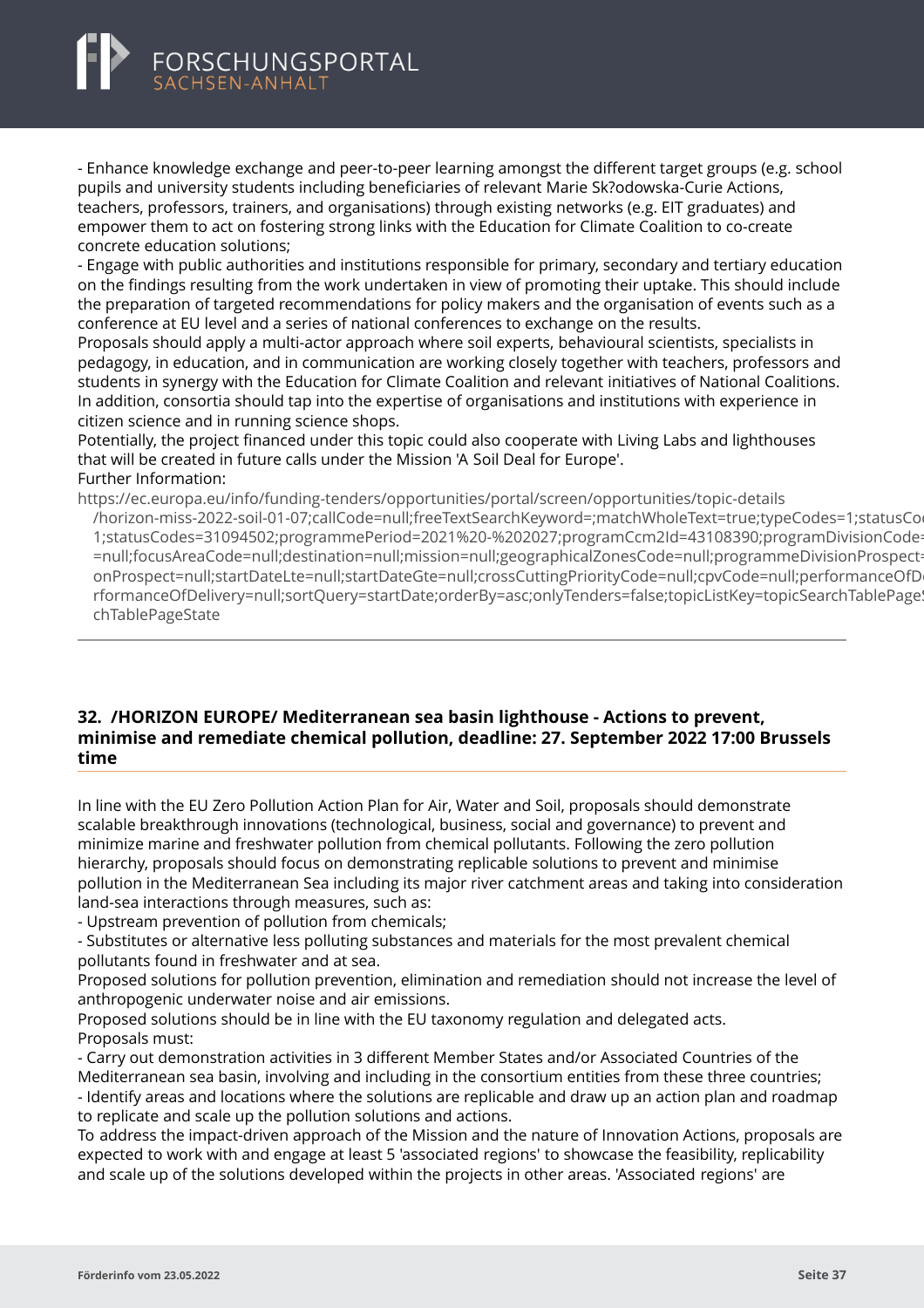<span id="page-39-0"></span>- Enhance knowledge exchange and peer-to-peer learning amongst the different target groups (e.g. school pupils and university students including beneficiaries of relevant Marie Sk?odowska-Curie Actions, teachers, professors, trainers, and organisations) through existing networks (e.g. EIT graduates) and empower them to act on fostering strong links with the Education for Climate Coalition to co-create concrete education solutions;

- Engage with public authorities and institutions responsible for primary, secondary and tertiary education on the findings resulting from the work undertaken in view of promoting their uptake. This should include the preparation of targeted recommendations for policy makers and the organisation of events such as a conference at EU level and a series of national conferences to exchange on the results.

Proposals should apply a multi-actor approach where soil experts, behavioural scientists, specialists in pedagogy, in education, and in communication are working closely together with teachers, professors and students in synergy with the Education for Climate Coalition and relevant initiatives of National Coalitions. In addition, consortia should tap into the expertise of organisations and institutions with experience in citizen science and in running science shops.

Potentially, the project financed under this topic could also cooperate with Living Labs and lighthouses that will be created in future calls under the Mission 'A Soil Deal for Europe'. Further Information:

https://ec.europa.eu/info/funding-tenders/opportunities/portal/screen/opportunities/topic-details

[/horizon-miss-2022-soil-01-07;callCode=null;freeTextSearchKeyword=;matchWholeText=true;typeCodes=1](https://ec.europa.eu/info/funding-tenders/opportunities/portal/screen/opportunities/topic-details/horizon-miss-2022-soil-01-07;callCode=null;freeTextSearchKeyword=;matchWholeText=true;typeCodes=1;statusCodes=31094502;programmePeriod=2021%20-%202027;programCcm2Id=43108390;programDivisionCode=null;focusAreaCode=null;destination=null;mission=null;geographicalZonesCode=null;programmeDivisionProspect=null;startDateLte=null;startDateGte=null;crossCuttingPriorityCode=null;cpvCode=null;performanceOfDelivery=null;sortQuery=startDate;orderBy=asc;onlyTenders=false;topicListKey=topicSearchTablePageState);statusCo 1;statusCodes=31094502;programmePeriod=2021%20-%202027;programCcm2ld=43108390;programDivisionCode =null;focusAreaCode=null;destination=null;mission=null;geographicalZonesCode=null;programmeDivisionProspect onProspect=null;startDateLte=null;startDateGte=null;crossCuttingPriorityCode=null;cpvCode=null;performanceOfD rformanceOfDelivery=null;sortQuery=startDate;orderBy=asc;onlyTenders=false;topicListKey=topicSearchTablePage chTablePageState

### **32. /HORIZON EUROPE/ Mediterranean sea basin lighthouse - Actions to prevent, minimise and remediate chemical pollution, deadline: 27. September 2022 17:00 Brussels time**

In line with the EU Zero Pollution Action Plan for Air, Water and Soil, proposals should demonstrate scalable breakthrough innovations (technological, business, social and governance) to prevent and minimize marine and freshwater pollution from chemical pollutants. Following the zero pollution hierarchy, proposals should focus on demonstrating replicable solutions to prevent and minimise pollution in the Mediterranean Sea including its major river catchment areas and taking into consideration land-sea interactions through measures, such as:

- Upstream prevention of pollution from chemicals;

- Substitutes or alternative less polluting substances and materials for the most prevalent chemical pollutants found in freshwater and at sea.

Proposed solutions for pollution prevention, elimination and remediation should not increase the level of anthropogenic underwater noise and air emissions.

Proposed solutions should be in line with the EU taxonomy regulation and delegated acts. Proposals must:

- Carry out demonstration activities in 3 different Member States and/or Associated Countries of the Mediterranean sea basin, involving and including in the consortium entities from these three countries;

- Identify areas and locations where the solutions are replicable and draw up an action plan and roadmap to replicate and scale up the pollution solutions and actions.

To address the impact-driven approach of the Mission and the nature of Innovation Actions, proposals are expected to work with and engage at least 5 'associated regions' to showcase the feasibility, replicability and scale up of the solutions developed within the projects in other areas. 'Associated regions' are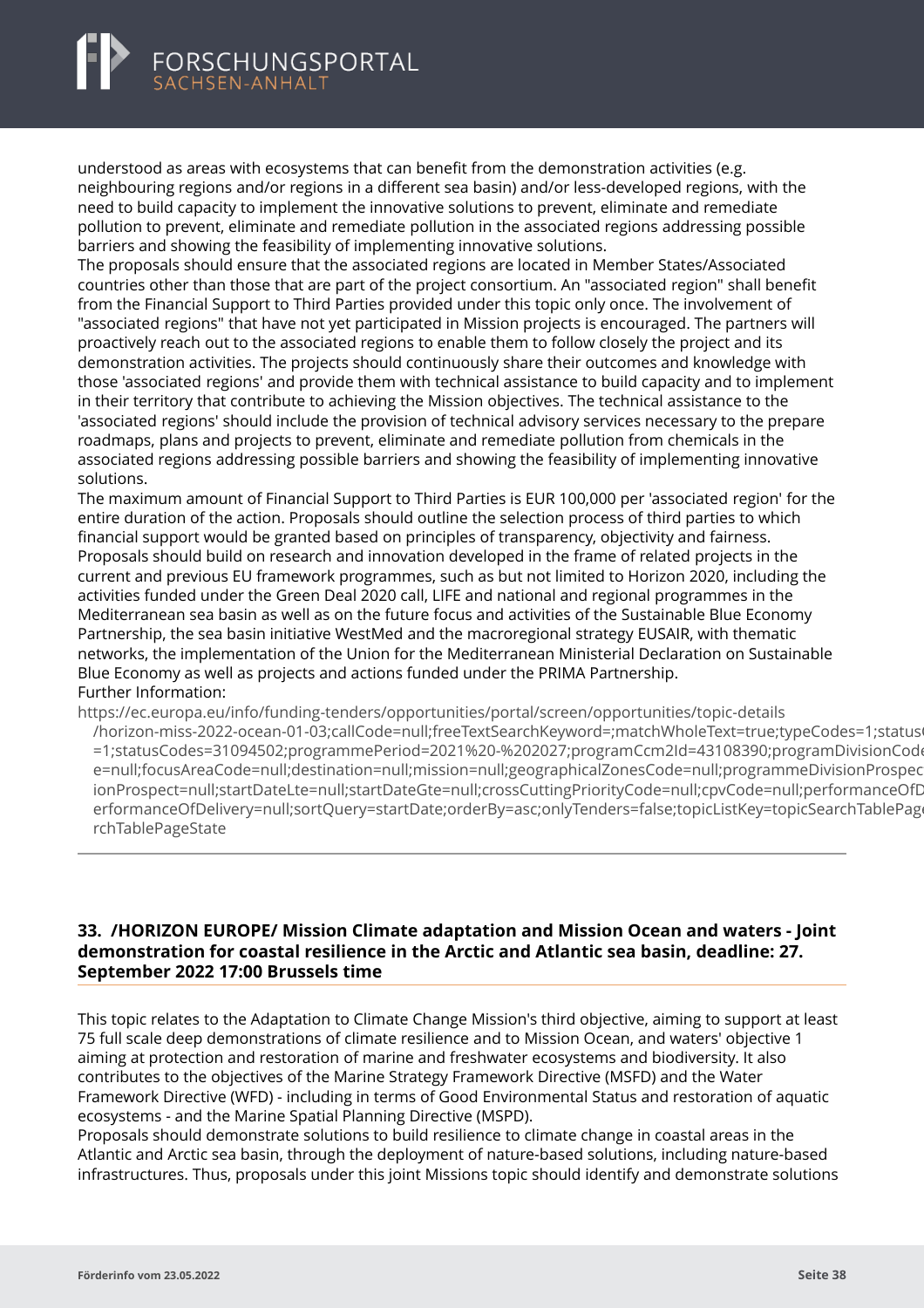understood as areas with ecosystems that can benefit from the demonstration activities (e.g. neighbouring regions and/or regions in a different sea basin) and/or less-developed regions, with the need to build capacity to implement the innovative solutions to prevent, eliminate and remediate pollution to prevent, eliminate and remediate pollution in the associated regions addressing possible barriers and showing the feasibility of implementing innovative solutions.

The proposals should ensure that the associated regions are located in Member States/Associated countries other than those that are part of the project consortium. An "associated region" shall benefit from the Financial Support to Third Parties provided under this topic only once. The involvement of "associated regions" that have not yet participated in Mission projects is encouraged. The partners will proactively reach out to the associated regions to enable them to follow closely the project and its demonstration activities. The projects should continuously share their outcomes and knowledge with those 'associated regions' and provide them with technical assistance to build capacity and to implement in their territory that contribute to achieving the Mission objectives. The technical assistance to the 'associated regions' should include the provision of technical advisory services necessary to the prepare roadmaps, plans and projects to prevent, eliminate and remediate pollution from chemicals in the associated regions addressing possible barriers and showing the feasibility of implementing innovative solutions.

The maximum amount of Financial Support to Third Parties is EUR 100,000 per 'associated region' for the entire duration of the action. Proposals should outline the selection process of third parties to which financial support would be granted based on principles of transparency, objectivity and fairness. Proposals should build on research and innovation developed in the frame of related projects in the current and previous EU framework programmes, such as but not limited to Horizon 2020, including the activities funded under the Green Deal 2020 call, LIFE and national and regional programmes in the Mediterranean sea basin as well as on the future focus and activities of the Sustainable Blue Economy Partnership, the sea basin initiative WestMed and the macroregional strategy EUSAIR, with thematic networks, the implementation of the Union for the Mediterranean Ministerial Declaration on Sustainable Blue Economy as well as projects and actions funded under the PRIMA Partnership. Further Information:

https://ec.europa.eu/info/funding-tenders/opportunities/portal/screen/opportunities/topic-details

[/horizon-miss-2022-ocean-01-03;callCode=null;freeTextSearchKeyword=;matchWholeText=true;typeCode](https://ec.europa.eu/info/funding-tenders/opportunities/portal/screen/opportunities/topic-details/horizon-miss-2022-ocean-01-03;callCode=null;freeTextSearchKeyword=;matchWholeText=true;typeCodes=1;statusCodes=31094502;programmePeriod=2021%20-%202027;programCcm2Id=43108390;programDivisionCode=null;focusAreaCode=null;destination=null;mission=null;geographicalZonesCode=null;programmeDivisionProspect=null;startDateLte=null;startDateGte=null;crossCuttingPriorityCode=null;cpvCode=null;performanceOfDelivery=null;sortQuery=startDate;orderBy=asc;onlyTenders=false;topicListKey=topicSearchTablePageState)s=1;status =1;statusCodes=31094502;programmePeriod=2021%20-%202027;programCcm2Id=43108390;programDivisionCode e=null;focusAreaCode=null;destination=null;mission=null;geographicalZonesCode=null;programmeDivisionProspec ionProspect=null;startDateLte=null;startDateGte=null;crossCuttingPriorityCode=null;cpvCode=null;performanceOfD erformanceOfDelivery=null;sortQuery=startDate;orderBy=asc;onlyTenders=false;topicListKey=topicSearchTablePage rchTablePageState

### **33. /HORIZON EUROPE/ Mission Climate adaptation and Mission Ocean and waters - Joint demonstration for coastal resilience in the Arctic and Atlantic sea basin, deadline: 27. September 2022 17:00 Brussels time**

This topic relates to the Adaptation to Climate Change Mission's third objective, aiming to support at least 75 full scale deep demonstrations of climate resilience and to Mission Ocean, and waters' objective 1 aiming at protection and restoration of marine and freshwater ecosystems and biodiversity. It also contributes to the objectives of the Marine Strategy Framework Directive (MSFD) and the Water Framework Directive (WFD) - including in terms of Good Environmental Status and restoration of aquatic ecosystems - and the Marine Spatial Planning Directive (MSPD).

Proposals should demonstrate solutions to build resilience to climate change in coastal areas in the Atlantic and Arctic sea basin, through the deployment of nature-based solutions, including nature-based infrastructures. Thus, proposals under this joint Missions topic should identify and demonstrate solutions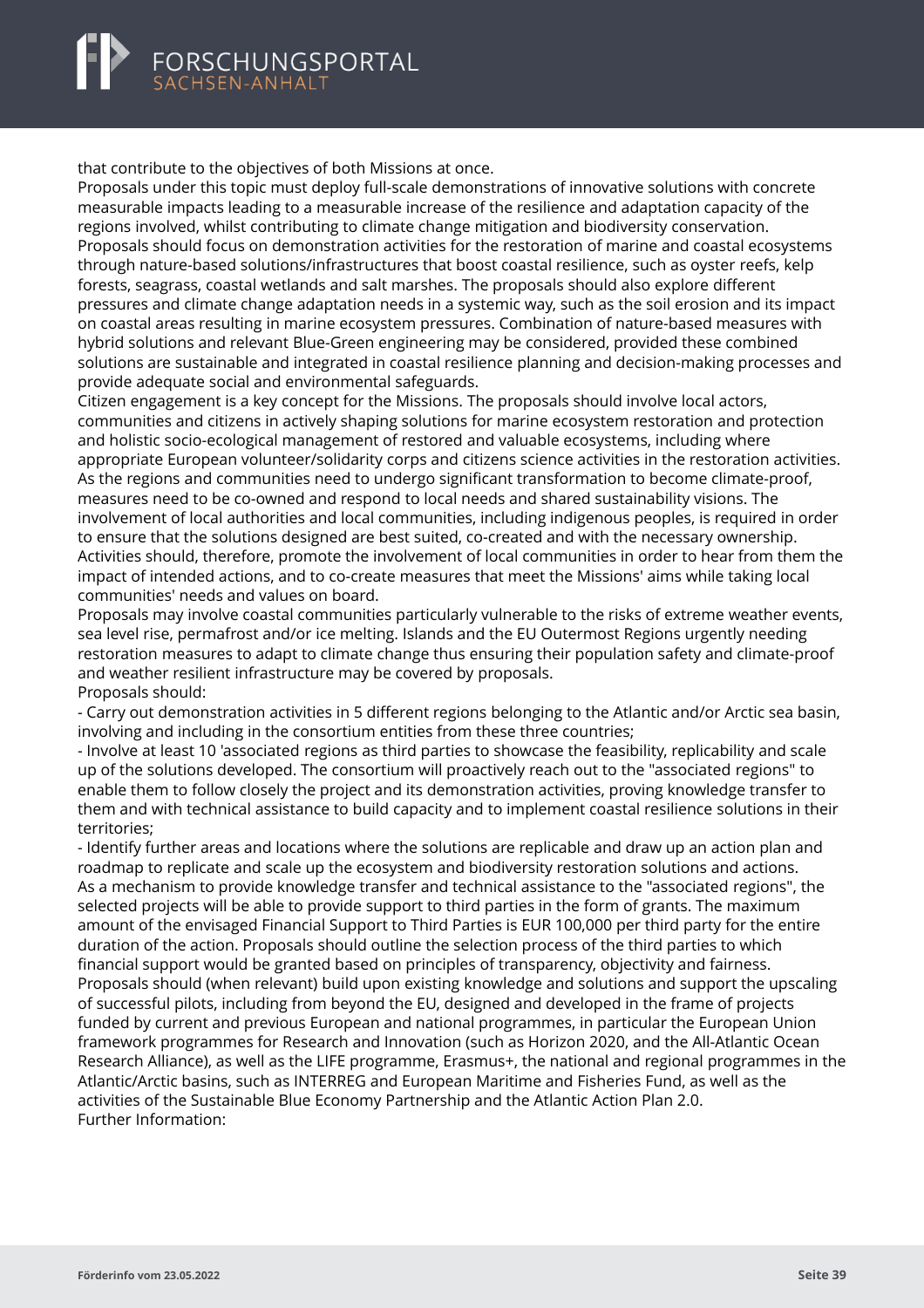<span id="page-41-0"></span>that contribute to the objectives of both Missions at once.

Proposals under this topic must deploy full-scale demonstrations of innovative solutions with concrete measurable impacts leading to a measurable increase of the resilience and adaptation capacity of the regions involved, whilst contributing to climate change mitigation and biodiversity conservation. Proposals should focus on demonstration activities for the restoration of marine and coastal ecosystems through nature-based solutions/infrastructures that boost coastal resilience, such as oyster reefs, kelp forests, seagrass, coastal wetlands and salt marshes. The proposals should also explore different pressures and climate change adaptation needs in a systemic way, such as the soil erosion and its impact on coastal areas resulting in marine ecosystem pressures. Combination of nature-based measures with hybrid solutions and relevant Blue-Green engineering may be considered, provided these combined solutions are sustainable and integrated in coastal resilience planning and decision-making processes and provide adequate social and environmental safeguards.

Citizen engagement is a key concept for the Missions. The proposals should involve local actors, communities and citizens in actively shaping solutions for marine ecosystem restoration and protection and holistic socio-ecological management of restored and valuable ecosystems, including where appropriate European volunteer/solidarity corps and citizens science activities in the restoration activities. As the regions and communities need to undergo significant transformation to become climate-proof, measures need to be co-owned and respond to local needs and shared sustainability visions. The involvement of local authorities and local communities, including indigenous peoples, is required in order to ensure that the solutions designed are best suited, co-created and with the necessary ownership. Activities should, therefore, promote the involvement of local communities in order to hear from them the impact of intended actions, and to co-create measures that meet the Missions' aims while taking local communities' needs and values on board.

Proposals may involve coastal communities particularly vulnerable to the risks of extreme weather events, sea level rise, permafrost and/or ice melting. Islands and the EU Outermost Regions urgently needing restoration measures to adapt to climate change thus ensuring their population safety and climate-proof and weather resilient infrastructure may be covered by proposals. Proposals should:

- Carry out demonstration activities in 5 different regions belonging to the Atlantic and/or Arctic sea basin, involving and including in the consortium entities from these three countries;

- Involve at least 10 'associated regions as third parties to showcase the feasibility, replicability and scale up of the solutions developed. The consortium will proactively reach out to the "associated regions" to enable them to follow closely the project and its demonstration activities, proving knowledge transfer to them and with technical assistance to build capacity and to implement coastal resilience solutions in their territories;

- Identify further areas and locations where the solutions are replicable and draw up an action plan and roadmap to replicate and scale up the ecosystem and biodiversity restoration solutions and actions. As a mechanism to provide knowledge transfer and technical assistance to the "associated regions", the selected projects will be able to provide support to third parties in the form of grants. The maximum amount of the envisaged Financial Support to Third Parties is EUR 100,000 per third party for the entire duration of the action. Proposals should outline the selection process of the third parties to which financial support would be granted based on principles of transparency, objectivity and fairness. Proposals should (when relevant) build upon existing knowledge and solutions and support the upscaling of successful pilots, including from beyond the EU, designed and developed in the frame of projects funded by current and previous European and national programmes, in particular the European Union framework programmes for Research and Innovation (such as Horizon 2020, and the All-Atlantic Ocean Research Alliance), as well as the LIFE programme, Erasmus+, the national and regional programmes in the Atlantic/Arctic basins, such as INTERREG and European Maritime and Fisheries Fund, as well as the activities of the Sustainable Blue Economy Partnership and the Atlantic Action Plan 2.0. Further Information: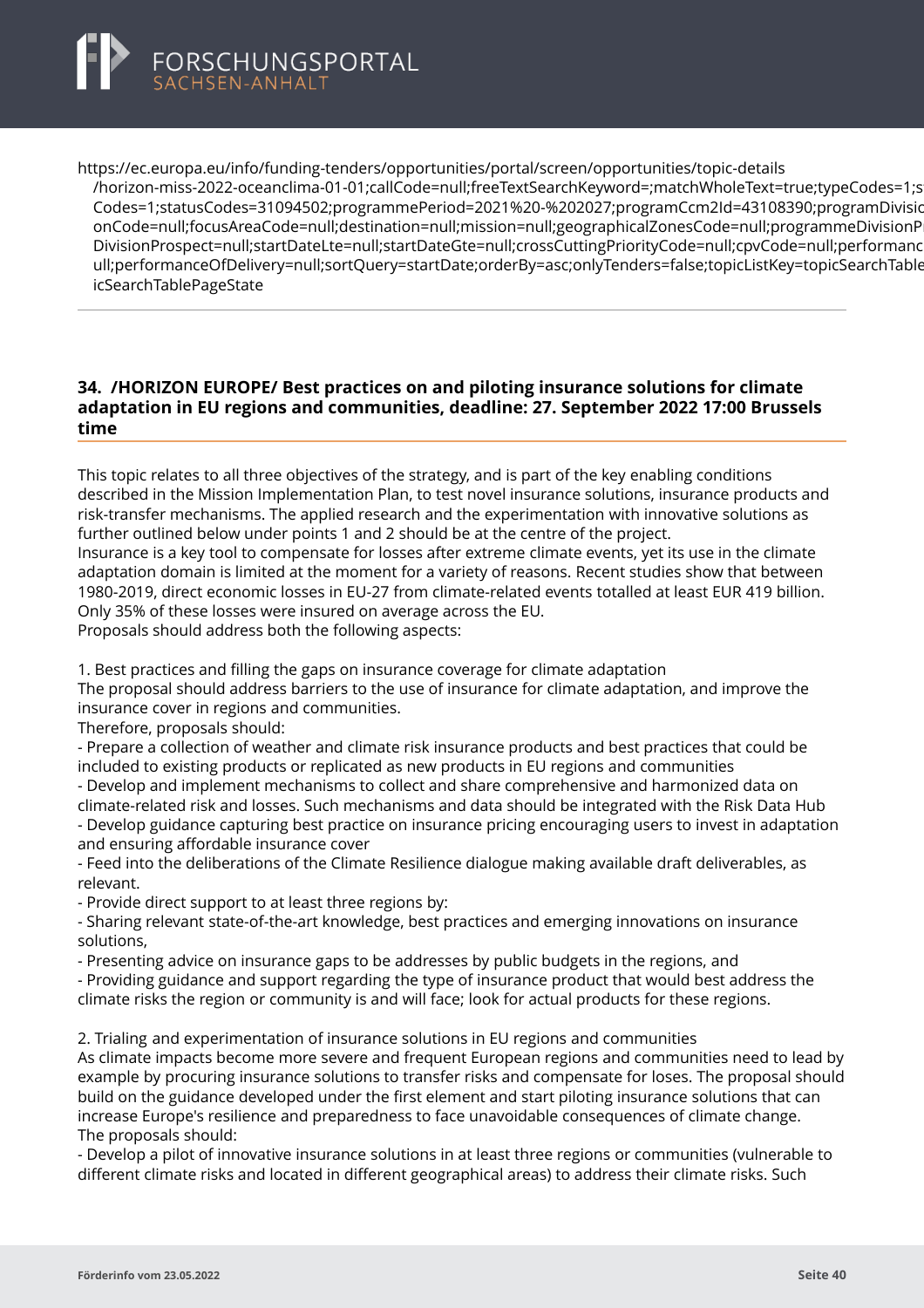<span id="page-42-0"></span>

https://ec.europa.eu/info/funding-tenders/opportunities/portal/screen/opportunities/topic-details [/horizon-miss-2022-oceanclima-01-01;callCode=null;freeTextSearchKeyword=;matchWholeText=true;type](https://ec.europa.eu/info/funding-tenders/opportunities/portal/screen/opportunities/topic-details/horizon-miss-2022-oceanclima-01-01;callCode=null;freeTextSearchKeyword=;matchWholeText=true;typeCodes=1;statusCodes=31094502;programmePeriod=2021%20-%202027;programCcm2Id=43108390;programDivisionCode=null;focusAreaCode=null;destination=null;mission=null;geographicalZonesCode=null;programmeDivisionProspect=null;startDateLte=null;startDateGte=null;crossCuttingPriorityCode=null;cpvCode=null;performanceOfDelivery=null;sortQuery=startDate;orderBy=asc;onlyTenders=false;topicListKey=topicSearchTablePageState)Codes=1;statusCodes=31094502;programmePeriod=2021%20-%202027;programCcm2Id=43108390;programDivisi Codes=1;statusCodes=31094502;programmePeriod=2021%20-%202027;programCcm2ld=43108390;programDivisio onCode=null;focusAreaCode=null;destination=null;mission=null;geographicalZonesCode=null;programmeDivisionP DivisionProspect=null;startDateLte=null;startDateGte=null;crossCuttingPriorityCode=null;cpvCode=null;performanc ull:performanceOfDelivery=null:sortOuery=startDate:orderBy=asc:onlyTenders=false:topicListKey=topicSearchTable icSearchTablePageState

### **34. /HORIZON EUROPE/ Best practices on and piloting insurance solutions for climate adaptation in EU regions and communities, deadline: 27. September 2022 17:00 Brussels time**

This topic relates to all three objectives of the strategy, and is part of the key enabling conditions described in the Mission Implementation Plan, to test novel insurance solutions, insurance products and risk-transfer mechanisms. The applied research and the experimentation with innovative solutions as further outlined below under points 1 and 2 should be at the centre of the project.

Insurance is a key tool to compensate for losses after extreme climate events, yet its use in the climate adaptation domain is limited at the moment for a variety of reasons. Recent studies show that between 1980-2019, direct economic losses in EU-27 from climate-related events totalled at least EUR 419 billion. Only 35% of these losses were insured on average across the EU.

Proposals should address both the following aspects:

1. Best practices and filling the gaps on insurance coverage for climate adaptation

The proposal should address barriers to the use of insurance for climate adaptation, and improve the insurance cover in regions and communities.

Therefore, proposals should:

- Prepare a collection of weather and climate risk insurance products and best practices that could be included to existing products or replicated as new products in EU regions and communities

- Develop and implement mechanisms to collect and share comprehensive and harmonized data on

climate-related risk and losses. Such mechanisms and data should be integrated with the Risk Data Hub - Develop guidance capturing best practice on insurance pricing encouraging users to invest in adaptation and ensuring affordable insurance cover

- Feed into the deliberations of the Climate Resilience dialogue making available draft deliverables, as relevant.

- Provide direct support to at least three regions by:

- Sharing relevant state-of-the-art knowledge, best practices and emerging innovations on insurance solutions,

- Presenting advice on insurance gaps to be addresses by public budgets in the regions, and

- Providing guidance and support regarding the type of insurance product that would best address the climate risks the region or community is and will face; look for actual products for these regions.

2. Trialing and experimentation of insurance solutions in EU regions and communities

As climate impacts become more severe and frequent European regions and communities need to lead by example by procuring insurance solutions to transfer risks and compensate for loses. The proposal should build on the guidance developed under the first element and start piloting insurance solutions that can increase Europe's resilience and preparedness to face unavoidable consequences of climate change. The proposals should:

- Develop a pilot of innovative insurance solutions in at least three regions or communities (vulnerable to different climate risks and located in different geographical areas) to address their climate risks. Such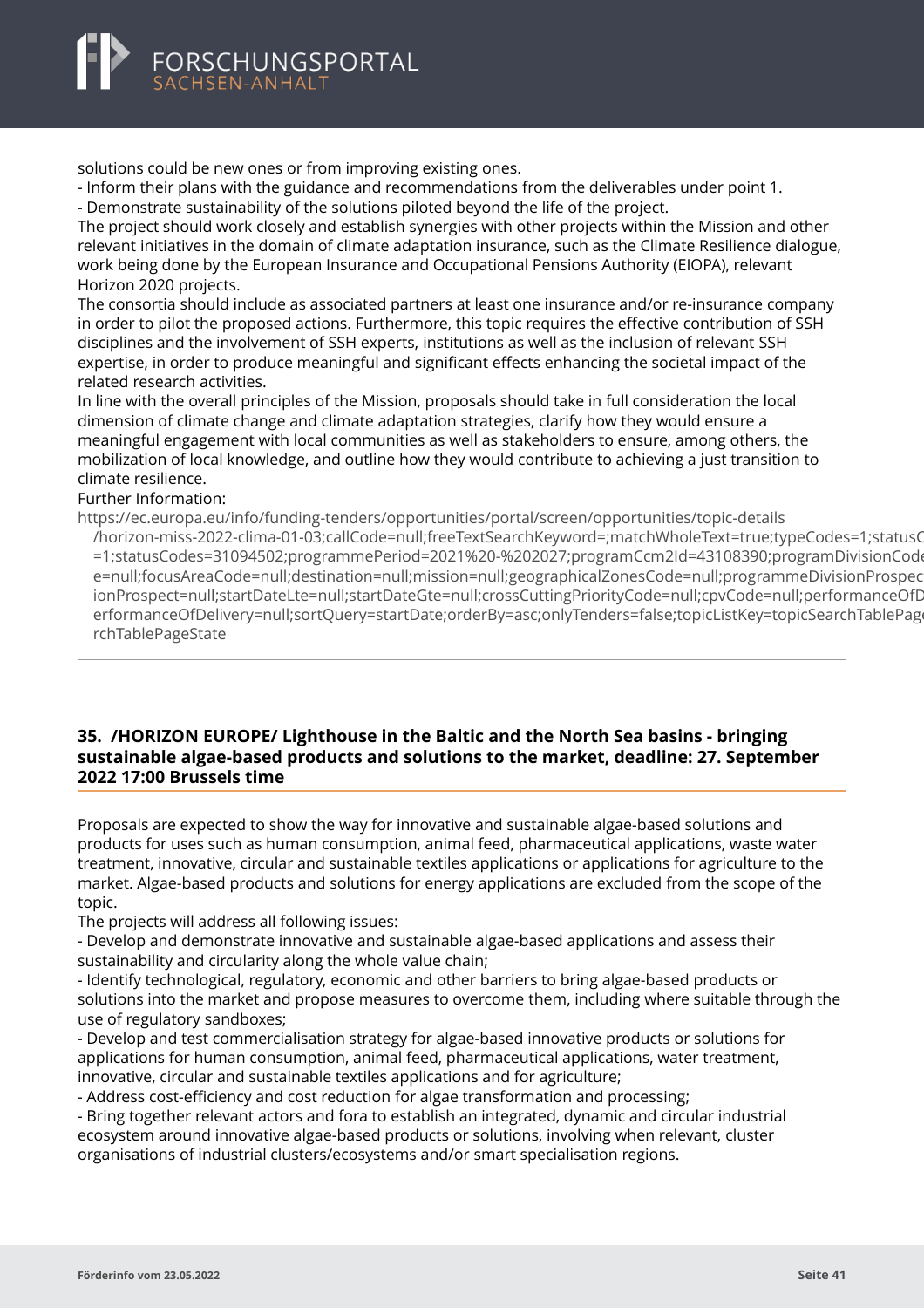<span id="page-43-0"></span>solutions could be new ones or from improving existing ones.

- Inform their plans with the guidance and recommendations from the deliverables under point 1.

- Demonstrate sustainability of the solutions piloted beyond the life of the project.

The project should work closely and establish synergies with other projects within the Mission and other relevant initiatives in the domain of climate adaptation insurance, such as the Climate Resilience dialogue, work being done by the European Insurance and Occupational Pensions Authority (EIOPA), relevant Horizon 2020 projects.

The consortia should include as associated partners at least one insurance and/or re-insurance company in order to pilot the proposed actions. Furthermore, this topic requires the effective contribution of SSH disciplines and the involvement of SSH experts, institutions as well as the inclusion of relevant SSH expertise, in order to produce meaningful and significant effects enhancing the societal impact of the related research activities.

In line with the overall principles of the Mission, proposals should take in full consideration the local dimension of climate change and climate adaptation strategies, clarify how they would ensure a meaningful engagement with local communities as well as stakeholders to ensure, among others, the mobilization of local knowledge, and outline how they would contribute to achieving a just transition to climate resilience.

#### Further Information:

https://ec.europa.eu/info/funding-tenders/opportunities/portal/screen/opportunities/topic-details

[/horizon-miss-2022-clima-01-03;callCode=null;freeTextSearchKeyword=;matchWholeText=true;typeCodes](https://ec.europa.eu/info/funding-tenders/opportunities/portal/screen/opportunities/topic-details/horizon-miss-2022-clima-01-03;callCode=null;freeTextSearchKeyword=;matchWholeText=true;typeCodes=1;statusCodes=31094502;programmePeriod=2021%20-%202027;programCcm2Id=43108390;programDivisionCode=null;focusAreaCode=null;destination=null;mission=null;geographicalZonesCode=null;programmeDivisionProspect=null;startDateLte=null;startDateGte=null;crossCuttingPriorityCode=null;cpvCode=null;performanceOfDelivery=null;sortQuery=startDate;orderBy=asc;onlyTenders=false;topicListKey=topicSearchTablePageState)=1;statusCodes=31094502;programmePeriod=2021%20-%202027;programCcm2Id=43108390;programDivisionCod =1;statusCodes=31094502;programmePeriod=2021%20-%202027;programCcm2Id=43108390;programDivisionCode e=null:focusAreaCode=null:destination=null:mission=null:geographicalZonesCode=null:programmeDivisionProspec ionProspect=null;startDateLte=null;startDateGte=null;crossCuttingPriorityCode=null;cpvCode=null;performanceOfD erformanceOfDelivery=null;sortQuery=startDate;orderBy=asc;onlyTenders=false;topicListKey=topicSearchTablePag rchTablePageState

### **35. /HORIZON EUROPE/ Lighthouse in the Baltic and the North Sea basins - bringing sustainable algae-based products and solutions to the market, deadline: 27. September 2022 17:00 Brussels time**

Proposals are expected to show the way for innovative and sustainable algae-based solutions and products for uses such as human consumption, animal feed, pharmaceutical applications, waste water treatment, innovative, circular and sustainable textiles applications or applications for agriculture to the market. Algae-based products and solutions for energy applications are excluded from the scope of the topic.

The projects will address all following issues:

- Develop and demonstrate innovative and sustainable algae-based applications and assess their sustainability and circularity along the whole value chain;

- Identify technological, regulatory, economic and other barriers to bring algae-based products or solutions into the market and propose measures to overcome them, including where suitable through the use of regulatory sandboxes;

- Develop and test commercialisation strategy for algae-based innovative products or solutions for applications for human consumption, animal feed, pharmaceutical applications, water treatment, innovative, circular and sustainable textiles applications and for agriculture;

- Address cost-efficiency and cost reduction for algae transformation and processing;

- Bring together relevant actors and fora to establish an integrated, dynamic and circular industrial ecosystem around innovative algae-based products or solutions, involving when relevant, cluster organisations of industrial clusters/ecosystems and/or smart specialisation regions.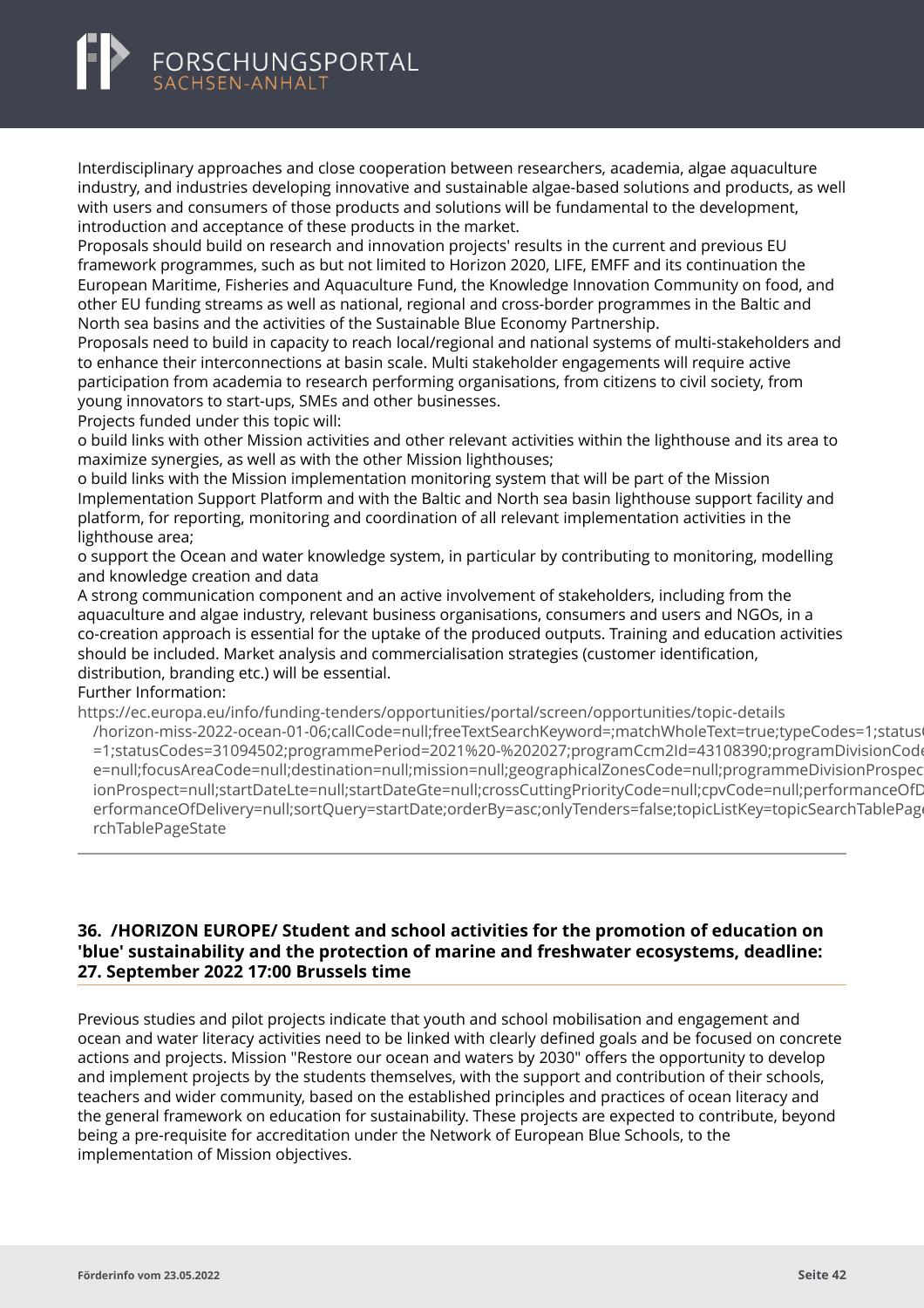Interdisciplinary approaches and close cooperation between researchers, academia, algae aquaculture industry, and industries developing innovative and sustainable algae-based solutions and products, as well with users and consumers of those products and solutions will be fundamental to the development, introduction and acceptance of these products in the market.

Proposals should build on research and innovation projects' results in the current and previous EU framework programmes, such as but not limited to Horizon 2020, LIFE, EMFF and its continuation the European Maritime, Fisheries and Aquaculture Fund, the Knowledge Innovation Community on food, and other EU funding streams as well as national, regional and cross-border programmes in the Baltic and North sea basins and the activities of the Sustainable Blue Economy Partnership.

Proposals need to build in capacity to reach local/regional and national systems of multi-stakeholders and to enhance their interconnections at basin scale. Multi stakeholder engagements will require active participation from academia to research performing organisations, from citizens to civil society, from young innovators to start-ups, SMEs and other businesses.

Projects funded under this topic will:

o build links with other Mission activities and other relevant activities within the lighthouse and its area to maximize synergies, as well as with the other Mission lighthouses;

o build links with the Mission implementation monitoring system that will be part of the Mission Implementation Support Platform and with the Baltic and North sea basin lighthouse support facility and platform, for reporting, monitoring and coordination of all relevant implementation activities in the lighthouse area;

o support the Ocean and water knowledge system, in particular by contributing to monitoring, modelling and knowledge creation and data

A strong communication component and an active involvement of stakeholders, including from the aquaculture and algae industry, relevant business organisations, consumers and users and NGOs, in a co-creation approach is essential for the uptake of the produced outputs. Training and education activities should be included. Market analysis and commercialisation strategies (customer identification, distribution, branding etc.) will be essential.

Further Information:

https://ec.europa.eu/info/funding-tenders/opportunities/portal/screen/opportunities/topic-details

[/horizon-miss-2022-ocean-01-06;callCode=null;freeTextSearchKeyword=;matchWholeText=true;typeCode](https://ec.europa.eu/info/funding-tenders/opportunities/portal/screen/opportunities/topic-details/horizon-miss-2022-ocean-01-06;callCode=null;freeTextSearchKeyword=;matchWholeText=true;typeCodes=1;statusCodes=31094502;programmePeriod=2021%20-%202027;programCcm2Id=43108390;programDivisionCode=null;focusAreaCode=null;destination=null;mission=null;geographicalZonesCode=null;programmeDivisionProspect=null;startDateLte=null;startDateGte=null;crossCuttingPriorityCode=null;cpvCode=null;performanceOfDelivery=null;sortQuery=startDate;orderBy=asc;onlyTenders=false;topicListKey=topicSearchTablePageState)s=1;status =1;statusCodes=31094502;programmePeriod=2021%20-%202027;programCcm2Id=43108390;programDivisionCode e=null;focusAreaCode=null;destination=null;mission=null;geographicalZonesCode=null;programmeDivisionProspec ionProspect=null;startDateLte=null;startDateGte=null;crossCuttingPriorityCode=null;cpvCode=null;performanceOfD erformanceOfDelivery=null;sortQuery=startDate;orderBy=asc;onlyTenders=false;topicListKey=topicSearchTablePage rchTablePageState

# **36. /HORIZON EUROPE/ Student and school activities for the promotion of education on 'blue' sustainability and the protection of marine and freshwater ecosystems, deadline: 27. September 2022 17:00 Brussels time**

Previous studies and pilot projects indicate that youth and school mobilisation and engagement and ocean and water literacy activities need to be linked with clearly defined goals and be focused on concrete actions and projects. Mission "Restore our ocean and waters by 2030" offers the opportunity to develop and implement projects by the students themselves, with the support and contribution of their schools, teachers and wider community, based on the established principles and practices of ocean literacy and the general framework on education for sustainability. These projects are expected to contribute, beyond being a pre-requisite for accreditation under the Network of European Blue Schools, to the implementation of Mission objectives.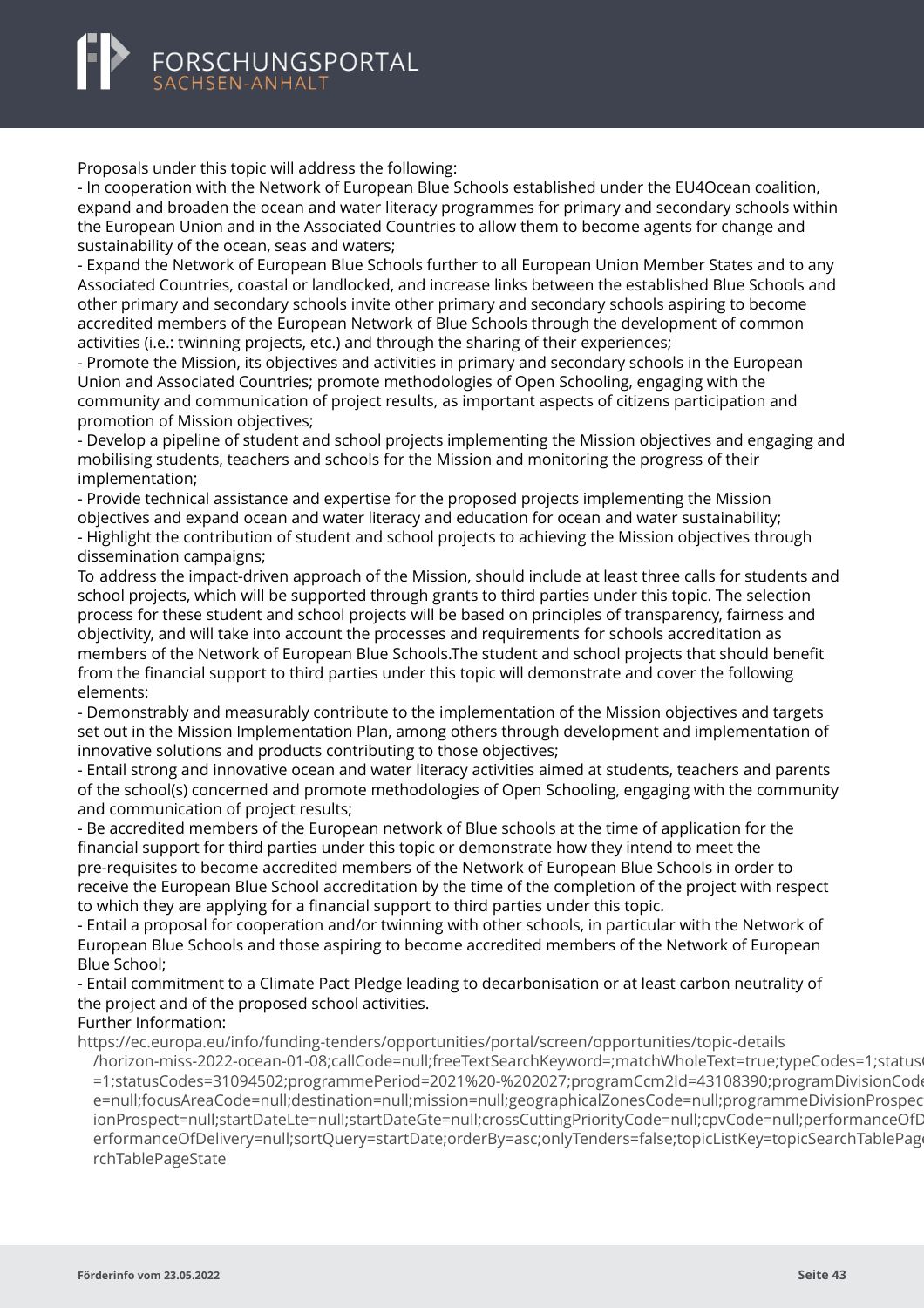<span id="page-45-0"></span>

Proposals under this topic will address the following:

- In cooperation with the Network of European Blue Schools established under the EU4Ocean coalition, expand and broaden the ocean and water literacy programmes for primary and secondary schools within the European Union and in the Associated Countries to allow them to become agents for change and sustainability of the ocean, seas and waters;

- Expand the Network of European Blue Schools further to all European Union Member States and to any Associated Countries, coastal or landlocked, and increase links between the established Blue Schools and other primary and secondary schools invite other primary and secondary schools aspiring to become accredited members of the European Network of Blue Schools through the development of common activities (i.e.: twinning projects, etc.) and through the sharing of their experiences;

- Promote the Mission, its objectives and activities in primary and secondary schools in the European Union and Associated Countries; promote methodologies of Open Schooling, engaging with the community and communication of project results, as important aspects of citizens participation and promotion of Mission objectives;

- Develop a pipeline of student and school projects implementing the Mission objectives and engaging and mobilising students, teachers and schools for the Mission and monitoring the progress of their implementation;

- Provide technical assistance and expertise for the proposed projects implementing the Mission objectives and expand ocean and water literacy and education for ocean and water sustainability; - Highlight the contribution of student and school projects to achieving the Mission objectives through dissemination campaigns;

To address the impact-driven approach of the Mission, should include at least three calls for students and school projects, which will be supported through grants to third parties under this topic. The selection process for these student and school projects will be based on principles of transparency, fairness and objectivity, and will take into account the processes and requirements for schools accreditation as members of the Network of European Blue Schools.The student and school projects that should benefit from the financial support to third parties under this topic will demonstrate and cover the following elements:

- Demonstrably and measurably contribute to the implementation of the Mission objectives and targets set out in the Mission Implementation Plan, among others through development and implementation of innovative solutions and products contributing to those objectives;

- Entail strong and innovative ocean and water literacy activities aimed at students, teachers and parents of the school(s) concerned and promote methodologies of Open Schooling, engaging with the community and communication of project results;

- Be accredited members of the European network of Blue schools at the time of application for the financial support for third parties under this topic or demonstrate how they intend to meet the pre-requisites to become accredited members of the Network of European Blue Schools in order to receive the European Blue School accreditation by the time of the completion of the project with respect to which they are applying for a financial support to third parties under this topic.

- Entail a proposal for cooperation and/or twinning with other schools, in particular with the Network of European Blue Schools and those aspiring to become accredited members of the Network of European Blue School;

- Entail commitment to a Climate Pact Pledge leading to decarbonisation or at least carbon neutrality of the project and of the proposed school activities.

#### Further Information:

https://ec.europa.eu/info/funding-tenders/opportunities/portal/screen/opportunities/topic-details

[/horizon-miss-2022-ocean-01-08;callCode=null;freeTextSearchKeyword=;matchWholeText=true;typeCode](https://ec.europa.eu/info/funding-tenders/opportunities/portal/screen/opportunities/topic-details/horizon-miss-2022-ocean-01-08;callCode=null;freeTextSearchKeyword=;matchWholeText=true;typeCodes=1;statusCodes=31094502;programmePeriod=2021%20-%202027;programCcm2Id=43108390;programDivisionCode=null;focusAreaCode=null;destination=null;mission=null;geographicalZonesCode=null;programmeDivisionProspect=null;startDateLte=null;startDateGte=null;crossCuttingPriorityCode=null;cpvCode=null;performanceOfDelivery=null;sortQuery=startDate;orderBy=asc;onlyTenders=false;topicListKey=topicSearchTablePageState)s=1;status =1;statusCodes=31094502;programmePeriod=2021%20-%202027;programCcm2ld=43108390;programDivisionCod e=null;focusAreaCode=null;destination=null;mission=null;geographicalZonesCode=null;programmeDivisionProspec ionProspect=null;startDateLte=null;startDateGte=null;crossCuttingPriorityCode=null;cpyCode=null;performanceOfD erformanceOfDelivery=null;sortQuery=startDate;orderBy=asc;onlyTenders=false;topicListKey=topicSearchTablePage rchTablePageState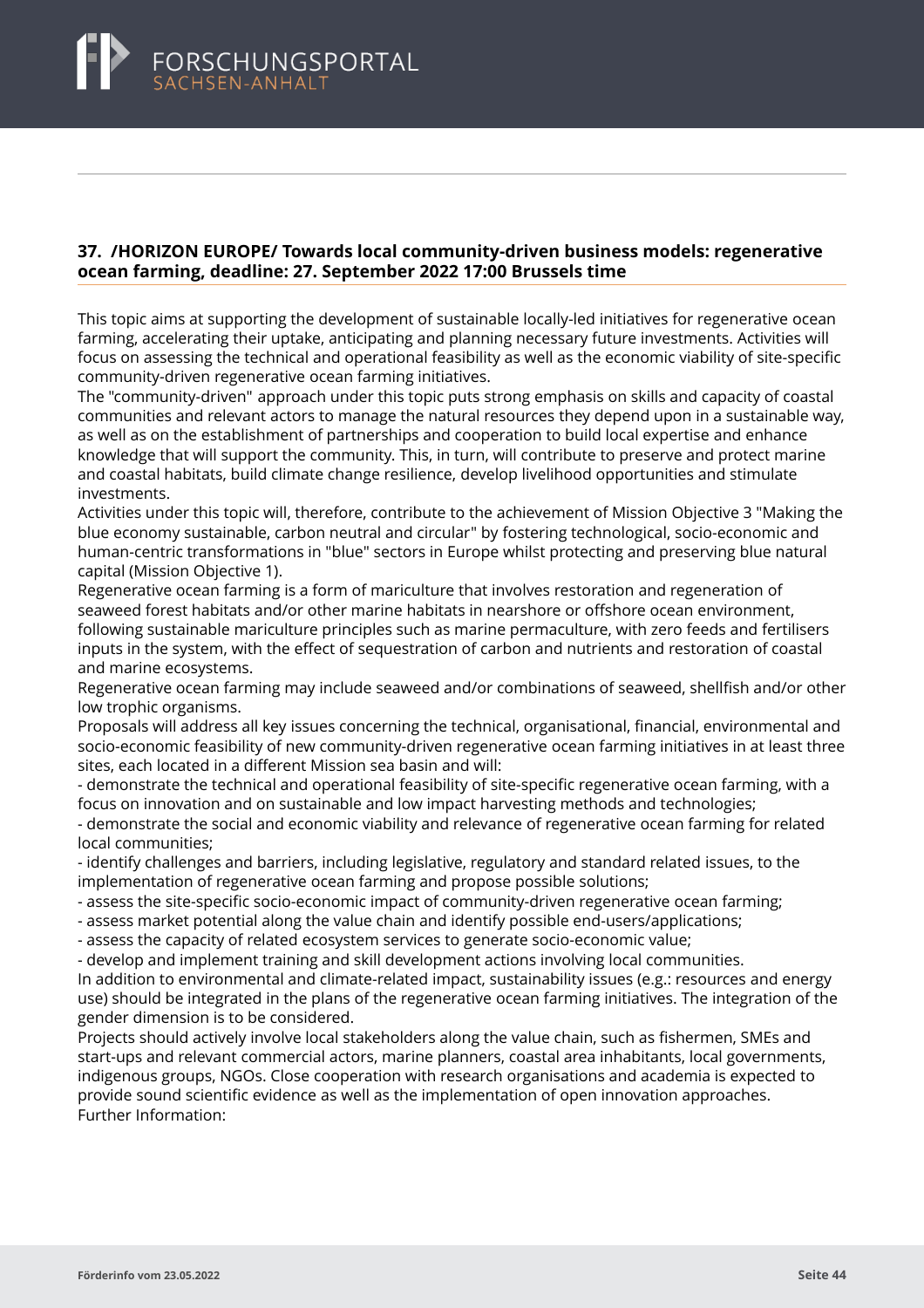### <span id="page-46-0"></span>**37. /HORIZON EUROPE/ Towards local community-driven business models: regenerative ocean farming, deadline: 27. September 2022 17:00 Brussels time**

This topic aims at supporting the development of sustainable locally-led initiatives for regenerative ocean farming, accelerating their uptake, anticipating and planning necessary future investments. Activities will focus on assessing the technical and operational feasibility as well as the economic viability of site-specific community-driven regenerative ocean farming initiatives.

The "community-driven" approach under this topic puts strong emphasis on skills and capacity of coastal communities and relevant actors to manage the natural resources they depend upon in a sustainable way, as well as on the establishment of partnerships and cooperation to build local expertise and enhance knowledge that will support the community. This, in turn, will contribute to preserve and protect marine and coastal habitats, build climate change resilience, develop livelihood opportunities and stimulate investments.

Activities under this topic will, therefore, contribute to the achievement of Mission Objective 3 "Making the blue economy sustainable, carbon neutral and circular" by fostering technological, socio-economic and human-centric transformations in "blue" sectors in Europe whilst protecting and preserving blue natural capital (Mission Objective 1).

Regenerative ocean farming is a form of mariculture that involves restoration and regeneration of seaweed forest habitats and/or other marine habitats in nearshore or offshore ocean environment, following sustainable mariculture principles such as marine permaculture, with zero feeds and fertilisers inputs in the system, with the effect of sequestration of carbon and nutrients and restoration of coastal and marine ecosystems.

Regenerative ocean farming may include seaweed and/or combinations of seaweed, shellfish and/or other low trophic organisms.

Proposals will address all key issues concerning the technical, organisational, financial, environmental and socio-economic feasibility of new community-driven regenerative ocean farming initiatives in at least three sites, each located in a different Mission sea basin and will:

- demonstrate the technical and operational feasibility of site-specific regenerative ocean farming, with a focus on innovation and on sustainable and low impact harvesting methods and technologies;

- demonstrate the social and economic viability and relevance of regenerative ocean farming for related local communities;

- identify challenges and barriers, including legislative, regulatory and standard related issues, to the implementation of regenerative ocean farming and propose possible solutions;

- assess the site-specific socio-economic impact of community-driven regenerative ocean farming;
- assess market potential along the value chain and identify possible end-users/applications;

- assess the capacity of related ecosystem services to generate socio-economic value;

- develop and implement training and skill development actions involving local communities. In addition to environmental and climate-related impact, sustainability issues (e.g.: resources and energy use) should be integrated in the plans of the regenerative ocean farming initiatives. The integration of the gender dimension is to be considered.

Projects should actively involve local stakeholders along the value chain, such as fishermen, SMEs and start-ups and relevant commercial actors, marine planners, coastal area inhabitants, local governments, indigenous groups, NGOs. Close cooperation with research organisations and academia is expected to provide sound scientific evidence as well as the implementation of open innovation approaches. Further Information: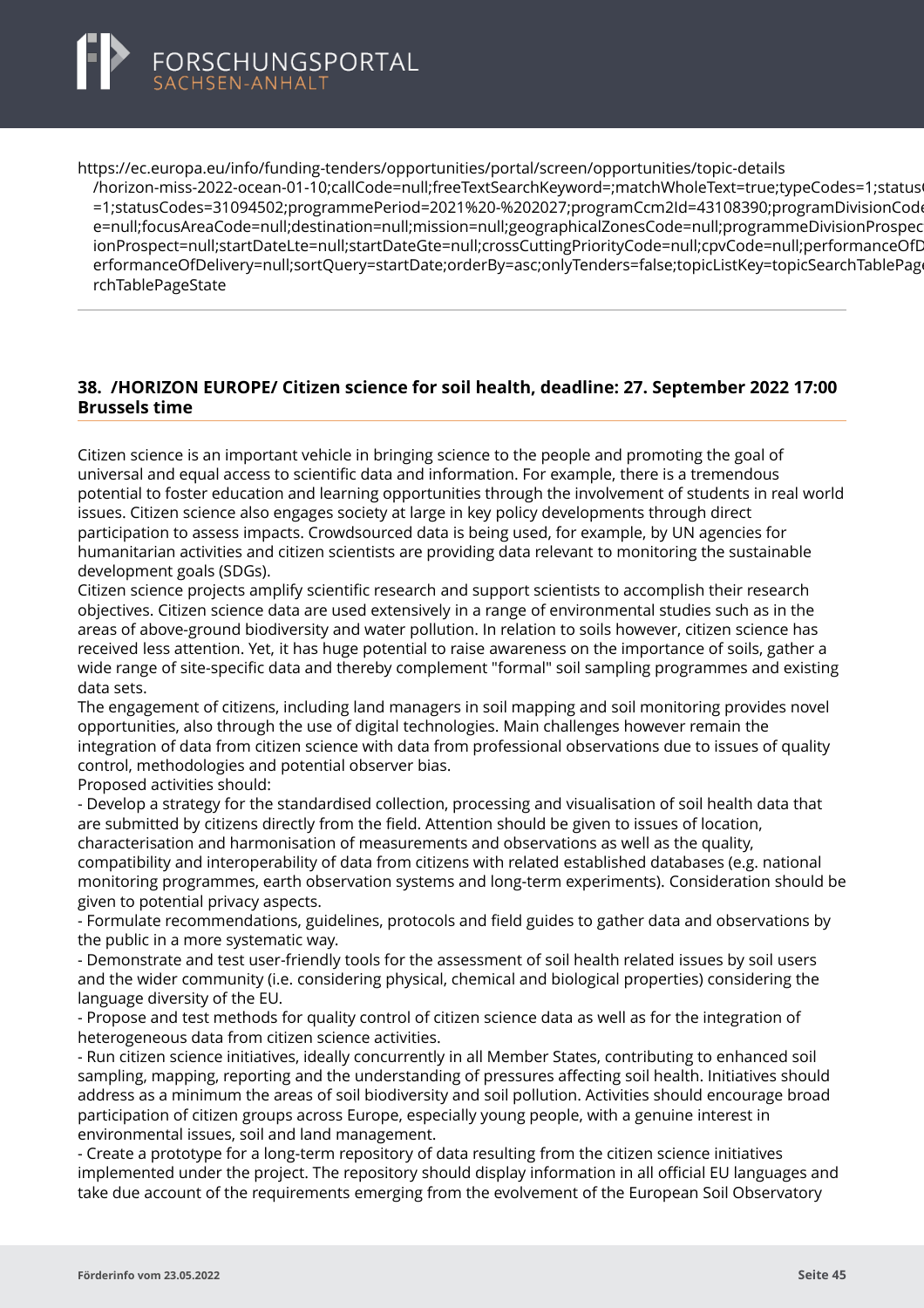<span id="page-47-0"></span>

https://ec.europa.eu/info/funding-tenders/opportunities/portal/screen/opportunities/topic-details

[/horizon-miss-2022-ocean-01-10;callCode=null;freeTextSearchKeyword=;matchWholeText=true;typeCode](https://ec.europa.eu/info/funding-tenders/opportunities/portal/screen/opportunities/topic-details/horizon-miss-2022-ocean-01-10;callCode=null;freeTextSearchKeyword=;matchWholeText=true;typeCodes=1;statusCodes=31094502;programmePeriod=2021%20-%202027;programCcm2Id=43108390;programDivisionCode=null;focusAreaCode=null;destination=null;mission=null;geographicalZonesCode=null;programmeDivisionProspect=null;startDateLte=null;startDateGte=null;crossCuttingPriorityCode=null;cpvCode=null;performanceOfDelivery=null;sortQuery=startDate;orderBy=asc;onlyTenders=false;topicListKey=topicSearchTablePageState)s=1;status =1;statusCodes=31094502;programmePeriod=2021%20-%202027;programCcm2Id=43108390;programDivisionCod e=null:focusAreaCode=null:destination=null;mission=null;geographicalZonesCode=null;programmeDivisionProspec ionProspect=null;startDateLte=null;startDateGte=null;crossCuttingPriorityCode=null;cpvCode=null;performanceOfD erformanceOfDelivery=null;sortQuery=startDate;orderBy=asc;onlyTenders=false;topicListKey=topicSearchTablePage rchTablePageState

### **38. /HORIZON EUROPE/ Citizen science for soil health, deadline: 27. September 2022 17:00 Brussels time**

Citizen science is an important vehicle in bringing science to the people and promoting the goal of universal and equal access to scientific data and information. For example, there is a tremendous potential to foster education and learning opportunities through the involvement of students in real world issues. Citizen science also engages society at large in key policy developments through direct participation to assess impacts. Crowdsourced data is being used, for example, by UN agencies for humanitarian activities and citizen scientists are providing data relevant to monitoring the sustainable development goals (SDGs).

Citizen science projects amplify scientific research and support scientists to accomplish their research objectives. Citizen science data are used extensively in a range of environmental studies such as in the areas of above-ground biodiversity and water pollution. In relation to soils however, citizen science has received less attention. Yet, it has huge potential to raise awareness on the importance of soils, gather a wide range of site-specific data and thereby complement "formal" soil sampling programmes and existing data sets.

The engagement of citizens, including land managers in soil mapping and soil monitoring provides novel opportunities, also through the use of digital technologies. Main challenges however remain the integration of data from citizen science with data from professional observations due to issues of quality control, methodologies and potential observer bias.

Proposed activities should:

- Develop a strategy for the standardised collection, processing and visualisation of soil health data that are submitted by citizens directly from the field. Attention should be given to issues of location, characterisation and harmonisation of measurements and observations as well as the quality, compatibility and interoperability of data from citizens with related established databases (e.g. national monitoring programmes, earth observation systems and long-term experiments). Consideration should be

given to potential privacy aspects.

- Formulate recommendations, guidelines, protocols and field guides to gather data and observations by the public in a more systematic way.

- Demonstrate and test user-friendly tools for the assessment of soil health related issues by soil users and the wider community (i.e. considering physical, chemical and biological properties) considering the language diversity of the EU.

- Propose and test methods for quality control of citizen science data as well as for the integration of heterogeneous data from citizen science activities.

- Run citizen science initiatives, ideally concurrently in all Member States, contributing to enhanced soil sampling, mapping, reporting and the understanding of pressures affecting soil health. Initiatives should address as a minimum the areas of soil biodiversity and soil pollution. Activities should encourage broad participation of citizen groups across Europe, especially young people, with a genuine interest in environmental issues, soil and land management.

- Create a prototype for a long-term repository of data resulting from the citizen science initiatives implemented under the project. The repository should display information in all official EU languages and take due account of the requirements emerging from the evolvement of the European Soil Observatory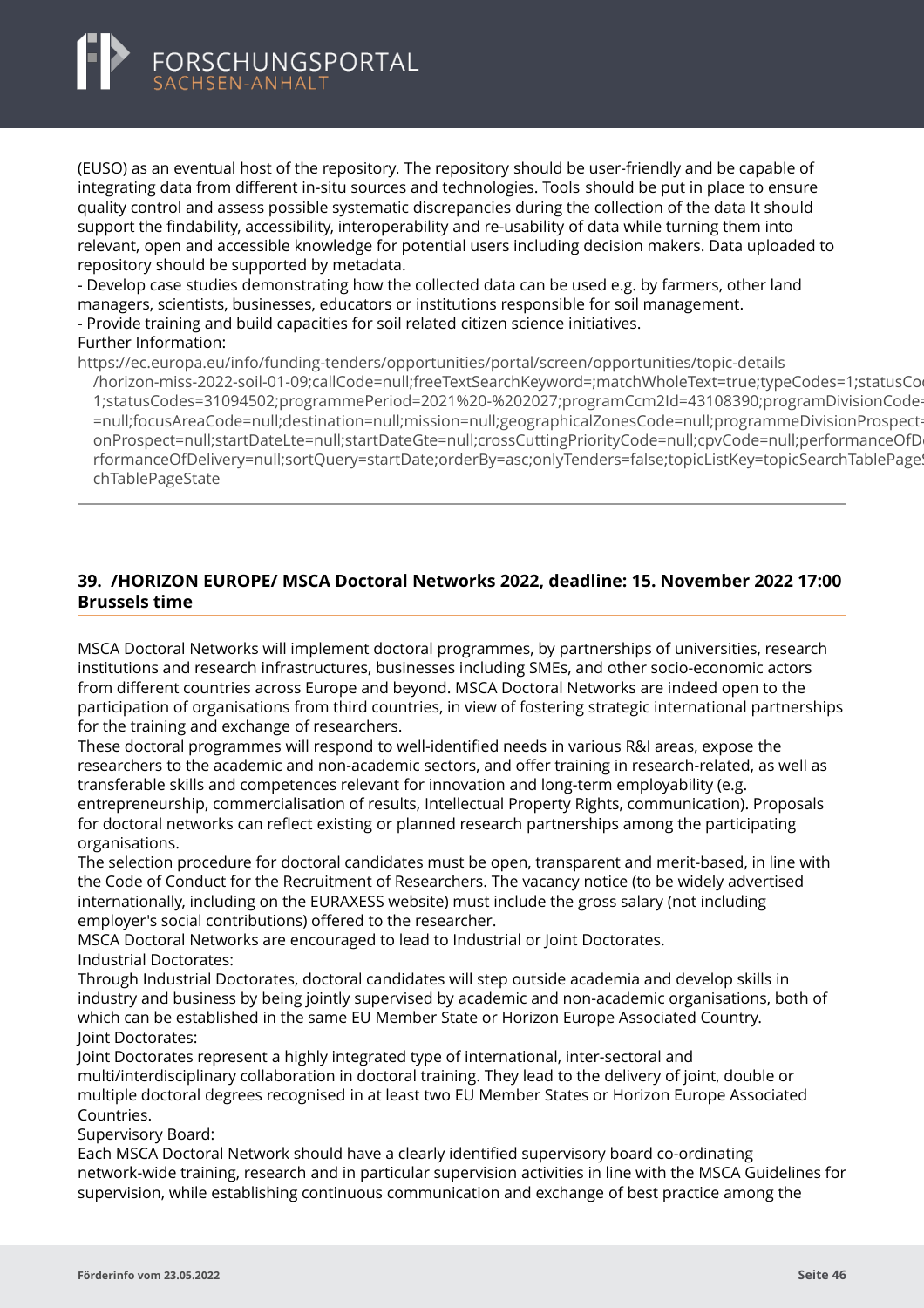<span id="page-48-0"></span>

(EUSO) as an eventual host of the repository. The repository should be user-friendly and be capable of integrating data from different in-situ sources and technologies. Tools should be put in place to ensure quality control and assess possible systematic discrepancies during the collection of the data It should support the findability, accessibility, interoperability and re-usability of data while turning them into relevant, open and accessible knowledge for potential users including decision makers. Data uploaded to repository should be supported by metadata.

- Develop case studies demonstrating how the collected data can be used e.g. by farmers, other land managers, scientists, businesses, educators or institutions responsible for soil management.

- Provide training and build capacities for soil related citizen science initiatives.

#### Further Information:

https://ec.europa.eu/info/funding-tenders/opportunities/portal/screen/opportunities/topic-details

[/horizon-miss-2022-soil-01-09;callCode=null;freeTextSearchKeyword=;matchWholeText=true;typeCodes=1](https://ec.europa.eu/info/funding-tenders/opportunities/portal/screen/opportunities/topic-details/horizon-miss-2022-soil-01-09;callCode=null;freeTextSearchKeyword=;matchWholeText=true;typeCodes=1;statusCodes=31094502;programmePeriod=2021%20-%202027;programCcm2Id=43108390;programDivisionCode=null;focusAreaCode=null;destination=null;mission=null;geographicalZonesCode=null;programmeDivisionProspect=null;startDateLte=null;startDateGte=null;crossCuttingPriorityCode=null;cpvCode=null;performanceOfDelivery=null;sortQuery=startDate;orderBy=asc;onlyTenders=false;topicListKey=topicSearchTablePageState);statusCo 1:statusCodes=31094502:programmePeriod=2021%20-%202027:programCcm2ld=43108390:programDivisionCode =null;focusAreaCode=null;destination=null;mission=null;geographicalZonesCode=null;programmeDivisionProspect onProspect=null;startDateLte=null;startDateGte=null;crossCuttingPriorityCode=null;cpvCode=null;performanceOfD rformanceOfDelivery=null;sortQuery=startDate;orderBy=asc;onlyTenders=false;topicListKey=topicSearchTablePage! chTablePageState

# **39. /HORIZON EUROPE/ MSCA Doctoral Networks 2022, deadline: 15. November 2022 17:00 Brussels time**

MSCA Doctoral Networks will implement doctoral programmes, by partnerships of universities, research institutions and research infrastructures, businesses including SMEs, and other socio-economic actors from different countries across Europe and beyond. MSCA Doctoral Networks are indeed open to the participation of organisations from third countries, in view of fostering strategic international partnerships for the training and exchange of researchers.

These doctoral programmes will respond to well-identified needs in various R&I areas, expose the researchers to the academic and non-academic sectors, and offer training in research-related, as well as transferable skills and competences relevant for innovation and long-term employability (e.g. entrepreneurship, commercialisation of results, Intellectual Property Rights, communication). Proposals for doctoral networks can reflect existing or planned research partnerships among the participating organisations.

The selection procedure for doctoral candidates must be open, transparent and merit-based, in line with the Code of Conduct for the Recruitment of Researchers. The vacancy notice (to be widely advertised internationally, including on the EURAXESS website) must include the gross salary (not including employer's social contributions) offered to the researcher.

MSCA Doctoral Networks are encouraged to lead to Industrial or Joint Doctorates. Industrial Doctorates:

Through Industrial Doctorates, doctoral candidates will step outside academia and develop skills in industry and business by being jointly supervised by academic and non-academic organisations, both of which can be established in the same EU Member State or Horizon Europe Associated Country. Joint Doctorates:

Joint Doctorates represent a highly integrated type of international, inter-sectoral and multi/interdisciplinary collaboration in doctoral training. They lead to the delivery of joint, double or multiple doctoral degrees recognised in at least two EU Member States or Horizon Europe Associated Countries.

Supervisory Board:

Each MSCA Doctoral Network should have a clearly identified supervisory board co-ordinating network-wide training, research and in particular supervision activities in line with the MSCA Guidelines for supervision, while establishing continuous communication and exchange of best practice among the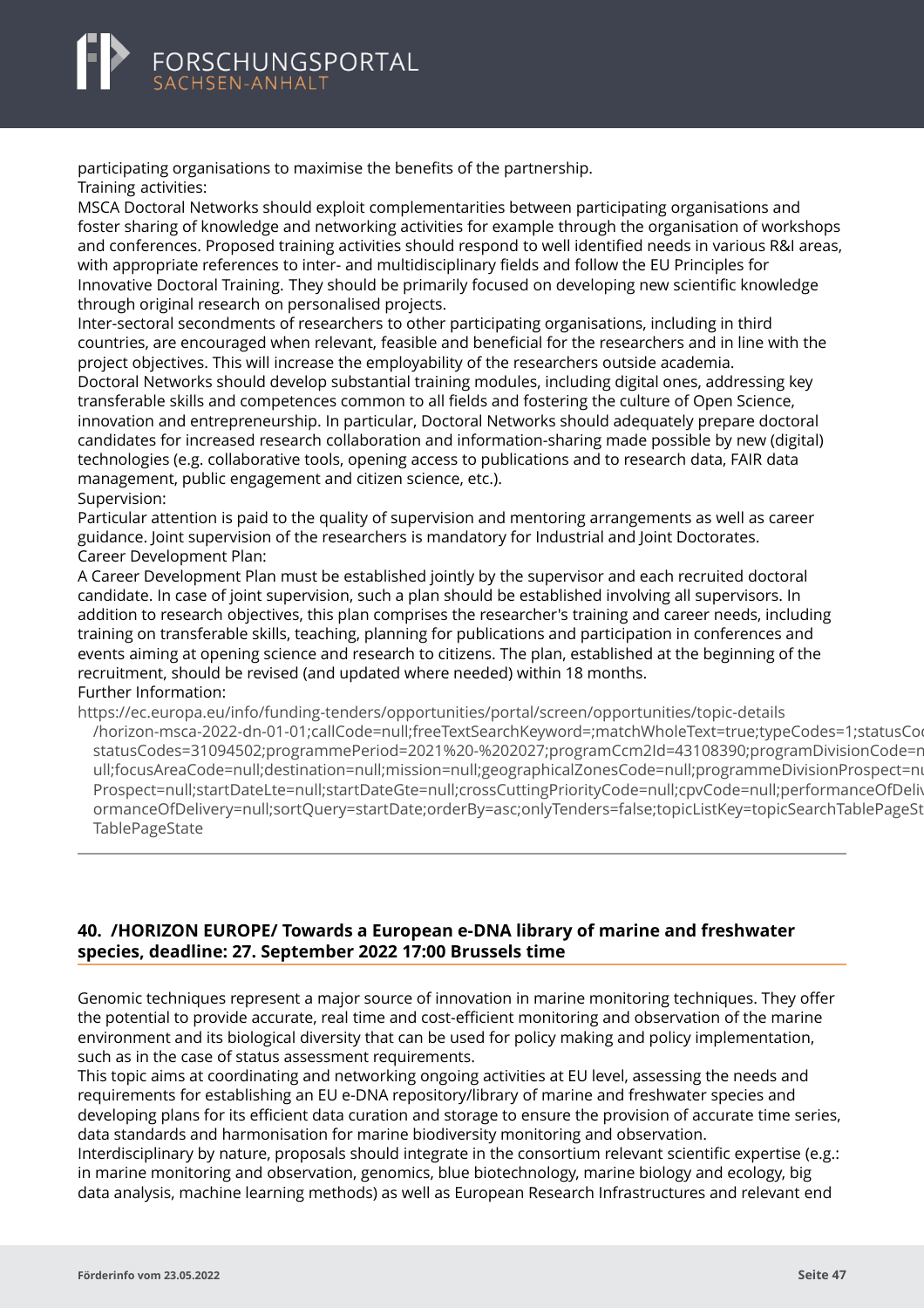<span id="page-49-0"></span>

participating organisations to maximise the benefits of the partnership. Training activities:

MSCA Doctoral Networks should exploit complementarities between participating organisations and foster sharing of knowledge and networking activities for example through the organisation of workshops and conferences. Proposed training activities should respond to well identified needs in various R&I areas, with appropriate references to inter- and multidisciplinary fields and follow the EU Principles for Innovative Doctoral Training. They should be primarily focused on developing new scientific knowledge through original research on personalised projects.

Inter-sectoral secondments of researchers to other participating organisations, including in third countries, are encouraged when relevant, feasible and beneficial for the researchers and in line with the project objectives. This will increase the employability of the researchers outside academia. Doctoral Networks should develop substantial training modules, including digital ones, addressing key transferable skills and competences common to all fields and fostering the culture of Open Science, innovation and entrepreneurship. In particular, Doctoral Networks should adequately prepare doctoral candidates for increased research collaboration and information-sharing made possible by new (digital) technologies (e.g. collaborative tools, opening access to publications and to research data, FAIR data management, public engagement and citizen science, etc.). Supervision:

Particular attention is paid to the quality of supervision and mentoring arrangements as well as career guidance. Joint supervision of the researchers is mandatory for Industrial and Joint Doctorates. Career Development Plan:

A Career Development Plan must be established jointly by the supervisor and each recruited doctoral candidate. In case of joint supervision, such a plan should be established involving all supervisors. In addition to research objectives, this plan comprises the researcher's training and career needs, including training on transferable skills, teaching, planning for publications and participation in conferences and events aiming at opening science and research to citizens. The plan, established at the beginning of the recruitment, should be revised (and updated where needed) within 18 months. Further Information:

https://ec.europa.eu/info/funding-tenders/opportunities/portal/screen/opportunities/topic-details [/horizon-msca-2022-dn-01-01;callCode=null;freeTextSearchKeyword=;matchWholeText=true;typeCodes=1](https://ec.europa.eu/info/funding-tenders/opportunities/portal/screen/opportunities/topic-details/horizon-msca-2022-dn-01-01;callCode=null;freeTextSearchKeyword=;matchWholeText=true;typeCodes=1;statusCodes=31094502;programmePeriod=2021%20-%202027;programCcm2Id=43108390;programDivisionCode=null;focusAreaCode=null;destination=null;mission=null;geographicalZonesCode=null;programmeDivisionProspect=null;startDateLte=null;startDateGte=null;crossCuttingPriorityCode=null;cpvCode=null;performanceOfDelivery=null;sortQuery=startDate;orderBy=asc;onlyTenders=false;topicListKey=topicSearchTablePageState);statusCodes=31094502;programmePeriod=2021%20-%202027;programCcm2Id=43108390;programDivisionCode=n statusCodes=31094502;programmePeriod=2021%20-%202027;programCcm2Id=43108390;programDivisionCode=r ull;focusAreaCode=null;destination=null;mission=null;geographicalZonesCode=null;programmeDivisionProspect=ni Prospect=null;startDateLte=null;startDateGte=null;crossCuttingPriorityCode=null;cpvCode=null;performanceOfDeli ormanceOfDelivery=null;sortQuery=startDate;orderBy=asc;onlyTenders=false;topicListKey=topicSearchTablePageState **TablePageState** 

### **40. /HORIZON EUROPE/ Towards a European e-DNA library of marine and freshwater species, deadline: 27. September 2022 17:00 Brussels time**

Genomic techniques represent a major source of innovation in marine monitoring techniques. They offer the potential to provide accurate, real time and cost-efficient monitoring and observation of the marine environment and its biological diversity that can be used for policy making and policy implementation, such as in the case of status assessment requirements.

This topic aims at coordinating and networking ongoing activities at EU level, assessing the needs and requirements for establishing an EU e-DNA repository/library of marine and freshwater species and developing plans for its efficient data curation and storage to ensure the provision of accurate time series, data standards and harmonisation for marine biodiversity monitoring and observation.

Interdisciplinary by nature, proposals should integrate in the consortium relevant scientific expertise (e.g.: in marine monitoring and observation, genomics, blue biotechnology, marine biology and ecology, big data analysis, machine learning methods) as well as European Research Infrastructures and relevant end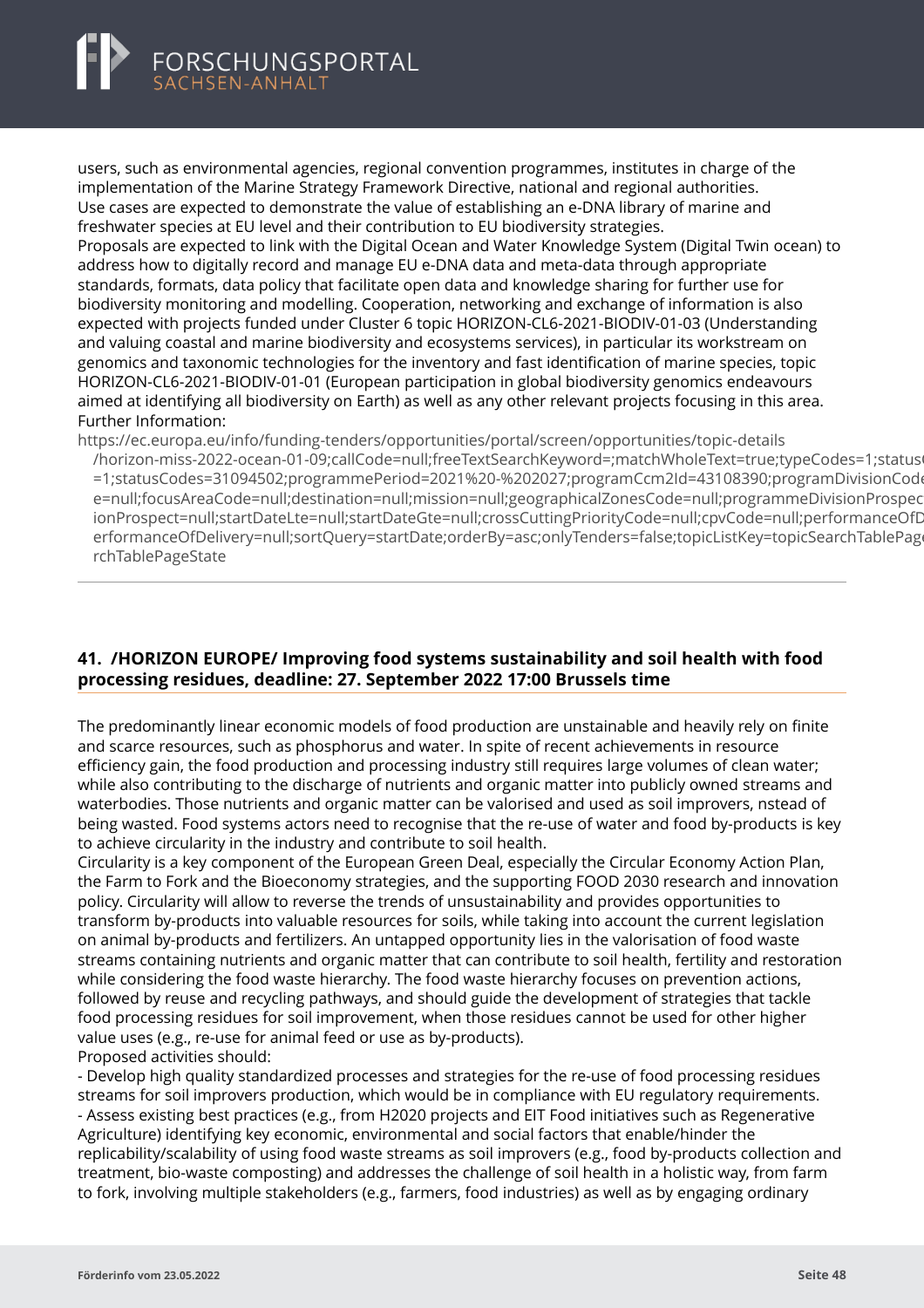<span id="page-50-0"></span>

users, such as environmental agencies, regional convention programmes, institutes in charge of the implementation of the Marine Strategy Framework Directive, national and regional authorities. Use cases are expected to demonstrate the value of establishing an e-DNA library of marine and freshwater species at EU level and their contribution to EU biodiversity strategies.

Proposals are expected to link with the Digital Ocean and Water Knowledge System (Digital Twin ocean) to address how to digitally record and manage EU e-DNA data and meta-data through appropriate standards, formats, data policy that facilitate open data and knowledge sharing for further use for biodiversity monitoring and modelling. Cooperation, networking and exchange of information is also expected with projects funded under Cluster 6 topic HORIZON-CL6-2021-BIODIV-01-03 (Understanding and valuing coastal and marine biodiversity and ecosystems services), in particular its workstream on genomics and taxonomic technologies for the inventory and fast identification of marine species, topic HORIZON-CL6-2021-BIODIV-01-01 (European participation in global biodiversity genomics endeavours aimed at identifying all biodiversity on Earth) as well as any other relevant projects focusing in this area. Further Information:

https://ec.europa.eu/info/funding-tenders/opportunities/portal/screen/opportunities/topic-details

[/horizon-miss-2022-ocean-01-09;callCode=null;freeTextSearchKeyword=;matchWholeText=true;typeCode](https://ec.europa.eu/info/funding-tenders/opportunities/portal/screen/opportunities/topic-details/horizon-miss-2022-ocean-01-09;callCode=null;freeTextSearchKeyword=;matchWholeText=true;typeCodes=1;statusCodes=31094502;programmePeriod=2021%20-%202027;programCcm2Id=43108390;programDivisionCode=null;focusAreaCode=null;destination=null;mission=null;geographicalZonesCode=null;programmeDivisionProspect=null;startDateLte=null;startDateGte=null;crossCuttingPriorityCode=null;cpvCode=null;performanceOfDelivery=null;sortQuery=startDate;orderBy=asc;onlyTenders=false;topicListKey=topicSearchTablePageState)s=1;status =1;statusCodes=31094502;programmePeriod=2021%20-%202027;programCcm2Id=43108390;programDivisionCode e=null;focusAreaCode=null;destination=null;mission=null;geographicalZonesCode=null;programmeDivisionProspec ionProspect=null;startDateLte=null;startDateGte=null;crossCuttingPriorityCode=null;cpvCode=null;performanceOfD erformanceOfDelivery=null;sortQuery=startDate;orderBy=asc;onlyTenders=false;topicListKey=topicSearchTablePage rchTablePageState

# **41. /HORIZON EUROPE/ Improving food systems sustainability and soil health with food processing residues, deadline: 27. September 2022 17:00 Brussels time**

The predominantly linear economic models of food production are unstainable and heavily rely on finite and scarce resources, such as phosphorus and water. In spite of recent achievements in resource efficiency gain, the food production and processing industry still requires large volumes of clean water; while also contributing to the discharge of nutrients and organic matter into publicly owned streams and waterbodies. Those nutrients and organic matter can be valorised and used as soil improvers, nstead of being wasted. Food systems actors need to recognise that the re-use of water and food by-products is key to achieve circularity in the industry and contribute to soil health.

Circularity is a key component of the European Green Deal, especially the Circular Economy Action Plan, the Farm to Fork and the Bioeconomy strategies, and the supporting FOOD 2030 research and innovation policy. Circularity will allow to reverse the trends of unsustainability and provides opportunities to transform by-products into valuable resources for soils, while taking into account the current legislation on animal by-products and fertilizers. An untapped opportunity lies in the valorisation of food waste streams containing nutrients and organic matter that can contribute to soil health, fertility and restoration while considering the food waste hierarchy. The food waste hierarchy focuses on prevention actions, followed by reuse and recycling pathways, and should guide the development of strategies that tackle food processing residues for soil improvement, when those residues cannot be used for other higher value uses (e.g., re-use for animal feed or use as by-products). Proposed activities should:

- Develop high quality standardized processes and strategies for the re-use of food processing residues streams for soil improvers production, which would be in compliance with EU regulatory requirements. - Assess existing best practices (e.g., from H2020 projects and EIT Food initiatives such as Regenerative Agriculture) identifying key economic, environmental and social factors that enable/hinder the replicability/scalability of using food waste streams as soil improvers (e.g., food by-products collection and treatment, bio-waste composting) and addresses the challenge of soil health in a holistic way, from farm to fork, involving multiple stakeholders (e.g., farmers, food industries) as well as by engaging ordinary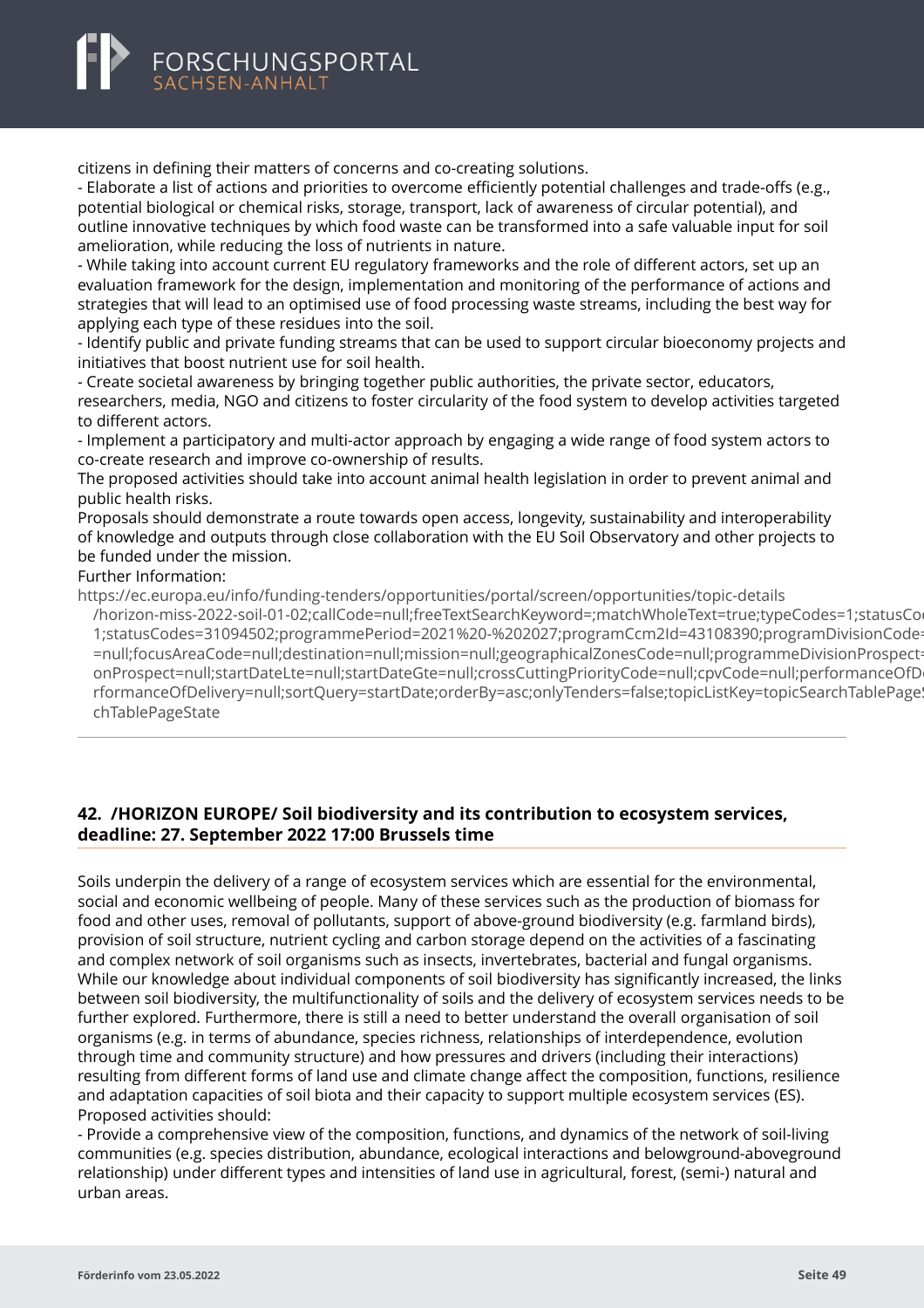<span id="page-51-0"></span>

citizens in defining their matters of concerns and co-creating solutions.

- Elaborate a list of actions and priorities to overcome efficiently potential challenges and trade-offs (e.g., potential biological or chemical risks, storage, transport, lack of awareness of circular potential), and outline innovative techniques by which food waste can be transformed into a safe valuable input for soil amelioration, while reducing the loss of nutrients in nature.

- While taking into account current EU regulatory frameworks and the role of different actors, set up an evaluation framework for the design, implementation and monitoring of the performance of actions and strategies that will lead to an optimised use of food processing waste streams, including the best way for applying each type of these residues into the soil.

- Identify public and private funding streams that can be used to support circular bioeconomy projects and initiatives that boost nutrient use for soil health.

- Create societal awareness by bringing together public authorities, the private sector, educators, researchers, media, NGO and citizens to foster circularity of the food system to develop activities targeted to different actors.

- Implement a participatory and multi-actor approach by engaging a wide range of food system actors to co-create research and improve co-ownership of results.

The proposed activities should take into account animal health legislation in order to prevent animal and public health risks.

Proposals should demonstrate a route towards open access, longevity, sustainability and interoperability of knowledge and outputs through close collaboration with the EU Soil Observatory and other projects to be funded under the mission.

# Further Information:

https://ec.europa.eu/info/funding-tenders/opportunities/portal/screen/opportunities/topic-details

[/horizon-miss-2022-soil-01-02;callCode=null;freeTextSearchKeyword=;matchWholeText=true;typeCodes=1](https://ec.europa.eu/info/funding-tenders/opportunities/portal/screen/opportunities/topic-details/horizon-miss-2022-soil-01-02;callCode=null;freeTextSearchKeyword=;matchWholeText=true;typeCodes=1;statusCodes=31094502;programmePeriod=2021%20-%202027;programCcm2Id=43108390;programDivisionCode=null;focusAreaCode=null;destination=null;mission=null;geographicalZonesCode=null;programmeDivisionProspect=null;startDateLte=null;startDateGte=null;crossCuttingPriorityCode=null;cpvCode=null;performanceOfDelivery=null;sortQuery=startDate;orderBy=asc;onlyTenders=false;topicListKey=topicSearchTablePageState):statusCo 1;statusCodes=31094502;programmePeriod=2021%20-%202027;programCcm2Id=43108390;programDivisionCode =null;focusAreaCode=null;destination=null;mission=null;geographicalZonesCode=null;programmeDivisionProspect onProspect=null;startDateLte=null;startDateGte=null;crossCuttingPriorityCode=null;cpvCode=null;performanceOfD rformanceOfDelivery=null;sortQuery=startDate;orderBy=asc;onlyTenders=false;topicListKey=topicSearchTablePage! chTablePageState

# **42. /HORIZON EUROPE/ Soil biodiversity and its contribution to ecosystem services, deadline: 27. September 2022 17:00 Brussels time**

Soils underpin the delivery of a range of ecosystem services which are essential for the environmental, social and economic wellbeing of people. Many of these services such as the production of biomass for food and other uses, removal of pollutants, support of above-ground biodiversity (e.g. farmland birds), provision of soil structure, nutrient cycling and carbon storage depend on the activities of a fascinating and complex network of soil organisms such as insects, invertebrates, bacterial and fungal organisms. While our knowledge about individual components of soil biodiversity has significantly increased, the links between soil biodiversity, the multifunctionality of soils and the delivery of ecosystem services needs to be further explored. Furthermore, there is still a need to better understand the overall organisation of soil organisms (e.g. in terms of abundance, species richness, relationships of interdependence, evolution through time and community structure) and how pressures and drivers (including their interactions) resulting from different forms of land use and climate change affect the composition, functions, resilience and adaptation capacities of soil biota and their capacity to support multiple ecosystem services (ES). Proposed activities should:

- Provide a comprehensive view of the composition, functions, and dynamics of the network of soil-living communities (e.g. species distribution, abundance, ecological interactions and belowground-aboveground relationship) under different types and intensities of land use in agricultural, forest, (semi-) natural and urban areas.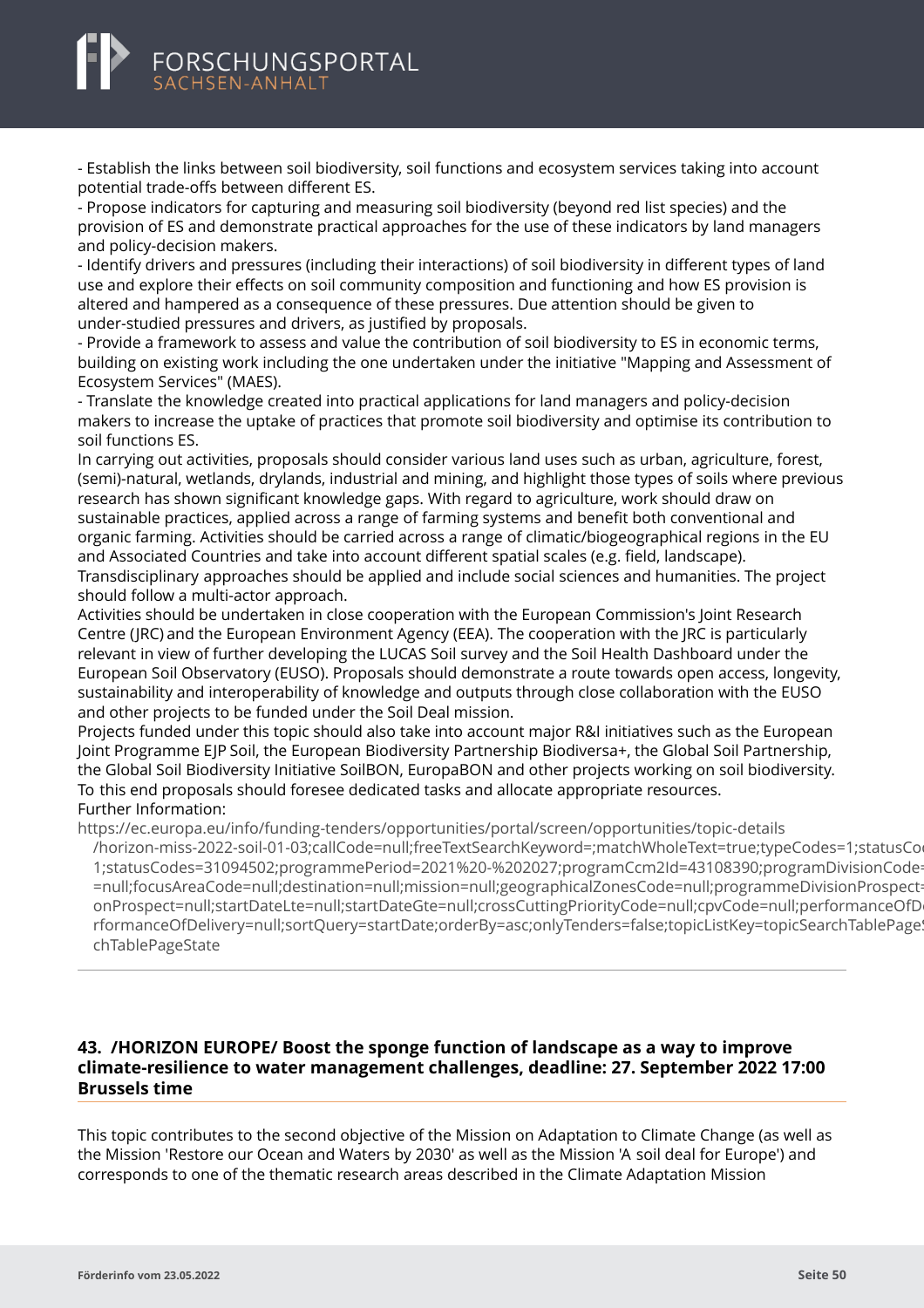- Establish the links between soil biodiversity, soil functions and ecosystem services taking into account potential trade-offs between different ES.

- Propose indicators for capturing and measuring soil biodiversity (beyond red list species) and the provision of ES and demonstrate practical approaches for the use of these indicators by land managers and policy-decision makers.

- Identify drivers and pressures (including their interactions) of soil biodiversity in different types of land use and explore their effects on soil community composition and functioning and how ES provision is altered and hampered as a consequence of these pressures. Due attention should be given to under-studied pressures and drivers, as justified by proposals.

- Provide a framework to assess and value the contribution of soil biodiversity to ES in economic terms, building on existing work including the one undertaken under the initiative "Mapping and Assessment of Ecosystem Services" (MAES).

- Translate the knowledge created into practical applications for land managers and policy-decision makers to increase the uptake of practices that promote soil biodiversity and optimise its contribution to soil functions ES.

In carrying out activities, proposals should consider various land uses such as urban, agriculture, forest, (semi)-natural, wetlands, drylands, industrial and mining, and highlight those types of soils where previous research has shown significant knowledge gaps. With regard to agriculture, work should draw on sustainable practices, applied across a range of farming systems and benefit both conventional and organic farming. Activities should be carried across a range of climatic/biogeographical regions in the EU and Associated Countries and take into account different spatial scales (e.g. field, landscape). Transdisciplinary approaches should be applied and include social sciences and humanities. The project should follow a multi-actor approach.

Activities should be undertaken in close cooperation with the European Commission's Joint Research Centre (JRC) and the European Environment Agency (EEA). The cooperation with the JRC is particularly relevant in view of further developing the LUCAS Soil survey and the Soil Health Dashboard under the European Soil Observatory (EUSO). Proposals should demonstrate a route towards open access, longevity, sustainability and interoperability of knowledge and outputs through close collaboration with the EUSO and other projects to be funded under the Soil Deal mission.

Projects funded under this topic should also take into account major R&I initiatives such as the European Joint Programme EJP Soil, the European Biodiversity Partnership Biodiversa+, the Global Soil Partnership, the Global Soil Biodiversity Initiative SoilBON, EuropaBON and other projects working on soil biodiversity. To this end proposals should foresee dedicated tasks and allocate appropriate resources. Further Information:

https://ec.europa.eu/info/funding-tenders/opportunities/portal/screen/opportunities/topic-details

[/horizon-miss-2022-soil-01-03;callCode=null;freeTextSearchKeyword=;matchWholeText=true;typeCodes=1](https://ec.europa.eu/info/funding-tenders/opportunities/portal/screen/opportunities/topic-details/horizon-miss-2022-soil-01-03;callCode=null;freeTextSearchKeyword=;matchWholeText=true;typeCodes=1;statusCodes=31094502;programmePeriod=2021%20-%202027;programCcm2Id=43108390;programDivisionCode=null;focusAreaCode=null;destination=null;mission=null;geographicalZonesCode=null;programmeDivisionProspect=null;startDateLte=null;startDateGte=null;crossCuttingPriorityCode=null;cpvCode=null;performanceOfDelivery=null;sortQuery=startDate;orderBy=asc;onlyTenders=false;topicListKey=topicSearchTablePageState);statusCo 1:statusCodes=31094502;programmePeriod=2021%20-%202027;programCcm2Id=43108390;programDivisionCode =null;focusAreaCode=null;destination=null;mission=null;geographicalZonesCode=null;programmeDivisionProspect onProspect=null;startDateLte=null;startDateGte=null;crossCuttingPriorityCode=null;cpvCode=null;performanceOfD rformanceOfDelivery=null;sortQuery=startDate;orderBy=asc;onlyTenders=false;topicListKey=topicSearchTablePage chTablePageState

### **43. /HORIZON EUROPE/ Boost the sponge function of landscape as a way to improve climate-resilience to water management challenges, deadline: 27. September 2022 17:00 Brussels time**

This topic contributes to the second objective of the Mission on Adaptation to Climate Change (as well as the Mission 'Restore our Ocean and Waters by 2030' as well as the Mission 'A soil deal for Europe') and corresponds to one of the thematic research areas described in the Climate Adaptation Mission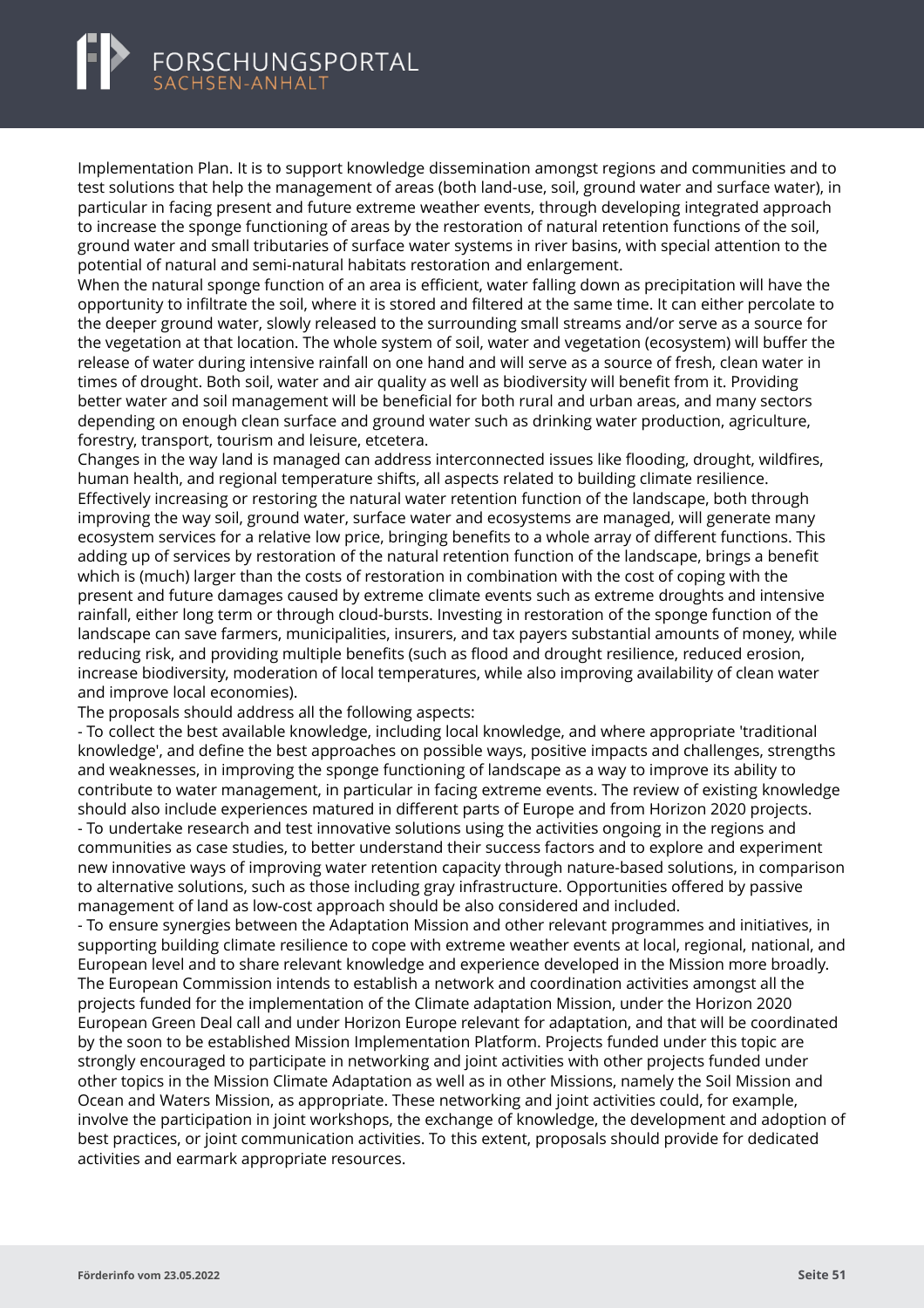<span id="page-53-0"></span>Implementation Plan. It is to support knowledge dissemination amongst regions and communities and to test solutions that help the management of areas (both land-use, soil, ground water and surface water), in particular in facing present and future extreme weather events, through developing integrated approach to increase the sponge functioning of areas by the restoration of natural retention functions of the soil, ground water and small tributaries of surface water systems in river basins, with special attention to the potential of natural and semi-natural habitats restoration and enlargement.

When the natural sponge function of an area is efficient, water falling down as precipitation will have the opportunity to infiltrate the soil, where it is stored and filtered at the same time. It can either percolate to the deeper ground water, slowly released to the surrounding small streams and/or serve as a source for the vegetation at that location. The whole system of soil, water and vegetation (ecosystem) will buffer the release of water during intensive rainfall on one hand and will serve as a source of fresh, clean water in times of drought. Both soil, water and air quality as well as biodiversity will benefit from it. Providing better water and soil management will be beneficial for both rural and urban areas, and many sectors depending on enough clean surface and ground water such as drinking water production, agriculture, forestry, transport, tourism and leisure, etcetera.

Changes in the way land is managed can address interconnected issues like flooding, drought, wildfires, human health, and regional temperature shifts, all aspects related to building climate resilience. Effectively increasing or restoring the natural water retention function of the landscape, both through improving the way soil, ground water, surface water and ecosystems are managed, will generate many ecosystem services for a relative low price, bringing benefits to a whole array of different functions. This adding up of services by restoration of the natural retention function of the landscape, brings a benefit which is (much) larger than the costs of restoration in combination with the cost of coping with the present and future damages caused by extreme climate events such as extreme droughts and intensive rainfall, either long term or through cloud-bursts. Investing in restoration of the sponge function of the landscape can save farmers, municipalities, insurers, and tax payers substantial amounts of money, while reducing risk, and providing multiple benefits (such as flood and drought resilience, reduced erosion, increase biodiversity, moderation of local temperatures, while also improving availability of clean water and improve local economies).

The proposals should address all the following aspects:

- To collect the best available knowledge, including local knowledge, and where appropriate 'traditional knowledge', and define the best approaches on possible ways, positive impacts and challenges, strengths and weaknesses, in improving the sponge functioning of landscape as a way to improve its ability to contribute to water management, in particular in facing extreme events. The review of existing knowledge should also include experiences matured in different parts of Europe and from Horizon 2020 projects. - To undertake research and test innovative solutions using the activities ongoing in the regions and communities as case studies, to better understand their success factors and to explore and experiment new innovative ways of improving water retention capacity through nature-based solutions, in comparison to alternative solutions, such as those including gray infrastructure. Opportunities offered by passive management of land as low-cost approach should be also considered and included.

- To ensure synergies between the Adaptation Mission and other relevant programmes and initiatives, in supporting building climate resilience to cope with extreme weather events at local, regional, national, and European level and to share relevant knowledge and experience developed in the Mission more broadly. The European Commission intends to establish a network and coordination activities amongst all the projects funded for the implementation of the Climate adaptation Mission, under the Horizon 2020 European Green Deal call and under Horizon Europe relevant for adaptation, and that will be coordinated by the soon to be established Mission Implementation Platform. Projects funded under this topic are strongly encouraged to participate in networking and joint activities with other projects funded under other topics in the Mission Climate Adaptation as well as in other Missions, namely the Soil Mission and Ocean and Waters Mission, as appropriate. These networking and joint activities could, for example, involve the participation in joint workshops, the exchange of knowledge, the development and adoption of best practices, or joint communication activities. To this extent, proposals should provide for dedicated activities and earmark appropriate resources.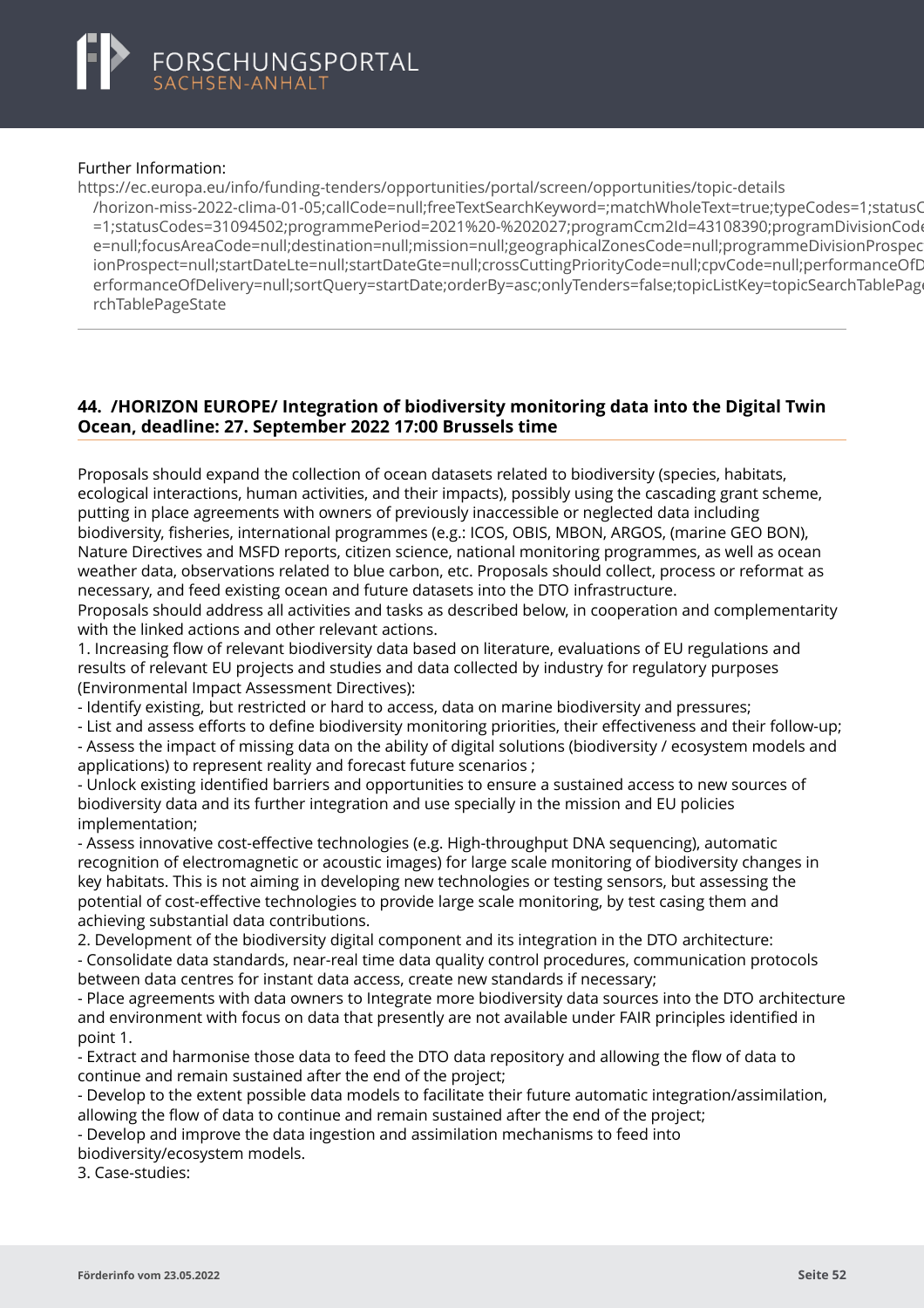#### Further Information:

https://ec.europa.eu/info/funding-tenders/opportunities/portal/screen/opportunities/topic-details

[/horizon-miss-2022-clima-01-05;callCode=null;freeTextSearchKeyword=;matchWholeText=true;typeCodes](https://ec.europa.eu/info/funding-tenders/opportunities/portal/screen/opportunities/topic-details/horizon-miss-2022-clima-01-05;callCode=null;freeTextSearchKeyword=;matchWholeText=true;typeCodes=1;statusCodes=31094502;programmePeriod=2021%20-%202027;programCcm2Id=43108390;programDivisionCode=null;focusAreaCode=null;destination=null;mission=null;geographicalZonesCode=null;programmeDivisionProspect=null;startDateLte=null;startDateGte=null;crossCuttingPriorityCode=null;cpvCode=null;performanceOfDelivery=null;sortQuery=startDate;orderBy=asc;onlyTenders=false;topicListKey=topicSearchTablePageState)=1;statusCodes=31094502;programmePeriod=2021%20-%202027;programCcm2Id=43108390;programDivisionCod =1:statusCodes=31094502:programmePeriod=2021%20-%202027:programCcm2ld=43108390:programDivisionCod e=null;focusAreaCode=null;destination=null;mission=null;geographicalZonesCode=null;programmeDivisionProspec ionProspect=null;startDateLte=null;startDateGte=null;crossCuttingPriorityCode=null;cpyCode=null;performanceOfD erformanceOfDelivery=null;sortQuery=startDate;orderBy=asc;onlyTenders=false;topicListKey=topicSearchTablePage rchTablePageState

# **44. /HORIZON EUROPE/ Integration of biodiversity monitoring data into the Digital Twin Ocean, deadline: 27. September 2022 17:00 Brussels time**

Proposals should expand the collection of ocean datasets related to biodiversity (species, habitats, ecological interactions, human activities, and their impacts), possibly using the cascading grant scheme, putting in place agreements with owners of previously inaccessible or neglected data including biodiversity, fisheries, international programmes (e.g.: ICOS, OBIS, MBON, ARGOS, (marine GEO BON), Nature Directives and MSFD reports, citizen science, national monitoring programmes, as well as ocean weather data, observations related to blue carbon, etc. Proposals should collect, process or reformat as necessary, and feed existing ocean and future datasets into the DTO infrastructure.

Proposals should address all activities and tasks as described below, in cooperation and complementarity with the linked actions and other relevant actions.

1. Increasing flow of relevant biodiversity data based on literature, evaluations of EU regulations and results of relevant EU projects and studies and data collected by industry for regulatory purposes (Environmental Impact Assessment Directives):

- Identify existing, but restricted or hard to access, data on marine biodiversity and pressures;

- List and assess efforts to define biodiversity monitoring priorities, their effectiveness and their follow-up; - Assess the impact of missing data on the ability of digital solutions (biodiversity / ecosystem models and applications) to represent reality and forecast future scenarios ;

- Unlock existing identified barriers and opportunities to ensure a sustained access to new sources of biodiversity data and its further integration and use specially in the mission and EU policies implementation;

- Assess innovative cost-effective technologies (e.g. High-throughput DNA sequencing), automatic recognition of electromagnetic or acoustic images) for large scale monitoring of biodiversity changes in key habitats. This is not aiming in developing new technologies or testing sensors, but assessing the potential of cost-effective technologies to provide large scale monitoring, by test casing them and achieving substantial data contributions.

2. Development of the biodiversity digital component and its integration in the DTO architecture: - Consolidate data standards, near-real time data quality control procedures, communication protocols between data centres for instant data access, create new standards if necessary;

- Place agreements with data owners to Integrate more biodiversity data sources into the DTO architecture and environment with focus on data that presently are not available under FAIR principles identified in point 1.

- Extract and harmonise those data to feed the DTO data repository and allowing the flow of data to continue and remain sustained after the end of the project;

- Develop to the extent possible data models to facilitate their future automatic integration/assimilation,

allowing the flow of data to continue and remain sustained after the end of the project;

- Develop and improve the data ingestion and assimilation mechanisms to feed into biodiversity/ecosystem models.

3. Case-studies: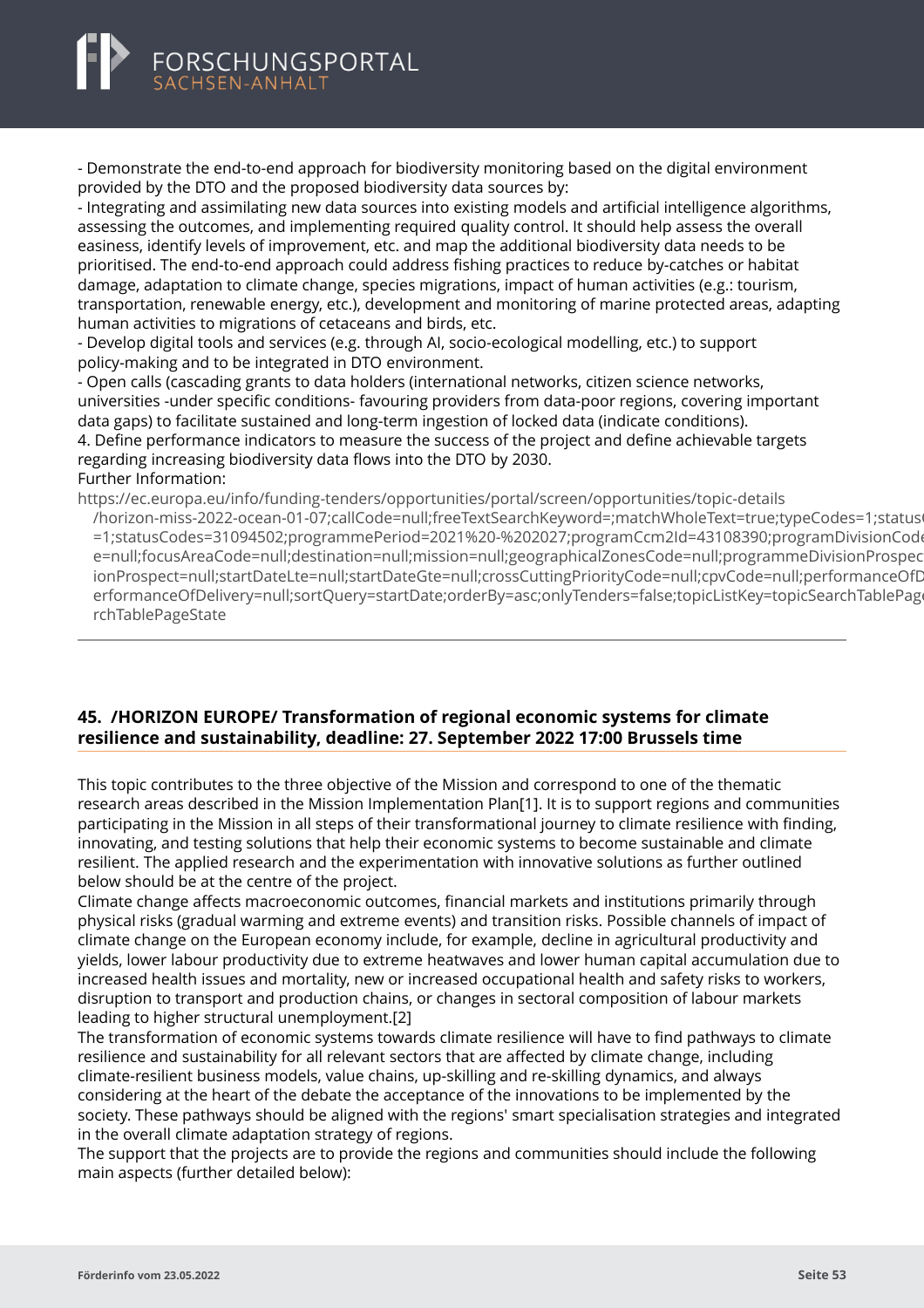<span id="page-55-0"></span>

- Demonstrate the end-to-end approach for biodiversity monitoring based on the digital environment provided by the DTO and the proposed biodiversity data sources by:

- Integrating and assimilating new data sources into existing models and artificial intelligence algorithms, assessing the outcomes, and implementing required quality control. It should help assess the overall easiness, identify levels of improvement, etc. and map the additional biodiversity data needs to be prioritised. The end-to-end approach could address fishing practices to reduce by-catches or habitat damage, adaptation to climate change, species migrations, impact of human activities (e.g.: tourism, transportation, renewable energy, etc.), development and monitoring of marine protected areas, adapting human activities to migrations of cetaceans and birds, etc.

- Develop digital tools and services (e.g. through AI, socio-ecological modelling, etc.) to support policy-making and to be integrated in DTO environment.

- Open calls (cascading grants to data holders (international networks, citizen science networks, universities -under specific conditions- favouring providers from data-poor regions, covering important data gaps) to facilitate sustained and long-term ingestion of locked data (indicate conditions). 4. Define performance indicators to measure the success of the project and define achievable targets regarding increasing biodiversity data flows into the DTO by 2030. Further Information:

https://ec.europa.eu/info/funding-tenders/opportunities/portal/screen/opportunities/topic-details [/horizon-miss-2022-ocean-01-07;callCode=null;freeTextSearchKeyword=;matchWholeText=true;typeCode](https://ec.europa.eu/info/funding-tenders/opportunities/portal/screen/opportunities/topic-details/horizon-miss-2022-ocean-01-07;callCode=null;freeTextSearchKeyword=;matchWholeText=true;typeCodes=1;statusCodes=31094502;programmePeriod=2021%20-%202027;programCcm2Id=43108390;programDivisionCode=null;focusAreaCode=null;destination=null;mission=null;geographicalZonesCode=null;programmeDivisionProspect=null;startDateLte=null;startDateGte=null;crossCuttingPriorityCode=null;cpvCode=null;performanceOfDelivery=null;sortQuery=startDate;orderBy=asc;onlyTenders=false;topicListKey=topicSearchTablePageState)s=1;status =1;statusCodes=31094502;programmePeriod=2021%20-%202027;programCcm2ld=43108390;programDivisionCod e=null;focusAreaCode=null;destination=null;mission=null;geographicalZonesCode=null;programmeDivisionProspec ionProspect=null;startDateLte=null;startDateGte=null;crossCuttingPriorityCode=null;cpyCode=null;performanceOfD erformanceOfDelivery=null;sortQuery=startDate;orderBy=asc;onlyTenders=false;topicListKey=topicSearchTablePage rchTablePageState

# **45. /HORIZON EUROPE/ Transformation of regional economic systems for climate resilience and sustainability, deadline: 27. September 2022 17:00 Brussels time**

This topic contributes to the three objective of the Mission and correspond to one of the thematic research areas described in the Mission Implementation Plan[1]. It is to support regions and communities participating in the Mission in all steps of their transformational journey to climate resilience with finding, innovating, and testing solutions that help their economic systems to become sustainable and climate resilient. The applied research and the experimentation with innovative solutions as further outlined below should be at the centre of the project.

Climate change affects macroeconomic outcomes, financial markets and institutions primarily through physical risks (gradual warming and extreme events) and transition risks. Possible channels of impact of climate change on the European economy include, for example, decline in agricultural productivity and yields, lower labour productivity due to extreme heatwaves and lower human capital accumulation due to increased health issues and mortality, new or increased occupational health and safety risks to workers, disruption to transport and production chains, or changes in sectoral composition of labour markets leading to higher structural unemployment.[2]

The transformation of economic systems towards climate resilience will have to find pathways to climate resilience and sustainability for all relevant sectors that are affected by climate change, including climate-resilient business models, value chains, up-skilling and re-skilling dynamics, and always considering at the heart of the debate the acceptance of the innovations to be implemented by the society. These pathways should be aligned with the regions' smart specialisation strategies and integrated in the overall climate adaptation strategy of regions.

The support that the projects are to provide the regions and communities should include the following main aspects (further detailed below):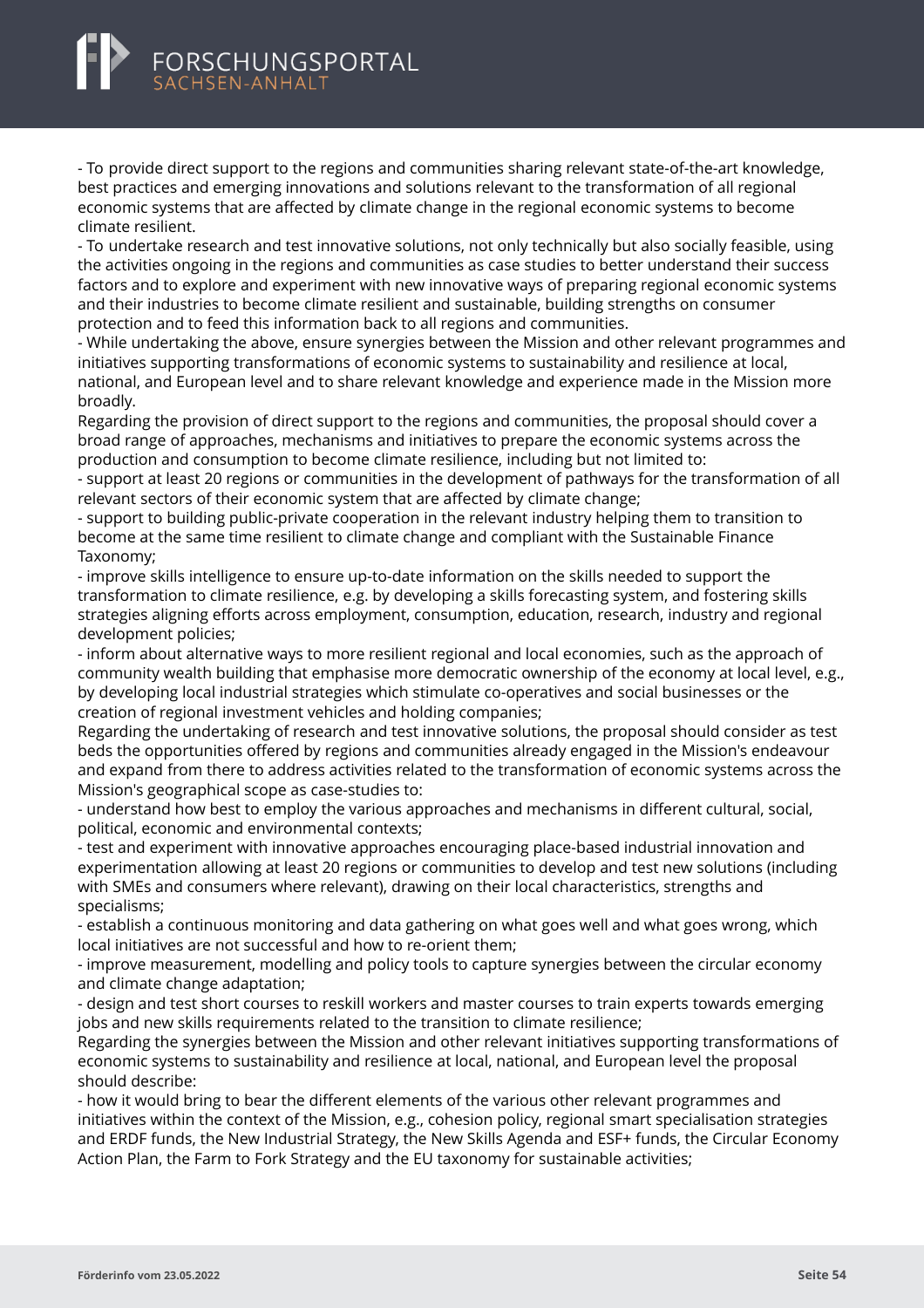<span id="page-56-0"></span>- To provide direct support to the regions and communities sharing relevant state-of-the-art knowledge, best practices and emerging innovations and solutions relevant to the transformation of all regional economic systems that are affected by climate change in the regional economic systems to become climate resilient.

- To undertake research and test innovative solutions, not only technically but also socially feasible, using the activities ongoing in the regions and communities as case studies to better understand their success factors and to explore and experiment with new innovative ways of preparing regional economic systems and their industries to become climate resilient and sustainable, building strengths on consumer protection and to feed this information back to all regions and communities.

- While undertaking the above, ensure synergies between the Mission and other relevant programmes and initiatives supporting transformations of economic systems to sustainability and resilience at local, national, and European level and to share relevant knowledge and experience made in the Mission more broadly.

Regarding the provision of direct support to the regions and communities, the proposal should cover a broad range of approaches, mechanisms and initiatives to prepare the economic systems across the production and consumption to become climate resilience, including but not limited to:

- support at least 20 regions or communities in the development of pathways for the transformation of all relevant sectors of their economic system that are affected by climate change;

- support to building public-private cooperation in the relevant industry helping them to transition to become at the same time resilient to climate change and compliant with the Sustainable Finance Taxonomy;

- improve skills intelligence to ensure up-to-date information on the skills needed to support the transformation to climate resilience, e.g. by developing a skills forecasting system, and fostering skills strategies aligning efforts across employment, consumption, education, research, industry and regional development policies;

- inform about alternative ways to more resilient regional and local economies, such as the approach of community wealth building that emphasise more democratic ownership of the economy at local level, e.g., by developing local industrial strategies which stimulate co-operatives and social businesses or the creation of regional investment vehicles and holding companies;

Regarding the undertaking of research and test innovative solutions, the proposal should consider as test beds the opportunities offered by regions and communities already engaged in the Mission's endeavour and expand from there to address activities related to the transformation of economic systems across the Mission's geographical scope as case-studies to:

- understand how best to employ the various approaches and mechanisms in different cultural, social, political, economic and environmental contexts;

- test and experiment with innovative approaches encouraging place-based industrial innovation and experimentation allowing at least 20 regions or communities to develop and test new solutions (including with SMEs and consumers where relevant), drawing on their local characteristics, strengths and specialisms;

- establish a continuous monitoring and data gathering on what goes well and what goes wrong, which local initiatives are not successful and how to re-orient them;

- improve measurement, modelling and policy tools to capture synergies between the circular economy and climate change adaptation;

- design and test short courses to reskill workers and master courses to train experts towards emerging jobs and new skills requirements related to the transition to climate resilience;

Regarding the synergies between the Mission and other relevant initiatives supporting transformations of economic systems to sustainability and resilience at local, national, and European level the proposal should describe:

- how it would bring to bear the different elements of the various other relevant programmes and initiatives within the context of the Mission, e.g., cohesion policy, regional smart specialisation strategies and ERDF funds, the New Industrial Strategy, the New Skills Agenda and ESF+ funds, the Circular Economy Action Plan, the Farm to Fork Strategy and the EU taxonomy for sustainable activities;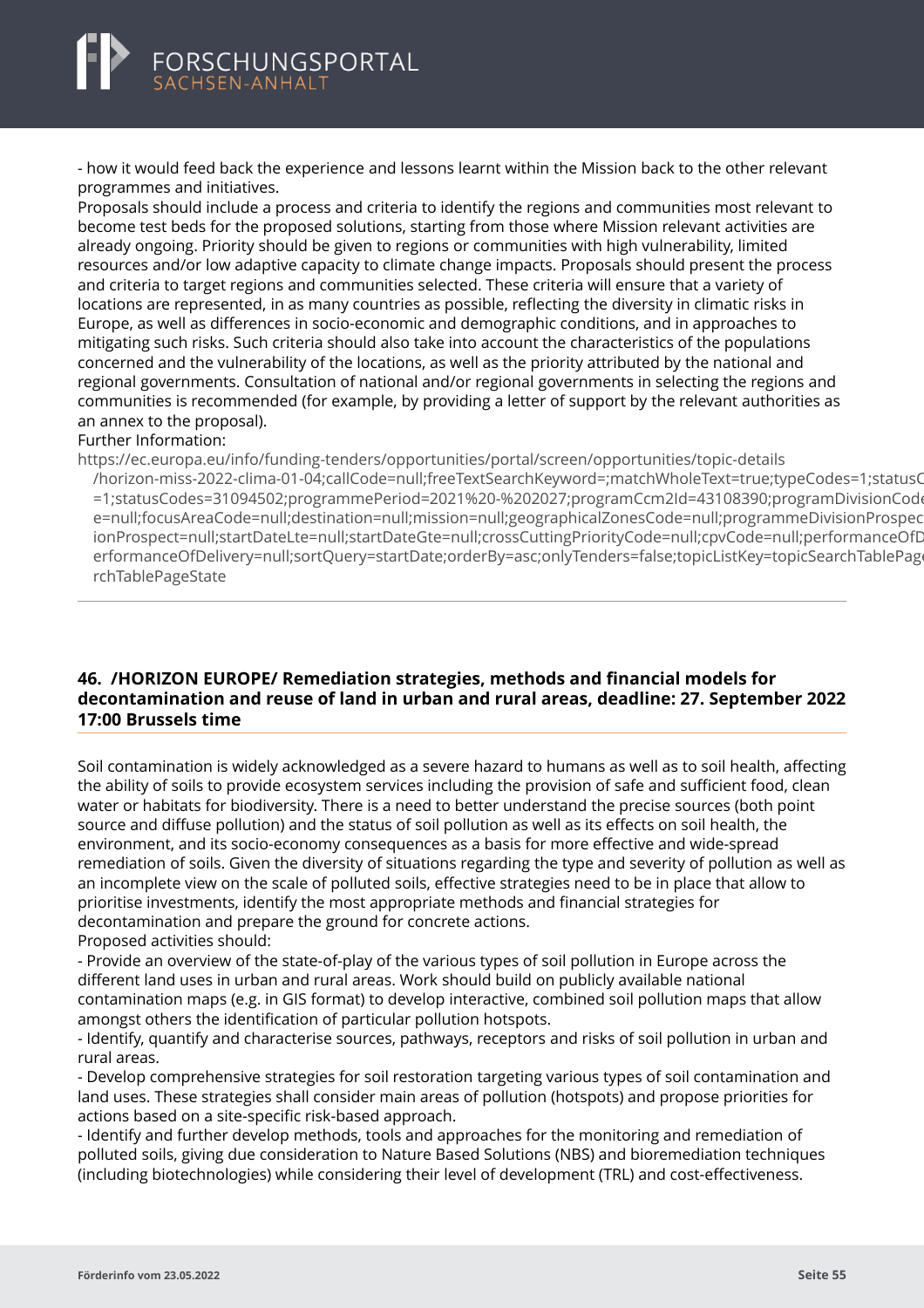<span id="page-57-0"></span>

- how it would feed back the experience and lessons learnt within the Mission back to the other relevant programmes and initiatives.

Proposals should include a process and criteria to identify the regions and communities most relevant to become test beds for the proposed solutions, starting from those where Mission relevant activities are already ongoing. Priority should be given to regions or communities with high vulnerability, limited resources and/or low adaptive capacity to climate change impacts. Proposals should present the process and criteria to target regions and communities selected. These criteria will ensure that a variety of locations are represented, in as many countries as possible, reflecting the diversity in climatic risks in Europe, as well as differences in socio-economic and demographic conditions, and in approaches to mitigating such risks. Such criteria should also take into account the characteristics of the populations concerned and the vulnerability of the locations, as well as the priority attributed by the national and regional governments. Consultation of national and/or regional governments in selecting the regions and communities is recommended (for example, by providing a letter of support by the relevant authorities as an annex to the proposal).

#### Further Information:

https://ec.europa.eu/info/funding-tenders/opportunities/portal/screen/opportunities/topic-details

[/horizon-miss-2022-clima-01-04;callCode=null;freeTextSearchKeyword=;matchWholeText=true;typeCodes](https://ec.europa.eu/info/funding-tenders/opportunities/portal/screen/opportunities/topic-details/horizon-miss-2022-clima-01-04;callCode=null;freeTextSearchKeyword=;matchWholeText=true;typeCodes=1;statusCodes=31094502;programmePeriod=2021%20-%202027;programCcm2Id=43108390;programDivisionCode=null;focusAreaCode=null;destination=null;mission=null;geographicalZonesCode=null;programmeDivisionProspect=null;startDateLte=null;startDateGte=null;crossCuttingPriorityCode=null;cpvCode=null;performanceOfDelivery=null;sortQuery=startDate;orderBy=asc;onlyTenders=false;topicListKey=topicSearchTablePageState)=1;statusC =1;statusCodes=31094502;programmePeriod=2021%20-%202027;programCcm2Id=43108390;programDivisionCode e=null;focusAreaCode=null;destination=null;mission=null;geographicalZonesCode=null;programmeDivisionProspec ionProspect=null;startDateLte=null;startDateGte=null;crossCuttingPriorityCode=null;cpvCode=null;performanceOfD erformanceOfDelivery=null;sortQuery=startDate;orderBy=asc;onlyTenders=false;topicListKey=topicSearchTablePage rchTablePageState

### **46. /HORIZON EUROPE/ Remediation strategies, methods and financial models for decontamination and reuse of land in urban and rural areas, deadline: 27. September 2022 17:00 Brussels time**

Soil contamination is widely acknowledged as a severe hazard to humans as well as to soil health, affecting the ability of soils to provide ecosystem services including the provision of safe and sufficient food, clean water or habitats for biodiversity. There is a need to better understand the precise sources (both point source and diffuse pollution) and the status of soil pollution as well as its effects on soil health, the environment, and its socio-economy consequences as a basis for more effective and wide-spread remediation of soils. Given the diversity of situations regarding the type and severity of pollution as well as an incomplete view on the scale of polluted soils, effective strategies need to be in place that allow to prioritise investments, identify the most appropriate methods and financial strategies for decontamination and prepare the ground for concrete actions. Proposed activities should:

- Provide an overview of the state-of-play of the various types of soil pollution in Europe across the different land uses in urban and rural areas. Work should build on publicly available national contamination maps (e.g. in GIS format) to develop interactive, combined soil pollution maps that allow amongst others the identification of particular pollution hotspots.

- Identify, quantify and characterise sources, pathways, receptors and risks of soil pollution in urban and rural areas.

- Develop comprehensive strategies for soil restoration targeting various types of soil contamination and land uses. These strategies shall consider main areas of pollution (hotspots) and propose priorities for actions based on a site-specific risk-based approach.

- Identify and further develop methods, tools and approaches for the monitoring and remediation of polluted soils, giving due consideration to Nature Based Solutions (NBS) and bioremediation techniques (including biotechnologies) while considering their level of development (TRL) and cost-effectiveness.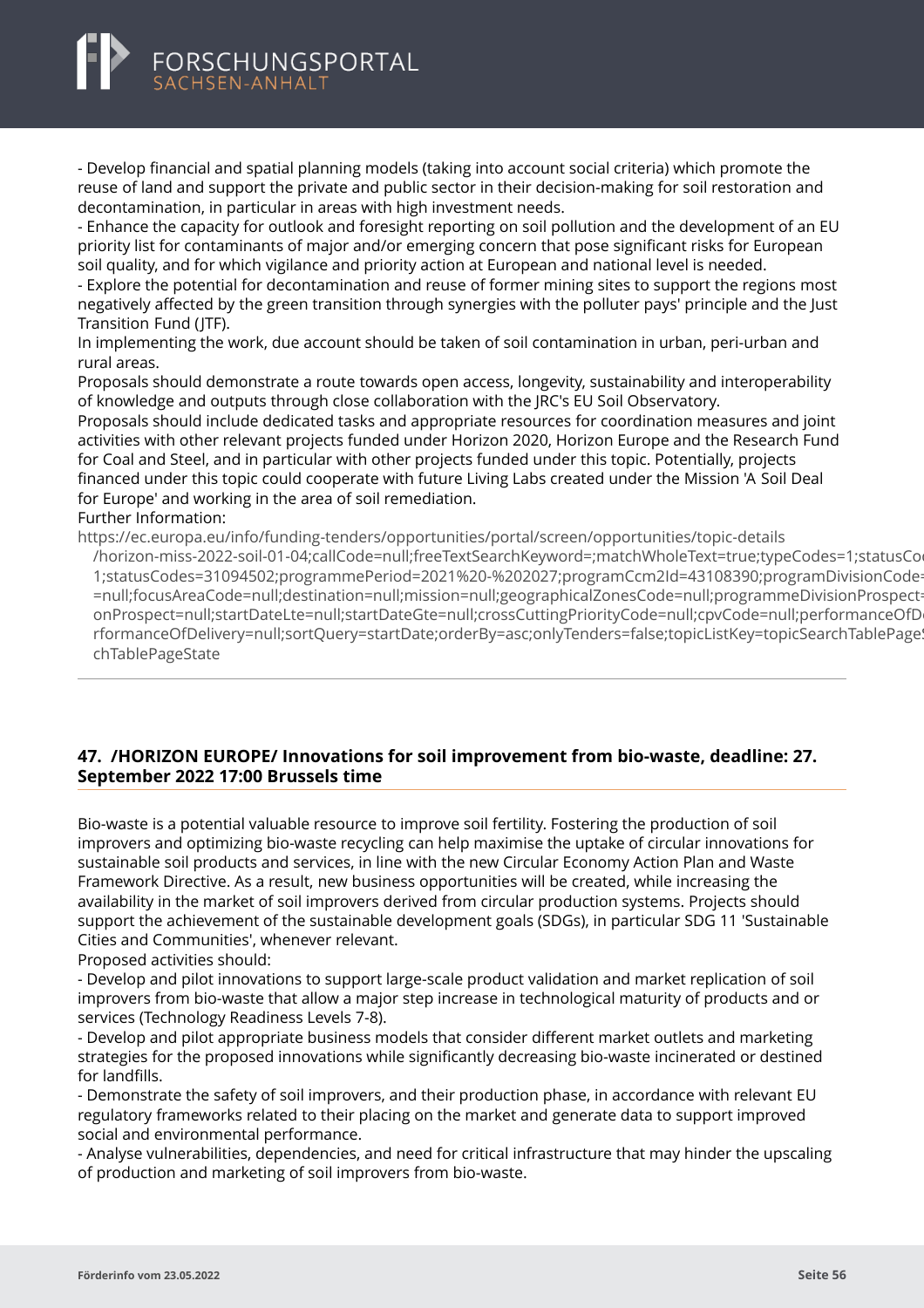

- Develop financial and spatial planning models (taking into account social criteria) which promote the reuse of land and support the private and public sector in their decision-making for soil restoration and decontamination, in particular in areas with high investment needs.

- Enhance the capacity for outlook and foresight reporting on soil pollution and the development of an EU priority list for contaminants of major and/or emerging concern that pose significant risks for European soil quality, and for which vigilance and priority action at European and national level is needed.

- Explore the potential for decontamination and reuse of former mining sites to support the regions most negatively affected by the green transition through synergies with the polluter pays' principle and the Just Transition Fund (JTF).

In implementing the work, due account should be taken of soil contamination in urban, peri-urban and rural areas.

Proposals should demonstrate a route towards open access, longevity, sustainability and interoperability of knowledge and outputs through close collaboration with the JRC's EU Soil Observatory.

Proposals should include dedicated tasks and appropriate resources for coordination measures and joint activities with other relevant projects funded under Horizon 2020, Horizon Europe and the Research Fund for Coal and Steel, and in particular with other projects funded under this topic. Potentially, projects financed under this topic could cooperate with future Living Labs created under the Mission 'A Soil Deal for Europe' and working in the area of soil remediation.

#### Further Information:

https://ec.europa.eu/info/funding-tenders/opportunities/portal/screen/opportunities/topic-details [/horizon-miss-2022-soil-01-04;callCode=null;freeTextSearchKeyword=;matchWholeText=true;typeCodes=1](https://ec.europa.eu/info/funding-tenders/opportunities/portal/screen/opportunities/topic-details/horizon-miss-2022-soil-01-04;callCode=null;freeTextSearchKeyword=;matchWholeText=true;typeCodes=1;statusCodes=31094502;programmePeriod=2021%20-%202027;programCcm2Id=43108390;programDivisionCode=null;focusAreaCode=null;destination=null;mission=null;geographicalZonesCode=null;programmeDivisionProspect=null;startDateLte=null;startDateGte=null;crossCuttingPriorityCode=null;cpvCode=null;performanceOfDelivery=null;sortQuery=startDate;orderBy=asc;onlyTenders=false;topicListKey=topicSearchTablePageState);statusCo 1:statusCodes=31094502:programmePeriod=2021%20-%202027:programCcm2ld=43108390:programDivisionCode =null;focusAreaCode=null;destination=null;mission=null;geographicalZonesCode=null;programmeDivisionProspect onProspect=null;startDateLte=null;startDateGte=null;crossCuttingPriorityCode=null;cpvCode=null;performanceOfD rformanceOfDelivery=null;sortQuery=startDate;orderBy=asc;onlyTenders=false;topicListKey=topicSearchTablePage chTablePageState

# **47. /HORIZON EUROPE/ Innovations for soil improvement from bio-waste, deadline: 27. September 2022 17:00 Brussels time**

Bio-waste is a potential valuable resource to improve soil fertility. Fostering the production of soil improvers and optimizing bio-waste recycling can help maximise the uptake of circular innovations for sustainable soil products and services, in line with the new Circular Economy Action Plan and Waste Framework Directive. As a result, new business opportunities will be created, while increasing the availability in the market of soil improvers derived from circular production systems. Projects should support the achievement of the sustainable development goals (SDGs), in particular SDG 11 'Sustainable Cities and Communities', whenever relevant.

Proposed activities should:

- Develop and pilot innovations to support large-scale product validation and market replication of soil improvers from bio-waste that allow a major step increase in technological maturity of products and or services (Technology Readiness Levels 7-8).

- Develop and pilot appropriate business models that consider different market outlets and marketing strategies for the proposed innovations while significantly decreasing bio-waste incinerated or destined for landfills.

- Demonstrate the safety of soil improvers, and their production phase, in accordance with relevant EU regulatory frameworks related to their placing on the market and generate data to support improved social and environmental performance.

- Analyse vulnerabilities, dependencies, and need for critical infrastructure that may hinder the upscaling of production and marketing of soil improvers from bio-waste.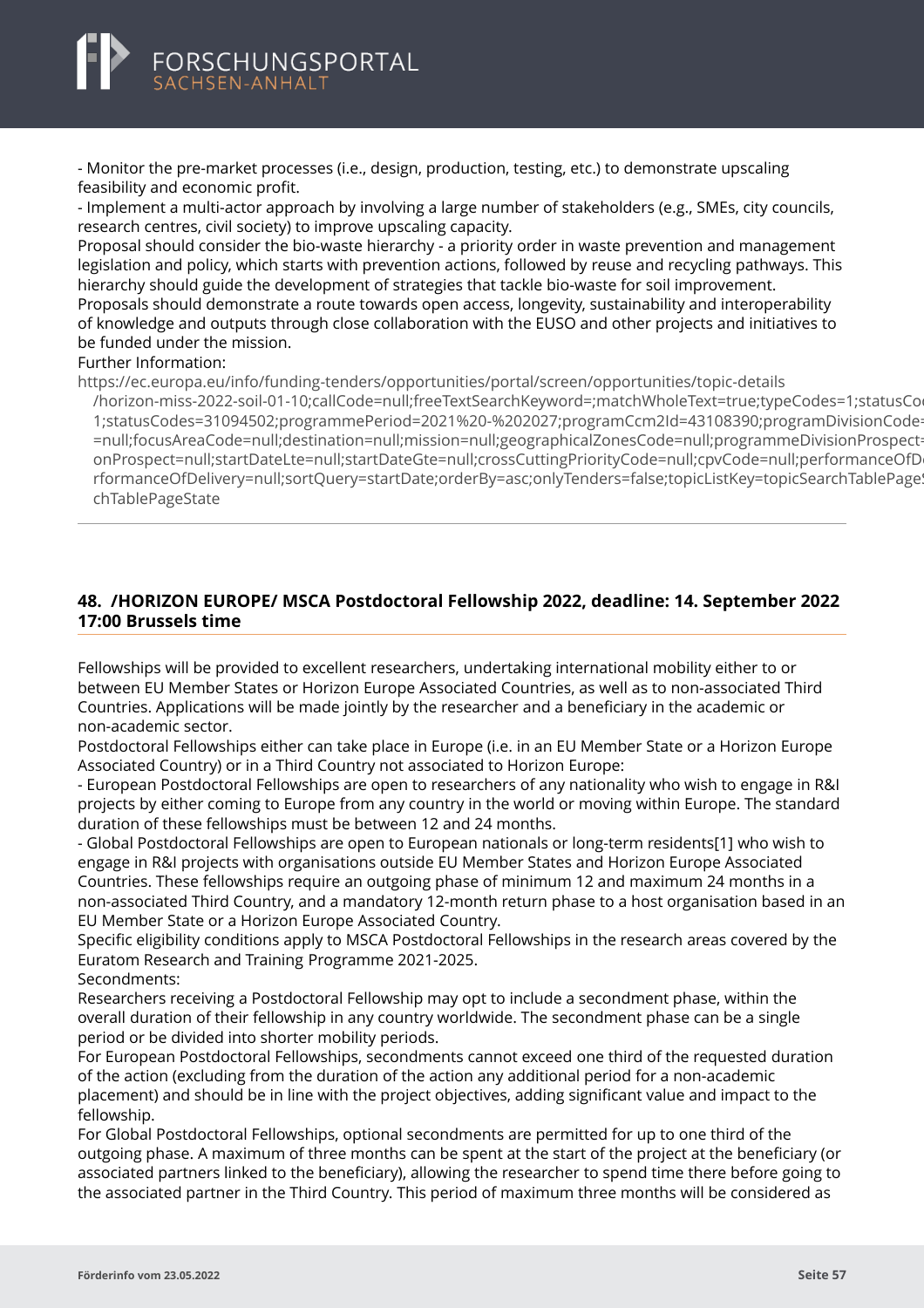<span id="page-59-0"></span>

- Monitor the pre-market processes (i.e., design, production, testing, etc.) to demonstrate upscaling feasibility and economic profit.

- Implement a multi-actor approach by involving a large number of stakeholders (e.g., SMEs, city councils, research centres, civil society) to improve upscaling capacity.

Proposal should consider the bio-waste hierarchy - a priority order in waste prevention and management legislation and policy, which starts with prevention actions, followed by reuse and recycling pathways. This hierarchy should guide the development of strategies that tackle bio-waste for soil improvement. Proposals should demonstrate a route towards open access, longevity, sustainability and interoperability of knowledge and outputs through close collaboration with the EUSO and other projects and initiatives to be funded under the mission.

#### Further Information:

https://ec.europa.eu/info/funding-tenders/opportunities/portal/screen/opportunities/topic-details

[/horizon-miss-2022-soil-01-10;callCode=null;freeTextSearchKeyword=;matchWholeText=true;typeCodes=1](https://ec.europa.eu/info/funding-tenders/opportunities/portal/screen/opportunities/topic-details/horizon-miss-2022-soil-01-10;callCode=null;freeTextSearchKeyword=;matchWholeText=true;typeCodes=1;statusCodes=31094502;programmePeriod=2021%20-%202027;programCcm2Id=43108390;programDivisionCode=null;focusAreaCode=null;destination=null;mission=null;geographicalZonesCode=null;programmeDivisionProspect=null;startDateLte=null;startDateGte=null;crossCuttingPriorityCode=null;cpvCode=null;performanceOfDelivery=null;sortQuery=startDate;orderBy=asc;onlyTenders=false;topicListKey=topicSearchTablePageState);statusCodes=31094502;programmePeriod=2021%20-%202027;programCcm2Id=43108390;programDivisionCode 1;statusCodes=31094502;programmePeriod=2021%20-%202027;programCcm2Id=43108390;programDivisionCode =null;focusAreaCode=null;destination=null;mission=null;geographicalZonesCode=null;programmeDivisionProspect onProspect=null;startDateLte=null;startDateGte=null;crossCuttingPriorityCode=null;cpvCode=null;performanceOfD rformanceOfDelivery=null;sortQuery=startDate;orderBy=asc;onlyTenders=false;topicListKey=topicSearchTablePage! chTablePageState

### **48. /HORIZON EUROPE/ MSCA Postdoctoral Fellowship 2022, deadline: 14. September 2022 17:00 Brussels time**

Fellowships will be provided to excellent researchers, undertaking international mobility either to or between EU Member States or Horizon Europe Associated Countries, as well as to non-associated Third Countries. Applications will be made jointly by the researcher and a beneficiary in the academic or non-academic sector.

Postdoctoral Fellowships either can take place in Europe (i.e. in an EU Member State or a Horizon Europe Associated Country) or in a Third Country not associated to Horizon Europe:

- European Postdoctoral Fellowships are open to researchers of any nationality who wish to engage in R&I projects by either coming to Europe from any country in the world or moving within Europe. The standard duration of these fellowships must be between 12 and 24 months.

- Global Postdoctoral Fellowships are open to European nationals or long-term residents[1] who wish to engage in R&I projects with organisations outside EU Member States and Horizon Europe Associated Countries. These fellowships require an outgoing phase of minimum 12 and maximum 24 months in a non-associated Third Country, and a mandatory 12-month return phase to a host organisation based in an EU Member State or a Horizon Europe Associated Country.

Specific eligibility conditions apply to MSCA Postdoctoral Fellowships in the research areas covered by the Euratom Research and Training Programme 2021-2025.

Secondments:

Researchers receiving a Postdoctoral Fellowship may opt to include a secondment phase, within the overall duration of their fellowship in any country worldwide. The secondment phase can be a single period or be divided into shorter mobility periods.

For European Postdoctoral Fellowships, secondments cannot exceed one third of the requested duration of the action (excluding from the duration of the action any additional period for a non-academic placement) and should be in line with the project objectives, adding significant value and impact to the fellowship.

For Global Postdoctoral Fellowships, optional secondments are permitted for up to one third of the outgoing phase. A maximum of three months can be spent at the start of the project at the beneficiary (or associated partners linked to the beneficiary), allowing the researcher to spend time there before going to the associated partner in the Third Country. This period of maximum three months will be considered as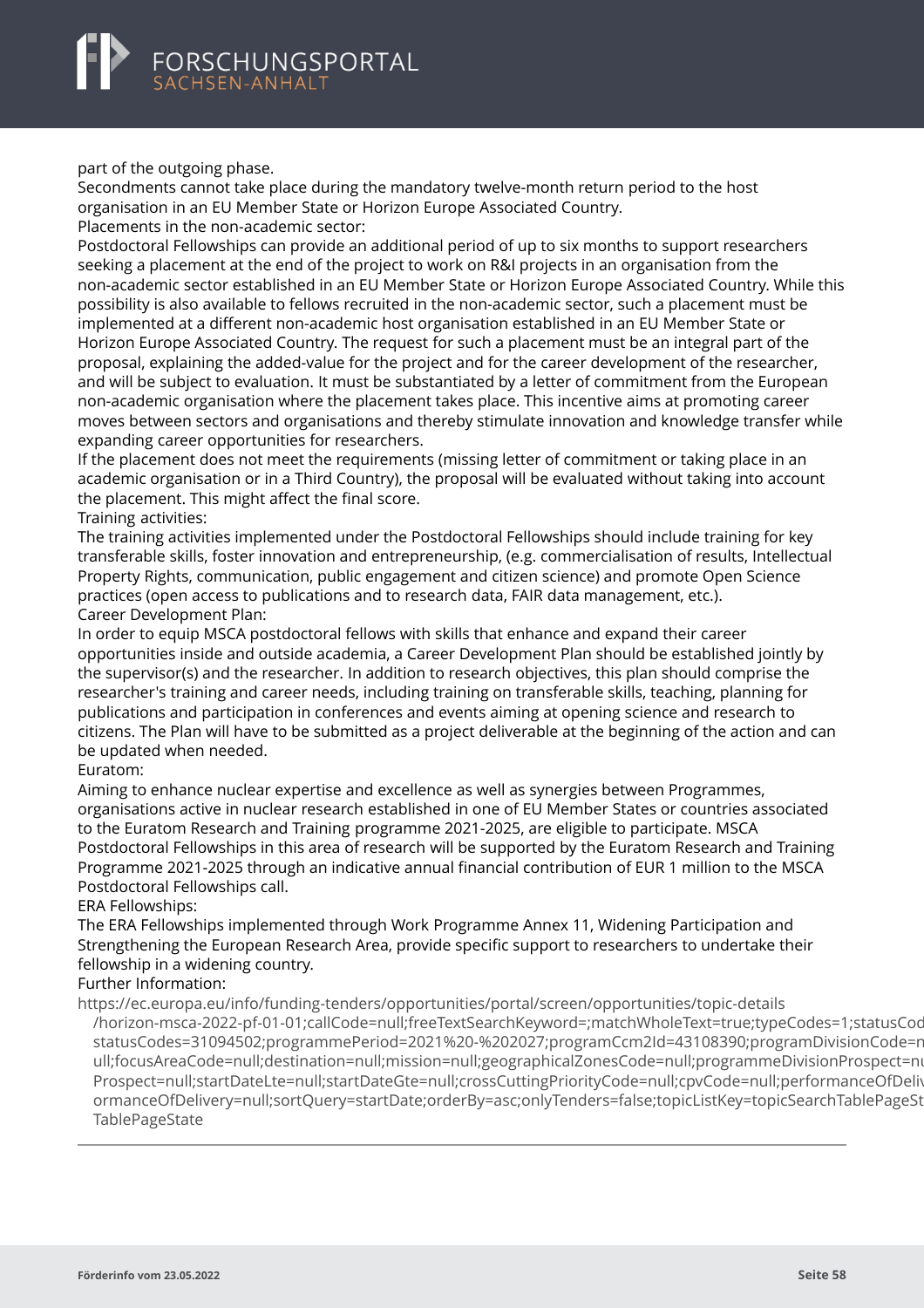<span id="page-60-0"></span>part of the outgoing phase.

Secondments cannot take place during the mandatory twelve-month return period to the host organisation in an EU Member State or Horizon Europe Associated Country.

Placements in the non-academic sector:

Postdoctoral Fellowships can provide an additional period of up to six months to support researchers seeking a placement at the end of the project to work on R&I projects in an organisation from the non-academic sector established in an EU Member State or Horizon Europe Associated Country. While this possibility is also available to fellows recruited in the non-academic sector, such a placement must be implemented at a different non-academic host organisation established in an EU Member State or Horizon Europe Associated Country. The request for such a placement must be an integral part of the proposal, explaining the added-value for the project and for the career development of the researcher, and will be subject to evaluation. It must be substantiated by a letter of commitment from the European non-academic organisation where the placement takes place. This incentive aims at promoting career moves between sectors and organisations and thereby stimulate innovation and knowledge transfer while expanding career opportunities for researchers.

If the placement does not meet the requirements (missing letter of commitment or taking place in an academic organisation or in a Third Country), the proposal will be evaluated without taking into account the placement. This might affect the final score.

Training activities:

The training activities implemented under the Postdoctoral Fellowships should include training for key transferable skills, foster innovation and entrepreneurship, (e.g. commercialisation of results, Intellectual Property Rights, communication, public engagement and citizen science) and promote Open Science practices (open access to publications and to research data, FAIR data management, etc.). Career Development Plan:

In order to equip MSCA postdoctoral fellows with skills that enhance and expand their career opportunities inside and outside academia, a Career Development Plan should be established jointly by the supervisor(s) and the researcher. In addition to research objectives, this plan should comprise the researcher's training and career needs, including training on transferable skills, teaching, planning for publications and participation in conferences and events aiming at opening science and research to citizens. The Plan will have to be submitted as a project deliverable at the beginning of the action and can be updated when needed.

#### Euratom:

Aiming to enhance nuclear expertise and excellence as well as synergies between Programmes, organisations active in nuclear research established in one of EU Member States or countries associated to the Euratom Research and Training programme 2021-2025, are eligible to participate. MSCA Postdoctoral Fellowships in this area of research will be supported by the Euratom Research and Training Programme 2021-2025 through an indicative annual financial contribution of EUR 1 million to the MSCA Postdoctoral Fellowships call.

#### ERA Fellowships:

The ERA Fellowships implemented through Work Programme Annex 11, Widening Participation and Strengthening the European Research Area, provide specific support to researchers to undertake their fellowship in a widening country.

#### Further Information:

https://ec.europa.eu/info/funding-tenders/opportunities/portal/screen/opportunities/topic-details [/horizon-msca-2022-pf-01-01;callCode=null;freeTextSearchKeyword=;matchWholeText=true;typeCodes=1](https://ec.europa.eu/info/funding-tenders/opportunities/portal/screen/opportunities/topic-details/horizon-msca-2022-pf-01-01;callCode=null;freeTextSearchKeyword=;matchWholeText=true;typeCodes=1;statusCodes=31094502;programmePeriod=2021%20-%202027;programCcm2Id=43108390;programDivisionCode=null;focusAreaCode=null;destination=null;mission=null;geographicalZonesCode=null;programmeDivisionProspect=null;startDateLte=null;startDateGte=null;crossCuttingPriorityCode=null;cpvCode=null;performanceOfDelivery=null;sortQuery=startDate;orderBy=asc;onlyTenders=false;topicListKey=topicSearchTablePageState);statusCod statusCodes=31094502;programmePeriod=2021%20-%202027;programCcm2Id=43108390;programDivisionCode=r ull;focusAreaCode=null;destination=null;mission=null;geographicalZonesCode=null;programmeDivisionProspect=nu Prospect=null;startDateLte=null;startDateGte=null;crossCuttingPriorityCode=null;cpvCode=null;performanceOfDeli ormanceOfDelivery=null;sortQuery=startDate;orderBy=asc;onlyTenders=false;topicListKey=topicSearchTablePageSt TablePageState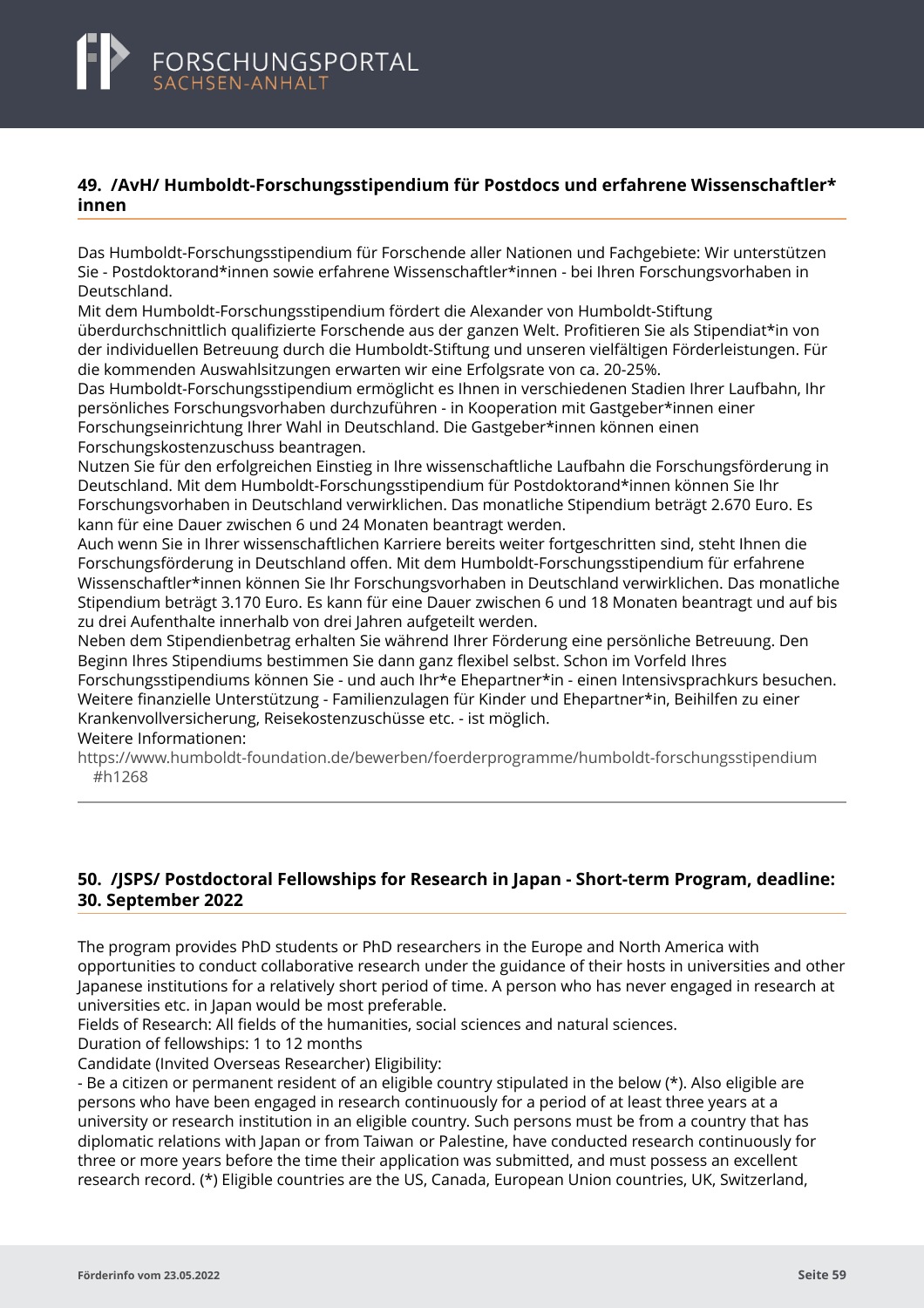# <span id="page-61-0"></span>**49. /AvH/ Humboldt-Forschungsstipendium für Postdocs und erfahrene Wissenschaftler\* innen**

Das Humboldt-Forschungsstipendium für Forschende aller Nationen und Fachgebiete: Wir unterstützen Sie - Postdoktorand\*innen sowie erfahrene Wissenschaftler\*innen - bei Ihren Forschungsvorhaben in Deutschland.

Mit dem Humboldt-Forschungsstipendium fördert die Alexander von Humboldt-Stiftung überdurchschnittlich qualifizierte Forschende aus der ganzen Welt. Profitieren Sie als Stipendiat\*in von der individuellen Betreuung durch die Humboldt-Stiftung und unseren vielfältigen Förderleistungen. Für die kommenden Auswahlsitzungen erwarten wir eine Erfolgsrate von ca. 20-25%.

Das Humboldt-Forschungsstipendium ermöglicht es Ihnen in verschiedenen Stadien Ihrer Laufbahn, Ihr persönliches Forschungsvorhaben durchzuführen - in Kooperation mit Gastgeber\*innen einer Forschungseinrichtung Ihrer Wahl in Deutschland. Die Gastgeber\*innen können einen Forschungskostenzuschuss beantragen.

Nutzen Sie für den erfolgreichen Einstieg in Ihre wissenschaftliche Laufbahn die Forschungsförderung in Deutschland. Mit dem Humboldt-Forschungsstipendium für Postdoktorand\*innen können Sie Ihr Forschungsvorhaben in Deutschland verwirklichen. Das monatliche Stipendium beträgt 2.670 Euro. Es kann für eine Dauer zwischen 6 und 24 Monaten beantragt werden.

Auch wenn Sie in Ihrer wissenschaftlichen Karriere bereits weiter fortgeschritten sind, steht Ihnen die Forschungsförderung in Deutschland offen. Mit dem Humboldt-Forschungsstipendium für erfahrene Wissenschaftler\*innen können Sie Ihr Forschungsvorhaben in Deutschland verwirklichen. Das monatliche Stipendium beträgt 3.170 Euro. Es kann für eine Dauer zwischen 6 und 18 Monaten beantragt und auf bis zu drei Aufenthalte innerhalb von drei Jahren aufgeteilt werden.

Neben dem Stipendienbetrag erhalten Sie während Ihrer Förderung eine persönliche Betreuung. Den Beginn Ihres Stipendiums bestimmen Sie dann ganz flexibel selbst. Schon im Vorfeld Ihres Forschungsstipendiums können Sie - und auch Ihr\*e Ehepartner\*in - einen Intensivsprachkurs besuchen. Weitere finanzielle Unterstützung - Familienzulagen für Kinder und Ehepartner\*in, Beihilfen zu einer Krankenvollversicherung, Reisekostenzuschüsse etc. - ist möglich.

Weitere Informationen:

[https://www.humboldt-foundation.de/bewerben/foerderprogramme/humboldt-forschungsstipendium](https://www.humboldt-foundation.de/bewerben/foerderprogramme/humboldt-forschungsstipendium#h1268) #h1268

# **50. /JSPS/ Postdoctoral Fellowships for Research in Japan - Short-term Program, deadline: 30. September 2022**

The program provides PhD students or PhD researchers in the Europe and North America with opportunities to conduct collaborative research under the guidance of their hosts in universities and other Japanese institutions for a relatively short period of time. A person who has never engaged in research at universities etc. in Japan would be most preferable.

Fields of Research: All fields of the humanities, social sciences and natural sciences.

Duration of fellowships: 1 to 12 months

Candidate (Invited Overseas Researcher) Eligibility:

- Be a citizen or permanent resident of an eligible country stipulated in the below (\*). Also eligible are persons who have been engaged in research continuously for a period of at least three years at a university or research institution in an eligible country. Such persons must be from a country that has diplomatic relations with Japan or from Taiwan or Palestine, have conducted research continuously for three or more years before the time their application was submitted, and must possess an excellent research record. (\*) Eligible countries are the US, Canada, European Union countries, UK, Switzerland,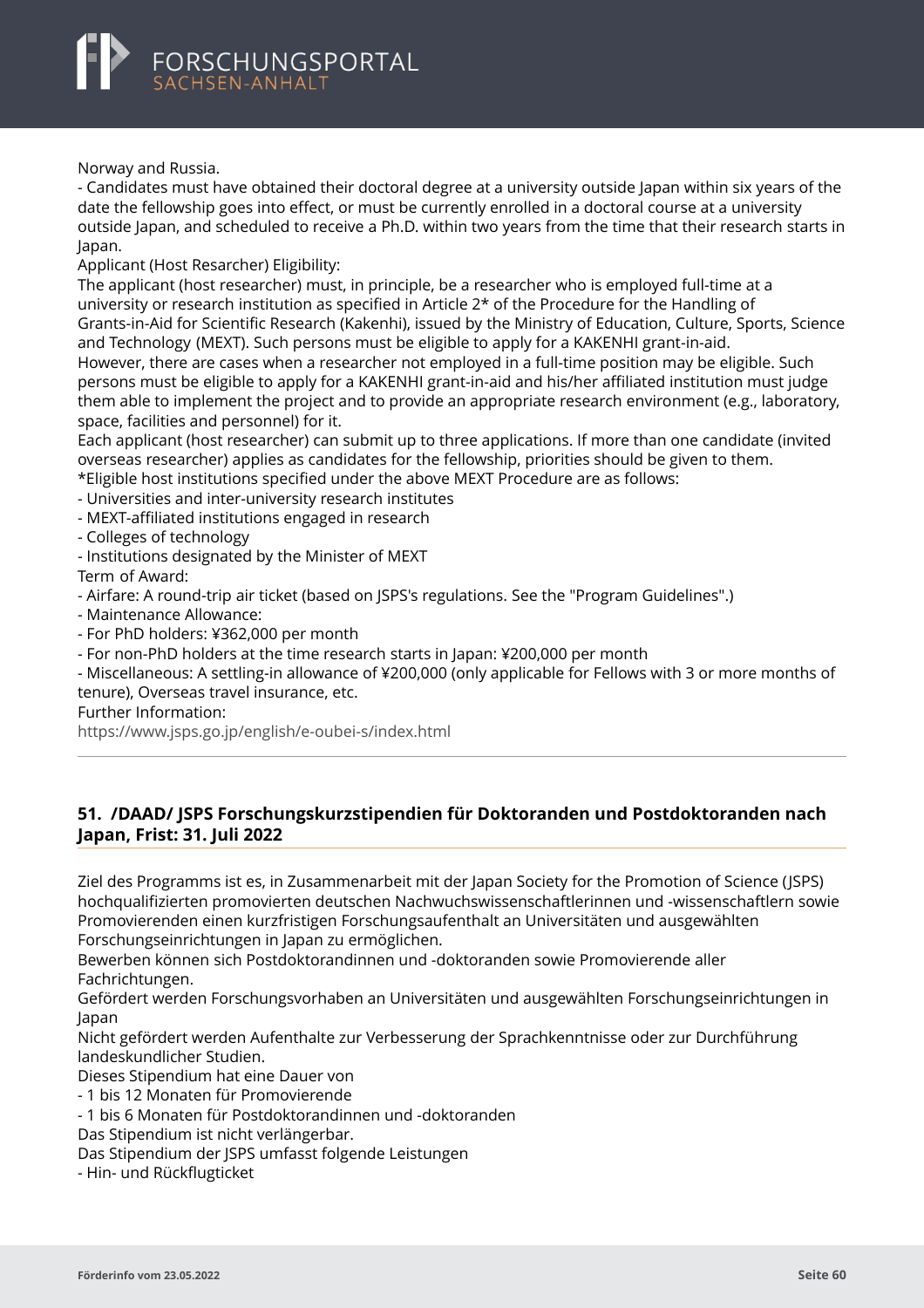

Norway and Russia.

- Candidates must have obtained their doctoral degree at a university outside Japan within six years of the date the fellowship goes into effect, or must be currently enrolled in a doctoral course at a university outside Japan, and scheduled to receive a Ph.D. within two years from the time that their research starts in Japan.

Applicant (Host Resarcher) Eligibility:

The applicant (host researcher) must, in principle, be a researcher who is employed full-time at a university or research institution as specified in Article 2\* of the Procedure for the Handling of Grants-in-Aid for Scientific Research (Kakenhi), issued by the Ministry of Education, Culture, Sports, Science and Technology (MEXT). Such persons must be eligible to apply for a KAKENHI grant-in-aid. However, there are cases when a researcher not employed in a full-time position may be eligible. Such persons must be eligible to apply for a KAKENHI grant-in-aid and his/her affiliated institution must judge them able to implement the project and to provide an appropriate research environment (e.g., laboratory, space, facilities and personnel) for it.

Each applicant (host researcher) can submit up to three applications. If more than one candidate (invited overseas researcher) applies as candidates for the fellowship, priorities should be given to them.

\*Eligible host institutions specified under the above MEXT Procedure are as follows:

- Universities and inter-university research institutes
- MEXT-affiliated institutions engaged in research

- Colleges of technology

- Institutions designated by the Minister of MEXT

Term of Award:

- Airfare: A round-trip air ticket (based on JSPS's regulations. See the "Program Guidelines".)

- Maintenance Allowance:

- For PhD holders: ¥362,000 per month

- For non-PhD holders at the time research starts in Japan: ¥200,000 per month

- Miscellaneous: A settling-in allowance of ¥200,000 (only applicable for Fellows with 3 or more months of tenure), Overseas travel insurance, etc.

Further Information:

<https://www.jsps.go.jp/english/e-oubei-s/index.html>

# **51. /DAAD/ JSPS Forschungskurzstipendien für Doktoranden und Postdoktoranden nach Japan, Frist: 31. Juli 2022**

Ziel des Programms ist es, in Zusammenarbeit mit der Japan Society for the Promotion of Science (JSPS) hochqualifizierten promovierten deutschen Nachwuchswissenschaftlerinnen und -wissenschaftlern sowie Promovierenden einen kurzfristigen Forschungsaufenthalt an Universitäten und ausgewählten Forschungseinrichtungen in Japan zu ermöglichen.

Bewerben können sich Postdoktorandinnen und -doktoranden sowie Promovierende aller Fachrichtungen.

Gefördert werden Forschungsvorhaben an Universitäten und ausgewählten Forschungseinrichtungen in Japan

Nicht gefördert werden Aufenthalte zur Verbesserung der Sprachkenntnisse oder zur Durchführung landeskundlicher Studien.

Dieses Stipendium hat eine Dauer von

- 1 bis 12 Monaten für Promovierende

- 1 bis 6 Monaten für Postdoktorandinnen und -doktoranden

Das Stipendium ist nicht verlängerbar.

Das Stipendium der JSPS umfasst folgende Leistungen

- Hin- und Rückflugticket